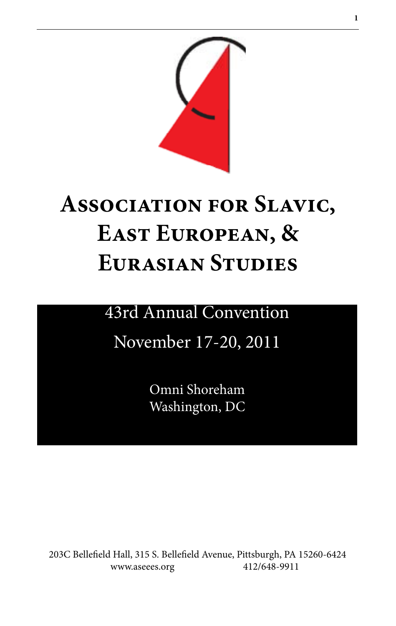

# **Association for Slavic, East European, & Eurasian Studies**

# 43rd Annual Convention

# November 17-20, 2011

Omni Shoreham Washington, DC

203C Bellefield Hall, 315 S. Bellefield Avenue, Pittsburgh, PA 15260-6424 www.aseees.org 412/648-9911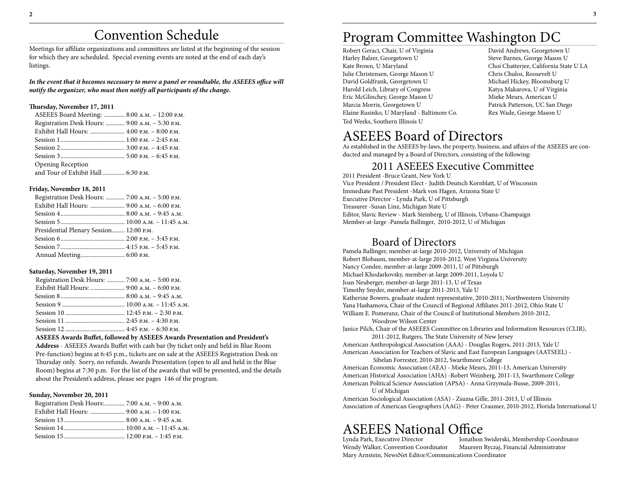# Convention Schedule

Meetings for affiliate organizations and committees are listed at the beginning of the session for which they are scheduled. Special evening events are noted at the end of each day's listings.

In the event that it becomes necessary to move a panel or roundtable, the ASEEES office will *notify the organizer, who must then notify all participants of the change.*

#### **Thursday, November 17, 2011**

| ASEEES Board Meeting:  8:00 A.M. - 12:00 P.M.   |  |
|-------------------------------------------------|--|
| Registration Desk Hours:  9:00 A.M. - 5:30 P.M. |  |
| Exhibit Hall Hours:  4:00 р.м. – 8:00 р.м.      |  |
|                                                 |  |
|                                                 |  |
|                                                 |  |
| <b>Opening Reception</b>                        |  |
| and Tour of Exhibit Hall  6:30 P.M.             |  |
|                                                 |  |

#### **Friday, November 18, 2011**

| Registration Desk Hours:  7:00 A.M. - 5:00 P.M. |  |
|-------------------------------------------------|--|
|                                                 |  |
|                                                 |  |
|                                                 |  |
| Presidential Plenary Session 12:00 P.M.         |  |
|                                                 |  |
|                                                 |  |
|                                                 |  |

#### **Saturday, November 19, 2011**

| Registration Desk Hours:  7:00 A.M. - 5:00 P.M. |  |
|-------------------------------------------------|--|
| Exhibit Hall Hours:  9:00 A.M. - 6:00 P.M.      |  |
|                                                 |  |
|                                                 |  |
|                                                 |  |
|                                                 |  |
|                                                 |  |
|                                                 |  |

**ASEEES Awards Buffet, followed by ASEEES Awards Presentation and President's Address** - ASEEES Awards Buffet with cash bar (by ticket only and held in Blue Room Pre-function) begins at 6:45 p.m., tickets are on sale at the ASEEES Registration Desk on Thursday only. Sorry, no refunds. Awards Presentation (open to all and held in the Blue Room) begins at 7:30 p.m. For the list of the awards that will be presented, and the details about the President's address, please see pages 146 of the program.

#### **Sunday, November 20, 2011**

| Registration Desk Hours: 7:00 A.M. - 9:00 A.M. |  |
|------------------------------------------------|--|
|                                                |  |
|                                                |  |
|                                                |  |
|                                                |  |

# Program Committee Washington DC

- Robert Geraci, Chair, U of Virginia David Andrews, Georgetown U Harley Balzer, Georgetown U Steve Barnes, George Mason U Kate Brown, U Maryland Choi Chatterjee, California State U LA Julie Christensen, George Mason U Chris Chulos, Roosevelt U David Goldfrank, Georgetown U Harold Leich, Library of Congress Katya Makarova, U of Virginia Eric McGlinchey, George Mason U Mieke Meurs, American U Marcia Morris, Georgetown U Patrick Patterson, UC San Diego Elaine Rusinko, U Maryland - Baltimore Co. Rex Wade, George Mason U Ted Weeks, Southern Illinois U
- 

# ASEEES Board of Directors

As established in the ASEEES by-laws, the property, business, and affairs of the ASEEES are conducted and managed by a Board of Directors, consisting of the following:

# 2011 ASEEES Executive Committee

2011 President -Bruce Grant, New York U Vice President / President Elect - Judith Deutsch Kornblatt, U of Wisconsin Immediate Past President -Mark von Hagen, Arizona State U Executive Director - Lynda Park, U of Pittsburgh Treasurer -Susan Linz, Michigan State U Editor, Slavic Review - Mark Steinberg, U of Illinois, Urbana-Champaign Member-at-large -Pamela Ballinger, 2010-2012, U of Michigan

# Board of Directors

Pamela Ballinger, member-at-large 2010-2012, University of Michigan Robert Blobaum, member-at-large 2010-2012, West Virginia University Nancy Condee, member-at-large 2009-2011, U of Pittsburgh Michael Khodarkovsky, member-at-large 2009-2011, Loyola U Joan Neuberger, member-at-large 2011-13, U of Texas Timothy Snyder, member-at-large 2011-2013, Yale U Katherine Bowers, graduate student representative, 2010-2011; Northwestern University Yana Hashamova, Chair of the Council of Regional Affiliates 2011-2012, Ohio State U William E. Pomeranz, Chair of the Council of Institutional Members 2010-2012, Woodrow Wilson Center Janice Pilch, Chair of the ASEEES Committee on Libraries and Information Resources (CLIR), 2011-2012, Rutgers, The State University of New Jersey American Anthropological Association (AAA) - Douglas Rogers, 2011-2013, Yale U American Association for Teachers of Slavic and East European Languages (AATSEEL) - Sibelan Forrester, 2010-2012, Swarthmore College American Economic Association (AEA) - Mieke Meurs, 2011-13, American University American Historical Association (AHA) -Robert Weinberg, 2011-13, Swarthmore College

American Political Science Association (APSA) - Anna Grzymala-Busse, 2009-2011, U of Michigan

American Sociological Association (ASA) - Zsuzsa Gille, 2011-2013, U of Illinois Association of American Geographers (AAG) - Peter Craumer, 2010-2012, Florida International U

# ASEEES National Office

Wendy Walker, Convention Coordinator Maureen Ryczaj, Financial Administrator Mary Arnstein, NewsNet Editor/Communications Coordinator

Jonathon Swiderski, Membership Coordinator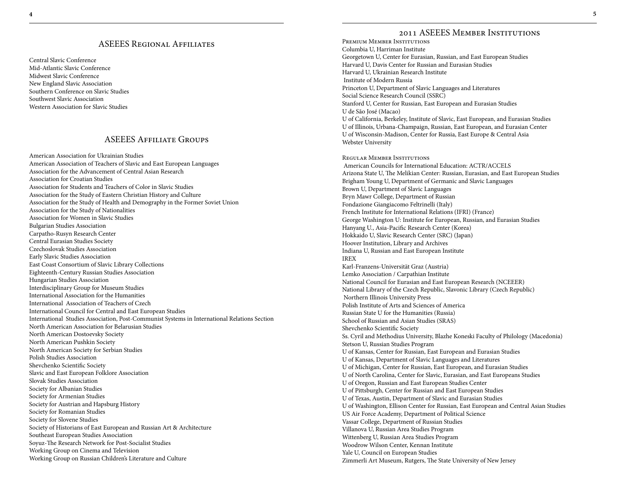### ASEEES Regional Affiliates

Central Slavic Conference Mid-Atlantic Slavic Conference Midwest Slavic Conference New England Slavic Association Southern Conference on Slavic Studies Southwest Slavic Association Western Association for Slavic Studies

# ASEEES Affiliate Groups

American Association for Ukrainian Studies American Association of Teachers of Slavic and East European Languages Association for the Advancement of Central Asian Research Association for Croatian Studies Association for Students and Teachers of Color in Slavic Studies Association for the Study of Eastern Christian History and Culture Association for the Study of Health and Demography in the Former Soviet Union Association for the Study of Nationalities Association for Women in Slavic Studies Bulgarian Studies Association Carpatho-Rusyn Research Center Central Eurasian Studies Society Czechoslovak Studies Association Early Slavic Studies Association East Coast Consortium of Slavic Library Collections Eighteenth-Century Russian Studies Association Hungarian Studies Association Interdisciplinary Group for Museum Studies International Association for the Humanities International Association of Teachers of Czech International Council for Central and East European Studies International Studies Association, Post-Communist Systems in International Relations Section North American Association for Belarusian Studies North American Dostoevsky Society North American Pushkin Society North American Society for Serbian Studies Polish Studies Association Shevchenko Scientific Society Slavic and East European Folklore Association Slovak Studies Association Society for Albanian Studies Society for Armenian Studies Society for Austrian and Hapsburg History Society for Romanian Studies Society for Slovene Studies Society of Historians of East European and Russian Art & Architecture Southeast European Studies Association Soyuz-The Research Network for Post-Socialist Studies Working Group on Cinema and Television Working Group on Russian Children's Literature and Culture

# 2011 ASEEES Member Institutions

Premium Member Institutions Columbia U, Harriman Institute Georgetown U, Center for Eurasian, Russian, and East European Studies Harvard U, Davis Center for Russian and Eurasian Studies Harvard U, Ukrainian Research Institute Institute of Modern Russia Princeton U, Department of Slavic Languages and Literatures Social Science Research Council (SSRC) Stanford U, Center for Russian, East European and Eurasian Studies U de São José (Macao) U of California, Berkeley, Institute of Slavic, East European, and Eurasian Studies U of Illinois, Urbana-Champaign, Russian, East European, and Eurasian Center U of Wisconsin-Madison, Center for Russia, East Europe & Central Asia Webster University Regular Member Institutions American Councils for International Education: ACTR/ACCELS Arizona State U, The Melikian Center: Russian, Eurasian, and East European Studies Brigham Young U, Department of Germanic and Slavic Languages Brown U, Department of Slavic Languages Bryn Mawr College, Department of Russian Fondazione Giangiacomo Feltrinelli (Italy) French Institute for International Relations (IFRI) (France) George Washington U: Institute for European, Russian, and Eurasian Studies Hanyang U., Asia-Pacific Research Center (Korea) Hokkaido U, Slavic Research Center (SRC) (Japan) Hoover Institution, Library and Archives Indiana U, Russian and East European Institute IREX Karl-Franzens-Universität Graz (Austria) Lemko Association / Carpathian Institute National Council for Eurasian and East European Research (NCEEER) National Library of the Czech Republic, Slavonic Library (Czech Republic) Northern Illinois University Press Polish Institute of Arts and Sciences of America Russian State U for the Humanities (Russia) School of Russian and Asian Studies (SRAS) Shevchenko Scientific Society Ss. Cyril and Methodius University, Blazhe Koneski Faculty of Philology (Macedonia) Stetson U, Russian Studies Program U of Kansas, Center for Russian, East European and Eurasian Studies U of Kansas, Department of Slavic Languages and Literatures U of Michigan, Center for Russian, East European, and Eurasian Studies U of North Carolina, Center for Slavic, Eurasian, and East Europeans Studies U of Oregon, Russian and East European Studies Center U of Pittsburgh, Center for Russian and East European Studies U of Texas, Austin, Department of Slavic and Eurasian Studies U of Washington, Ellison Center for Russian, East European and Central Asian Studies US Air Force Academy, Department of Political Science Vassar College, Department of Russian Studies Villanova U, Russian Area Studies Program Wittenberg U, Russian Area Studies Program Woodrow Wilson Center, Kennan Institute Yale U, Council on European Studies Zimmerli Art Museum, Rutgers, The State University of New Jersey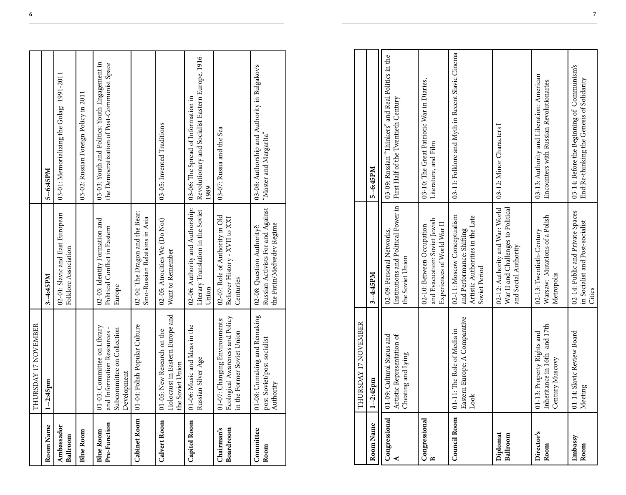|                                  | THURSDAY 17 NOVEMBER                                                                                    |                                                                                               |                                                                                                  |
|----------------------------------|---------------------------------------------------------------------------------------------------------|-----------------------------------------------------------------------------------------------|--------------------------------------------------------------------------------------------------|
| Room Name                        | $1 - 2:45$ pm                                                                                           | 3--4:45PM                                                                                     | 5--6:45PM                                                                                        |
| Ambassador<br>Ballroom           |                                                                                                         | 02-01: Slavic and East European<br>Folklore Association                                       | 03-01: Memorializing the Gulag: 1991-2011                                                        |
| <b>Blue Room</b>                 |                                                                                                         |                                                                                               | 03-02: Russian Foreign Policy in 2011                                                            |
| Pre-Function<br><b>Blue Room</b> | 01-03: Committee on Library<br>and Information Resources -<br>Subcommittee on Collection<br>Development | 02-03: Identity Formation and<br>Political Conflict in Eastern<br>Europe                      | 03-03: Youth and Politics: Youth Engagement in<br>the Democratization of Post-Communist Space    |
|                                  | Cabinet Room   01-04: Polish Popular Culture                                                            | 02-04: The Dragon and the Bear:<br>Sino-Russian Relations in Asia                             |                                                                                                  |
| Calvert Room                     | Holocaust in Eastern Europe and<br>01-05: New Research on the<br>he Soviet Union                        | 02-05: Atrocities We (Do Not)<br>Want to Remember                                             | 03-05: Invented Traditions                                                                       |
| <b>Capitol Room</b>              | 01-06: Music and Ideas in the<br>Russian Silver Age                                                     | 02-06: Authority and Authorship:<br>Literary Translation in the Soviet<br>Union               | Revolutionary and Socialist Eastern Europe, 1916-<br>03-06: The Spread of Information in<br>1989 |
| Chairman's<br>Boardroom          | Ecological Awareness and Policy<br>01-07: Changing Environments:<br>in the Former Soviet Union          | 02-07: Role of Authority in Old<br>Believer History - XVII to XXI<br>Centuries                | 03-07: Russia and the Sea                                                                        |
| Committee<br>Room                | 01-08: Unmaking and Remaking<br>post-Soviet/post-socialist<br>Authority                                 | Russian Activists For and Against<br>the Putin/Medvedev Regime<br>02-08: Question Authority?: | 03-08: Authorship and Authority in Bulgakov's<br>"Master and Margarita"                          |

|                      | THURSDAY 17 NOVEMBER                                                            |                                                                                                               |                                                                                           |
|----------------------|---------------------------------------------------------------------------------|---------------------------------------------------------------------------------------------------------------|-------------------------------------------------------------------------------------------|
| Room Name            | $1 - 2:45$ pm                                                                   | 3--4:45PM                                                                                                     | $5 - 6:45PM$                                                                              |
| Congressional        | Artistic Representation of<br>01-09: Cultural Status and<br>Cheating and Lying  | Institutions and Political Power in<br>02-09: Personal Networks,<br>the Soviet Union                          | 03-09: Russian "Thinkers" and Real Politics in the<br>First Half of the Twentieth Century |
| Congressional<br>≏   |                                                                                 | and Evacuation: Soviet Jewish<br>Experiences of World War II<br>02-10: Between Occupation                     | 03-10: The Great Patriotic War in Diaries,<br>Literature, and Film                        |
| <b>Council Room</b>  | Eastern Europe: A Comparative<br>01-11: The Role of Media in<br>Look            | 02-11: Moscow Conceptualism<br>Artistic Authorities in the Late<br>and Performance: Shifting<br>Soviet Period | 03-11: Folklore and Myth in Recent Slavic Cinema                                          |
| Diplomat<br>Ballroom |                                                                                 | 02-12: Authority and War: World<br>War II and Challenges to Political<br>and Social Authority                 | 03-12: Minor Characters I                                                                 |
| Director's<br>Room   | Inheritance in 16th- and 17th-<br>01-13: Property Rights and<br>Century Muscovy | Warsaw: Mutations of a Polish<br>02-13: Twentieth-Century<br>Metropolis                                       | 03-13: Authority and Liberation: American<br>Encounters with Russian Revolutionaries      |
| Embassy<br>Room      | 01-14: Slavic Review Board<br>Meeting                                           | 02-14: Public and Private Spaces<br>in Socialist and Post-socialist<br>Cities                                 | 03-14: Before the Beginning of Communism's<br>End:Re-thinking the Genesis of Solidarity   |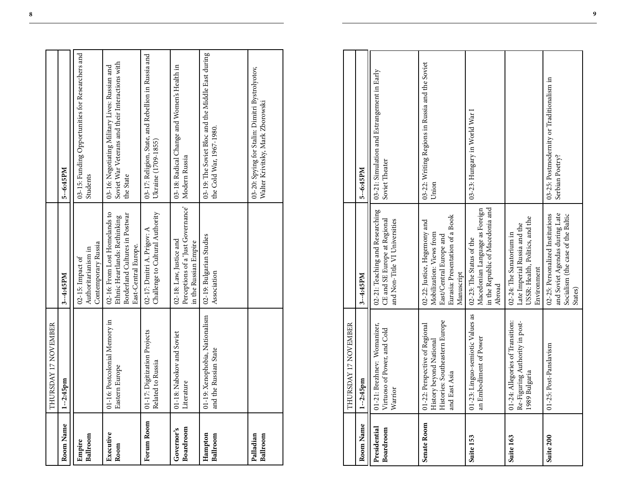|                         | THURSDAY 17 NOVEMBER                                    |                                                                                                                          |                                                                                                                |
|-------------------------|---------------------------------------------------------|--------------------------------------------------------------------------------------------------------------------------|----------------------------------------------------------------------------------------------------------------|
| Room Name               | $1 - 2:45$ pm                                           | 3-4:45PM                                                                                                                 | 5-6:45PM                                                                                                       |
| Ballroom<br>Empire      |                                                         | Contemporary Russia<br>Authoritarianism in<br>02-15: Impact of                                                           | 03-15: Funding Opportunities for Researchers and<br>Students                                                   |
| Executive<br>Room       | 01-16: Postcolonial Memory in<br>Eastern Europe         | 02-16: From Lost Homelands to<br>Borderland Cultures in Postwar<br>Ethnic Heartlands: Rethinking<br>East-Central Europe. | Soviet War Veterans and their Interactions with<br>03-16: Negotiating Military Lives: Russian and<br>the State |
| Forum Room              | 01-17: Digitization Projects<br>Related to Russia       | Challenge to Cultural Authority<br>02-17: Dmitri A. Prigov: A                                                            | 03-17: Religion, State, and Rebellion in Russia and<br>Ukraine (1709-1855)                                     |
| Boardroom<br>Governor's | 01-18: Nabokov and Soviet<br>Literature                 | Perceptions of a 'Just Governance'   Modern Russia<br>02-18: Law, Justice and<br>in the Russian Empire                   | 03-18: Radical Change and Women's Health in                                                                    |
| Hampton<br>Ballroom     | 01-19: Xenophobia, Nationalism<br>and the Russian State | 02-19: Bulgarian Studies<br>Association                                                                                  | 03-19: The Soviet Bloc and the Middle East during<br>the Cold War, 1967-1980.                                  |
| Palladian<br>Ballroom   |                                                         |                                                                                                                          | 03-20: Spying for Stalin: Dimitri Bystrolyotov,<br>Walter Krivitsky, Mark Zborowski                            |

|                           | THURSDAY 17 NOVEMBER                                                                                         |                                                                                                                                      |                                                               |
|---------------------------|--------------------------------------------------------------------------------------------------------------|--------------------------------------------------------------------------------------------------------------------------------------|---------------------------------------------------------------|
| Room Name                 | $1 - 2:45$ pm                                                                                                | 3--4:45PM                                                                                                                            | 5--6:45PM                                                     |
| Presidential<br>Boardroom | 01-21: Brezhnev: Womanizer,<br>Virtuoso of Power, and Cold<br>Warrior                                        | 02-21: Teaching and Researching<br>and Non-Title VI Universities<br>CE and SE Europe at Regional                                     | 03-21: Simulation and Estrangement in Early<br>Soviet Theater |
| Senate Room               | Histories: Southeastern Europe<br>01-22: Perspective of Regional<br>History beyond National<br>and East Asia | Eurasia: Presentation of a Book<br>02-22: Justice, Hegemony and<br>Mobilization: Views from<br>East/Central Europe and<br>Manuscript | 03-22: Writing Regions in Russia and the Soviet<br>Union      |
| Suite 153                 | 01-23: Linguo-semiotic Values as<br>an Embodiment of Power                                                   | in the Republic of Macedonia and<br>Macedonian Language as Foreign<br>02-23: The Status of the<br>Abroad                             | 03-23: Hungary in World War I                                 |
| Suite 163                 | 01-24: Allegories of Transition:<br>Re-Figuring Authority in post-<br>1989 Bulgaria                          | USSR: Health, Politics, and the<br>Late Imperial Russia and the<br>02-24: The Sanatorium in<br>Environment                           |                                                               |
| Suite 200                 | 01-25: Post-Panslavism                                                                                       | and Soviet Agendas during Late<br>02-25: Personalized Institutions<br>Socialism (the case of the Baltic<br>States)                   | 03-25: Postmodernity or Traditionalism in<br>Serbian Poetry?  |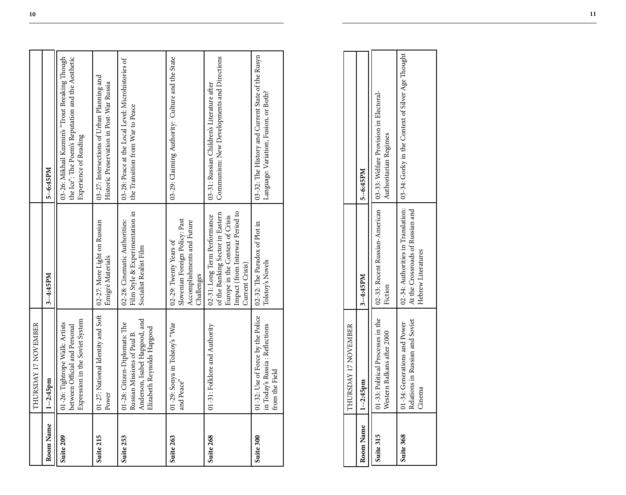|           | THURSDAY 17 NOVEMBER                                                                                                        |                                                                                                                                                           |                                                                                                                              |
|-----------|-----------------------------------------------------------------------------------------------------------------------------|-----------------------------------------------------------------------------------------------------------------------------------------------------------|------------------------------------------------------------------------------------------------------------------------------|
| Room Name | $1 - 2:45$ pm                                                                                                               | 3-4:45PM                                                                                                                                                  | 5--6:45PM                                                                                                                    |
| Suite 209 | Expression in the Soviet System<br>01-26: Tightrope Walk: Artists<br>between Official and Personal                          |                                                                                                                                                           | the Ice': The Poem's Reputation and the Aesthetic<br>03-26: Mikhail Kuzmin's "Trout Breaking Though<br>Experience of Reading |
| Suite 215 | 01-27: National Identity and Soft<br>Power                                                                                  | 02-27: More Light on Russian<br>Émigré Materials                                                                                                          | 03-27: Intersections of Urban Planning and<br>Historic Preservation in Post-War Russia                                       |
| Suite 253 | Anderson, Isabel Hapgood, and<br>01-28: Citizen-Diplomats: The<br>Elizabeth Reynolds Hapgood<br>Russian Missions of Paul B. | Film Style & Experimentation in<br>02-28: Cinematic Authorities:<br>Socialist Realist Film                                                                | 03-28: Peace at the Local Level: Microhistories of<br>the Transition from War to Peace                                       |
| Suite 263 | 01-29: Sonya in Tolstoy's "War<br>and Peace"                                                                                | Slovenian Foreign Policy: Past<br>Accomplishments and Future<br>02-29: Twenty Years of<br>Challenges                                                      | 03-29: Claiming Authority: Culture and the State                                                                             |
| Suite 268 | 01-31: Folklore and Authority                                                                                               | Impact (from Interwar Period to<br>of the Banking Sector in Eastern<br>02-31: Long Term Performance<br>Europe in the Context of Crisis<br>Current Crisis) | Communism: New Developments and Directions<br>03-31: Russian Children's Literature after                                     |
| Suite 300 | 01-32: Use of Force by the Police<br>in Today's Russia: Reflections<br>from the Field                                       | 02-32: The Paradox of Plot in<br>Tolstoy's Novels                                                                                                         | 03-32: The History and Current State of the Rusyn<br>Language: Variation, Fusion, or Both?                                   |
|           |                                                                                                                             |                                                                                                                                                           |                                                                                                                              |
|           | THURSDAY 17 NOVEMBER                                                                                                        |                                                                                                                                                           |                                                                                                                              |
| Room Name | $1 - 2:45$ pm                                                                                                               | 3--4:45PM                                                                                                                                                 | 5--6:45PM                                                                                                                    |
| Suite 315 | 01-33: Political Processes in the<br>Western Balkans after 2000                                                             | 02-33: Recent Russian-American<br>Fiction                                                                                                                 | 03-33: Welfare Provision in Electoral-<br>Authoritarian Regimes                                                              |
| Suite 368 | Relations in Russian and Soviet<br>01-34: Generations and Power<br>Cinema                                                   | 02-34: Authorities in Translation:<br>At the Crossroads of Russian and<br>Hebrew Literatures                                                              | 03-34: Gorky in the Context of Silver Age Thought                                                                            |

|                       | THURSDAY 17 NOVEMBER                                                      |                                                        |                                                                                                                                      |
|-----------------------|---------------------------------------------------------------------------|--------------------------------------------------------|--------------------------------------------------------------------------------------------------------------------------------------|
| Room Name   1--2:45pm |                                                                           | $13 - 4:45PM$                                          | 5--6:45PM                                                                                                                            |
| Suite 315             | Western Balkans after 2000                                                | Fiction                                                | 01-33: Political Processes in the (102-33: Recent Russian-American) 103-33: Welfare Provision in Electoral-<br>Authoritarian Regimes |
| Suite 368             | Relations in Russian and Soviet<br>11-34: Generations and Power<br>Cinema | At the Crossroads of Russian and<br>Hebrew Literatures | 02-34: Authorities in Translation: 103-34: Gorky in the Context of Silver Age Thought                                                |
|                       |                                                                           |                                                        |                                                                                                                                      |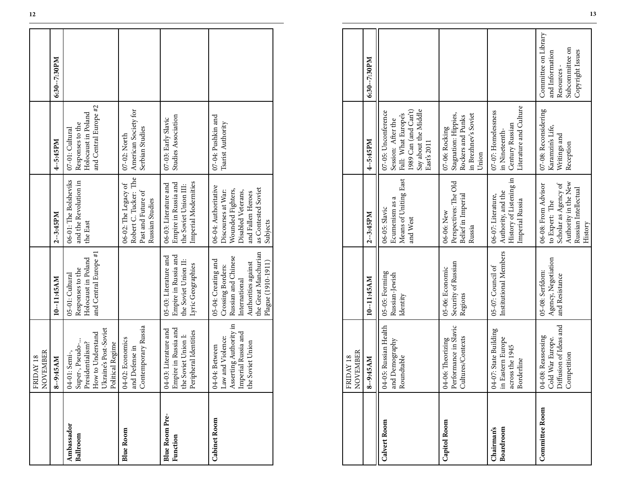|                                   | NOVEMBER<br>FRIDAY 18                                                                                                  |                                                                                                                                                       |                                                                                                                                               |                                                                                     |              |
|-----------------------------------|------------------------------------------------------------------------------------------------------------------------|-------------------------------------------------------------------------------------------------------------------------------------------------------|-----------------------------------------------------------------------------------------------------------------------------------------------|-------------------------------------------------------------------------------------|--------------|
|                                   | 8--9:45AM                                                                                                              | 10-11:45AM                                                                                                                                            | $2 - 3:45PM$                                                                                                                                  | 4--5:45PM                                                                           | 6:30--7:30PM |
| Ambassador<br>Ballroom            | Ukraine's Post-Soviet<br>How to Understand<br>Super-, Pseudo-<br>Presidentialism?<br>Political Regime<br>04-01: Semi-, | and Central Europe #1<br>Holocaust in Poland<br>Responses to the<br>05-01: Cultural                                                                   | 06-01: The Bolsheviks<br>and the Revolution in<br>the East                                                                                    | and Central Europe #2<br>Holocaust in Poland<br>Responses to the<br>07-01: Cultural |              |
| <b>Blue Room</b>                  | Contemporary Russia<br>04-02: Economics<br>and Defense in                                                              |                                                                                                                                                       | Robert C. Tucker: The<br>06-02: The Legacy of<br>Past and Future of<br>Russian Studies                                                        | American Society for<br>Serbian Studies<br>07-02: North                             |              |
| <b>Blue Room Pre-</b><br>Function | Empire in Russia and<br>04-03: Literature and<br>Peripheral Identities<br>the Soviet Union I:                          | Empire in Russia and<br>05-03: Literature and<br>the Soviet Union II:<br>Lyric Geographies                                                            | Imperial Modernities<br>06-03: Literature and<br>Empire in Russia and<br>the Soviet Union III:                                                | Studies Association<br>07-03: Early Slavic                                          |              |
| Cabinet Room                      | Asserting Authority in<br>Imperial Russia and<br>Law and Violence:<br>the Soviet Union<br>04-04: Between               | the Great Manchurian<br>Russian and Chinese<br>05-04: Creating and<br>Plague (1910-1911)<br>Authorities against<br>Crossing Borders:<br>International | 06-04: Authoritative<br>as Contested Soviet<br>Wounded Fighters,<br>Discourses at War:<br>Disabled Veterans,<br>and Fallen Heroes<br>Subjects | 07-04: Pushkin and<br>Tsarist Authority                                             |              |

| Ambassador<br>Ballroom            | Ukraine's Post-Soviet<br>How to Understand<br>Super-, Pseudo-<br>Presidentialism?<br>Political Regime<br>04-01: Semi-, | and Central Europe #1<br>Holocaust in Poland<br>Responses to the<br>05-01: Cultural                                                                   | 06-01: The Bolsheviks<br>and the Revolution in<br>the East                                                                                    | and Central Europe #2<br>Holocaust in Poland<br>Responses to the<br>07-01: Cultural                                             |                                                                                             |
|-----------------------------------|------------------------------------------------------------------------------------------------------------------------|-------------------------------------------------------------------------------------------------------------------------------------------------------|-----------------------------------------------------------------------------------------------------------------------------------------------|---------------------------------------------------------------------------------------------------------------------------------|---------------------------------------------------------------------------------------------|
| <b>Blue Room</b>                  | Contemporary Russia<br>04-02: Economics<br>and Defense in                                                              |                                                                                                                                                       | Robert C. Tucker: The<br>06-02: The Legacy of<br>Past and Future of<br>Russian Studies                                                        | American Society for<br>Serbian Studies<br>07-02: North                                                                         |                                                                                             |
| <b>Blue Room Pre-</b><br>Function | Empire in Russia and<br>04-03: Literature and<br>Peripheral Identities<br>the Soviet Union I:                          | Empire in Russia and<br>05-03: Literature and<br>the Soviet Union II:<br>Lyric Geographies                                                            | Imperial Modernities<br>Empire in Russia and<br>06-03: Literature and<br>the Soviet Union III:                                                | 07-03: Early Slavic<br>Studies Association                                                                                      |                                                                                             |
| <b>Cabinet Room</b>               | Asserting Authority in<br>Imperial Russia and<br>Law and Violence:<br>the Soviet Union<br>04-04: Between               | the Great Manchurian<br>Russian and Chinese<br>05-04: Creating and<br>Plague (1910-1911)<br>Authorities against<br>Crossing Borders:<br>International | 06-04: Authoritative<br>as Contested Soviet<br>Wounded Fighters,<br>Discourses at War:<br>Disabled Veterans,<br>and Fallen Heroes<br>Subjects | 07-04: Pushkin and<br>Tsarist Authority                                                                                         |                                                                                             |
|                                   |                                                                                                                        |                                                                                                                                                       |                                                                                                                                               |                                                                                                                                 |                                                                                             |
|                                   | NOVEMBER<br>FRIDAY 18                                                                                                  |                                                                                                                                                       |                                                                                                                                               |                                                                                                                                 |                                                                                             |
|                                   | 8--9:45AM                                                                                                              | 10-11:45AM                                                                                                                                            | $2 - 3:45 PM$                                                                                                                                 | $4 - 5:45PM$                                                                                                                    | 6:30-7:30PM                                                                                 |
| Calvert Room                      | 04-05: Russian Health<br>and Demography<br>Roundtable                                                                  | 05-05: Forming<br>Russian-Jewish<br>Identity                                                                                                          | Means of Uniting East<br>Ecumenism as a<br>06-05: Slavic<br>and West                                                                          | 1989 Can (and Can't)<br>Say about the Middle<br>07-05: Unconference<br>Fall: What Europe's<br>Session: After the<br>East's 2011 |                                                                                             |
| Capitol Room                      | 04-06: Theorizing<br>Performance in Slavic<br>Cultures/Contexts                                                        | Security of Russian<br>05-06: Economic<br>Regions                                                                                                     | Perspectives: The Old<br>Belief in Imperial<br>06-06: New<br>Russia                                                                           | Stagnation: Hippies,<br>in Brezhnev's Soviet<br>Rockers and Punks<br>07-06: Rocking<br>Union                                    |                                                                                             |
| Boardroom<br>Chairman's           | 04-07: State Building<br>in Eastern Europe<br>across the 1945<br>Borderline                                            | Institutional Members<br>05-07: Council of                                                                                                            | History of Listening in<br>Authority, and the<br>06-07: Literature,<br>Imperial Russia                                                        | Literature and Culture<br>07-07: Homelessness<br>Century Russian<br>in Nineteenth-                                              |                                                                                             |
| <b>Committee Room</b>             | Diffusion of Ideas and<br>04-08: Reassessing<br>Cold War Europe.<br>Competition                                        | Agency, Negotiation<br>05-08: Serfdom:<br>and Resistance                                                                                              | Authority in the New<br>Scholar as Agency of<br>06-08: From Advisor<br>Russian Intellectual<br>to Expert: The<br>History                      | 07-08: Reconsidering<br>Karamzin's Life,<br>Writings and<br>Reception                                                           | Committee on Library<br>Subcommittee on<br>Copyright Issues<br>and Information<br>Resources |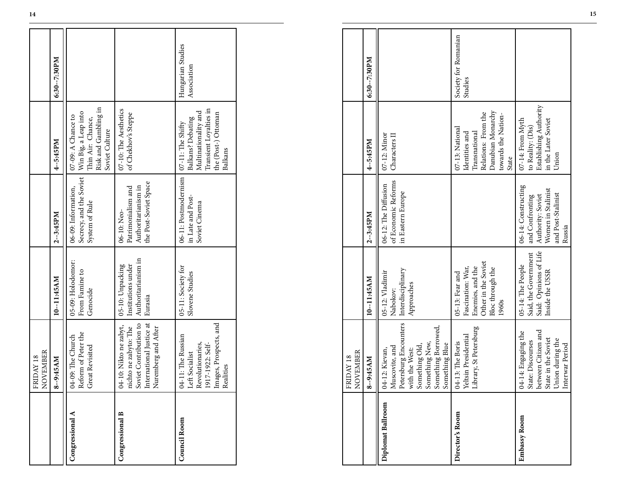| 07-09: A Chance to<br>Balkans? Debating<br>Thin Air: Chance,<br>$07-11$ : The Shifty<br>Soviet Culture<br>4--5:45PM<br>06-11: Postmodernism<br>Secrecy, and the Soviet<br>the Post-Soviet Space<br>Authoritarianism in<br>Patrimonialism and<br>06-09: Information,<br>in Late and Post-<br>System of Rule<br>Soviet Cinema<br>06-10: Neo-<br>2--3:45PM<br>Authoritarianism in<br>05-09: Holodomor:<br>Institutions under<br>05-10: Unpacking<br>05-11: Society for<br>From Famine to<br>Slovene Studies<br>10-11:45AM<br>Genocide<br>Eurasia<br>Soviet Contribution to<br>International Justice at<br>04-10: Nikto ne zabyt,<br>Images, Prospects, and<br>nichto ne zabyto: The<br>Nuremberg and After<br>Reform of Peter the<br>04-11: The Russian<br>04-09: The Church<br>Revolutionaries,<br>1917-1922: Self-<br>Great Revisited<br>Left Socialist<br>8--9:45AM<br>Congressional B<br><b>Congressional A</b><br><b>Council Room</b> | NOVEMBER<br>FRIDAY 18 |  |                                                                                  |                                  |
|-----------------------------------------------------------------------------------------------------------------------------------------------------------------------------------------------------------------------------------------------------------------------------------------------------------------------------------------------------------------------------------------------------------------------------------------------------------------------------------------------------------------------------------------------------------------------------------------------------------------------------------------------------------------------------------------------------------------------------------------------------------------------------------------------------------------------------------------------------------------------------------------------------------------------------------------|-----------------------|--|----------------------------------------------------------------------------------|----------------------------------|
|                                                                                                                                                                                                                                                                                                                                                                                                                                                                                                                                                                                                                                                                                                                                                                                                                                                                                                                                         |                       |  |                                                                                  | 6:30--7:30PM                     |
|                                                                                                                                                                                                                                                                                                                                                                                                                                                                                                                                                                                                                                                                                                                                                                                                                                                                                                                                         |                       |  | Risk and Gambling in<br>Win Big, a Leap into                                     |                                  |
|                                                                                                                                                                                                                                                                                                                                                                                                                                                                                                                                                                                                                                                                                                                                                                                                                                                                                                                                         |                       |  | 07-10: The Aesthetics<br>of Chekhov's Steppe                                     |                                  |
|                                                                                                                                                                                                                                                                                                                                                                                                                                                                                                                                                                                                                                                                                                                                                                                                                                                                                                                                         | Realities             |  | Transient Loyalties in<br>Multinationality and<br>the (Post-) Ottoman<br>Balkans | Hungarian Studies<br>Association |

|                   | FRIDAY 18<br>NOVEMBER                                                                                                                                                                                                   |                                                                                                              |                                                                                                                   |                                                                                                                                |                                  |
|-------------------|-------------------------------------------------------------------------------------------------------------------------------------------------------------------------------------------------------------------------|--------------------------------------------------------------------------------------------------------------|-------------------------------------------------------------------------------------------------------------------|--------------------------------------------------------------------------------------------------------------------------------|----------------------------------|
|                   | 8--9:45AM                                                                                                                                                                                                               | 10--11:45AM                                                                                                  | $2 - 3:45PM$                                                                                                      | 4-5:45PM                                                                                                                       | 6:30--7:30PM                     |
| Congressional A   | Reform of Peter the<br>Great Revisited<br>04-09: The Church                                                                                                                                                             | 05-09: Holodomor:<br>From Famine to<br>Genocide                                                              | Secrecy, and the Soviet<br>06-09: Information,<br>System of Rule                                                  | Risk and Gambling in<br>Win Big, a Leap into<br>07-09: A Chance to<br>Thin Air: Chance,<br>Soviet Culture                      |                                  |
| Congressional B   | 04-10: Nikto ne zabyt, nichto ne zabyto: The Soviet Contribution to International Justice at Muremberg and After Nuremberg                                                                                              | Authoritarianism in<br>Institutions under<br>05-10: Unpacking<br>Eurasia                                     | the Post-Soviet Space<br>Authoritarianism in<br>Patrimonialism and<br>06-10: Neo-                                 | 07-10: The Aesthetics<br>of Chekhov's Steppe                                                                                   |                                  |
| Council Room      | 1917-1922: Self-<br>Images, Prospects, and<br>04-11: The Russian<br>Left Socialist<br>Revolutionaries,<br>Realities                                                                                                     | 05-11: Society for<br>Slovene Studies                                                                        | 06-11: Postmodernism<br>in Late and Post-<br>Soviet Cinema                                                        | Transient Loyalties in<br>Multinationality and<br>the (Post-) Ottoman<br>Balkans? Debating<br>07-11: The Shifty<br>Balkans     | Hungarian Studies<br>Association |
|                   |                                                                                                                                                                                                                         |                                                                                                              |                                                                                                                   |                                                                                                                                |                                  |
|                   | $\begin{array}{ll} \text{FRLDAY 18} \\ \text{NOVEMBER} \end{array}$                                                                                                                                                     |                                                                                                              |                                                                                                                   |                                                                                                                                |                                  |
|                   | $-9:45AM$<br>$\infty$                                                                                                                                                                                                   | 10--11:45AM                                                                                                  | $2 - 3:45 PM$                                                                                                     | 4--5:45PM                                                                                                                      | 6:30--7:30PM                     |
| Diplomat Ballroom | $\fbox{\parbox{1}{04-12:}~Kievan, \\ Massovite, and \\ Petersburg Encounters \\ with the West: \\ Sonething Old, \\ Sonething Old, \\ Sonething New, \\ Sonething Berv, \\ Something Borevved, \\ \hline \end{tabular}$ | Interdisciplinary<br>05-12: Vladimir<br>Approaches<br>Nabokov:                                               | of Economic Reforms<br>06-12: The Diffusion<br>in Eastern Europe                                                  | 07-12: Minor<br>Characters II                                                                                                  |                                  |
| Director's Room   | 04-13: The Boris<br>Yeltsin Presidential<br>Library, St Petersburg                                                                                                                                                      | Other in the Soviet<br>Fascination: War,<br>Enemies, and the<br>Bloc through the<br>05-13: Fear and<br>1960s |                                                                                                                   | Danubian Monarchy<br>Relations: From the<br>towards the Nation-<br>07-13: National<br>Transnational<br>Identities and<br>State | Society for Romanian<br>Studies  |
| Embassy Room      | 04-14: Engaging the<br>State: Discourses<br>between Citizen and<br>State in the Soviet<br>State in the Soviet<br>Union during the<br>Interwar Period                                                                    | Said: Opinions of Life<br>Said, the Government<br>05-14: The People<br>Inside the USSR                       | 06-14: Constructing<br>Women in Stalinist<br>and Post-Stalinist<br>Authority: Soviet<br>and Confronting<br>Russia | Establishing Authority<br>07-14: From Myth<br>in the Later Soviet<br>to Reality: (Dis)<br>Union                                |                                  |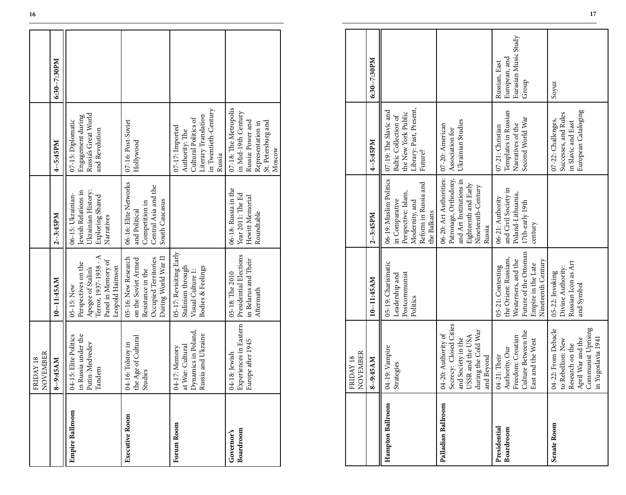|                         | NOVEMBER<br>FRIDAY 18                                                          |                                                                                                                           |                                                                                                    |                                                                                                                        |              |
|-------------------------|--------------------------------------------------------------------------------|---------------------------------------------------------------------------------------------------------------------------|----------------------------------------------------------------------------------------------------|------------------------------------------------------------------------------------------------------------------------|--------------|
|                         | 8--9:45AM                                                                      | 10-11:45AM                                                                                                                | $2 - 3:45PM$                                                                                       | 4--5:45PM                                                                                                              | 6:30--7:30PM |
| <b>Empire Ballroom</b>  | in Russia under the<br>04-15: Elite Politics<br>Putin-Medvedev<br>Tandem       | Terror, 1937-1938 - A<br>Panel in Memory of<br>Perspectives on the<br>Leopold Haimson<br>Apogee of Stalin's<br>05-15: New | Jewish Relations in<br>Ukrainian History:<br>06-15: Ukrainian-<br>Exploring Shared<br>Narratives   | Russia's Great World<br>Engagement during<br>07-15: Diplomatic<br>and Revolution                                       |              |
| Executive Room          | the Age of Cultural<br>04-16: Tolstoy in<br>Studies                            | During World War II<br>05-16: New Research<br>Occupied Territories<br>on the Soviet Armed<br>Resistance in the            | 06-16: Elite Networks<br>Central Asia and the<br>South Caucasus<br>Competition in<br>and Political | 07-16: Post-Soviet<br>Hollywood                                                                                        |              |
| Forum Room              | Dynamics in Poland,<br>Russia and Ukraine<br>at War: Cultural<br>04-17: Memory | 05-17: Revisiting Early<br>Stalinism through<br>Bodies & Feelings<br>Visual Culture 1:                                    |                                                                                                    | in Twentieth-Century<br>Literary Translation<br>Cultural Politics of<br>07-17: Imported<br>Authority: The<br>Russia    |              |
| Boardroom<br>Governor's | Experiences in Eastern<br>Europe after 1945<br>04-18: Jewish                   | Presidential Elections<br>in Belarus and Their<br>05-18: The 2010<br>Aftermath                                            | 06-18: Russia in the<br>Year 2011: The Ed<br>Hewitt Memorial<br>Roundtable                         | 07-18: The Metropolis<br>in Mid-19th Century<br>St. Petersburg and<br>Russia: Power and<br>Representation in<br>Moscow |              |

|                           | NOVEMBER<br>FRIDAY 18                                                                                                        |                                                                                                                                        |                                                                                                                                     |                                                                                                                        |                                                                 |
|---------------------------|------------------------------------------------------------------------------------------------------------------------------|----------------------------------------------------------------------------------------------------------------------------------------|-------------------------------------------------------------------------------------------------------------------------------------|------------------------------------------------------------------------------------------------------------------------|-----------------------------------------------------------------|
|                           | 8--9:45AM                                                                                                                    | 10--11:45AM                                                                                                                            | $2 - 3:45 PM$                                                                                                                       | 4-5:45PM                                                                                                               | 6:30-7:30PM                                                     |
| <b>Empire Ballroom</b>    | in Russia under the<br>04-15: Elite Politics<br>Putin-Medvedev<br>Tandem                                                     | ≺<br>Panel in Memory of<br>Terror, 1937-1938 -<br>Perspectives on the<br>Leopold Haimson<br>Apogee of Stalin's<br>05-15: New           | Ukrainian History:<br>Jewish Relations in<br>Exploring Shared<br>06-15: Ukrainian-<br>Narratives                                    | Russia's Great World<br>Engagement during<br>07-15: Diplomatic<br>and Revolution                                       |                                                                 |
| <b>Executive Room</b>     | the Age of Cultural<br>04-16: Tolstoy in<br>Studies                                                                          | During World War II<br>05-16: New Research<br>on the Soviet Armed<br>Occupied Territories<br>Resistance in the                         | 06-16: Elite Networks<br>Central Asia and the<br>South Caucasus<br>Competition in<br>and Political                                  | 07-16: Post-Soviet<br>Hollywood                                                                                        |                                                                 |
| Forum Room                | Dynamics in Poland,<br>Russia and Ukraine<br>at War: Cultural<br>04-17: Memory                                               | 05-17: Revisiting Early<br>Stalinism through<br>Visual Culture 1:<br>Bodies & Feelings                                                 |                                                                                                                                     | in Twentieth-Century<br>Literary Translation<br>Cultural Politics of<br>07-17: Imported<br>Authority: The<br>Russia    |                                                                 |
| Boardroom<br>Governor's   | Experiences in Eastern<br>Europe after 1945<br>04-18: Jewish                                                                 | Presidential Elections<br>in Belarus and Their<br>05-18: The 2010<br>Aftermath                                                         | 06-18: Russia in the<br>Year 2011: The Ed<br>Hewitt Memorial<br>Roundtable                                                          | 07-18: The Metropolis<br>in Mid-19th Century<br>Russia: Power and<br>St. Petersburg and<br>Representation in<br>Moscow |                                                                 |
|                           |                                                                                                                              |                                                                                                                                        |                                                                                                                                     |                                                                                                                        |                                                                 |
|                           | NOVEMBER<br>FRIDAY 18                                                                                                        |                                                                                                                                        |                                                                                                                                     |                                                                                                                        |                                                                 |
|                           | 8--9:45AM                                                                                                                    | 10-11:45AM                                                                                                                             | $2 - 3:45 PM$                                                                                                                       | 4--5:45PM                                                                                                              | 6:30--7:30PM                                                    |
| Hampton Ballroom          | 04-19: Vampire<br>Strategies                                                                                                 | 05-19: Charismatic<br>Postcommunist<br>Leadership and<br>Politics                                                                      | 06-19: Muslim Politics<br>Reform in Russia and<br>Perspective: Islam,<br>in Comparative<br>Modernity, and<br>the Balkans            | Library: Past, Present,<br>07-19: The Slavic and<br>the New York Public<br>Baltic Collection of<br>Future?             |                                                                 |
| Palladian Ballroom        | Secrecy: Closed Cities<br>and Society in the<br>during the Cold War<br>04-20: Authority of<br>USSR and the USA<br>and Beyond |                                                                                                                                        | 06-20: Art Authorities:<br>Patronage, Orthodoxy,<br>and Art Institutions in<br>Eighteenth and Early<br>Nineteenth-Century<br>Russia | Ukrainian Studies<br>07-20: American<br>Association for                                                                |                                                                 |
| Presidential<br>Boardroom | Culture Between the<br>Freedom: Croatian<br>East and the West<br>Authority, Our<br>04-21: Their                              | Future of the Ottoman<br>the Orient: Russians,<br>Nineteenth Century<br>Westerners, and the<br>Empire in the Late<br>05-21: Contesting | and Civil Society in<br>Poland-Lithuania,<br>06-21: Authority<br>$17th$ -early $19th$<br>century                                    | Templates in Russian<br>Second World War<br>Narratives of the<br>07-21: Christian                                      | Eurasian Music Study<br>European, and<br>Russian, East<br>Group |
| Senate Room               | Communist Uprising<br>04-22: From Debacle<br>in Yugoslavia 1941<br>April War and the<br>to Rebellion: New<br>Research on the | Russian Icon as Art<br>Divine Authority:<br>05-22: Invoking<br>and Symbol                                                              |                                                                                                                                     | European Cataloging<br>Successes, and Rules<br>07-22: Challenges,<br>in Slavic and East                                | Soyuz                                                           |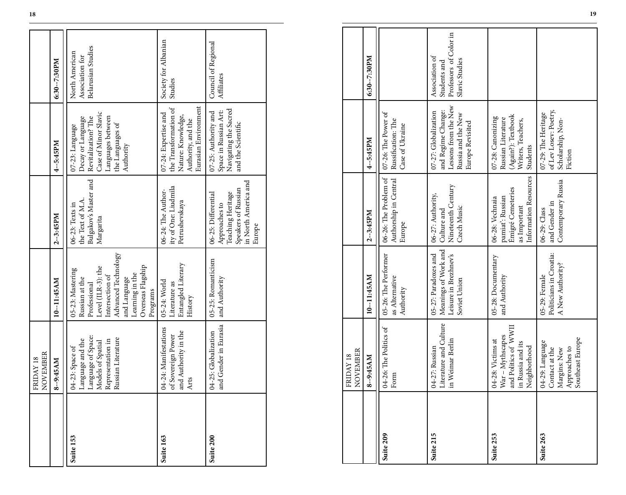|           | FRIDAY 18<br>NOVEMBER                                                                                                                                                                                                                       |                                                                                                                                                                                        |                                                                                                                    |                                                                                                                                           |                                                         |
|-----------|---------------------------------------------------------------------------------------------------------------------------------------------------------------------------------------------------------------------------------------------|----------------------------------------------------------------------------------------------------------------------------------------------------------------------------------------|--------------------------------------------------------------------------------------------------------------------|-------------------------------------------------------------------------------------------------------------------------------------------|---------------------------------------------------------|
|           | 8-9:45AM                                                                                                                                                                                                                                    | 10-11:45AM                                                                                                                                                                             | $2 - 3:45PM$                                                                                                       | 4--5:45PM                                                                                                                                 | 6:30--7:30PM                                            |
| Suite 153 | $\fbox{\parbox{0.85\textwidth}{\begin{tabular}{ l l } \hline Language and the \\ \hline Language of Space \\ Models of Spatial \\ Representation in \\ Representation in \\ Russian Literature \\ \hline \end{tabular}}$<br>04-23: Space of | Advanced Technology<br>Overseas Flagship<br>Level (ILR-3): the<br>05-23: Mastering<br>Learning in the<br>Intersection of<br>Russian at the<br>and Language<br>Professional<br>Programs | Bulgakov's Master and<br>the Text of M.A.<br>06-23: Texts in<br>Margarita                                          | Case of Minor Slavic<br>Languages between<br>Decay or Language<br>Revitalization? The<br>the Languages of<br>07-23: Language<br>Authority | Belarusian Studies<br>North American<br>Association for |
| Suite 163 | 04-24: Manifestations<br>and Authority in the<br>of Sovereign Power<br>Arts                                                                                                                                                                 | Entangled Literary<br>05-24: World<br>Literature as<br>History                                                                                                                         | ity of One: Liudmila<br>06-24: The Author-<br>Petrushevskaya                                                       | Eurasian Environment<br>the Transformation of<br>07-24: Expertise and<br>Nature: Knowledge,<br>Authority, and the                         | Society for Albanian<br>Studies                         |
| Suite 200 | and Gender in Eurasia<br>04-25: Globalization                                                                                                                                                                                               | 05-25: Romanticism<br>and Authority                                                                                                                                                    | in North America and<br>Speakers of Russian<br>Teaching Heritage<br>06-25: Differential<br>Approaches to<br>Europe | Navigating the Sacred<br>Space in Russian Art:<br>07-25: Authority and<br>and the Scientific                                              | Council of Regional<br>Affiliates                       |

|           | FRIDAY 18<br>NOVEMBER<br>8--9:45AM                                                                                        | 10--11:45AM                                                                                                                                           | $2 - 3:45 PM$                                                                                                      | 4--5:45PM                                                                                                                                 | 6:30--7:30PM                                                               |
|-----------|---------------------------------------------------------------------------------------------------------------------------|-------------------------------------------------------------------------------------------------------------------------------------------------------|--------------------------------------------------------------------------------------------------------------------|-------------------------------------------------------------------------------------------------------------------------------------------|----------------------------------------------------------------------------|
| Suite 153 | Language of Space:<br>Russian Literature<br>Language and the<br>Representation in<br>Models of Spatial<br>04-23: Space of | Advanced Technology<br>Level (ILR-3): the<br>05-23: Mastering<br>Learning in the<br>Intersection of<br>Russian at the<br>and Language<br>Professional | Bulgakov's Master and<br>the Text of M.A<br>06-23: Texts in<br>Margarita                                           | Case of Minor Slavic<br>Languages between<br>Decay or Language<br>Revitalization? The<br>the Languages of<br>07-23: Language<br>Authority | Belarusian Studies<br>North American<br>Association for                    |
| Suite 163 | 04-24: Manifestations<br>and Authority in the<br>of Sovereign Power<br>Arts                                               | Entangled Literary<br>Overseas Flagship<br>05-24: World<br>Literature as<br>Programs<br>History                                                       | ity of One: Liudmila<br>Petrushevskaya<br>06-24: The Author-                                                       | Eurasian Environment<br>the Transformation of<br>07-24: Expertise and<br>Nature: Knowledge,<br>Authority, and the                         | Society for Albanian<br>Studies                                            |
| Suite 200 | 04-25: Globalization<br>and Gender in Eurasia                                                                             | 05-25: Romanticism<br>and Authority                                                                                                                   | in North America and<br>Speakers of Russian<br>06-25: Differential<br>Teaching Heritage<br>Approaches to<br>Europe | Space in Russian Art:<br>Navigating the Sacred<br>07-25: Authority and<br>and the Scientific                                              | Council of Regional<br>Affiliates                                          |
|           |                                                                                                                           |                                                                                                                                                       |                                                                                                                    |                                                                                                                                           |                                                                            |
|           | NOVEMBER<br>FRIDAY 18                                                                                                     |                                                                                                                                                       |                                                                                                                    |                                                                                                                                           |                                                                            |
|           | 8--9:45AM                                                                                                                 | 10-11:45AM                                                                                                                                            | $2 - 3:45 PM$                                                                                                      | 4--5:45PM                                                                                                                                 | 6:30-7:30PM                                                                |
| Suite 209 | 04-26: The Politics of<br>Form                                                                                            | 05-26: The Performer<br>as Alternative<br>Authority                                                                                                   | 06-26: The Problem of<br>Authorship in Central<br>Europe                                                           | 07-26: The Power of<br>Russification: The<br>Case of Ukraine                                                                              |                                                                            |
| Suite 215 | Literature and Culture<br>in Weimar Berlin<br>04-27: Russian                                                              | Meanings of Work and<br>05-27: Paradoxes and<br>Leisure in Brezhnev's<br>Soviet Union                                                                 | Nineteenth Century<br>06-27: Authority,<br>Czech Music<br>Culture and                                              | Lessons from the New<br>and Regime Change:<br>07-27: Globalization<br>Russia and the New<br>Europe Revisited                              | Professors of Color in<br>Association of<br>Slavic Studies<br>Students and |
| Suite 253 | and Politics of WWII<br>War - Mythscapes<br>04-28: Victims at<br>in Russia and its<br>Neighborhood                        | 05-28: Documentary<br>and Authority                                                                                                                   | Information Resources<br>Émigré Cemeteries<br>pamiať: Russian<br>06-28: Vechnaia<br>as Important                   | (Again?): Textbook<br>07-28: Canonizing<br>Russian Literature<br>Writers, Teachers,<br>Students                                           |                                                                            |
| Suite 263 | Southeast Europe<br>04-29: Language<br>Approaches to<br>Contact at the<br>Margins: New                                    | Politicians in Croatia:<br>A New Authority?<br>05-29: Female                                                                                          | Contemporary Russia<br>and Gender in<br>06-29: Class                                                               | of Lev Losev: Poetry,<br>07-29: The Heritage<br>Scholarship, Non-<br>Fiction                                                              |                                                                            |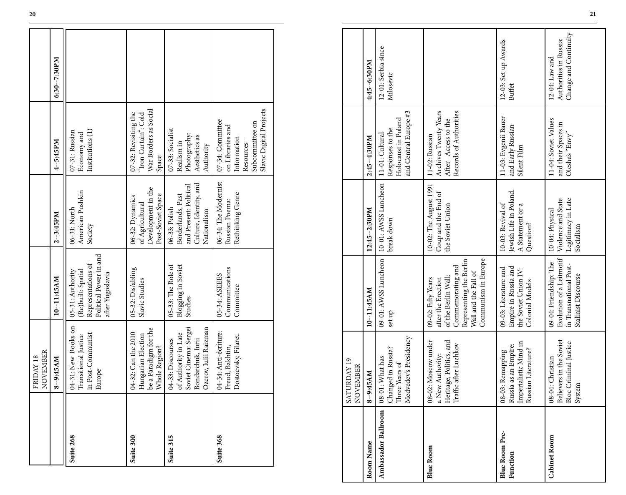|           | NOVEMBER<br>FRIDAY 18                                                                                            |                                                                                                            |                                                                                                       |                                                                                                                  |              |
|-----------|------------------------------------------------------------------------------------------------------------------|------------------------------------------------------------------------------------------------------------|-------------------------------------------------------------------------------------------------------|------------------------------------------------------------------------------------------------------------------|--------------|
|           | 8--9:45AM                                                                                                        | 10--11:45AM                                                                                                | 2--3:45PM                                                                                             | 4--5:45PM                                                                                                        | 6:30--7:30PM |
| Suite 268 | 04-31: New Books on<br>in Post-Communist<br>Transitional Justice<br>Europe                                       | Political Power in and<br>Representations of<br>(Re)built: Spatial<br>05-31: Authority<br>after Yugoslavia | American Pushkin<br>06-31: North<br>Society                                                           | Institutions (1)<br>07-31: Russian<br>Economy and                                                                |              |
| Suite 300 | be a Paradigm for the<br>010 A-32: Can the 2010<br>Hungarian Election<br>Whole Region?                           | 05-32: Dis/abling<br>Slavic Studies                                                                        | Development in the<br>Post-Soviet Space<br>06-32: Dynamics<br>of Agricultural                         | War Borders as Social<br>07-32: Revisiting the<br>"Iron Curtain": Cold<br>Space                                  |              |
| Suite 315 | Soviet Cinema: Sergei<br>Ozerov, Iulii Raizman<br>of Authority in Late<br>Bondarchuk, Iurii<br>04-33: Discourses | 05-33: The Role of<br>Blogging in Soviet<br>Studies                                                        | Culture, Identity, and<br>and Present: Political<br>Borderlands, Past<br>06-33: Polish<br>Nationalism | 07-33: Socialist<br>Photography:<br>Aesthetics as<br>Realism in<br>Authority                                     |              |
| Suite 368 | 14-34: Anti-écriture:<br>Dostoevsky, Filaret.<br>Freud, Bakhtin,                                                 | Communications<br>05-34: ASEEES<br>Committee                                                               | 06-34: The Modernist<br>Rethinking Genre<br>Russian Poema:                                            | Slavic Digital Projects<br>07-34: Committee<br>Subcommittee on<br>on Libraries and<br>Information<br>Resources-- |              |

|                                   | NOVEMBER<br>FRIDAY 18                                                                                                                                                       |                                                                                                                                                                |                                                                                                       |                                                                                                                |                                                                              |
|-----------------------------------|-----------------------------------------------------------------------------------------------------------------------------------------------------------------------------|----------------------------------------------------------------------------------------------------------------------------------------------------------------|-------------------------------------------------------------------------------------------------------|----------------------------------------------------------------------------------------------------------------|------------------------------------------------------------------------------|
|                                   | 8--9:45AM                                                                                                                                                                   | 10--11:45AM                                                                                                                                                    | $2 - 3:45 PM$                                                                                         | 4-5:45PM                                                                                                       | 6:30-7:30PM                                                                  |
| Suite 268                         | 04-31: New Books on<br>Transitional Justice<br>in Post-Communist<br>Europe                                                                                                  | Political Power in and<br>Representations of<br>(Re)built: Spatial<br>05-31: Authority<br>after Yugoslavia                                                     | American Pushkin<br>06-31: North<br>Society                                                           | Institutions (1)<br>07-31: Russian<br>Economy and                                                              |                                                                              |
| Suite 300                         | $\begin{tabular}{ l } \hline 04-32. \textbf{Can the } 2010 \\ \hline \textbf{Hungarian Electronic} \\ \hline \textbf{be a Paradigm for the} \end{tabular}$<br>Whole Region? | 05-32: Dis/abling<br>Slavic Studies                                                                                                                            | Development in the<br>Post-Soviet Space<br>06-32: Dynamics<br>of Agricultural                         | War Borders as Social<br>07-32: Revisiting the<br>"Iron Curtain": Cold<br>Space                                |                                                                              |
| Suite 315                         | 04-33: Discourses<br>of Authority in Late<br>Soviet Cinema: Sergei<br>Bondarchuk, Iurii<br>Ozerov, Iulii Raizman                                                            | 05-33: The Role of<br>Blogging in Soviet<br>Studies                                                                                                            | Culture, Identity, and<br>and Present: Political<br>Borderlands, Past<br>06-33: Polish<br>Nationalism | 07-33: Socialist<br>Photography:<br>Aesthetics as<br>Realism in<br>Authority                                   |                                                                              |
| Suite 368                         | 04-34: Anti-écriture:<br>Freud, Bakhtin,<br>Dostoevsky, Filaret.                                                                                                            | Communications<br>05-34: ASEEES<br>Committee                                                                                                                   | 06-34: The Modernist<br>Rethinking Genre<br>Russian Poema:                                            | Slavic Digital Projects<br>07-34: Committee<br>Subcommittee on<br>on Libraries and<br>Information<br>Resources |                                                                              |
|                                   |                                                                                                                                                                             |                                                                                                                                                                |                                                                                                       |                                                                                                                |                                                                              |
|                                   | RDAY 19<br>EMBER<br>SATU<br>$\sum_{i=1}^{n}$                                                                                                                                |                                                                                                                                                                |                                                                                                       |                                                                                                                |                                                                              |
| Room Name                         | 8--9:45AM                                                                                                                                                                   | 10-11:45AM                                                                                                                                                     | 12:45--2:30PM                                                                                         | 2:45--4:30PM                                                                                                   | 4:45-6:30PM                                                                  |
| Ambassador Ballroom               | Medvedev's Presidency<br>Changed in Russia?<br>08-01: What has<br>Three Years of                                                                                            | 09-01: AWSS Luncheon<br>set up                                                                                                                                 | 10-01: AWSS Luncheon<br>break down                                                                    | and Central Europe #3<br>Holocaust in Poland<br>Responses to the<br>11-01: Cultural                            | 12-01: Serbia since<br>Milosevic                                             |
| <b>Blue Room</b>                  | Heritage, Politics, and<br>Traffic after Luzhkov<br>08-02: Moscow under<br>a New Authority:                                                                                 | Communism in Europe<br>Representing the Berlin<br>Commemorating and<br>Wall and the Fall of<br>of the Berlin Wall:<br>after the Erection<br>09-02: Fifty Years | 10-02: The August 1991<br>Coup and the End of<br>the Soviet Union                                     | Archives Twenty Years<br>After--Access to the<br>Records of Authorities<br>11-02: Russian                      |                                                                              |
| <b>Blue Room Pre-</b><br>Function | Imperialistic Mind in<br>Russian Literature?<br>Russia as an Empire:<br>08-03: Remapping                                                                                    | Empire in Russia and<br>09-03: Literature and<br>the Soviet Union IV:<br>Colonial Models                                                                       | Jewish Life in Poland.<br>10-03: Revival of<br>A Statement or a<br>Question?                          | 11-03: Evgenii Bauer<br>and Early Russian<br>Silent Film                                                       | 12-03: Set up Awards<br><b>Buffet</b>                                        |
| <b>Cabinet Room</b>               | 08-04: Christian<br>Believers in the Soviet<br>Bloc Criminal Justice<br>System                                                                                              | Evolution of a Leitmotif<br>09-04: Friendship: The<br>in Transnational Post-<br>Stalinist Discourse                                                            | Legitimacy in Late<br>Violence and State<br>10-04: Physical<br>Socialism                              | 11-04: Soviet Values<br>and their Spaces in<br>Olesha's "Envy"                                                 | Change and Continuity<br>Authorities in Russia:<br>$12\mbox{-}04{:}$ Law and |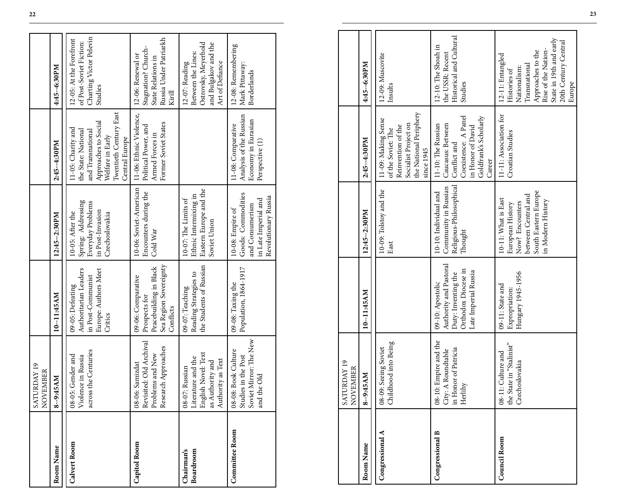|                                | SATURDAY 19<br>NOVEMBER                                                                                      |                                                                                                                  |                                                                                                                                |                                                                                                                                                        |                                                                                                                                                                            |
|--------------------------------|--------------------------------------------------------------------------------------------------------------|------------------------------------------------------------------------------------------------------------------|--------------------------------------------------------------------------------------------------------------------------------|--------------------------------------------------------------------------------------------------------------------------------------------------------|----------------------------------------------------------------------------------------------------------------------------------------------------------------------------|
| Room Name                      | 8--9:45AM                                                                                                    | 10--11:45AM                                                                                                      | 12:45-2:30PM                                                                                                                   | 2:45-4:30PM                                                                                                                                            | 4:45--6:30PM                                                                                                                                                               |
| <b>Calvert Room</b>            | across the Centuries<br>Gender and<br>Violence in Russia<br>$08 - 05$ :                                      | Authoritarian Leaders<br>Europe: Authors Meet<br>in Post-Communist<br>09-05: Defeating<br>Critics                | Spring: Addressing<br>Everyday Problems<br>in Post-Invasion<br>10-05: After the<br>Czechoslovakia                              | Twentieth Century East<br>Approaches to Social<br>11-05: Charity and<br>the State: National<br>and Transnational<br>Welfare in Early<br>Central Europe | Charting Victor Pelevin<br>12-05: At the Forefront<br>of Post-Soviet Fiction:<br>Studies                                                                                   |
| Capitol Room                   | Revisited: Old Archival<br>Problems and New<br>Research Approaches<br>Samizdat<br>$08 - 06:$                 | Sea Region Sovereignty<br>Peacebuilding in Black<br>09-06: Comparative<br>Prospects for<br>Conflicts             | 10-06: Soviet-American<br>Encounters during the<br>Cold War                                                                    | 11-06: Ethnic Violence,<br>Former Soviet States<br>Political Power, and<br>Armed Forces in                                                             | Russia Under Patriarkh<br>Stagnation? Church-<br>12-06: Renewal or<br>State Relations in<br>Kirill                                                                         |
| Boardroom<br><b>Chairman's</b> | English Novel: Text<br>Literature and the<br>Authority as Text<br>as Authority and<br>Russian<br>$08 - 07$ : | the Students of Russian<br>Reading Strategies to<br>09-07: Teaching                                              | Eastern Europe and the<br>Ethnic Intermixing in<br>10-07: The Limits of<br>Soviet Union                                        |                                                                                                                                                        | Ostrovsky, Meyerhold<br>and Bulgakov and the<br>Between the Lines:<br>Art of Defiance<br>12-07: Reading                                                                    |
| Committee Room                 | Mirror: The New<br><b>Book Culture</b><br>Studies in the Post<br>and the Old<br>$08 - 08$ :<br>Soviet 1      | Population, 1864-1917<br>09-08: Taxing the                                                                       | Goods: Commodities<br>Revolutionary Russia<br>in Late Imperial and<br>and Consumerism<br>10-08: Empire of                      | Analysis of the Russian<br>Economy in Eurasian<br>11-08: Comparative<br>Perspective (1)                                                                | 12-08: Remembering<br>Mark Pittaway:<br><b>Borderlands</b>                                                                                                                 |
|                                |                                                                                                              |                                                                                                                  |                                                                                                                                |                                                                                                                                                        |                                                                                                                                                                            |
|                                | RDAY 19<br>NOVEMBER<br>SATU                                                                                  |                                                                                                                  |                                                                                                                                |                                                                                                                                                        |                                                                                                                                                                            |
| Room Name                      | 8--9:45AM                                                                                                    | 10--11:45AM                                                                                                      | 12:45--2:30PM                                                                                                                  | 2:45-4:30PM                                                                                                                                            | 4:45-6:30PM                                                                                                                                                                |
| Congressional                  | hood into Being<br>08-09: Seeing Soviet<br>Childl                                                            |                                                                                                                  | 10-09: Tolstoy and the<br>East                                                                                                 | the National Periphery<br>11-09: Making Sense<br>Socialist Project on<br>Reinvention of the<br>of the Soviet: The<br>since 1945                        | 12-09: Muscovite<br>Insults                                                                                                                                                |
| Congressional B                | 08-10: Empire and the<br>City: A Roundtable<br>in Honor of Patricia<br>Herlihy                               | Authority and Pastoral<br>Orthodox Diocese in<br>Late Imperial Russia<br>Duty: Inventing the<br>09-10: Apostolic | Religious-Philosophical<br>Community in Russian<br>10-10: Individual and<br>Thought                                            | Coexistence: A Panel<br>Goldfrank's Scholarly<br>11-10: The Russian<br>Caucasus: Between<br>in Honor of David<br>Conflict and<br>Career                | Historical and Cultural<br>12-10: The Shoah in<br>the USSR: Recent<br>Studies                                                                                              |
| Council Room                   | the State in "Stalinist"<br>Culture and<br>Czechoslovakia<br>$08 - 11$ :                                     | Hungary 1945-1956<br>09-11: State and<br>Expropriation:                                                          | South Eastern Europe<br>between Central and<br>10-11: What is East<br>in Modern History<br>Now? Encounters<br>European History | 11-11: Association for<br>Croatian Studies                                                                                                             | State in 19th and early<br>20th Century Central<br>Rise of the Nation-<br>Approaches to the<br>12-11: Entangled<br>Transnational<br>Nationalism:<br>Histories of<br>Europe |

|                        | <b>RDAY 19</b><br>NOVEMBER<br>SATU                                                              |                                                                                                                  |                                                                                                                                |                                                                                                                                         |                                                                                                                                                                            |
|------------------------|-------------------------------------------------------------------------------------------------|------------------------------------------------------------------------------------------------------------------|--------------------------------------------------------------------------------------------------------------------------------|-----------------------------------------------------------------------------------------------------------------------------------------|----------------------------------------------------------------------------------------------------------------------------------------------------------------------------|
| Room Name              | 8--9:45AM                                                                                       | 10--11:45AM                                                                                                      | 12:45--2:30PM                                                                                                                  | 2:45-4:30PM                                                                                                                             | 4:45--6:30PM                                                                                                                                                               |
| Congressional A        | Childhood into Being<br>08-09: Seeing Soviet                                                    |                                                                                                                  | 10-09: Tolstoy and the<br>East                                                                                                 | the National Periphery<br>11-09: Making Sense<br>Socialist Project on<br>Reinvention of the<br>of the Soviet: The<br>since 1945         | 12-09: Muscovite<br>Insults                                                                                                                                                |
| <b>Congressional B</b> | 08-10: Empire and the<br>City: A Roundtable<br>in Honor of Patricia<br>$\operatorname{Herlihy}$ | Authority and Pastoral<br>Orthodox Diocese in<br>Late Imperial Russia<br>Duty: Inventing the<br>09-10: Apostolic | Religious-Philosophical<br>Community in Russian<br>10-10: Individual and<br>Thought                                            | Goldfrank's Scholarly<br>Coexistence: A Panel<br>Caucasus: Between<br>11-10: The Russian<br>in Honor of David<br>Conflict and<br>Career | Historical and Cultural<br>12-10: The Shoah in<br>the USSR: Recent<br>Studies                                                                                              |
| <b>Council Room</b>    | the State in "Stalinist"<br>08-11: Culture and<br>Czechoslovakia                                | Hungary 1945-1956<br>09-11: State and<br>Expropriation:                                                          | South Eastern Europe<br>between Central and<br>10-11: What is East<br>in Modern History<br>Now? Encounters<br>European History | 11-11: Association for<br>Croatian Studies                                                                                              | State in 19th and early<br>20th Century Central<br>Rise of the Nation-<br>Approaches to the<br>12-11: Entangled<br>Transnational<br>Nationalism:<br>Histories of<br>Europe |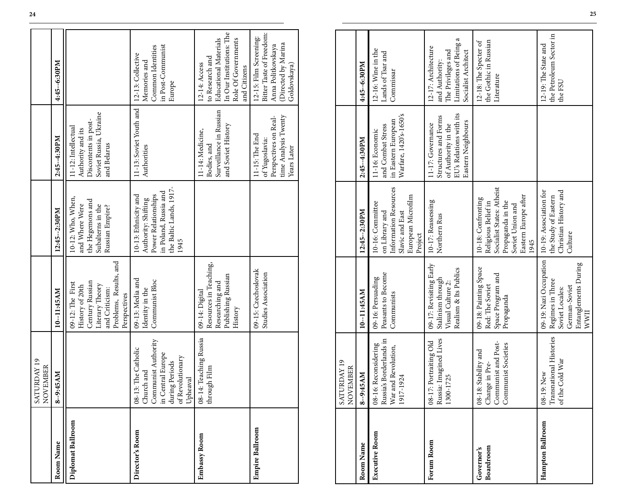|                         | SATURDAY 19<br>NOVEMBER                                                                                                         |                                                                                                                                       |                                                                                                                                                 |                                                                                                                   |                                                                                                                                     |
|-------------------------|---------------------------------------------------------------------------------------------------------------------------------|---------------------------------------------------------------------------------------------------------------------------------------|-------------------------------------------------------------------------------------------------------------------------------------------------|-------------------------------------------------------------------------------------------------------------------|-------------------------------------------------------------------------------------------------------------------------------------|
| Room Name               | 8--9:45AM                                                                                                                       | 10-11:45AM                                                                                                                            | 12:45--2:30PM                                                                                                                                   | 2:45--4:30PM                                                                                                      | 4:45-6:30PM                                                                                                                         |
| Diplomat Ballroom       |                                                                                                                                 | Problems, Results, and<br>Century Russian<br>09-12: The First<br>Literary Theory<br>History of 20th<br>and Criticism:<br>Perspectives | 10-12: Who, When,<br>the Hegemons and<br>Subalterns in the<br>and Where Were<br>Russian Empire?                                                 | Soviet Russia, Ukraine<br>Discontents in post-<br>11-12: Intellectual<br>Authority and its<br>and Belarus         |                                                                                                                                     |
| Director's Room         | Communist Authority<br>08-13: The Catholic<br>in Central Europe<br>of Revolutionary<br>during Periods<br>Church and<br>Upheaval | 09-13: Media and<br>Communist Bloc<br>Identity in the                                                                                 | the Baltic Lands, 1917<br>in Poland, Russia and<br>10-13: Ethnicity and<br>Power Relationships<br>Authority: Shifting<br>1945                   | 11-13: Soviet Youth and<br>Authorities                                                                            | in Post-Communist<br>Common Identities<br>12-13: Collective<br>Memories and<br>Europe                                               |
| Embassy Room            | 08-14: Teaching Russia<br>through Film                                                                                          | Resources in Teaching,<br>Publishing Russian<br>Researching and<br>09-14: Digital<br>History                                          |                                                                                                                                                 | Surveillance in Russian<br>and Soviet History<br>11-14: Medicine,<br>Bodies, and                                  | In Our Institutions: The<br><b>Educational Materials</b><br>Role Of Governments<br>to Research and<br>12-14: Access<br>and Citizens |
| <b>Empire Ballroom</b>  |                                                                                                                                 | 09-15: Czechoslovak<br>Studies Association                                                                                            |                                                                                                                                                 | time Analysis Twenty<br>Perspectives on Real-<br>11-15: The End<br>of Yugoslavia:<br>Years Later                  | Bitter Taste of Freedom:<br>12-15: Film Screening:<br>(Directed by Marina<br>Anna Politkovskaya<br>Goldovskaya)                     |
|                         |                                                                                                                                 |                                                                                                                                       |                                                                                                                                                 |                                                                                                                   |                                                                                                                                     |
|                         | SATURDAY 19<br>NOVEMBER                                                                                                         |                                                                                                                                       |                                                                                                                                                 |                                                                                                                   |                                                                                                                                     |
| Room Name               | 8--9:45AM                                                                                                                       | 10-11:45AM                                                                                                                            | 12:45--2:30PM                                                                                                                                   | 2:45-4:30PM                                                                                                       | 4:45--6:30PM                                                                                                                        |
| Executive Room          | Russia's Borderlands in<br>08-16: Reconsidering<br>War and Revolution,<br>1924<br>1917-                                         | Peasants to Become<br>09-16: Persuading<br>Communists                                                                                 | Information Resources<br>European Microfilm<br>10-16: Committee<br>on Library and<br>Slavic and East<br>Project                                 | Warfare, 1420's-1650's<br>in Eastern European<br>and Combat Stress<br>11-16: Economic                             | 12-16: Wine in the<br>Lands of Tsar and<br>Commissar                                                                                |
| Forum Room              | Russia: Imagined Lives<br>1300-1725<br>08-17: Portraiting Old                                                                   | 09-17: Revisiting Early<br>Realism & Its Publics<br>Stalinism through<br>Visual Culture 2                                             | 10-17: Reassessing<br>Northern Rus                                                                                                              | EU's Relations with its<br>Structures and Forms<br>Eastern Neighbours<br>11-17: Governance<br>of Authority in the | Limitations of Being a<br>12-17: Architecture<br>Socialist Architect<br>The Privileges and<br>and Authority:                        |
| Boardroom<br>Governor's | Communist and Post-<br>Communist Societies<br>08-18: Stability and<br>Change in Pre-                                            | 09-18: Painting Space<br>Space Program and<br>Red: The Soviet<br>Propaganda                                                           | Socialist States: Atheist<br>Eastern Europe after<br>10-18: Confronting<br>Propaganda in the<br>Religious Belief in<br>Soviet Union and<br>1945 |                                                                                                                   | the Gothic in Russian<br>12-18: The Specter of<br>Literature                                                                        |
| Hampton Ballroom        | Transnational Histories<br>Cold War<br>08-19: New<br>of the                                                                     | 09-19: Nazi Occupation<br>Entanglements During<br>Regimes in Three<br>German-Soviet<br>Soviet Locales:<br>WWII                        | 10-19: Association for<br>Christian History and<br>the Study of Eastern<br>Culture                                                              |                                                                                                                   | the Petroleum Sector in<br>12-19: The State and<br>the FSU                                                                          |

|                         | <b>JRDAY 19</b><br>EMBER<br>NOV<br><b>SATT</b>                                              |                                                                                                                |                                                                                                                                                 |                                                                                                                   |                                                                                                              |
|-------------------------|---------------------------------------------------------------------------------------------|----------------------------------------------------------------------------------------------------------------|-------------------------------------------------------------------------------------------------------------------------------------------------|-------------------------------------------------------------------------------------------------------------------|--------------------------------------------------------------------------------------------------------------|
| Room Name               | 8--9:45AM                                                                                   | 10-11:45AM                                                                                                     | 12:45--2:30PM                                                                                                                                   | 2:45--4:30PM                                                                                                      | 4:45--6:30PM                                                                                                 |
| <b>Executive Room</b>   | Russia's Borderlands in<br>08-16: Reconsidering<br>War and Revolution,<br>$-1924$<br>1917   | Peasants to Become<br>09-16: Persuading<br>Communists                                                          | Information Resources<br>European Microfilm<br>10-16: Committee<br>on Library and<br>Slavic and East<br>Project                                 | Warfare, 1420's-1650's<br>in Eastern European<br>and Combat Stress<br>11-16: Economic                             | 12-16: Wine in the<br>Lands of Tsar and<br>Commissar                                                         |
| Forum Room              | Russia: Imagined Lives<br>08-17: Portraiting Old<br>1300-1725                               | 09-17: Revisiting Early<br>Realism & Its Publics<br>Stalinism through<br>Visual Culture 2:                     | 10-17: Reassessing<br>Northern Rus                                                                                                              | EU's Relations with its<br>Structures and Forms<br>Eastern Neighbours<br>11-17: Governance<br>of Authority in the | Limitations of Being a<br>12-17: Architecture<br>Socialist Architect<br>The Privileges and<br>and Authority: |
| Boardroom<br>Governor's | Communist and Post-<br><b>Communist Societies</b><br>08-18: Stability and<br>Change in Pre- | 09-18: Painting Space<br>Space Program and<br>Red: The Soviet<br>Propaganda                                    | Socialist States: Atheist<br>Eastern Europe after<br>10-18: Confronting<br>Propaganda in the<br>Religious Belief in<br>Soviet Union and<br>1945 |                                                                                                                   | the Gothic in Russian<br>12-18: The Specter of<br>Literature                                                 |
| Hampton Ballroom        | Transnational Histories<br>of the Cold War<br>08-19: New                                    | 09-19: Nazi Occupation<br>Entanglements During<br>Regimes in Three<br>German-Soviet<br>Soviet Locales:<br>WWII | 10-19: Association for<br>Christian History and<br>the Study of Eastern<br>Culture                                                              |                                                                                                                   | the Petroleum Sector in<br>12-19: The State and<br>the FSU                                                   |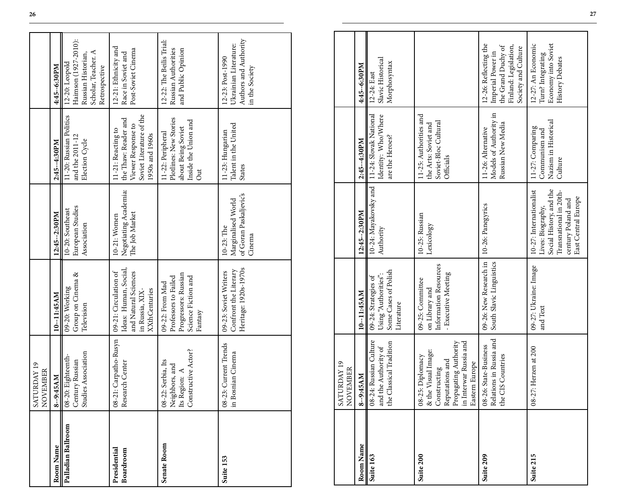|                           | SATURDAY 19<br>NOVEMBER                                                                                                                              |                                                                                                                   |                                                                                                                                                |                                                                                                                 |                                                                                                                  |
|---------------------------|------------------------------------------------------------------------------------------------------------------------------------------------------|-------------------------------------------------------------------------------------------------------------------|------------------------------------------------------------------------------------------------------------------------------------------------|-----------------------------------------------------------------------------------------------------------------|------------------------------------------------------------------------------------------------------------------|
| Room Name                 | 8--9:45AM                                                                                                                                            | 10--11:45AM                                                                                                       | 12:45--2:30PM                                                                                                                                  | 2:45-4:30PM                                                                                                     | 4:45--6:30PM                                                                                                     |
| Palladian Ballroom        | Studies Association<br>08-20: Eighteenth<br>Century Russian                                                                                          | Group on Cinema &<br>09-20: Working<br>Television                                                                 | European Studies<br>10-20: Southeast<br>Association                                                                                            | 11-20: Russian Politics<br>and the 2011-12<br>Election Cycle                                                    | Haimson (1927-2010):<br>Scholar, Teacher. A<br>Russian Historian,<br>$12-20$ : Leopold<br>Retrospective          |
| Presidential<br>Boardroom | Carpatho-Rusyn<br>Research Center<br>$08 - 21$ :                                                                                                     | Ideas: Human, Social,<br>09-21: Circulation of<br>and Natural Sciences<br><b>XXthCenturies</b><br>in Russia, XIX- | Negotiating Academia:<br>The Job Market<br>10-21: Women                                                                                        | Soviet Literature of the<br>the Thaw: Reader and<br>Viewer Response to<br>11-21: Reacting to<br>1950s and 1960s | 12-21: Ethnicity and<br>Post-Soviet Cinema<br>Race in Soviet and                                                 |
| Senate Room               | Constructive Actor?<br>Serbia, Its<br>Neighbors, and<br>Its Region: $A$<br>$08 - 22$ :                                                               | Progressors: Russian<br>Professors to Failed<br>Science Fiction and<br>09-22: From Mad<br>Fantasy                 |                                                                                                                                                | Plotlines: New Stories<br>Inside the Union and<br>about Being Soviet<br>11-22: Peripheral<br>$_{\rm Out}$       | 12-22: The Beilis Trial:<br>Russian Authorities<br>and Public Opinion                                            |
| Suite 153                 | Current Trends<br>08-23: Current Tren<br>in Bosnian Cinema                                                                                           | Heritage: 1920s-1970s<br>Confront the Literary<br>09-23: Soviet Writers                                           | of Goran Paskaljevic's<br>Marginalised World<br>10-23: The<br>Cinema                                                                           | Talent in the United<br>11-23: Hungarian<br>States                                                              | Authors and Authority<br>Ukrainian Literature:<br>12-23: Post-1990<br>in the Society                             |
|                           |                                                                                                                                                      |                                                                                                                   |                                                                                                                                                |                                                                                                                 |                                                                                                                  |
|                           | SATURDAY 19<br>NOVEMBER                                                                                                                              |                                                                                                                   |                                                                                                                                                |                                                                                                                 |                                                                                                                  |
| Room Name                 | 8--9:45AM<br>08-24: Russian Culture                                                                                                                  | 10--11:45AM                                                                                                       | 12:45--2:30PM                                                                                                                                  | 2:45-4:30PM                                                                                                     | 4:45--6:30PM                                                                                                     |
| Suite 163                 | and the Authority of<br>the Classical Tradition                                                                                                      | Some Cases of Polish<br>Using "Authorities":<br>09-24: Strategies of<br>Literature                                | 10-24: Mayakovsky and<br>Authority                                                                                                             | 11-24: Slovak National<br>Identity: Who/Where<br>are the Heroes?                                                | Slavic Historical<br>Morphosyntax<br>12-24: East                                                                 |
| Suite 200                 | in Interwar Russia and<br>Propagating Authority<br>Visual Image:<br>08-25: Diplomacy<br>Reputations and<br>Eastern Europe<br>Constructing<br>$8$ the | Information Resources<br>- Executive Meeting<br>09-25: Committee<br>on Library and                                | 10-25: Russian<br>Lexicology                                                                                                                   | 11-25: Authorities and<br>Soviet-Bloc Cultural<br>the Arts: Soviet and<br>Officials                             |                                                                                                                  |
| Suite 209                 | Relations in Russia and<br>08-26: State-Business<br>S Countries<br>the CI                                                                            | 09-26: New Research in<br>South Slavic Linguistics                                                                | 10-26: Panegyrics                                                                                                                              | Models of Authority in<br>Russian New Media<br>11-26: Alternative                                               | 12-26: Reflecting the<br>Finland: Legislation,<br>the Grand Duchy of<br>Society and Culture<br>Imperial Power in |
| Suite 215                 | 08-27: Herzen at 200                                                                                                                                 | 09-27: Ukraine: Image<br>and Text                                                                                 | Social History, and the<br>10-27: Internationalist<br>Transnational in 20th-<br>East Central Europe<br>century Poland and<br>Lives: Biography, | Nazism in Historical<br>11-27: Comparing<br>Communism and<br>Culture                                            | Economy into Soviet<br>12-27: An Economic<br>Turn? Integrating<br>History Debates                                |

|           | <b>RDAY 19</b><br>NOVEMBER<br>SATU                                                                                                                                                                                                                                                  |                                                                                    |                                                                                                                                                |                                                                                     |                                                                                                                  |
|-----------|-------------------------------------------------------------------------------------------------------------------------------------------------------------------------------------------------------------------------------------------------------------------------------------|------------------------------------------------------------------------------------|------------------------------------------------------------------------------------------------------------------------------------------------|-------------------------------------------------------------------------------------|------------------------------------------------------------------------------------------------------------------|
| Room Name | 8--9:45AM                                                                                                                                                                                                                                                                           | 10-11:45AM                                                                         | 12:45--2:30PM                                                                                                                                  | 2:45-4:30PM                                                                         | 4:45-6:30PM                                                                                                      |
| Suite 163 | 08-24: Russian Culture<br>and the Authority of the Classical Tradition                                                                                                                                                                                                              | Some Cases of Polish<br>Using "Authorities":<br>09-24: Strategies of<br>Literature | 10-24: Mayakovsky and   11-24: Slovak National<br>Authority                                                                                    | Identity: Who/Where<br>are the Heroes?                                              | Slavic Historical<br>Morphosyntax<br>12-24: East                                                                 |
| Suite 200 | $\fbox{\parbox{0.01\linewidth}{\textbf{C}}\label{eq:1} \begin{tabular}{l} \textbf{Constructing} \\ \textbf{Reputations and} \\ \textbf{Propagating Authority} \\ \textbf{in Interwar Russian and} \end{tabular}$<br>Visual Image:<br>08-25: Diplomacy<br>Eastern Europe<br>$\&$ the | Information Resources<br>- Executive Meeting<br>09-25: Committee<br>on Library and | 10-25: Russian<br>Lexicology                                                                                                                   | 11-25: Authorities and<br>Soviet-Bloc Cultural<br>the Arts: Soviet and<br>Officials |                                                                                                                  |
| Suite 209 | Relations in Russia and<br>08-26: State-Business<br>the CIS Countries                                                                                                                                                                                                               | 09-26: New Research in<br>South Slavic Linguistics                                 | 10-26: Panegyrics                                                                                                                              | Models of Authority in<br>Russian New Media<br>11-26: Alternative                   | 12-26: Reflecting the<br>Finland: Legislation,<br>the Grand Duchy of<br>Society and Culture<br>Imperial Power in |
| Suite 215 | 08-27: Herzen at 200                                                                                                                                                                                                                                                                | 09-27: Ukraine: Image<br>and Text                                                  | 10-27: Internationalist<br>Social History, and the<br>Transnational in 20th-<br>East Central Europe<br>century Poland and<br>Lives: Biography, | Nazism in Historical<br>11-27: Comparing<br>Communism and<br>Culture                | Economy into Soviet<br>12-27: An Economic<br>Turn? Integrating<br>History Debates                                |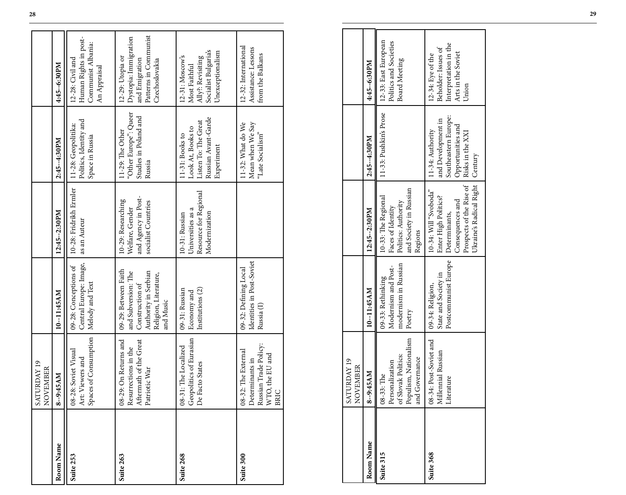|           | RDAY 19<br>NOVEMBER<br><b>SATU</b>                                                                          |                                                                                                                              |                                                                                                                                           |                                                                                                                    |                                                                                                        |
|-----------|-------------------------------------------------------------------------------------------------------------|------------------------------------------------------------------------------------------------------------------------------|-------------------------------------------------------------------------------------------------------------------------------------------|--------------------------------------------------------------------------------------------------------------------|--------------------------------------------------------------------------------------------------------|
| Room Name | 8--9:45AM                                                                                                   | 10--11:45AM                                                                                                                  | 12:45--2:30PM                                                                                                                             | 2:45--4:30PM                                                                                                       | 4:45--6:30PM                                                                                           |
| Suite 253 | Art: Viewers and<br>Spaces of Consumption<br>Soviet Visual<br>$08 - 28$ :                                   | Central Europe: Image,<br>09-28: Conceptions of<br>Melody and Text                                                           | 10-28: Fridrikh Ermler<br>as an Auteur                                                                                                    | Politics, Identity and<br>11-28: Geopolitika:<br>Space in Russia                                                   | Human Rights in post-<br>Communist Albania:<br>12-28: Civil and<br>An Appraisal                        |
| Suite 263 | On Returns and<br>Aftermath of the Great<br>Resurrections in the<br>Patriotic War<br>$08 - 29$ :            | 09-29: Between Faith<br>Authority in Serbian<br>and Subversion: The<br>Religion, Literature,<br>Construction of<br>and Music | and Agency in Post-<br>10-29: Researching<br>socialist Countries<br>Welfare, Gender                                                       | "Other Europe": Queer<br>Studies in Poland and<br>11-29: The Other<br>Russia                                       | Patterns in Communist<br>Dystopia: Immigration<br>12-29: Utopia or<br>and Emigration<br>Czechoslovakia |
| Suite 268 | Geopolitics of Eurasian<br>The Localized<br>De Facto States<br>$08 - 31$ :                                  | Institutions (2)<br>09-31: Russian<br>Economy and                                                                            | Resource for Regional<br>Universities as a<br>Modernization<br>10-31: Russian                                                             | Russian Avant-Garde<br>Listen To: The Great<br>Look At, Books to<br>11-31: Books to<br>Experiment                  | Socialist Bulgaria's<br>Unexceptionalism<br>12-31: Moscow's<br>Ally?: Revisiting<br>Most Faithful      |
| Suite 300 | Russian Trade Policy:<br>The External<br>the EU and<br>Determinants in<br>WTO,<br>$08 - 32:$<br><b>BRIC</b> | Identities in Post-Soviet<br>09-32: Defining Local<br>Russia <sup>(I)</sup>                                                  |                                                                                                                                           | Mean when We Say<br>11-32: What do We<br>"Late Socialism"                                                          | 12-32: International<br>Assistance: Lessons<br>from the Balkans                                        |
|           |                                                                                                             |                                                                                                                              |                                                                                                                                           |                                                                                                                    |                                                                                                        |
|           | SATURDAY 19<br>NOVEMBER                                                                                     |                                                                                                                              |                                                                                                                                           |                                                                                                                    |                                                                                                        |
| Room Name | 8--9:45AM                                                                                                   | 10-11:45AM                                                                                                                   | 12:45--2:30PM                                                                                                                             | 2:45-4:30PM                                                                                                        | 4:45--6:30PM                                                                                           |
| Suite 315 | Populism, Nationalism<br>of Slovak Politics:<br>and Governance<br>Personalization<br>08-33: The             | modernism in Russian<br>Modernism and Post-<br>09-33: Rethinking<br>Poetry                                                   | and Society in Russian<br>10-33: The Regional<br>Politics: Authority<br>Faces of Identity<br>Regions                                      | 11-33: Pushkin's Prose                                                                                             | 12-33: East European<br>Politics and Societies<br><b>Board Meeting</b>                                 |
| Suite 368 | 08-34: Post-Soviet and<br>Millennial Russian<br>Literature                                                  | Postcommunist Europe<br>State and Society in<br>09-34: Religion,                                                             | Prospects of the Rise of<br>Ukraine's Radical Right<br>10-34: Will "Svoboda"<br>Enter High Politics?<br>Consequences and<br>Determinants, | Southeastern Europe:<br>and Development in<br>Opportunities and<br>11-34: Authority<br>Risks in the XXI<br>Century | Interpretation in the<br>Beholder: Issues of<br>Arts in the Soviet<br>12-34: Eye of the<br>Union       |

|           | SATURDAY 19<br>VEMBER<br>$\sum_{i=1}^{n}$                                                                     |                                                                            |                                                                                                                                                     |                                                                                                         |                                                                                                  |
|-----------|---------------------------------------------------------------------------------------------------------------|----------------------------------------------------------------------------|-----------------------------------------------------------------------------------------------------------------------------------------------------|---------------------------------------------------------------------------------------------------------|--------------------------------------------------------------------------------------------------|
| Room Name | 8--9:45AM                                                                                                     | 10-11:45AM                                                                 | $12:45 - 2:30 PM$                                                                                                                                   | 2:45--4:30PM                                                                                            | 4:45--6:30PM                                                                                     |
| Suite 315 | Personalization<br>of Slovak Politics:<br>Populism, Nationalism<br>Governance<br>08-33: The<br>$\overline{d}$ | modernism in Russian<br>Modernism and Post-<br>09-33: Rethinking<br>Poetry | and Society in Russian<br>10-33: The Regional<br>Politics: Authority<br>Faces of Identity<br>Regions                                                | 11-33: Pushkin's Prose                                                                                  | 12-33: East European<br>Politics and Societies<br><b>Board Meeting</b>                           |
| Suite 368 | 08-34: Post-Soviet and   09-34: Religion,<br>Millennial Russian<br>Literature                                 | Postcommunist Europe<br>State and Society in                               | Ukraine's Radical Right   Century<br>Prospects of the Rise of<br>10-34: Will "Svoboda"<br>Enter High Politics?<br>Consequences and<br>Determinants, | Southeastern Europe:<br>and Development in<br>Opportunities and<br>11-34: Authority<br>Risks in the XXI | Interpretation in the<br>Beholder: Issues of<br>Arts in the Soviet<br>12-34: Eye of the<br>Union |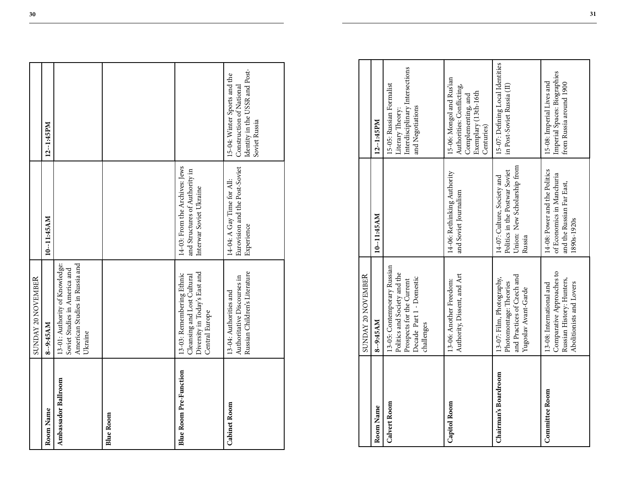|                               | SUNDAY 20 NOVEMBER                                                                                                                 |                                                                                                        |                                                                                                                    |
|-------------------------------|------------------------------------------------------------------------------------------------------------------------------------|--------------------------------------------------------------------------------------------------------|--------------------------------------------------------------------------------------------------------------------|
| Room Name                     | 8--9:45AM                                                                                                                          | 10-11:45AM                                                                                             | 12--1:45PM                                                                                                         |
| Ambassador Ballroom           | American Studies in Russia and<br>13-01: Authority of Knowledge:<br>Soviet Studies in America and<br>Ukraine                       |                                                                                                        |                                                                                                                    |
| <b>Blue Room</b>              |                                                                                                                                    |                                                                                                        |                                                                                                                    |
| <b>Blue Room Pre-Function</b> | Diversity in Today's East and<br>13-03: Remembering Ethnic<br>Cleansing and Lost Cultural<br>Central Europe                        | 14-03: From the Archives: Jews<br>and Structures of Authority in<br>Interwar Soviet Ukraine            |                                                                                                                    |
| <b>Cabinet Room</b>           | Russian Children's Literature<br>Authoritative Discourses in<br>13-04: Authorities and                                             | Eurovision and the Post-Soviet<br>14-04: A Gay Time for All:<br>Experience                             | Identity in the USSR and Post-<br>15-04: Winter Sports and the<br>Construction of National<br>Soviet Russia        |
|                               |                                                                                                                                    |                                                                                                        |                                                                                                                    |
|                               | SUNDAY 20 NOVEMBER                                                                                                                 |                                                                                                        |                                                                                                                    |
| Room Name                     | 8--9:45AM                                                                                                                          | 10-11:45AM                                                                                             | $12 - 1:45PM$                                                                                                      |
| Calvert Room                  | 13-05: Contemporary Russian<br>Politics and Society and the<br>Decade Part 1 - Domestic<br>Prospects for the Current<br>challenges |                                                                                                        | Interdisciplinary Intersections<br>15-05: Russian Formalist<br>and Negotiations<br>Literary Theory:                |
| Capitol Room                  | Authority, Dissent, and Art<br>13-06: Another Freedom:                                                                             | 14-06: Rethinking Authority<br>and Soviet Journalism                                                   | 15-06: Mongol and Rus'ian<br>Authorities: Conflicting,<br>Exemplary (13th-16th<br>Complementing, and<br>Centuries) |
| Chairman's Boardroom          | and Practices of Czech and<br>13-07: Film, Photography,<br>Photomontage: Theories<br>Yugoslav Avant-Garde                          | Union: New Scholarship from<br>Politics in the Postwar Soviet<br>14-07: Culture, Society and<br>Russia | 15-07: Defining Local Identities<br>in Post-Soviet Russia (II)                                                     |
| <b>Committee Room</b>         | Comparative Approaches to<br>Russian History: Hunters,<br>Abolitionists and Lovers<br>13-08: International and                     | 14-08: Power and the Politics<br>of Economics in Manchuria<br>and the Russian Far East,<br>1890s-1920s | Imperial Spaces: Biographies<br>15-08: Imperial Lives and<br>from Russia around 1900                               |

|                       | SUNDAY 20 NOVEMBER                                                                                                                 |                                                                                                        |                                                                                                                    |
|-----------------------|------------------------------------------------------------------------------------------------------------------------------------|--------------------------------------------------------------------------------------------------------|--------------------------------------------------------------------------------------------------------------------|
| Room Name             | 8--9:45AM                                                                                                                          | 10--11:45AM                                                                                            | $12 - 1:45PM$                                                                                                      |
| Calvert Room          | 13-05: Contemporary Russian<br>Politics and Society and the<br>Decade Part 1 - Domestic<br>Prospects for the Current<br>challenges |                                                                                                        | Interdisciplinary Intersections<br>15-05: Russian Formalist<br>and Negotiations<br>Literary Theory:                |
| Capitol Room          | Authority, Dissent, and Art<br>13-06: Another Freedom:                                                                             | 14-06: Rethinking Authority<br>and Soviet Journalism                                                   | 15-06: Mongol and Rus'ian<br>Authorities: Conflicting,<br>Exemplary (13th-16th<br>Complementing, and<br>Centuries) |
| Chairman's Boardroom  | and Practices of Czech and<br>13-07: Film, Photography,<br>Photomontage: Theories<br>Yugoslav Avant-Garde                          | Union: New Scholarship from<br>Politics in the Postwar Soviet<br>14-07: Culture, Society and<br>Russia | 15-07: Defining Local Identities<br>in Post-Soviet Russia (II)                                                     |
| <b>Committee Room</b> | Comparative Approaches to<br>Russian History: Hunters,<br>Abolitionists and Lovers<br>13-08: International and                     | 14-08: Power and the Politics<br>of Economics in Manchuria<br>and the Russian Far East,<br>1890s-1920s | Imperial Spaces: Biographies<br>15-08: Imperial Lives and<br>from Russia around 1900                               |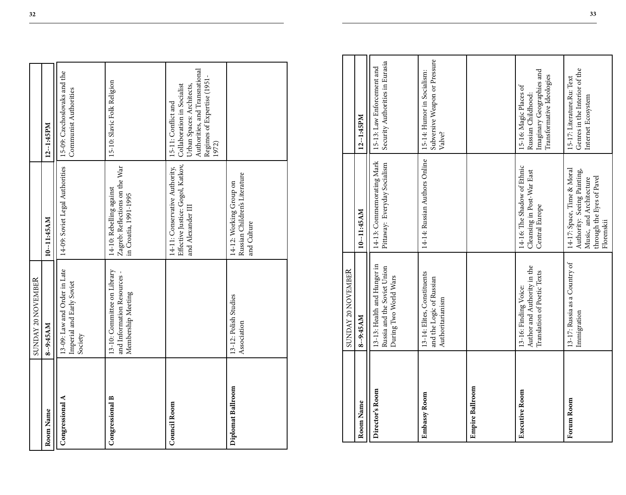|                     | SUNDAY 20 NOVEMBER                                                               |                                                                                         |                                                                                                                                                          |
|---------------------|----------------------------------------------------------------------------------|-----------------------------------------------------------------------------------------|----------------------------------------------------------------------------------------------------------------------------------------------------------|
| Room Name           | 8--9:45AM                                                                        | 10--11:45AM                                                                             | 12--1:45PM                                                                                                                                               |
| Congressional A     | 13-09: Law and Order in Late<br>Imperial and Early Soviet<br>Society             | 14-09: Soviet Legal Authorities                                                         | 15-09: Czechoslovaks and the<br>Communist Authorities                                                                                                    |
| Congressional B     | 13-10: Committee on Library<br>and Information Resources -<br>Membership Meeting | Zagreb: Reflections on the War<br>14-10: Rebelling against<br>in Croatia, 1991-1995     | 15-10: Slavic Folk Religion                                                                                                                              |
| <b>Council Room</b> |                                                                                  | Effective Justice: Gogol, Katkov,<br>14-11: Conservative Authority,<br>and Alexander II | Authorities, and Transnational<br>Regimes of Expertise (1951-<br>Urban Spaces: Architects,<br>Collaboration in Socialist<br>15-11: Conflict and<br>1972) |
| Diplomat Ballroom   | 13-12: Polish Studies<br>Association                                             | Russian Children's Literature<br>14-12: Working Group on<br>and Culture                 |                                                                                                                                                          |

|                     | SUNDAY 20 NOVEMBER                                                                  |                                                                                                                                 |                                                                                                                                                          |
|---------------------|-------------------------------------------------------------------------------------|---------------------------------------------------------------------------------------------------------------------------------|----------------------------------------------------------------------------------------------------------------------------------------------------------|
| Room Name           | 8-9:45AM                                                                            | 10--11:45AM                                                                                                                     | 12--1:45PM                                                                                                                                               |
| Congressional A     | 13-09: Law and Order in Late<br>Imperial and Early Soviet<br>Society                | 14-09: Soviet Legal Authorities                                                                                                 | 15-09: Czechoslovaks and the<br>Communist Authorities                                                                                                    |
| Congressional B     | 13-10: Committee on Library<br>and Information Resources -<br>Membership Meeting    | Zagreb: Reflections on the War<br>14-10: Rebelling against<br>in Croatia, 1991-1995                                             | 15-10: Slavic Folk Religion                                                                                                                              |
| <b>Council Room</b> |                                                                                     | Effective Justice: Gogol, Katkov,<br>14-11: Conservative Authority,<br>and Alexander III                                        | Authorities, and Transnational<br>Regimes of Expertise (1951-<br>Collaboration in Socialist<br>Urban Spaces: Architects,<br>15-11: Conflict and<br>1972) |
| Diplomat Ballroom   | 13-12: Polish Studies<br>Association                                                | Russian Children's Literature<br>14-12: Working Group on<br>and Culture                                                         |                                                                                                                                                          |
|                     |                                                                                     |                                                                                                                                 |                                                                                                                                                          |
|                     | SUNDAY 20 NOVEMBER                                                                  |                                                                                                                                 |                                                                                                                                                          |
| Room Name           | 8--9:45AM                                                                           | 10-11:45AM                                                                                                                      | $12 - 1:45PM$                                                                                                                                            |
| Director's Room     | 13-13: Health and Hunger in<br>Russia and the Soviet Union<br>During Two World Wars | 14-13: Commemorating Mark<br>Pittaway: Everyday Socialism                                                                       | Security Authorities in Eurasia<br>15-13: Law Enforcement and                                                                                            |
| Embassy Room        | 13-14: Elites, Constituents<br>and the Logic of Russian<br>Authoritarianism         | 14-14: Russian Authors Online                                                                                                   | Subversive Weapon or Pressure<br>15-14: Humor in Socialism:<br>Valve?                                                                                    |
| Empire Ballroom     |                                                                                     |                                                                                                                                 |                                                                                                                                                          |
| Executive Room      | Author and Authority in the<br>Translation of Poetic Texts<br>13-16: Finding Voice: | 14-16: The Shadow of Ethnic<br>Cleansing in Post-War East<br>Central Europe                                                     | Imaginary Geographies and<br>Transformative Ideologies<br>15-16: Magic Places of<br>Russian Childhood:                                                   |
| Forum Room          | 13-17: Russia as a Country of<br>Immigration                                        | 14-17: Space, Time & Moral<br>Authority: Seeing Painting,<br>Music, and Architecture<br>through the Eyes of Pavel<br>Florenskii | 15-17: Literature.Ru: Text<br>Genres in the Interior of the<br>Internet Ecosystem                                                                        |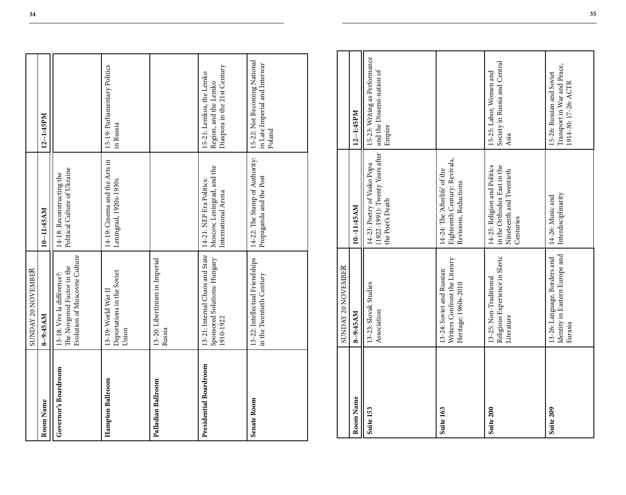|                        | SUNDAY 20 NOVEMBER                                                                          |                                                                                                      |                                                                                   |
|------------------------|---------------------------------------------------------------------------------------------|------------------------------------------------------------------------------------------------------|-----------------------------------------------------------------------------------|
| Room Name              | 8--9:45AM                                                                                   | 10--11:45AM                                                                                          | 12--1:45PM                                                                        |
| Governor's Boardroom   | Evolution of Muscovite Culture<br>The Novgorod Factor in the<br>13-18: Vive la différence?: | Political Culture of Ukraine<br>14-18: Reconstructing the                                            |                                                                                   |
| Hampton Ballroom       | Deportations in the Soviet<br>13-19: World War II<br>Union                                  | 14-19: Cinema and the Arts in<br>Leningrad, 1920s-1930s                                              | 15-19: Parliamentary Politics<br>in Russia                                        |
| Palladian Ballroom     | 13-20: Libertinism in Imperial<br>Russia                                                    |                                                                                                      |                                                                                   |
| Presidential Boardroom | 13-21: Internal Chaos and State<br>Sponsored Solutions: Hungary<br>1910-1922                | Moscow, Leningrad, and the<br>14-21: NEP Era Politics:<br>International Arena                        | Diaspora in the 21st Century<br>15-21: Lemkos, the Lemko<br>Region, and the Lemko |
| Senate Room            | 13-22: Intellectual Friendships<br>in the Twentieth Century                                 | 14-22: The Stamp of Authority:<br>Propaganda and the Post                                            | 15-22: Not Becoming National<br>in Late Imperial and Interwar<br>Poland           |
|                        |                                                                                             |                                                                                                      |                                                                                   |
|                        | SUNDAY 20 NOVEMBER                                                                          |                                                                                                      |                                                                                   |
| Room Name              | 8--9:45AM                                                                                   | 10-11:45AM                                                                                           | $12 - 1:45 PM$                                                                    |
| Suite 153              | 13-23: Slovak Studies<br>Association                                                        | (1922-1991): Twenty Years after<br>14-23: Poetry of Vasko Popa<br>the Poet's Death                   | 15-23: Writing as Performance<br>and the Dissemi-nation of<br>Empire              |
| Suite 163              | Writers Confront the Literary<br>13-24: Soviet and Russian<br>Heritage: 1960s-2010          | Eighteenth Century: Revivals,<br>14-24: The 'Afterlife' of the<br>Revisions, Reductions              |                                                                                   |
| Suite 200              | Religious Experience in Slavic<br>13-25: Non-Traditional<br>Literature                      | 14-25: Religion and Politics<br>in the Orthodox East in the<br>Nineteenth and Twentieth<br>Centuries | 15-25: Labor, Women and<br>Society in Russia and Central<br>Asia                  |
| Suite 209              | Identity in Eastern Europe and<br>13-26: Language, Borders and<br>Eurasia                   | Interdisciplinarity<br>14-26: Music and                                                              | Transport in War and Peace,<br>15-26: Russian and Soviet<br>1914-30: 17-26: ACTR  |

|           | SUNDAY 20 NOVEMBER                                                                 |                                                                                                      |                                                                                  |
|-----------|------------------------------------------------------------------------------------|------------------------------------------------------------------------------------------------------|----------------------------------------------------------------------------------|
| Room Name | 8-9:45AM                                                                           | 10--11:45AM                                                                                          | 12--1:45PM                                                                       |
| Suite 153 | 13-23: Slovak Studies<br>Association                                               | (1922-1991): Twenty Years after<br>14-23: Poetry of Vasko Popa<br>the Poet's Death                   | 15-23: Writing as Performance<br>and the Dissemi-nation of<br>Empire             |
| Suite 163 | Writers Confront the Literary<br>13-24: Soviet and Russian<br>Heritage: 1960s-2010 | Eighteenth Century: Revivals,<br>14-24: The Afterlife' of the<br>Revisions, Reductions               |                                                                                  |
| Suite 200 | Religious Experience in Slavic<br>13-25: Non-Traditional<br>Literature             | 14-25: Religion and Politics<br>in the Orthodox East in the<br>Nineteenth and Twentieth<br>Centuries | Society in Russia and Central<br>15-25: Labor, Women and<br>Asia                 |
| Suite 209 | Identity in Eastern Europe and<br>13-26: Language, Borders and<br>Eurasia          | Interdisciplinarity<br>14-26: Music and                                                              | Transport in War and Peace,<br>15-26: Russian and Soviet<br>1914-30: 17-26: ACTR |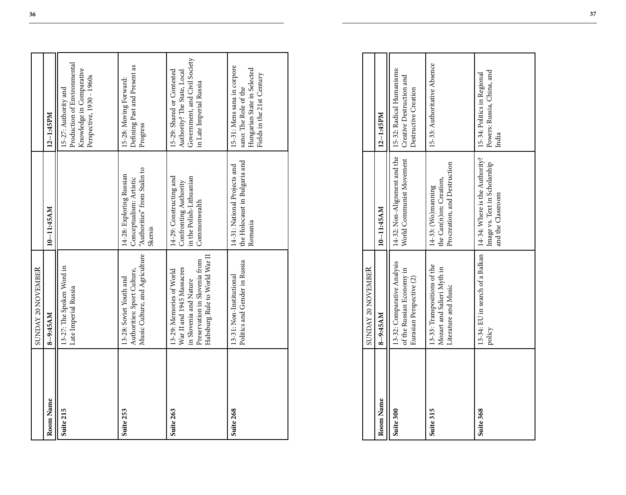|           | SUNDAY 20 NOVEMBER                                                                                                                                |                                                                                                |                                                                                                                       |
|-----------|---------------------------------------------------------------------------------------------------------------------------------------------------|------------------------------------------------------------------------------------------------|-----------------------------------------------------------------------------------------------------------------------|
| Room Name | 8--9:45AM                                                                                                                                         | 10-11:45AM                                                                                     | $12 - 1:45PM$                                                                                                         |
| Suite 215 | 13-27: The Spoken Word in<br>Late Imperial Russia                                                                                                 |                                                                                                | Production of Environmental<br>Knowledge in Comparative<br>Perspective, 1930 - 1960s<br>15-27: Authority and          |
| Suite 253 | Music Culture, and Agriculture<br>Authorities: Sport Culture,<br>13-28: Soviet Youth and                                                          | "Authorities" from Stalin to<br>14-28: Exploring Russian<br>Conceptualism: Artistic<br>Skersis | Defining Past and Present as<br>15-28: Moving Forward:<br>Progress                                                    |
| Suite 263 | Habsburg Rule to World War II<br>Preservation in Slovenia from<br>War II and 1945 Massacres<br>13-29: Memories of World<br>in Slovenia and Nature | 14-29: Constructing and<br>in the Polish-Lithuanian<br>Confronting Authority<br>Commonwealth   | Government, and Civil Society<br>15-29: Shared or Contested<br>Authority? The State, Local<br>in Late Imperial Russia |
| Suite 268 | Politics and Gender in Russia<br>13-31: Non-Institutional                                                                                         | the Holocaust in Bulgaria and<br>14-31: National Projects and<br>Romania                       | 15-31: Mens sana in corpore<br>Hungarian State in Selected<br>Fields in the 21st Century<br>sano: The Role of the     |
|           |                                                                                                                                                   |                                                                                                |                                                                                                                       |
|           | SUNDAY 20 NOVEMBER                                                                                                                                |                                                                                                |                                                                                                                       |
| Room Name | 8--9:45AM                                                                                                                                         | 10--11:45AM                                                                                    | 12--1:45PM                                                                                                            |
| Suite 300 | 13-32: Comparative Analysis<br>of the Russian Economy in<br>Eurasian Perspective (2)                                                              | 14-32: Non-Alignment and the<br>World Communist Movement                                       | 15-32: Radical Humanisms:<br>Creative Destruction and<br>Destructive Creation                                         |
| Suite 315 | 13-33: Transpositions of the<br>Mozart and Salieri Myth in<br>Literature and Music                                                                | Procreation, and Destruction<br>the Can(n)on: Creation,<br>14-33: (Wo)manning                  | 15-33: Authoritative Absence                                                                                          |
| Suite 368 | 13-34: EU in search of a Balkan<br>policy                                                                                                         | 14-34: Where is the Authority?<br>Image vs. Text in Scholarship<br>and the Classroom           | Powers: Russia, China, and<br>15-34: Politics in Regional<br>India                                                    |

|           | SUNDAY 20 NOVEMBER                                                                   |                                                                                                                        |                                                                    |
|-----------|--------------------------------------------------------------------------------------|------------------------------------------------------------------------------------------------------------------------|--------------------------------------------------------------------|
| Room Name | 8--9:45AM                                                                            | 10--11:45AM                                                                                                            | $12 - 1:45PM$                                                      |
| Suite 300 | 13-32: Comparative Analysis<br>of the Russian Economy in<br>Eurasian Perspective (2) | 14-32: Non-Alignment and the   15-32: Radical Humanisms:<br>World Communist Movement                                   | Creative Destruction and<br>Destructive Creation                   |
| Suite 315 | 13-33: Transpositions of the<br>Mozart and Salieri Myth in<br>Literature and Music   | Procreation, and Destruction<br>the Can(n)on: Creation,<br>$14-33$ : $(Wo)$ manning                                    | 15-33: Authoritative Absence                                       |
| Suite 368 | policy                                                                               | 13-34: EU in search of a Balkan   14-34: Where is the Authority?<br>Image vs. Text in Scholarship<br>and the Classroom | Powers: Russia, China, and<br>15-34: Politics in Regional<br>India |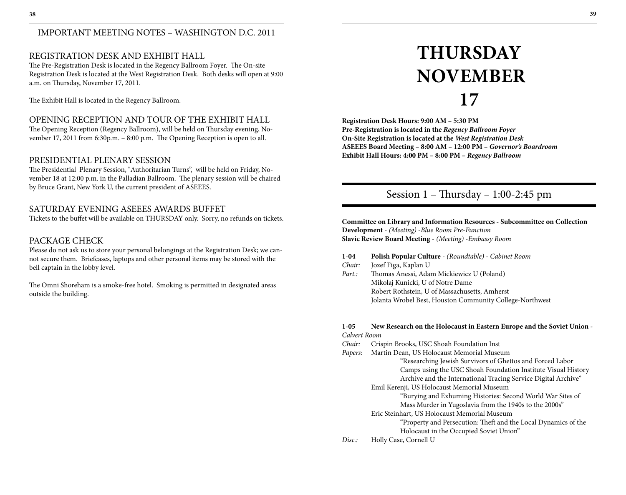# IMPORTANT MEETING NOTES – WASHINGTON D.C. 2011

# REGISTRATION DESK AND EXHIBIT HALL

The Pre-Registration Desk is located in the Regency Ballroom Foyer. The On-site Registration Desk is located at the West Registration Desk. Both desks will open at 9:00 a.m. on Thursday, November 17, 2011.

The Exhibit Hall is located in the Regency Ballroom.

# OPENING RECEPTION AND TOUR OF THE EXHIBIT HALL

The Opening Reception (Regency Ballroom), will be held on Thursday evening, November 17, 2011 from 6:30p.m. – 8:00 p.m. The Opening Reception is open to all.

## PRESIDENTIAL PLENARY SESSION

The Presidential Plenary Session, "Authoritarian Turns", will be held on Friday, November 18 at 12:00 p.m. in the Palladian Ballroom. The plenary session will be chaired by Bruce Grant, New York U, the current president of ASEEES.

# SATURDAY EVENING ASEEES AWARDS BUFFET

Tickets to the buffet will be available on THURSDAY only. Sorry, no refunds on tickets.

# PACKAGE CHECK

Please do not ask us to store your personal belongings at the Registration Desk; we cannot secure them. Briefcases, laptops and other personal items may be stored with the bell captain in the lobby level.

The Omni Shoreham is a smoke-free hotel. Smoking is permitted in designated areas outside the building.

# **Thursday November**

**17**

**Registration Desk Hours: 9:00 AM – 5:30 PM Pre-Registration is located in the** *Regency Ballroom Foyer* **On-Site Registration is located at the** *West Registration Desk* **ASEEES Board Meeting – 8:00 AM – 12:00 PM –** *Governor's Boardroom* **Exhibit Hall Hours: 4:00 PM – 8:00 PM –** *Regency Ballroom*

# Session 1 – Thursday – 1:00-2:45 pm

**Committee on Library and Information Resources - Subcommittee on Collection Development** - *(Meeting)* -*Blue Room Pre-Function* **Slavic Review Board Meeting** - *(Meeting)* -*Embassy Room*

## **1**-**04 Polish Popular Culture** - *(Roundtable)* - *Cabinet Room*

- *Chair:* Jozef Figa, Kaplan U
- *Part.:* Thomas Anessi, Adam Mickiewicz U (Poland) Mikolaj Kunicki, U of Notre Dame Robert Rothstein, U of Massachusetts, Amherst Jolanta Wrobel Best, Houston Community College-Northwest

#### **1**-**05 New Research on the Holocaust in Eastern Europe and the Soviet Union** - *Calvert Room*

- *Chair:* Crispin Brooks, USC Shoah Foundation Inst
- *Papers:* Martin Dean, US Holocaust Memorial Museum

 "Researching Jewish Survivors of Ghettos and Forced Labor Camps using the USC Shoah Foundation Institute Visual History Archive and the International Tracing Service Digital Archive"

Emil Kerenji, US Holocaust Memorial Museum

 "Burying and Exhuming Histories: Second World War Sites of Mass Murder in Yugoslavia from the 1940s to the 2000s"

Eric Steinhart, US Holocaust Memorial Museum

 "Property and Persecution: Theft and the Local Dynamics of the Holocaust in the Occupied Soviet Union"

*Disc.:* Holly Case, Cornell U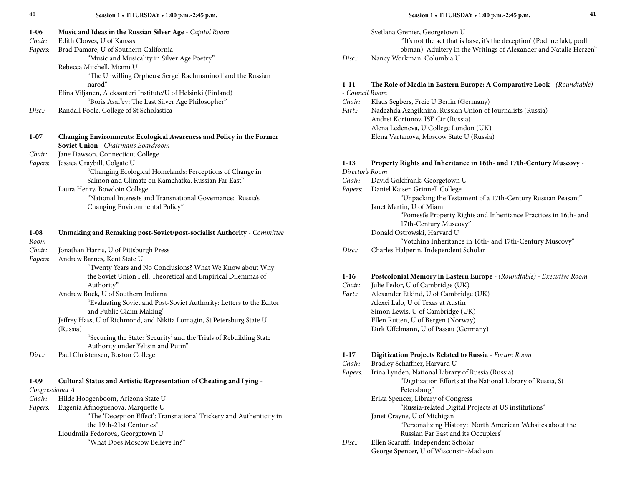| $1 - 06$        | Music and Ideas in the Russian Silver Age - Capitol Room                      |  |  |  |  |  |  |
|-----------------|-------------------------------------------------------------------------------|--|--|--|--|--|--|
| Chair:          | Edith Clowes, U of Kansas                                                     |  |  |  |  |  |  |
| Papers:         | Brad Damare, U of Southern California                                         |  |  |  |  |  |  |
|                 | "Music and Musicality in Silver Age Poetry"                                   |  |  |  |  |  |  |
|                 | Rebecca Mitchell, Miami U                                                     |  |  |  |  |  |  |
|                 | "The Unwilling Orpheus: Sergei Rachmaninoff and the Russian                   |  |  |  |  |  |  |
|                 | narod"                                                                        |  |  |  |  |  |  |
|                 | Elina Viljanen, Aleksanteri Institute/U of Helsinki (Finland)                 |  |  |  |  |  |  |
|                 | "Boris Asaf'ev: The Last Silver Age Philosopher"                              |  |  |  |  |  |  |
| Disc:           | Randall Poole, College of St Scholastica                                      |  |  |  |  |  |  |
| $1-07$          | <b>Changing Environments: Ecological Awareness and Policy in the Former</b>   |  |  |  |  |  |  |
|                 | Soviet Union - Chairman's Boardroom                                           |  |  |  |  |  |  |
| Chair:          | Jane Dawson, Connecticut College                                              |  |  |  |  |  |  |
| Papers:         | Jessica Graybill, Colgate U                                                   |  |  |  |  |  |  |
|                 | "Changing Ecological Homelands: Perceptions of Change in                      |  |  |  |  |  |  |
|                 | Salmon and Climate on Kamchatka, Russian Far East"                            |  |  |  |  |  |  |
|                 | Laura Henry, Bowdoin College                                                  |  |  |  |  |  |  |
|                 | "National Interests and Transnational Governance: Russia's                    |  |  |  |  |  |  |
|                 | Changing Environmental Policy"                                                |  |  |  |  |  |  |
| $1 - 08$        | <b>Unmaking and Remaking post-Soviet/post-socialist Authority - Committee</b> |  |  |  |  |  |  |
| Room            |                                                                               |  |  |  |  |  |  |
| Chair:          | Jonathan Harris, U of Pittsburgh Press                                        |  |  |  |  |  |  |
| Papers:         | Andrew Barnes, Kent State U                                                   |  |  |  |  |  |  |
|                 | "Twenty Years and No Conclusions? What We Know about Why                      |  |  |  |  |  |  |
|                 | the Soviet Union Fell: Theoretical and Empirical Dilemmas of                  |  |  |  |  |  |  |
|                 | Authority"                                                                    |  |  |  |  |  |  |
|                 | Andrew Buck, U of Southern Indiana                                            |  |  |  |  |  |  |
|                 | "Evaluating Soviet and Post-Soviet Authority: Letters to the Editor           |  |  |  |  |  |  |
|                 | and Public Claim Making"                                                      |  |  |  |  |  |  |
|                 | Jeffrey Hass, U of Richmond, and Nikita Lomagin, St Petersburg State U        |  |  |  |  |  |  |
|                 | (Russia)                                                                      |  |  |  |  |  |  |
|                 | "Securing the State: 'Security' and the Trials of Rebuilding State            |  |  |  |  |  |  |
|                 | Authority under Yeltsin and Putin"                                            |  |  |  |  |  |  |
| Disc:           | Paul Christensen, Boston College                                              |  |  |  |  |  |  |
|                 |                                                                               |  |  |  |  |  |  |
| $1-09$          | Cultural Status and Artistic Representation of Cheating and Lying -           |  |  |  |  |  |  |
| Congressional A |                                                                               |  |  |  |  |  |  |
| Chair:          | Hilde Hoogenboom, Arizona State U                                             |  |  |  |  |  |  |
| Papers:         | Eugenia Afinoguenova, Marquette U                                             |  |  |  |  |  |  |
|                 | "The 'Deception Effect': Transnational Trickery and Authenticity in           |  |  |  |  |  |  |
|                 | the 19th-21st Centuries"                                                      |  |  |  |  |  |  |
|                 | Lioudmila Fedorova, Georgetown U                                              |  |  |  |  |  |  |
|                 | "What Does Moscow Believe In?"                                                |  |  |  |  |  |  |

|        | Svetlana Grenier, Georgetown U                                           |
|--------|--------------------------------------------------------------------------|
|        | "It's not the act that is base, it's the deception' (Podl ne fakt, podl) |
|        | obman): Adultery in the Writings of Alexander and Natalie Herzen"        |
| Disc.: | Nancy Workman, Columbia U                                                |

#### **1**-**11 The Role of Media in Eastern Europe: A Comparative Look** - *(Roundtable)* - *Council Room*

| Chair: | Klaus Segbers, Freie U Berlin (Germany) |  |
|--------|-----------------------------------------|--|
|--------|-----------------------------------------|--|

*Part.:* Nadezhda Azhgikhina, Russian Union of Journalists (Russia) Andrei Kortunov, ISE Ctr (Russia) Alena Ledeneva, U College London (UK) Elena Vartanova, Moscow State U (Russia)

#### **1**-**13 Property Rights and Inheritance in 16th- and 17th-Century Muscovy** -

*Director's Room Chair:* David Goldfrank, Georgetown U *Papers:* Daniel Kaiser, Grinnell College "Unpacking the Testament of a 17th-Century Russian Peasant" Janet Martin, U of Miami "Pomest'e Property Rights and Inheritance Practices in 16th- and 17th-Century Muscovy" Donald Ostrowski, Harvard U "Votchina Inheritance in 16th- and 17th-Century Muscovy" *Disc.:* Charles Halperin, Independent Scholar

#### **1**-**16 Postcolonial Memory in Eastern Europe** - *(Roundtable)* - *Executive Room*

*Chair:* Julie Fedor, U of Cambridge (UK) *Part.:* Alexander Etkind, U of Cambridge (UK) Alexei Lalo, U of Texas at Austin Simon Lewis, U of Cambridge (UK) Ellen Rutten, U of Bergen (Norway) Dirk Uffelmann, U of Passau (Germany)

#### **1**-**17 Digitization Projects Related to Russia** - *Forum Room*

- *Chair:* Bradley Schaffner, Harvard U
- *Papers:* Irina Lynden, National Library of Russia (Russia) "Digitization Efforts at the National Library of Russia, St Petersburg"
	- Erika Spencer, Library of Congress

"Russia-related Digital Projects at US institutions"

Janet Crayne, U of Michigan

 "Personalizing History: North American Websites about the Russian Far East and its Occupiers"

*Disc.:* Ellen Scaruffi, Independent Scholar George Spencer, U of Wisconsin-Madison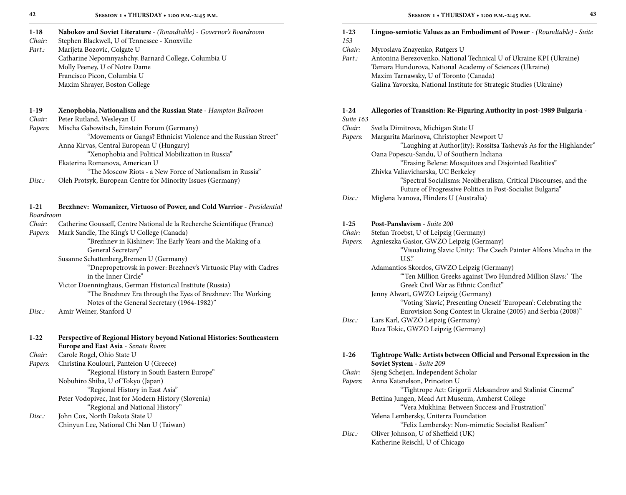| $1 - 18$ | Nabokov and Soviet Literature - (Roundtable) - Governor's Boardroom |
|----------|---------------------------------------------------------------------|
|----------|---------------------------------------------------------------------|

*Chair:* Stephen Blackwell, U of Tennessee - Knoxville

*Part.:* Marijeta Bozovic, Colgate U Catharine Nepomnyashchy, Barnard College, Columbia U Molly Peeney, U of Notre Dame Francisco Picon, Columbia U Maxim Shrayer, Boston College

# **1**-**19 Xenophobia, Nationalism and the Russian State** - *Hampton Ballroom*

*Chair:* Peter Rutland, Wesleyan U

*Papers:* Mischa Gabowitsch, Einstein Forum (Germany)

"Movements or Gangs? Ethnicist Violence and the Russian Street"

Anna Kirvas, Central European U (Hungary) "Xenophobia and Political Mobilization in Russia"

Ekaterina Romanova, American U

- "The Moscow Riots a New Force of Nationalism in Russia"
- *Disc.:* Oleh Protsyk, European Centre for Minority Issues (Germany)

| $1 - 21$  | Brezhnev: Womanizer, Virtuoso of Power, and Cold Warrior - Presidential   |
|-----------|---------------------------------------------------------------------------|
| Boardroom |                                                                           |
| Chair:    | Catherine Gousseff, Centre National de la Recherche Scientifique (France) |
| Papers:   | Mark Sandle, The King's U College (Canada)                                |
|           | "Brezhnev in Kishinev: The Early Years and the Making of a                |
|           | General Secretary"                                                        |
|           | Susanne Schattenberg, Bremen U (Germany)                                  |
|           | "Dnepropetrovsk in power: Brezhnev's Virtuosic Play with Cadres           |
|           | in the Inner Circle"                                                      |
|           | Victor Doenninghaus, German Historical Institute (Russia)                 |
|           | "The Brezhnev Era through the Eyes of Brezhnev: The Working               |
|           | Notes of the General Secretary (1964-1982)"                               |
| Disc.:    | Amir Weiner, Stanford U                                                   |
|           |                                                                           |
|           |                                                                           |

| $1 - 22$ | Perspective of Regional History beyond National Histories: Southeastern |  |  |  |  |
|----------|-------------------------------------------------------------------------|--|--|--|--|
|          | <b>Europe and East Asia - Senate Room</b>                               |  |  |  |  |
| Chair:   | Carole Rogel, Ohio State U                                              |  |  |  |  |
| Papers:  | Christina Koulouri, Panteion U (Greece)                                 |  |  |  |  |
|          | "Regional History in South Eastern Europe"                              |  |  |  |  |
|          | Nobuhiro Shiba, U of Tokyo (Japan)                                      |  |  |  |  |
|          | "Regional History in East Asia"                                         |  |  |  |  |
|          | Peter Vodopivec, Inst for Modern History (Slovenia)                     |  |  |  |  |
|          | "Regional and National History"                                         |  |  |  |  |
| Disc.    | John Cox, North Dakota State U                                          |  |  |  |  |
|          | Chinyun Lee, National Chi Nan U (Taiwan)                                |  |  |  |  |
|          |                                                                         |  |  |  |  |

# **1**-**23 Linguo-semiotic Values as an Embodiment of Power** - *(Roundtable)* - *Suite*

| 153    |                               |
|--------|-------------------------------|
| Chair: | Myroslava Znayenko, Rutgers U |

Part.: Antonina Berezovenko, National Technical U of Ukraine KPI (Ukraine) Tamara Hundorova, National Academy of Sciences (Ukraine) Maxim Tarnawsky, U of Toronto (Canada) Galina Yavorska, National Institute for Strategic Studies (Ukraine)

# **1**-**24 Allegories of Transition: Re-Figuring Authority in post-1989 Bulgaria** -

*Suite 163*

*Chair:* Svetla Dimitrova, Michigan State U

*Papers:* Margarita Marinova, Christopher Newport U

 "Laughing at Author(ity): Rossitsa Tasheva's As for the Highlander" Oana Popescu-Sandu, U of Southern Indiana

"Erasing Belene: Mosquitoes and Disjointed Realities"

Zhivka Valiavicharska, UC Berkeley

 "Spectral Socialisms: Neoliberalism, Critical Discourses, and the Future of Progressive Politics in Post-Socialist Bulgaria"

*Disc.:* Miglena Ivanova, Flinders U (Australia)

# **1**-**25 Post-Panslavism** - *Suite 200*

| Chair:  | Stefan Troebst, U of Leipzig (Germany)                           |  |  |  |  |  |  |
|---------|------------------------------------------------------------------|--|--|--|--|--|--|
| Papers: | Agnieszka Gasior, GWZO Leipzig (Germany)                         |  |  |  |  |  |  |
|         | "Visualizing Slavic Unity: The Czech Painter Alfons Mucha in the |  |  |  |  |  |  |
|         | $U.S.$ "                                                         |  |  |  |  |  |  |
|         | Adamantios Skordos, GWZO Leipzig (Germany)                       |  |  |  |  |  |  |
|         | "Ten Million Greeks against Two Hundred Million Slavs:' The      |  |  |  |  |  |  |
|         | Greek Civil War as Ethnic Conflict"                              |  |  |  |  |  |  |
|         | Jenny Alwart, GWZO Leipzig (Germany)                             |  |  |  |  |  |  |
|         | "Voting 'Slavic', Presenting Oneself 'European': Celebrating the |  |  |  |  |  |  |
|         | Eurovision Song Contest in Ukraine (2005) and Serbia (2008)"     |  |  |  |  |  |  |
| Disc.   | Lars Karl, GWZO Leipzig (Germany)                                |  |  |  |  |  |  |
|         | Ruza Tokic, GWZO Leipzig (Germany)                               |  |  |  |  |  |  |

## **1**-**26 Tightrope Walk: Artists between Official and Personal Expression in the Soviet System** - *Suite 209*

*Chair:* Sjeng Scheijen, Independent Scholar

*Papers:* Anna Katsnelson, Princeton U "Tightrope Act: Grigorii Aleksandrov and Stalinist Cinema" Bettina Jungen, Mead Art Museum, Amherst College "Vera Mukhina: Between Success and Frustration" Yelena Lembersky, Uniterra Foundation "Felix Lembersky: Non-mimetic Socialist Realism" *Disc.:* Oliver Johnson, U of Sheffield (UK)

Katherine Reischl, U of Chicago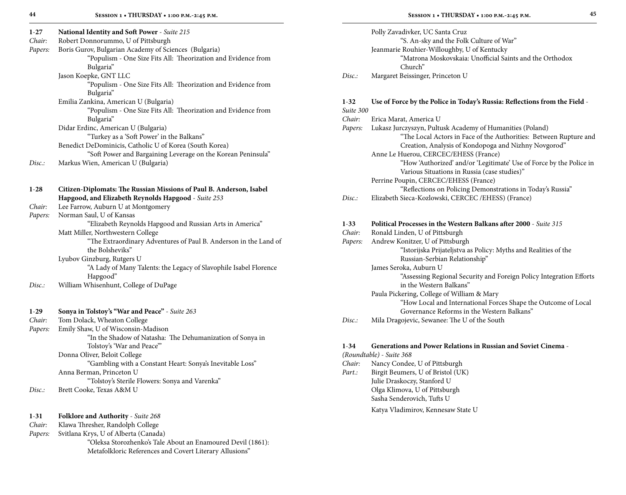| $1-27$   | National Identity and Soft Power - Suite 215                        |  |  |  |  |  |  |  |  |
|----------|---------------------------------------------------------------------|--|--|--|--|--|--|--|--|
| Chair:   | Robert Donnorummo, U of Pittsburgh                                  |  |  |  |  |  |  |  |  |
| Papers:  | Boris Gurov, Bulgarian Academy of Sciences (Bulgaria)               |  |  |  |  |  |  |  |  |
|          | "Populism - One Size Fits All: Theorization and Evidence from       |  |  |  |  |  |  |  |  |
|          | Bulgaria"                                                           |  |  |  |  |  |  |  |  |
|          | Jason Koepke, GNT LLC                                               |  |  |  |  |  |  |  |  |
|          | "Populism - One Size Fits All: Theorization and Evidence from       |  |  |  |  |  |  |  |  |
|          | Bulgaria"                                                           |  |  |  |  |  |  |  |  |
|          | Emilia Zankina, American U (Bulgaria)                               |  |  |  |  |  |  |  |  |
|          | "Populism - One Size Fits All: Theorization and Evidence from       |  |  |  |  |  |  |  |  |
|          | Bulgaria"                                                           |  |  |  |  |  |  |  |  |
|          | Didar Erdinc, American U (Bulgaria)                                 |  |  |  |  |  |  |  |  |
|          | "Turkey as a 'Soft Power' in the Balkans"                           |  |  |  |  |  |  |  |  |
|          | Benedict DeDominicis, Catholic U of Korea (South Korea)             |  |  |  |  |  |  |  |  |
|          | "Soft Power and Bargaining Leverage on the Korean Peninsula"        |  |  |  |  |  |  |  |  |
| Disc.    | Markus Wien, American U (Bulgaria)                                  |  |  |  |  |  |  |  |  |
|          |                                                                     |  |  |  |  |  |  |  |  |
|          |                                                                     |  |  |  |  |  |  |  |  |
| $1 - 28$ | Citizen-Diplomats: The Russian Missions of Paul B. Anderson, Isabel |  |  |  |  |  |  |  |  |
|          | Hapgood, and Elizabeth Reynolds Hapgood - Suite 253                 |  |  |  |  |  |  |  |  |
| Chair:   | Lee Farrow, Auburn U at Montgomery                                  |  |  |  |  |  |  |  |  |
| Papers:  | Norman Saul, U of Kansas                                            |  |  |  |  |  |  |  |  |
|          | "Elizabeth Reynolds Hapgood and Russian Arts in America"            |  |  |  |  |  |  |  |  |

| Hapgood"                                                  |
|-----------------------------------------------------------|
| William Whisenhunt, College of DuPage                     |
|                                                           |
| Sonya in Tolstoy's "War and Peace" - Suite 263            |
| Chair:<br>Tom Dolack, Wheaton College                     |
| Emily Shaw, U of Wisconsin-Madison<br>Papers:             |
| "In the Shadow of Natasha: The Dehumanization of Sonya in |
| Tolstoy's 'War and Peace'"                                |
| Donna Oliver, Beloit College                              |
| "Gambling with a Constant Heart: Sonya's Inevitable Loss" |
| Anna Berman, Princeton U                                  |
| "Tolstoy's Sterile Flowers: Sonya and Varenka"            |
| Brett Cooke, Texas A&M U                                  |
|                                                           |

"The Extraordinary Adventures of Paul B. Anderson in the Land of

"A Lady of Many Talents: the Legacy of Slavophile Isabel Florence

| 1-31 | <b>Folklore and Authority</b> - Suite 268 |  |  |  |  |
|------|-------------------------------------------|--|--|--|--|
| $-$  |                                           |  |  |  |  |

Matt Miller, Northwestern College

 the Bolsheviks" Lyubov Ginzburg, Rutgers U

*Chair:* Klawa Thresher, Randolph College

*Papers:* Svitlana Krys, U of Alberta (Canada)

 "Oleksa Storozhenko's Tale About an Enamoured Devil (1861): Metafolkloric References and Covert Literary Allusions"

|        | Polly Zavadivker, UC Santa Cruz                          |
|--------|----------------------------------------------------------|
|        | "S. An-sky and the Folk Culture of War"                  |
|        | Jeanmarie Rouhier-Willoughby, U of Kentucky              |
|        | "Matrona Moskovskaia: Unofficial Saints and the Orthodox |
|        | Church"                                                  |
| Disc · | Margaret Beissinger, Princeton U                         |

| Disc.: | Margaret Beissinger, Princeton U |  |
|--------|----------------------------------|--|
|--------|----------------------------------|--|

| $1 - 32$ | Use of Force by the Police in Today's Russia: Reflections from the Field -                                                |  |  |
|----------|---------------------------------------------------------------------------------------------------------------------------|--|--|
|          | Suite 300                                                                                                                 |  |  |
| Chair:   | Erica Marat, America U                                                                                                    |  |  |
| Papers:  | Lukasz Jurczyszyn, Pultusk Academy of Humanities (Poland)                                                                 |  |  |
|          | "The Local Actors in Face of the Authorities: Between Rupture and<br>Creation, Analysis of Kondopoga and Nizhny Novgorod" |  |  |
|          | Anne Le Huerou, CERCEC/EHESS (France)                                                                                     |  |  |
|          | "How 'Authorized' and/or 'Legitimate' Use of Force by the Police in<br>Various Situations in Russia (case studies)"       |  |  |
|          | Perrine Poupin, CERCEC/EHESS (France)                                                                                     |  |  |
|          | "Reflections on Policing Demonstrations in Today's Russia"                                                                |  |  |
| Disc.    | Elizabeth Sieca-Kozlowski, CERCEC /EHESS) (France)                                                                        |  |  |
| $1 - 33$ | Political Processes in the Western Balkans after 2000 - Suite 315                                                         |  |  |
| Chair:   | Ronald Linden, U of Pittsburgh                                                                                            |  |  |
| Papers:  | Andrew Konitzer, U of Pittsburgh                                                                                          |  |  |
|          | "Istorijska Prijateljstva as Policy: Myths and Realities of the                                                           |  |  |
|          | Russian-Serbian Relationship"                                                                                             |  |  |
|          | James Seroka, Auburn U                                                                                                    |  |  |
|          | "Assessing Regional Security and Foreign Policy Integration Efforts                                                       |  |  |
|          | in the Western Balkans"                                                                                                   |  |  |
|          | Paula Pickering, College of William & Mary                                                                                |  |  |
|          | "How Local and International Forces Shape the Outcome of Local                                                            |  |  |
|          | Governance Reforms in the Western Balkans"                                                                                |  |  |
| Disc:    | Mila Dragojevic, Sewanee: The U of the South                                                                              |  |  |

# **1**-**34 Generations and Power Relations in Russian and Soviet Cinema** -

*(Roundtable)* - *Suite 368 Chair:* Nancy Condee, U of Pittsburgh<br>*Part.:* Birgit Beumers, U of Bristol (UP *Party.* Birgit Beumers, U of Bristol (UK) Julie Draskoczy, Stanford U Olga Klimova, U of Pittsburgh Sasha Senderovich, Tufts U Katya Vladimirov, Kennesaw State U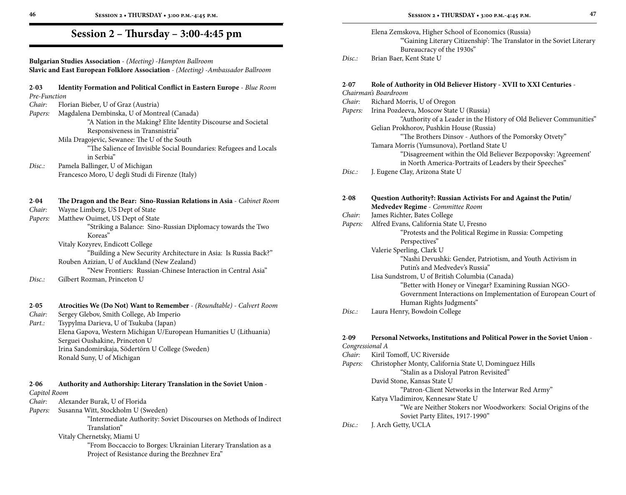**Bulgarian Studies Association** - *(Meeting)* -*Hampton Ballroom* **Slavic and East European Folklore Association** - *(Meeting)* -*Ambassador Ballroom*

#### **2**-**03 Identity Formation and Political Conflict in Eastern Europe** - *Blue Room Pre-Function*

| Chair: | Florian Bieber, U of Graz (Austria) |  |
|--------|-------------------------------------|--|
|--------|-------------------------------------|--|

*Papers:* Magdalena Dembinska, U of Montreal (Canada)

 "A Nation in the Making? Elite Identity Discourse and Societal Responsiveness in Transnistria"

Mila Dragojevic, Sewanee: The U of the South

- "The Salience of Invisible Social Boundaries: Refugees and Locals in Serbia"
- *Disc.:* Pamela Ballinger, U of Michigan Francesco Moro, U degli Studi di Firenze (Italy)

## **2**-**04 The Dragon and the Bear: Sino-Russian Relations in Asia** - *Cabinet Room*

*Chair:* Wayne Limberg, US Dept of State

*Papers:* Matthew Ouimet, US Dept of State "Striking a Balance: Sino-Russian Diplomacy towards the Two Koreas" Vitaly Kozyrev, Endicott College

 "Building a New Security Architecture in Asia: Is Russia Back?" Rouben Azizian, U of Auckland (New Zealand) "New Frontiers: Russian-Chinese Interaction in Central Asia"

*Disc.:* Gilbert Rozman, Princeton U

**2**-**05 Atrocities We (Do Not) Want to Remember** - *(Roundtable)* - *Calvert Room Chair:* Sergey Glebov, Smith College, Ab Imperio *Part.:* Tsypylma Darieva, U of Tsukuba (Japan) Elena Gapova, Western Michigan U/European Humanities U (Lithuania) Serguei Oushakine, Princeton U Irina Sandomirskaja, Södertörn U College (Sweden)

Ronald Suny, U of Michigan

# **2**-**06 Authority and Authorship: Literary Translation in the Soviet Union** -

#### *Capitol Room*

- *Chair:* Alexander Burak, U of Florida
- *Papers:* Susanna Witt, Stockholm U (Sweden)

 "Intermediate Authority: Soviet Discourses on Methods of Indirect Translation"

Vitaly Chernetsky, Miami U

 "From Boccaccio to Borges: Ukrainian Literary Translation as a Project of Resistance during the Brezhnev Era"

| I |
|---|
|   |
| ٠ |
|   |

|       | Elena Zemskova, Higher School of Economics (Russia)                   |
|-------|-----------------------------------------------------------------------|
|       | "Gaining Literary Citizenship': The Translator in the Soviet Literary |
|       | Bureaucracy of the 1930s"                                             |
| Disc: | Brian Baer, Kent State U                                              |

# **2**-**07 Role of Authority in Old Believer History - XVII to XXI Centuries** -

|                                       | 4-V/     | Role of Authority in Old Benever History - AVII to AAI Centuries - |
|---------------------------------------|----------|--------------------------------------------------------------------|
| Chairman's Boardroom                  |          |                                                                    |
| Richard Morris, U of Oregon<br>Chair: |          |                                                                    |
|                                       | Papers:  | Irina Pozdeeva, Moscow State U (Russia)                            |
|                                       |          | "Authority of a Leader in the History of Old Believer Communities" |
|                                       |          | Gelian Prokhorov, Pushkin House (Russia)                           |
|                                       |          | "The Brothers Dinsov - Authors of the Pomorsky Otvety"             |
|                                       |          | Tamara Morris (Yumsunova), Portland State U                        |
|                                       |          | "Disagreement within the Old Believer Bezpopovsky: 'Agreement'     |
|                                       |          | in North America-Portraits of Leaders by their Speeches"           |
|                                       | Disc.    | J. Eugene Clay, Arizona State U                                    |
|                                       |          |                                                                    |
|                                       | $2 - 08$ | Question Authority?: Russian Activists For and Against the Putin/  |
|                                       |          | Medvedev Regime - Committee Room                                   |
|                                       | Chair:   | James Richter, Bates College                                       |
|                                       | Papers:  | Alfred Evans, California State U, Fresno                           |
|                                       |          | "Protests and the Political Regime in Russia: Competing            |
|                                       |          | Perspectives"                                                      |
|                                       |          | Valerie Sperling, Clark U                                          |
|                                       |          | "Nashi Devushki: Gender, Patriotism, and Youth Activism in         |
|                                       |          | Putin's and Medvedev's Russia"                                     |
|                                       |          | Lisa Sundstrom, U of British Columbia (Canada)                     |
|                                       |          | "Better with Honey or Vinegar? Examining Russian NGO-              |
|                                       |          | Government Interactions on Implementation of European Court of     |
|                                       |          | Human Rights Judgments"                                            |
|                                       | Disc:    | Laura Henry, Bowdoin College                                       |

# **2**-**09 Personal Networks, Institutions and Political Power in the Soviet Union** -

*Congressional A Chair:* Kiril Tomoff, UC Riverside *Papers:* Christopher Monty, California State U, Dominguez Hills "Stalin as a Disloyal Patron Revisited" David Stone, Kansas State U "Patron-Client Networks in the Interwar Red Army" Katya Vladimirov, Kennesaw State U "We are Neither Stokers nor Woodworkers: Social Origins of the Soviet Party Elites, 1917-1990" *Disc.:* J. Arch Getty, UCLA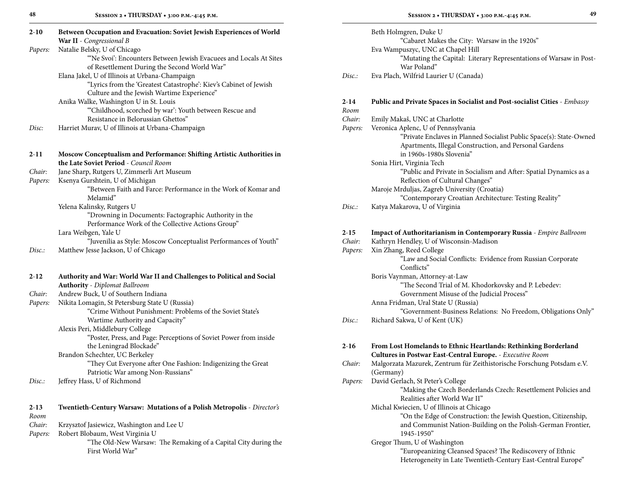| 48       | SESSION 2 . THURSDAY . 3:00 P.M.-4:45 P.M.                                     |          | SESSION 2 . THURSDAY . 3:00 P.M.-4:45 P.M.                                                      | 49 |
|----------|--------------------------------------------------------------------------------|----------|-------------------------------------------------------------------------------------------------|----|
| $2 - 10$ | Between Occupation and Evacuation: Soviet Jewish Experiences of World          |          | Beth Holmgren, Duke U                                                                           |    |
|          | War II - Congressional B                                                       |          | "Cabaret Makes the City: Warsaw in the 1920s"                                                   |    |
| Papers:  | Natalie Belsky, U of Chicago                                                   |          | Eva Wampuszyc, UNC at Chapel Hill                                                               |    |
|          | "Ne Svoi': Encounters Between Jewish Evacuees and Locals At Sites              |          | "Mutating the Capital: Literary Representations of Warsaw in Post-                              |    |
|          | of Resettlement During the Second World War"                                   |          | War Poland"                                                                                     |    |
|          | Elana Jakel, U of Illinois at Urbana-Champaign                                 | Disc.    | Eva Plach, Wilfrid Laurier U (Canada)                                                           |    |
|          | "Lyrics from the 'Greatest Catastrophe': Kiev's Cabinet of Jewish              |          |                                                                                                 |    |
|          | Culture and the Jewish Wartime Experience"                                     |          |                                                                                                 |    |
|          | Anika Walke, Washington U in St. Louis                                         | $2 - 14$ | <b>Public and Private Spaces in Socialist and Post-socialist Cities - Embassy</b>               |    |
|          | "Childhood, scorched by war': Youth between Rescue and                         | Room     |                                                                                                 |    |
|          | Resistance in Belorussian Ghettos"                                             | Chair:   | Emily Makaš, UNC at Charlotte                                                                   |    |
| Disc:    | Harriet Murav, U of Illinois at Urbana-Champaign                               | Papers:  | Veronica Aplenc, U of Pennsylvania                                                              |    |
|          |                                                                                |          | "Private Enclaves in Planned Socialist Public Space(s): State-Owned                             |    |
|          |                                                                                |          | Apartments, Illegal Construction, and Personal Gardens                                          |    |
| $2 - 11$ | Moscow Conceptualism and Performance: Shifting Artistic Authorities in         |          | in 1960s-1980s Slovenia"                                                                        |    |
|          | the Late Soviet Period - Council Room                                          |          | Sonia Hirt, Virginia Tech                                                                       |    |
| Chair:   | Jane Sharp, Rutgers U, Zimmerli Art Museum                                     |          | "Public and Private in Socialism and After: Spatial Dynamics as a                               |    |
| Papers:  | Ksenya Gurshtein, U of Michigan                                                |          | Reflection of Cultural Changes"                                                                 |    |
|          | "Between Faith and Farce: Performance in the Work of Komar and                 |          | Maroje Mrduljas, Zagreb University (Croatia)                                                    |    |
|          | Melamid"                                                                       |          | "Contemporary Croatian Architecture: Testing Reality"                                           |    |
|          | Yelena Kalinsky, Rutgers U                                                     | Disc.:   | Katya Makarova, U of Virginia                                                                   |    |
|          | "Drowning in Documents: Factographic Authority in the                          |          |                                                                                                 |    |
|          | Performance Work of the Collective Actions Group"                              |          |                                                                                                 |    |
|          | Lara Weibgen, Yale U                                                           | $2 - 15$ | Impact of Authoritarianism in Contemporary Russia - Empire Ballroom                             |    |
|          | "Juvenilia as Style: Moscow Conceptualist Performances of Youth"               | Chair:   | Kathryn Hendley, U of Wisconsin-Madison                                                         |    |
| Disc.:   | Matthew Jesse Jackson, U of Chicago                                            | Papers:  | Xin Zhang, Reed College                                                                         |    |
|          |                                                                                |          | "Law and Social Conflicts: Evidence from Russian Corporate                                      |    |
|          |                                                                                |          | Conflicts"                                                                                      |    |
| $2 - 12$ | Authority and War: World War II and Challenges to Political and Social         |          | Boris Vaynman, Attorney-at-Law                                                                  |    |
|          | <b>Authority</b> - Diplomat Ballroom                                           |          | "The Second Trial of M. Khodorkovsky and P. Lebedev:                                            |    |
| Chair:   | Andrew Buck, U of Southern Indiana                                             |          | Government Misuse of the Judicial Process"                                                      |    |
| Papers:  | Nikita Lomagin, St Petersburg State U (Russia)                                 |          | Anna Fridman, Ural State U (Russia)                                                             |    |
|          | "Crime Without Punishment: Problems of the Soviet State's                      |          | "Government-Business Relations: No Freedom, Obligations Only"                                   |    |
|          | Wartime Authority and Capacity"                                                | Disc.    | Richard Sakwa, U of Kent (UK)                                                                   |    |
|          | Alexis Peri, Middlebury College                                                |          |                                                                                                 |    |
|          | "Poster, Press, and Page: Perceptions of Soviet Power from inside              |          |                                                                                                 |    |
|          | the Leningrad Blockade"                                                        | $2 - 16$ | From Lost Homelands to Ethnic Heartlands: Rethinking Borderland                                 |    |
|          | Brandon Schechter, UC Berkeley                                                 |          | Cultures in Postwar East-Central Europe. - Executive Room                                       |    |
|          | "They Cut Everyone after One Fashion: Indigenizing the Great                   | Chair:   | Malgorzata Mazurek, Zentrum für Zeithistorische Forschung Potsdam e.V.                          |    |
|          | Patriotic War among Non-Russians"                                              |          | (Germany)                                                                                       |    |
| Disc.:   | Jeffrey Hass, U of Richmond                                                    | Papers:  | David Gerlach, St Peter's College                                                               |    |
|          |                                                                                |          | "Making the Czech Borderlands Czech: Resettlement Policies and<br>Realities after World War II" |    |
|          |                                                                                |          |                                                                                                 |    |
| $2 - 13$ | <b>Twentieth-Century Warsaw: Mutations of a Polish Metropolis</b> - Director's |          | Michal Kwiecien, U of Illinois at Chicago                                                       |    |
| Room     |                                                                                |          | "On the Edge of Construction: the Jewish Question, Citizenship,                                 |    |

| Chair:  | Krzysztof Jasiewicz, Washington and Lee U                                          |
|---------|------------------------------------------------------------------------------------|
| Papers: | Robert Blobaum, West Virginia U                                                    |
|         | "The Old-New Warsaw: The Remaking of a Capital City during the<br>First World War" |

| ٠.      |
|---------|
|         |
| ۰.<br>٠ |
| ٠       |

|          | Beth Holmgren, Duke U                                                             |
|----------|-----------------------------------------------------------------------------------|
|          | "Cabaret Makes the City: Warsaw in the 1920s"                                     |
|          | Eva Wampuszyc, UNC at Chapel Hill                                                 |
|          | "Mutating the Capital: Literary Representations of Warsaw in Post-                |
|          | War Poland"                                                                       |
| Disc.    | Eva Plach, Wilfrid Laurier U (Canada)                                             |
| $2 - 14$ | <b>Public and Private Spaces in Socialist and Post-socialist Cities - Embassy</b> |
| Room     |                                                                                   |
| Chair:   | Emily Makaš, UNC at Charlotte                                                     |
| Papers:  | Veronica Aplenc, U of Pennsylvania                                                |
|          | "Private Enclaves in Planned Socialist Public Space(s): State-Owned               |
|          | Apartments, Illegal Construction, and Personal Gardens                            |

| in 1960s-1980s Slovenia"  |  |
|---------------------------|--|
| Sonia Hirt, Virginia Tech |  |

| "Public and Private in Socialism and After: Spatial Dynamics as a |  |
|-------------------------------------------------------------------|--|
| Reflection of Cultural Changes"                                   |  |

| Disc. | Katya Makarova, U of Virginia |  |
|-------|-------------------------------|--|
|-------|-------------------------------|--|

#### **2**-**15 Impact of Authoritarianism in Contemporary Russia** - *Empire Ballroom Chair:* Kathryn Hendley, U of Wisconsin-Madison

| Chair:   | Kathryn Hendley, O of Wisconsin-Madison                                                                                              |
|----------|--------------------------------------------------------------------------------------------------------------------------------------|
| Papers:  | Xin Zhang, Reed College                                                                                                              |
|          | "Law and Social Conflicts: Evidence from Russian Corporate                                                                           |
|          | Conflicts"                                                                                                                           |
|          | Boris Vaynman, Attorney-at-Law                                                                                                       |
|          | "The Second Trial of M. Khodorkovsky and P. Lebedev:                                                                                 |
|          | Government Misuse of the Judicial Process"                                                                                           |
|          | Anna Fridman, Ural State U (Russia)                                                                                                  |
|          | "Government-Business Relations: No Freedom, Obligations Only"                                                                        |
| Disc.:   | Richard Sakwa, U of Kent (UK)                                                                                                        |
| $2 - 16$ | <b>From Lost Homelands to Ethnic Heartlands: Rethinking Borderland</b>                                                               |
|          | <b>Cultures in Postwar East-Central Europe.</b> - Executive Room                                                                     |
| Chair:   | Malgorzata Mazurek, Zentrum für Zeithistorische Forschung Potsdam e.V.<br>(Germany)                                                  |
| Papers:  | David Gerlach, St Peter's College<br>"Making the Czech Borderlands Czech: Resettlement Policies and<br>Realities after World War II" |
|          |                                                                                                                                      |

## Michal Kwiecien, U of Illinois at Chicago

 "On the Edge of Construction: the Jewish Question, Citizenship, and Communist Nation-Building on the Polish-German Frontier, 1945-1950"

Gregor Thum, U of Washington "Europeanizing Cleansed Spaces? The Rediscovery of Ethnic Heterogeneity in Late Twentieth-Century East-Central Europe"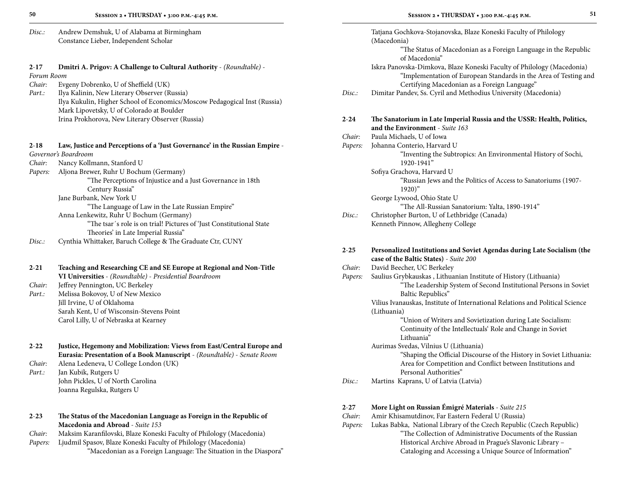| 50                     | SESSION 2 . THURSDAY . 3:00 P.M.-4:45 P.M.                                                                 |          | 51<br>SESSION 2 . THURSDAY . 3:00 P.M.-4:45 P.M.                                                                                           |
|------------------------|------------------------------------------------------------------------------------------------------------|----------|--------------------------------------------------------------------------------------------------------------------------------------------|
| Disc:                  | Andrew Demshuk, U of Alabama at Birmingham                                                                 |          | Tatjana Gochkova-Stojanovska, Blaze Koneski Faculty of Philology                                                                           |
|                        | Constance Lieber, Independent Scholar                                                                      |          | (Macedonia)<br>"The Status of Macedonian as a Foreign Language in the Republic                                                             |
|                        |                                                                                                            |          | of Macedonia"                                                                                                                              |
| $2 - 17$<br>Forum Room | Dmitri A. Prigov: A Challenge to Cultural Authority - (Roundtable) -                                       |          | Iskra Panovska-Dimkova, Blaze Koneski Faculty of Philology (Macedonia)<br>"Implementation of European Standards in the Area of Testing and |
| Chair:                 | Evgeny Dobrenko, U of Sheffield (UK)                                                                       |          | Certifying Macedonian as a Foreign Language"                                                                                               |
| Part.:                 | Ilya Kalinin, New Literary Observer (Russia)                                                               | Disc.:   | Dimitar Pandev, Ss. Cyril and Methodius University (Macedonia)                                                                             |
|                        | Ilya Kukulin, Higher School of Economics/Moscow Pedagogical Inst (Russia)                                  |          |                                                                                                                                            |
|                        | Mark Lipovetsky, U of Colorado at Boulder                                                                  |          |                                                                                                                                            |
|                        | Irina Prokhorova, New Literary Observer (Russia)                                                           | $2 - 24$ | The Sanatorium in Late Imperial Russia and the USSR: Health, Politics,<br>and the Environment - Suite 163                                  |
|                        |                                                                                                            | Chair:   | Paula Michaels, U of Iowa                                                                                                                  |
| $2 - 18$               | Law, Justice and Perceptions of a 'Just Governance' in the Russian Empire -                                | Papers:  | Johanna Conterio, Harvard U                                                                                                                |
|                        | Governor's Boardroom                                                                                       |          | "Inventing the Subtropics: An Environmental History of Sochi,                                                                              |
| Chair:                 | Nancy Kollmann, Stanford U                                                                                 |          | 1920-1941"                                                                                                                                 |
| Papers:                | Aljona Brewer, Ruhr U Bochum (Germany)                                                                     |          | Sofiya Grachova, Harvard U                                                                                                                 |
|                        | "The Perceptions of Injustice and a Just Governance in 18th<br>Century Russia"                             |          | "Russian Jews and the Politics of Access to Sanatoriums (1907-<br>$1920)$ "                                                                |
|                        | Jane Burbank, New York U                                                                                   |          | George Lywood, Ohio State U                                                                                                                |
|                        | "The Language of Law in the Late Russian Empire"                                                           |          | "The All-Russian Sanatorium: Yalta, 1890-1914"                                                                                             |
|                        | Anna Lenkewitz, Ruhr U Bochum (Germany)                                                                    | Disc:    | Christopher Burton, U of Lethbridge (Canada)                                                                                               |
|                        | "The tsar's role is on trial! Pictures of 'Just Constitutional State<br>Theories' in Late Imperial Russia" |          | Kenneth Pinnow, Allegheny College                                                                                                          |
| Disc:                  | Cynthia Whittaker, Baruch College & The Graduate Ctr, CUNY                                                 |          |                                                                                                                                            |
|                        |                                                                                                            | $2 - 25$ | Personalized Institutions and Soviet Agendas during Late Socialism (the                                                                    |
|                        |                                                                                                            |          | case of the Baltic States) - Suite 200                                                                                                     |
| $2 - 21$               | Teaching and Researching CE and SE Europe at Regional and Non-Title                                        | Chair:   | David Beecher, UC Berkeley                                                                                                                 |
|                        | VI Universities - (Roundtable) - Presidential Boardroom                                                    | Papers:  | Saulius Grybkauskas, Lithuanian Institute of History (Lithuania)                                                                           |
| Chair:                 | Jeffrey Pennington, UC Berkeley                                                                            |          | "The Leadership System of Second Institutional Persons in Soviet                                                                           |
| Part.:                 | Melissa Bokovoy, U of New Mexico<br>Jill Irvine, U of Oklahoma                                             |          | Baltic Republics"<br>Vilius Ivanauskas, Institute of International Relations and Political Science                                         |
|                        | Sarah Kent, U of Wisconsin-Stevens Point                                                                   |          | (Lithuania)                                                                                                                                |
|                        | Carol Lilly, U of Nebraska at Kearney                                                                      |          | "Union of Writers and Sovietization during Late Socialism:                                                                                 |
|                        |                                                                                                            |          | Continuity of the Intellectuals' Role and Change in Soviet                                                                                 |
|                        |                                                                                                            |          | Lithuania"                                                                                                                                 |
| $2 - 22$               | Justice, Hegemony and Mobilization: Views from East/Central Europe and                                     |          | Aurimas Svedas, Vilnius U (Lithuania)                                                                                                      |
|                        | Eurasia: Presentation of a Book Manuscript - (Roundtable) - Senate Room                                    |          | "Shaping the Official Discourse of the History in Soviet Lithuania:                                                                        |
| Chair                  | Alona Lodonova, II Collogo London (IIV)                                                                    |          | Area for Competition and Conflict between Institutions and                                                                                 |

*Chair:* Alena Ledeneva, U College London (UK) *Part.:* Jan Kubik, Rutgers U John Pickles, U of North Carolina Joanna Regulska, Rutgers U

| $2 - 23$ | The Status of the Macedonian Language as Foreign in the Republic of |
|----------|---------------------------------------------------------------------|
|          | <b>Macedonia and Abroad</b> - Suite 153                             |

- *Chair:* Maksim Karanfilovski, Blaze Koneski Faculty of Philology (Macedonia)
- *Papers:* Ljudmil Spasov, Blaze Koneski Faculty of Philology (Macedonia) "Macedonian as a Foreign Language: The Situation in the Diaspora"

|          | "The Status of Macedonian as a Foreign Language in the Republic<br>of Macedonia"                                                                          |
|----------|-----------------------------------------------------------------------------------------------------------------------------------------------------------|
|          | Iskra Panovska-Dimkova, Blaze Koneski Faculty of Philology (Macedonia)<br>"Implementation of European Standards in the Area of Testing and                |
|          | Certifying Macedonian as a Foreign Language"                                                                                                              |
| Disc.:   | Dimitar Pandev, Ss. Cyril and Methodius University (Macedonia)                                                                                            |
| $2 - 24$ | The Sanatorium in Late Imperial Russia and the USSR: Health, Politics,<br>and the Environment - Suite 163                                                 |
| Chair:   | Paula Michaels, U of Iowa                                                                                                                                 |
| Papers:  | Johanna Conterio, Harvard U                                                                                                                               |
|          | "Inventing the Subtropics: An Environmental History of Sochi,<br>1920-1941"                                                                               |
|          | Sofiya Grachova, Harvard U                                                                                                                                |
|          | "Russian Jews and the Politics of Access to Sanatoriums (1907-<br>$1920)$ "                                                                               |
|          | George Lywood, Ohio State U                                                                                                                               |
|          | "The All-Russian Sanatorium: Yalta, 1890-1914"                                                                                                            |
| Disc.:   | Christopher Burton, U of Lethbridge (Canada)                                                                                                              |
|          | Kenneth Pinnow, Allegheny College                                                                                                                         |
| $2 - 25$ | Personalized Institutions and Soviet Agendas during Late Socialism (the                                                                                   |
|          | case of the Baltic States) - Suite 200                                                                                                                    |
| Chair:   | David Beecher, UC Berkeley                                                                                                                                |
| Papers:  | Saulius Grybkauskas, Lithuanian Institute of History (Lithuania)<br>"The Leadership System of Second Institutional Persons in Soviet<br>Baltic Republics" |
|          | Vilius Ivanauskas, Institute of International Relations and Political Science                                                                             |
|          | (Lithuania)                                                                                                                                               |
|          | "Union of Writers and Sovietization during Late Socialism:                                                                                                |
|          | Continuity of the Intellectuals' Role and Change in Soviet<br>Lithuania"                                                                                  |
|          | Aurimas Svedas, Vilnius U (Lithuania)                                                                                                                     |
|          | "Shaping the Official Discourse of the History in Soviet Lithuania:                                                                                       |
|          | Area for Competition and Conflict between Institutions and                                                                                                |
|          | Personal Authorities"                                                                                                                                     |
| Disc.:   | Martins Kaprans, U of Latvia (Latvia)                                                                                                                     |
| 2-27     | More Light on Russian Émigré Materials - Suite 215                                                                                                        |
| Chair:   | Amir Khisamutdinov, Far Eastern Federal U (Russia)                                                                                                        |

Papers: Lukas Babka, National Library of the Czech Republic (Czech Republic) "The Collection of Administrative Documents of the Russian Historical Archive Abroad in Prague's Slavonic Library – Cataloging and Accessing a Unique Source of Information"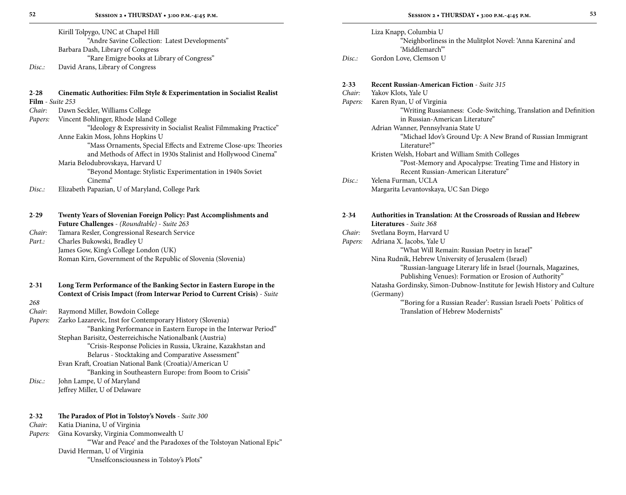Kirill Tolpygo, UNC at Chapel Hill "Andre Savine Collection: Latest Developments" Barbara Dash, Library of Congress "Rare Emigre books at Library of Congress" *Disc.:* David Arans, Library of Congress

### **2**-**28 Cinematic Authorities: Film Style & Experimentation in Socialist Realist Film** - *Suite 253*

*Chair:* Dawn Seckler, Williams College

- *Papers:* Vincent Bohlinger, Rhode Island College "Ideology & Expressivity in Socialist Realist Filmmaking Practice"
	- Anne Eakin Moss, Johns Hopkins U
		- "Mass Ornaments, Special Effects and Extreme Close-ups: Theories and Methods of Affect in 1930s Stalinist and Hollywood Cinema"
		- Maria Belodubrovskaya, Harvard U
			- "Beyond Montage: Stylistic Experimentation in 1940s Soviet Cinema"
- *Disc.:* Elizabeth Papazian, U of Maryland, College Park

| $2 - 29$        | Twenty Years of Slovenian Foreign Policy: Past Accomplishments and                                                                                |
|-----------------|---------------------------------------------------------------------------------------------------------------------------------------------------|
|                 | <b>Future Challenges</b> - (Roundtable) - Suite 263                                                                                               |
| Chair:          | Tamara Resler, Congressional Research Service                                                                                                     |
| Part.:          | Charles Bukowski, Bradley U                                                                                                                       |
|                 | James Gow, King's College London (UK)                                                                                                             |
|                 | Roman Kirn, Government of the Republic of Slovenia (Slovenia)                                                                                     |
| $2 - 31$<br>268 | Long Term Performance of the Banking Sector in Eastern Europe in the<br>Context of Crisis Impact (from Interwar Period to Current Crisis) - Suite |
| Chair:          | Raymond Miller, Bowdoin College                                                                                                                   |
| Papers:         | Zarko Lazarevic, Inst for Contemporary History (Slovenia)                                                                                         |
|                 | "Banking Performance in Eastern Europe in the Interwar Period"                                                                                    |
|                 | Stephan Barisitz, Oesterreichische Nationalbank (Austria)                                                                                         |
|                 | "Crisis-Response Policies in Russia, Ukraine, Kazakhstan and                                                                                      |
|                 | Belarus - Stocktaking and Comparative Assessment"                                                                                                 |
|                 |                                                                                                                                                   |
|                 | Evan Kraft, Croatian National Bank (Croatia)/American U                                                                                           |
|                 | "Banking in Southeastern Europe: from Boom to Crisis"                                                                                             |

*Disc.:* John Lampe, U of Maryland Jeffrey Miller, U of Delaware

| $2 - 32$              | The Paradox of Plot in Tolstoy's Novels - Suite 300 |
|-----------------------|-----------------------------------------------------|
| $Cl_{2}$ and $Cl_{2}$ | Vatia Dianina II of Windiaio                        |

*Chair:* Katia Dianina, U of Virginia *Papers:* Gina Kovarsky, Virginia Commonwealth U "'War and Peace' and the Paradoxes of the Tolstoyan National Epic" David Herman, U of Virginia

"Unselfconsciousness in Tolstoy's Plots"

|        | Liza Knapp, Columbia U                                      |
|--------|-------------------------------------------------------------|
|        | "Neighborliness in the Mulitplot Novel: 'Anna Karenina' and |
|        | 'Middlemarch'''                                             |
| Disc.: | Gordon Love, Clemson U                                      |

| $2 - 33$ | <b>Recent Russian-American Fiction - Suite 315</b>                             |
|----------|--------------------------------------------------------------------------------|
| Chair:   | Yakov Klots, Yale U                                                            |
| Papers:  | Karen Ryan, U of Virginia                                                      |
|          | "Writing Russianness: Code-Switching, Translation and Definition               |
|          | in Russian-American Literature"                                                |
|          | Adrian Wanner, Pennsylvania State U                                            |
|          | "Michael Idov's Ground Up: A New Brand of Russian Immigrant                    |
|          | Literature?"                                                                   |
|          | Kristen Welsh, Hobart and William Smith Colleges                               |
|          | "Post-Memory and Apocalypse: Treating Time and History in                      |
|          | Recent Russian-American Literature"                                            |
| Disc:    | Yelena Furman, UCLA                                                            |
|          | Margarita Levantovskaya, UC San Diego                                          |
| $2 - 34$ | Authorities in Translation: At the Crossroads of Russian and Hebrew            |
|          | Literatures - Suite 368                                                        |
| Chair:   | Svetlana Boym, Harvard U                                                       |
| Papers:  | Adriana X. Jacobs, Yale U                                                      |
|          | "What Will Remain: Russian Poetry in Israel"                                   |
|          | Nina Rudnik, Hebrew University of Jerusalem (Israel)                           |
|          | "Russian-language Literary life in Israel (Journals, Magazines,                |
|          | Publishing Venues): Formation or Erosion of Authority"                         |
|          |                                                                                |
|          |                                                                                |
|          | Natasha Gordinsky, Simon-Dubnow-Institute for Jewish History and Culture       |
|          | (Germany)<br>"Boring for a Russian Reader': Russian Israeli Poets' Politics of |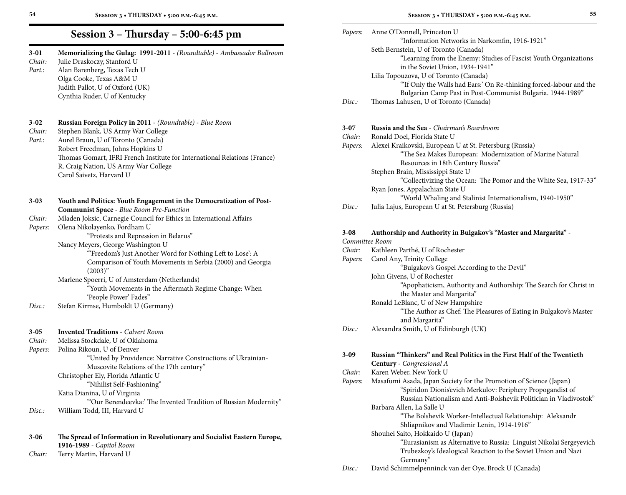| $3 - 01$<br>Chair:<br>Part.: | Memorializing the Gulag: 1991-2011 - (Roundtable) - Ambassador Ballroom<br>Julie Draskoczy, Stanford U<br>Alan Barenberg, Texas Tech U<br>Olga Cooke, Texas A&M U<br>Judith Pallot, U of Oxford (UK)<br>Cynthia Ruder, U of Kentucky |          | Seth Bernstein, U of Toronto (Canada)<br>"Learning from the Enemy: Str<br>in the Soviet Union, 1934-194.<br>Lilia Topouzova, U of Toronto (Canada)<br>"If Only the Walls had Ears:' C<br>Bulgarian Camp Past in Post-O |
|------------------------------|--------------------------------------------------------------------------------------------------------------------------------------------------------------------------------------------------------------------------------------|----------|------------------------------------------------------------------------------------------------------------------------------------------------------------------------------------------------------------------------|
|                              |                                                                                                                                                                                                                                      | Disc:    | Thomas Lahusen, U of Toronto (Canada                                                                                                                                                                                   |
| $3 - 02$                     | Russian Foreign Policy in 2011 - (Roundtable) - Blue Room                                                                                                                                                                            | $3 - 07$ | Russia and the Sea - Chairman's Boardro                                                                                                                                                                                |
| Chair:                       | Stephen Blank, US Army War College                                                                                                                                                                                                   | Chair:   | Ronald Doel, Florida State U                                                                                                                                                                                           |
| Part.:                       | Aurel Braun, U of Toronto (Canada)                                                                                                                                                                                                   | Papers:  | Alexei Kraikovski, European U at St. Pet                                                                                                                                                                               |
|                              | Robert Freedman, Johns Hopkins U<br>Thomas Gomart, IFRI French Institute for International Relations (France)                                                                                                                        |          | "The Sea Makes European: Mo                                                                                                                                                                                            |
|                              | R. Craig Nation, US Army War College                                                                                                                                                                                                 |          | Resources in 18th Century Ru                                                                                                                                                                                           |
|                              | Carol Saivetz, Harvard U                                                                                                                                                                                                             |          | Stephen Brain, Mississippi State U                                                                                                                                                                                     |
|                              |                                                                                                                                                                                                                                      |          | "Collectivizing the Ocean: The                                                                                                                                                                                         |
|                              |                                                                                                                                                                                                                                      |          | Ryan Jones, Appalachian State U                                                                                                                                                                                        |
| $3 - 03$                     | Youth and Politics: Youth Engagement in the Democratization of Post-                                                                                                                                                                 |          | "World Whaling and Stalinist                                                                                                                                                                                           |
|                              | <b>Communist Space - Blue Room Pre-Function</b>                                                                                                                                                                                      | Disc:    | Julia Lajus, European U at St. Petersburg                                                                                                                                                                              |
| Chair:                       | Mladen Joksic, Carnegie Council for Ethics in International Affairs                                                                                                                                                                  |          |                                                                                                                                                                                                                        |
| Papers:                      | Olena Nikolayenko, Fordham U                                                                                                                                                                                                         | $3 - 08$ | Authorship and Authority in Bulgakov                                                                                                                                                                                   |
|                              | "Protests and Repression in Belarus"<br>Nancy Meyers, George Washington U                                                                                                                                                            |          | Committee Room                                                                                                                                                                                                         |
|                              | "Freedom's Just Another Word for Nothing Left to Lose': A                                                                                                                                                                            | Chair:   | Kathleen Parthé, U of Rochester                                                                                                                                                                                        |
|                              | Comparison of Youth Movements in Serbia (2000) and Georgia                                                                                                                                                                           | Papers:  | Carol Any, Trinity College                                                                                                                                                                                             |
|                              | $(2003)^{n}$                                                                                                                                                                                                                         |          | "Bulgakov's Gospel According                                                                                                                                                                                           |
|                              | Marlene Spoerri, U of Amsterdam (Netherlands)                                                                                                                                                                                        |          | John Givens, U of Rochester                                                                                                                                                                                            |
|                              | "Youth Movements in the Aftermath Regime Change: When                                                                                                                                                                                |          | "Apophaticism, Authority and                                                                                                                                                                                           |
|                              | 'People Power' Fades"                                                                                                                                                                                                                |          | the Master and Margarita"<br>Ronald LeBlanc, U of New Hampshire                                                                                                                                                        |
| Disc.                        | Stefan Kirmse, Humboldt U (Germany)                                                                                                                                                                                                  |          | "The Author as Chef: The Plea                                                                                                                                                                                          |
|                              |                                                                                                                                                                                                                                      |          | and Margarita"                                                                                                                                                                                                         |
|                              |                                                                                                                                                                                                                                      | Disc:    | Alexandra Smith, U of Edinburgh (UK)                                                                                                                                                                                   |
| $3 - 05$<br>Chair:           | <b>Invented Traditions - Calvert Room</b><br>Melissa Stockdale, U of Oklahoma                                                                                                                                                        |          |                                                                                                                                                                                                                        |
| Papers:                      | Polina Rikoun, U of Denver                                                                                                                                                                                                           |          |                                                                                                                                                                                                                        |
|                              | "United by Providence: Narrative Constructions of Ukrainian-                                                                                                                                                                         | $3 - 09$ | Russian "Thinkers" and Real Politics in                                                                                                                                                                                |
|                              | Muscovite Relations of the 17th century"                                                                                                                                                                                             |          | Century - Congressional A                                                                                                                                                                                              |
|                              | Christopher Ely, Florida Atlantic U                                                                                                                                                                                                  | Chair:   | Karen Weber, New York U                                                                                                                                                                                                |
|                              | "Nihilist Self-Fashioning"                                                                                                                                                                                                           | Papers:  | Masafumi Asada, Japan Society for the P                                                                                                                                                                                |
|                              | Katia Dianina, U of Virginia                                                                                                                                                                                                         |          | "Spiridon Dionis'evich Merkul                                                                                                                                                                                          |
|                              | "Our Berendeevka:' The Invented Tradition of Russian Modernity"                                                                                                                                                                      |          | Russian Nationalism and Anti-<br>Barbara Allen, La Salle U                                                                                                                                                             |
| Disc.:                       | William Todd, III, Harvard U                                                                                                                                                                                                         |          | "The Bolshevik Worker-Intelle                                                                                                                                                                                          |
|                              |                                                                                                                                                                                                                                      |          | Shliapnikov and Vladimir Len                                                                                                                                                                                           |
| $3 - 06$                     | The Spread of Information in Revolutionary and Socialist Eastern Europe,                                                                                                                                                             |          | Shouhei Saito, Hokkaido U (Japan)                                                                                                                                                                                      |
|                              | 1916-1989 - Capitol Room                                                                                                                                                                                                             |          | "Eurasianism as Alternative to                                                                                                                                                                                         |
| Chair:                       | Terry Martin, Harvard U                                                                                                                                                                                                              |          | Trubezkoy's Idealogical Reacti                                                                                                                                                                                         |
|                              |                                                                                                                                                                                                                                      |          |                                                                                                                                                                                                                        |

"Information Networks in Narkomfin, 1916-1921"

in the Soviet Union, 1934-1941"

"Learning from the Enemy: Studies of Fascist Youth Organizations

 "'If Only the Walls had Ears:' On Re-thinking forced-labour and the Bulgarian Camp Past in Post-Communist Bulgaria. 1944-1989"

*Papers:* Anne O'Donnell, Princeton U

| I<br>۰. | ۰.<br>۰, |
|---------|----------|
| $\sim$  | $\sim$   |

| Disc.:   | Thomas Lahusen, U of Toronto (Canada)                                   |
|----------|-------------------------------------------------------------------------|
| $3 - 07$ | <b>Russia and the Sea</b> - Chairman's Boardroom                        |
| Chair:   | Ronald Doel, Florida State U                                            |
| Papers:  | Alexei Kraikovski, European U at St. Petersburg (Russia)                |
|          | "The Sea Makes European: Modernization of Marine Natural                |
|          | Resources in 18th Century Russia"                                       |
|          | Stephen Brain, Mississippi State U                                      |
|          | "Collectivizing the Ocean: The Pomor and the White Sea, 1917-33"        |
|          | Ryan Jones, Appalachian State U                                         |
|          | "World Whaling and Stalinist Internationalism, 1940-1950"               |
| Disc:    | Julia Lajus, European U at St. Petersburg (Russia)                      |
| $3 - 08$ | Authorship and Authority in Bulgakov's "Master and Margarita" -         |
|          | Committee Room                                                          |
| Chair:   | Kathleen Parthé, U of Rochester                                         |
| Papers:  | Carol Any, Trinity College                                              |
|          | "Bulgakov's Gospel According to the Devil"                              |
|          | John Givens, U of Rochester                                             |
|          | "Apophaticism, Authority and Authorship: The Search for Christ in       |
|          | the Master and Margarita"                                               |
|          | Ronald LeBlanc, U of New Hampshire                                      |
|          | "The Author as Chef: The Pleasures of Eating in Bulgakov's Master       |
|          | and Margarita"                                                          |
| Disc.    | Alexandra Smith, U of Edinburgh (UK)                                    |
| $3 - 09$ | Russian "Thinkers" and Real Politics in the First Half of the Twentieth |
|          | Century - Congressional A                                               |
| Chair:   | Karen Weber, New York U                                                 |
| Papers:  | Masafumi Asada, Japan Society for the Promotion of Science (Japan)      |
|          | "Spiridon Dionis'evich Merkulov: Periphery Propogandist of              |
|          | Russian Nationalism and Anti-Bolshevik Politician in Vladivostok"       |
|          | Barbara Allen, La Salle U                                               |
|          | "The Bolshevik Worker-Intellectual Relationship: Aleksandr              |
|          | Shliapnikov and Vladimir Lenin, 1914-1916"                              |
|          | Shouhei Saito, Hokkaido U (Japan)                                       |
|          | "Eurasianism as Alternative to Russia: Linguist Nikolai Sergeyevich     |
|          | Trubezkoy's Idealogical Reaction to the Soviet Union and Nazi           |
|          | Germany"                                                                |
| Disc:    | David Schimmelpenninck van der Oye, Brock U (Canada)                    |
|          |                                                                         |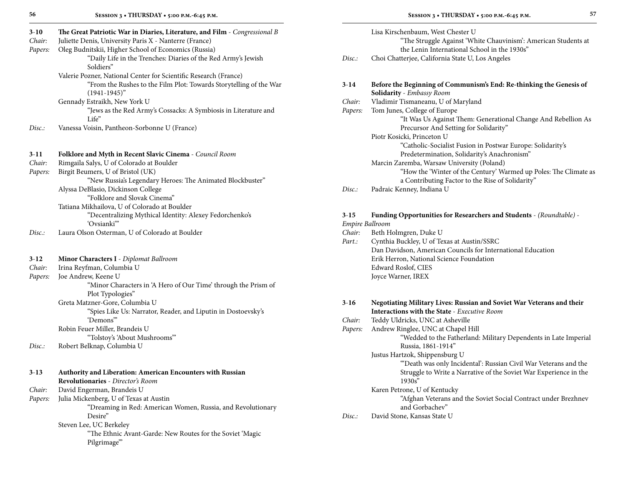| $3 - 10$ | The Great Patriotic War in Diaries, Literature, and Film - Congressional B |
|----------|----------------------------------------------------------------------------|
| Chair:   | Juliette Denis, University Paris X - Nanterre (France)                     |
| Papers:  | Oleg Budnitskii, Higher School of Economics (Russia)                       |
|          | "Daily Life in the Trenches: Diaries of the Red Army's Jewish              |
|          | Soldiers"                                                                  |
|          | Valerie Pozner, National Center for Scientific Research (France)           |
|          | "From the Rushes to the Film Plot: Towards Storytelling of the War         |
|          | $(1941-1945)$ "                                                            |
|          | Gennady Estraikh, New York U                                               |
|          | "Jews as the Red Army's Cossacks: A Symbiosis in Literature and            |
|          | Life"                                                                      |
| Disc.    | Vanessa Voisin, Pantheon-Sorbonne U (France)                               |
|          |                                                                            |
| $3-11$   | Folklore and Myth in Recent Slavic Cinema - Council Room                   |
| Chair:   | Rimgaila Salys, U of Colorado at Boulder                                   |
| Papers:  | Birgit Beumers, U of Bristol (UK)                                          |
|          | "New Russia's Legendary Heroes: The Animated Blockbuster"                  |
|          | Alyssa DeBlasio, Dickinson College                                         |
|          | "Folklore and Slovak Cinema"                                               |
|          | Tatiana Mikhailova, U of Colorado at Boulder                               |
|          | "Decentralizing Mythical Identity: Alexey Fedorchenko's                    |
|          | 'Ovsianki''                                                                |
| Disc.    | Laura Olson Osterman, U of Colorado at Boulder                             |
|          |                                                                            |
| $3-12$   | Minor Characters I - Diplomat Ballroom                                     |
| Chair:   | Irina Reyfman, Columbia U                                                  |
| Papers:  | Joe Andrew, Keene U                                                        |
|          | "Minor Characters in 'A Hero of Our Time' through the Prism of             |
|          | Plot Typologies"                                                           |
|          | Greta Matzner-Gore, Columbia U                                             |
|          | "Spies Like Us: Narrator, Reader, and Liputin in Dostoevsky's              |
|          | 'Demons'"                                                                  |
|          | Robin Feuer Miller, Brandeis U                                             |
|          | "Tolstoy's 'About Mushrooms""                                              |
| Disc.:   | Robert Belknap, Columbia U                                                 |
|          |                                                                            |
| $3-13$   | Authority and Liberation: American Encounters with Russian                 |
|          | Revolutionaries - Director's Room                                          |
| Chair:   | David Engerman, Brandeis U                                                 |
| Papers:  | Julia Mickenberg, U of Texas at Austin                                     |
|          | "Dreaming in Red: American Women, Russia, and Revolutionary                |
|          | Desire"                                                                    |
|          | Steven Lee, UC Berkeley                                                    |
|          | "The Ethnic Avant-Garde: New Routes for the Soviet 'Magic                  |
|          | Pilgrimage""                                                               |

|                   | I |
|-------------------|---|
| I<br>۰.<br>$\sim$ | ٠ |

| Disc.   | Lisa Kirschenbaum, West Chester U<br>"The Struggle Against 'White Chauvinism': American Students at<br>the Lenin International School in the 1930s" |
|---------|-----------------------------------------------------------------------------------------------------------------------------------------------------|
|         | Choi Chatterjee, California State U, Los Angeles                                                                                                    |
| $3-14$  | Before the Beginning of Communism's End: Re-thinking the Genesis of                                                                                 |
|         | <b>Solidarity</b> - <i>Embassy Room</i>                                                                                                             |
| Chair:  | Vladimir Tismaneanu, U of Maryland                                                                                                                  |
| Papers: | Tom Junes, College of Europe                                                                                                                        |

| "It Was Us Against Them: Generational Change And Rebellion As |
|---------------------------------------------------------------|
| Precursor And Setting for Solidarity"                         |

Piotr Kosicki, Princeton U "Catholic-Socialist Fusion in Postwar Europe: Solidarity's Predetermination, Solidarity's Anachronism"

- Marcin Zaremba, Warsaw University (Poland) "How the 'Winter of the Century' Warmed up Poles: The Climate as a Contributing Factor to the Rise of Solidarity"
- *Disc.:* Padraic Kenney, Indiana U

# **3**-**15 Funding Opportunities for Researchers and Students** - *(Roundtable)* -

### *Empire Ballroom*

| Chair: | Beth Holmgren, Duke U                                       |
|--------|-------------------------------------------------------------|
| Part.: | Cynthia Buckley, U of Texas at Austin/SSRC                  |
|        | Dan Davidson, American Councils for International Education |
|        | Erik Herron, National Science Foundation                    |
|        | Edward Roslof, CIES                                         |
|        | Joyce Warner, IREX                                          |

| $3 - 16$ | Negotiating Military Lives: Russian and Soviet War Veterans and their |
|----------|-----------------------------------------------------------------------|
|          | <b>Interactions with the State - Executive Room</b>                   |
| Chair:   | Teddy Uldricks, UNC at Asheville                                      |
| Papers:  | Andrew Ringlee, UNC at Chapel Hill                                    |
|          | "Wedded to the Fatherland: Military Dependents in Late Imperial       |
|          | Russia, 1861-1914"                                                    |
|          | Justus Hartzok, Shippensburg U                                        |
|          | "Death was only Incidental': Russian Civil War Veterans and the       |
|          | Struggle to Write a Narrative of the Soviet War Experience in the     |
|          | 1930s''                                                               |
|          | Karen Petrone, U of Kentucky                                          |
|          | "Afghan Veterans and the Soviet Social Contract under Brezhnev        |
|          | and Gorbachev"                                                        |
| Disc.:   | David Stone, Kansas State U                                           |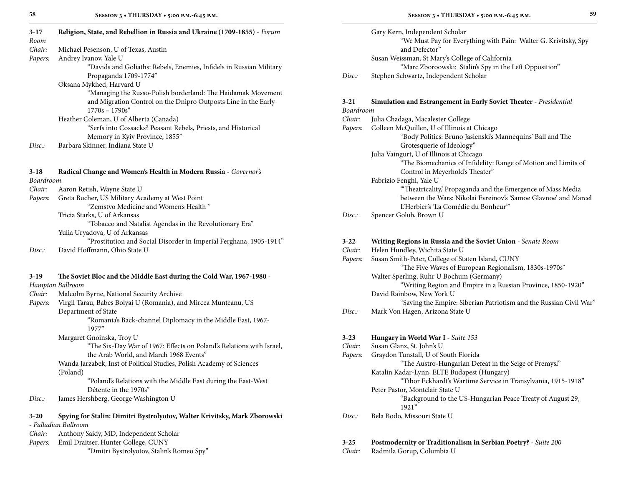| $3-17$<br>Room | Religion, State, and Rebellion in Russia and Ukraine (1709-1855) - Forum                                                                            |
|----------------|-----------------------------------------------------------------------------------------------------------------------------------------------------|
| Chair:         | Michael Pesenson, U of Texas, Austin                                                                                                                |
| Papers:        | Andrey Ivanov, Yale U                                                                                                                               |
|                | "Davids and Goliaths: Rebels, Enemies, Infidels in Russian Military<br>Propaganda 1709-1774"                                                        |
|                | Oksana Mykhed, Harvard U                                                                                                                            |
|                | "Managing the Russo-Polish borderland: The Haidamak Movement<br>and Migration Control on the Dnipro Outposts Line in the Early<br>$1770s - 1790s''$ |
|                | Heather Coleman, U of Alberta (Canada)                                                                                                              |
|                | "Serfs into Cossacks? Peasant Rebels, Priests, and Historical                                                                                       |
|                | Memory in Kyiv Province, 1855"                                                                                                                      |
| Disc:          | Barbara Skinner, Indiana State U                                                                                                                    |
| $3-18$         | Radical Change and Women's Health in Modern Russia - Governor's                                                                                     |
| Boardroom      |                                                                                                                                                     |
| Chair:         | Aaron Retish, Wayne State U                                                                                                                         |
| Papers:        | Greta Bucher, US Military Academy at West Point                                                                                                     |
|                | "Zemstvo Medicine and Women's Health"                                                                                                               |
|                | Tricia Starks, U of Arkansas                                                                                                                        |
|                | "Tobacco and Natalist Agendas in the Revolutionary Era"                                                                                             |
|                | Yulia Uryadova, U of Arkansas                                                                                                                       |
| Disc.:         | "Prostitution and Social Disorder in Imperial Ferghana, 1905-1914"<br>David Hoffmann, Ohio State U                                                  |
|                |                                                                                                                                                     |
| $3-19$         | The Soviet Bloc and the Middle East during the Cold War, 1967-1980 -                                                                                |
|                | Hampton Ballroom                                                                                                                                    |
| Chair:         | Malcolm Byrne, National Security Archive                                                                                                            |
| Papers:        | Virgil Tarau, Babes Bolyai U (Romania), and Mircea Munteanu, US                                                                                     |
|                | Department of State                                                                                                                                 |
|                | "Romania's Back-channel Diplomacy in the Middle East, 1967-<br>1977"                                                                                |
|                | Margaret Gnoinska, Troy U                                                                                                                           |
|                | $\frac{1}{2}$ and $\frac{1}{2}$ by $\frac{1}{2}$ and $\frac{1}{2}$ by $\frac{1}{2}$ by $\frac{1}{2}$ by $\frac{1}{2}$ controlled by $\frac{1}{2}$   |

 "The Six-Day War of 1967: Effects on Poland's Relations with Israel, the Arab World, and March 1968 Events"

Wanda Jarzabek, Inst of Political Studies, Polish Academy of Sciences (Poland)

 "Poland's Relations with the Middle East during the East-West Détente in the 1970s"

*Disc.:* James Hershberg, George Washington U

**3**-**20 Spying for Stalin: Dimitri Bystrolyotov, Walter Krivitsky, Mark Zborowski** - *Palladian Ballroom*

*Chair:* Anthony Saidy, MD, Independent Scholar

*Papers:* Emil Draitser, Hunter College, CUNY

"Dmitri Bystrolyotov, Stalin's Romeo Spy"

|        | Gary Kern, Independent Scholar                                  |
|--------|-----------------------------------------------------------------|
|        | "We Must Pay for Everything with Pain: Walter G. Krivitsky, Spy |
|        | and Defector"                                                   |
|        | Susan Weissman, St Mary's College of California                 |
|        | "Marc Zboroowski: Stalin's Spy in the Left Opposition"          |
| Disc.: | Stephen Schwartz, Independent Scholar                           |
|        |                                                                 |

# **3**-**21 Simulation and Estrangement in Early Soviet Theater** - *Presidential Boardroom*

| Chair:  | Julia Chadaga, Macalester College                               |
|---------|-----------------------------------------------------------------|
| Papers: | Colleen McQuillen, U of Illinois at Chicago                     |
|         | "Body Politics: Bruno Jasienski's Mannequins' Ball and The      |
|         | Grotesquerie of Ideology"                                       |
|         | Julia Vaingurt, U of Illinois at Chicago                        |
|         | "The Biomechanics of Infidelity: Range of Motion and Limits of  |
|         | Control in Meyerhold's Theater"                                 |
|         | Fabrizio Fenghi, Yale U                                         |
|         | "Theatricality, Propaganda and the Emergence of Mass Media      |
|         | between the Wars: Nikolai Evreinov's 'Samoe Glavnoe' and Marcel |
|         | L'Herbier's 'La Comédie du Bonheur'"                            |
| Disc:   | Spencer Golub, Brown U                                          |

| $3-22$   | Writing Regions in Russia and the Soviet Union - Senate Room       |
|----------|--------------------------------------------------------------------|
| Chair:   | Helen Hundley, Wichita State U                                     |
| Papers:  | Susan Smith-Peter, College of Staten Island, CUNY                  |
|          | "The Five Waves of European Regionalism, 1830s-1970s"              |
|          | Walter Sperling, Ruhr U Bochum (Germany)                           |
|          | "Writing Region and Empire in a Russian Province, 1850-1920"       |
|          | David Rainbow, New York U                                          |
|          | "Saving the Empire: Siberian Patriotism and the Russian Civil War" |
| Disc.:   | Mark Von Hagen, Arizona State U                                    |
| $3 - 23$ | <b>Hungary in World War I</b> - Suite 153                          |
| Chair:   | Susan Glanz, St. John's U                                          |
| Papers:  | Graydon Tunstall, U of South Florida                               |
|          | "The Austro-Hungarian Defeat in the Seige of Premysl"              |
|          | Katalin Kadar-Lynn, ELTE Budapest (Hungary)                        |
|          | "Tibor Eckhardt's Wartime Service in Transylvania, 1915-1918"      |
|          | Peter Pastor, Montclair State U                                    |
|          |                                                                    |

- "Background to the US-Hungarian Peace Treaty of August 29, 1921"
- *Disc.:* Bela Bodo, Missouri State U

# **3**-**25 Postmodernity or Traditionalism in Serbian Poetry?** - *Suite 200*

*Chair:* Radmila Gorup, Columbia U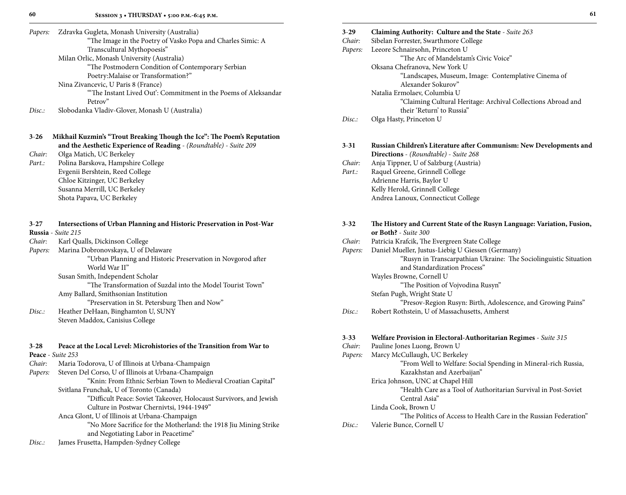| Papers: | Zdravka Gugleta, Monash University (Australia)                 |
|---------|----------------------------------------------------------------|
|         | "The Image in the Poetry of Vasko Popa and Charles Simic: A    |
|         | Transcultural Mythopoesis"                                     |
|         | Milan Orlic, Monash University (Australia)                     |
|         | "The Postmodern Condition of Contemporary Serbian              |
|         | Poetry: Malaise or Transformation?"                            |
|         | Nina Zivancevic, U Paris 8 (France)                            |
|         | "The Instant Lived Out': Commitment in the Poems of Aleksandar |
|         | Petrov"                                                        |

*Disc.:* Slobodanka Vladiv-Glover, Monash U (Australia)

| $3 - 26$ | Mikhail Kuzmin's "Trout Breaking Though the Ice": The Poem's Reputation   |
|----------|---------------------------------------------------------------------------|
|          | <b>and the Aesthetic Experience of Reading - (Roundtable) - Suite 209</b> |

*Chair:* Olga Matich, UC Berkeley

*Part.:* Polina Barskova, Hampshire College Evgenii Bershtein, Reed College Chloe Kitzinger, UC Berkeley Susanna Merrill, UC Berkeley Shota Papava, UC Berkeley

| $3 - 27$ | Intersections of Urban Planning and Historic Preservation in Post-War |
|----------|-----------------------------------------------------------------------|
|          | Russia - Suite 215                                                    |
| Chair:   | Karl Qualls, Dickinson College                                        |
| Papers:  | Marina Dobronovskaya, U of Delaware                                   |
|          | "Urban Planning and Historic Preservation in Novgorod after           |
|          | World War II"                                                         |
|          | Susan Smith, Independent Scholar                                      |
|          | "The Transformation of Suzdal into the Model Tourist Town"            |
|          | Amy Ballard, Smithsonian Institution                                  |
|          | "Preservation in St. Petersburg Then and Now"                         |
| Disc.    | Heather DeHaan, Binghamton U, SUNY                                    |
|          | Steven Maddox, Canisius College                                       |
|          |                                                                       |
|          |                                                                       |
|          |                                                                       |

# **3**-**28 Peace at the Local Level: Microhistories of the Transition from War to**

|         | Peace - Suite 253                                                  |
|---------|--------------------------------------------------------------------|
| Chair:  | Maria Todorova, U of Illinois at Urbana-Champaign                  |
| Papers: | Steven Del Corso, U of Illinois at Urbana-Champaign                |
|         | "Knin: From Ethnic Serbian Town to Medieval Croatian Capital"      |
|         | Svitlana Frunchak, U of Toronto (Canada)                           |
|         | "Difficult Peace: Soviet Takeover, Holocaust Survivors, and Jewish |
|         | Culture in Postwar Chernivtsi, 1944-1949"                          |
|         | Anca Glont, U of Illinois at Urbana-Champaign                      |
|         | "No More Sacrifice for the Motherland: the 1918 Jiu Mining Strike  |
|         | and Negotiating Labor in Peacetime"                                |
|         |                                                                    |

*Disc.:* James Frusetta, Hampden-Sydney College

| ×,     |  |
|--------|--|
| I<br>I |  |
|        |  |

| $3-29$<br>Chair:<br>Papers: | Claiming Authority: Culture and the State - Suite 263<br>Sibelan Forrester, Swarthmore College<br>Leeore Schnairsohn, Princeton U<br>"The Arc of Mandelstam's Civic Voice" |
|-----------------------------|----------------------------------------------------------------------------------------------------------------------------------------------------------------------------|
|                             | Oksana Chefranova, New York U<br>"Landscapes, Museum, Image: Contemplative Cinema of<br>Alexander Sokurov"                                                                 |
|                             | Natalia Ermolaev, Columbia U<br>"Claiming Cultural Heritage: Archival Collections Abroad and<br>their 'Return' to Russia"                                                  |
| Disc.                       | Olga Hasty, Princeton U                                                                                                                                                    |
| $3 - 31$<br>Chair:          | Russian Children's Literature after Communism: New Developments and<br>Directions - (Roundtable) - Suite 268<br>Anja Tippner, U of Salzburg (Austria)                      |
| Part.:                      | Raquel Greene, Grinnell College<br>Adrienne Harris, Baylor U                                                                                                               |
|                             | Kelly Herold, Grinnell College<br>Andrea Lanoux, Connecticut College                                                                                                       |
| $3 - 32$                    | The History and Current State of the Rusyn Language: Variation, Fusion,<br>or Both? - Suite 300                                                                            |
| Chair:                      | Patricia Krafcik, The Evergreen State College                                                                                                                              |
| Papers:                     | Daniel Mueller, Justus-Liebig U Giessen (Germany)<br>"Rusyn in Transcarpathian Ukraine: The Sociolinguistic Situation<br>and Standardization Process"                      |
|                             | Wayles Browne, Cornell U                                                                                                                                                   |
|                             | "The Position of Vojvodina Rusyn"<br>Stefan Pugh, Wright State U                                                                                                           |
| Disc:                       | "Presov-Region Rusyn: Birth, Adolescence, and Growing Pains"<br>Robert Rothstein, U of Massachusetts, Amherst                                                              |
|                             |                                                                                                                                                                            |
| $3 - 33$<br>Chair:          | <b>Welfare Provision in Electoral-Authoritarian Regimes</b> - Suite 315<br>Pauline Jones Luong, Brown U                                                                    |
| Papers:                     | Marcy McCullaugh, UC Berkeley<br>"From Well to Welfare: Social Spending in Mineral-rich Russia,<br>Kazakhstan and Azerbaijan"                                              |
|                             | Erica Johnson, UNC at Chapel Hill                                                                                                                                          |
|                             | "Health Care as a Tool of Authoritarian Survival in Post-Soviet<br>Central Asia"                                                                                           |
|                             | Linda Cook, Brown U<br>"The Politics of Access to Health Care in the Russian Federation"                                                                                   |
| Disc:                       | Valerie Bunce, Cornell U                                                                                                                                                   |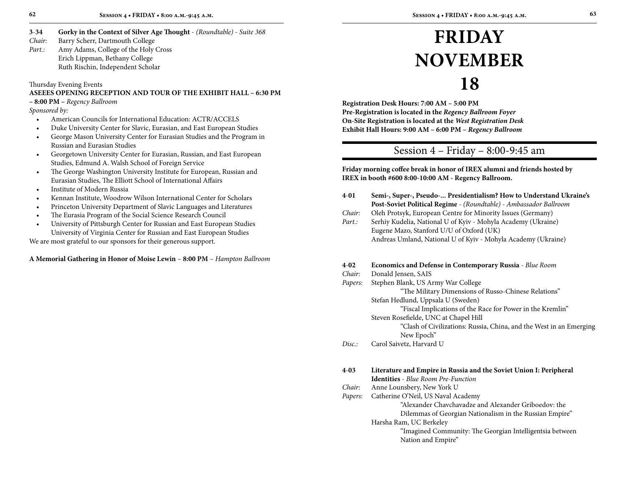- **3**-**34 Gorky in the Context of Silver Age Thought** *(Roundtable) Suite 368 Chair:* Barry Scherr, Dartmouth College
- *Part.:* Amy Adams, College of the Holy Cross Erich Lippman, Bethany College Ruth Rischin, Independent Scholar

Thursday Evening Events

# **ASEEES OPENING RECEPTION AND TOUR OF THE EXHIBIT HALL – 6:30 PM**

**– 8:00 PM –** *Regency Ballroom*

*Sponsored by:* 

- American Councils for International Education: ACTR/ACCELS
- Duke University Center for Slavic, Eurasian, and East European Studies
- George Mason University Center for Eurasian Studies and the Program in Russian and Eurasian Studies
- • Georgetown University Center for Eurasian, Russian, and East European Studies, Edmund A. Walsh School of Foreign Service
- The George Washington University Institute for European, Russian and Eurasian Studies, The Elliott School of International Affairs
- Institute of Modern Russia
- Kennan Institute, Woodrow Wilson International Center for Scholars
- Princeton University Department of Slavic Languages and Literatures
- The Eurasia Program of the Social Science Research Council
- University of Pittsburgh Center for Russian and East European Studies University of Virginia Center for Russian and East European Studies

We are most grateful to our sponsors for their generous support.

#### **A Memorial Gathering in Honor of Moise Lewin** – **8:00 PM** – *Hampton Ballroom*

# **Friday November 18**

**Registration Desk Hours: 7:00 AM – 5:00 PM Pre-Registration is located in the** *Regency Ballroom Foyer* **On-Site Registration is located at the** *West Registration Desk* **Exhibit Hall Hours: 9:00 AM – 6:00 PM –** *Regency Ballroom*

# Session 4 – Friday – 8:00-9:45 am

**Friday morning coffee break in honor of IREX alumni and friends hosted by IREX in booth #600 8:00-10:00 AM - Regency Ballroom.** 

- **4**-**01 Semi-, Super-, Pseudo-... Presidentialism? How to Understand Ukraine's Post-Soviet Political Regime** - *(Roundtable)* - *Ambassador Ballroom*
- *Chair:* Oleh Protsyk, European Centre for Minority Issues (Germany)
- Part.: Serhiy Kudelia, National U of Kyiv Mohyla Academy (Ukraine) Eugene Mazo, Stanford U/U of Oxford (UK) Andreas Umland, National U of Kyiv - Mohyla Academy (Ukraine)

#### **4**-**02 Economics and Defense in Contemporary Russia** - *Blue Room*

#### *Chair:* Donald Jensen, SAIS *Papers:* Stephen Blank, US Army War College

 "The Military Dimensions of Russo-Chinese Relations" Stefan Hedlund, Uppsala U (Sweden)

 "Fiscal Implications of the Race for Power in the Kremlin" Steven Rosefielde, UNC at Chapel Hill

 "Clash of Civilizations: Russia, China, and the West in an Emerging New Epoch"

*Disc.:* Carol Saivetz, Harvard U

## **4**-**03 Literature and Empire in Russia and the Soviet Union I: Peripheral**

**Identities** - *Blue Room Pre-Function*

*Chair:* Anne Lounsbery, New York U

*Papers:* Catherine O'Neil, US Naval Academy

 "Alexander Chavchavadze and Alexander Griboedov: the Dilemmas of Georgian Nationalism in the Russian Empire"

Harsha Ram, UC Berkeley

 "Imagined Community: The Georgian Intelligentsia between Nation and Empire"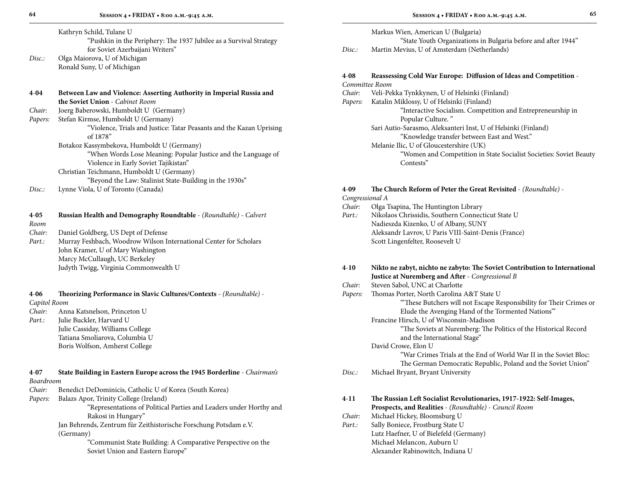Kathryn Schild, Tulane U "Pushkin in the Periphery: The 1937 Jubilee as a Survival Strategy

 for Soviet Azerbaijani Writers" *Disc.:* Olga Maiorova, U of Michigan Ronald Suny, U of Michigan

#### **4**-**04 Between Law and Violence: Asserting Authority in Imperial Russia and the Soviet Union** - *Cabinet Room Chair:* Joerg Baberowski, Humboldt U (Germany)

*Papers:* Stefan Kirmse, Humboldt U (Germany) "Violence, Trials and Justice: Tatar Peasants and the Kazan Uprising of 1878" Botakoz Kassymbekova, Humboldt U (Germany)

 "When Words Lose Meaning: Popular Justice and the Language of Violence in Early Soviet Tajikistan" Christian Teichmann, Humboldt U (Germany)

"Beyond the Law: Stalinist State-Building in the 1930s"

*Disc.:* Lynne Viola, U of Toronto (Canada)

| $4 - 0.5$ | Russian Health and Demography Roundtable - (Roundtable) - Calvert |
|-----------|-------------------------------------------------------------------|
| Room      |                                                                   |

- *Chair:* Daniel Goldberg, US Dept of Defense
- *Part.:* Murray Feshbach, Woodrow Wilson International Center for Scholars John Kramer, U of Mary Washington Marcy McCullaugh, UC Berkeley Judyth Twigg, Virginia Commonwealth U

### **4**-**06 Theorizing Performance in Slavic Cultures/Contexts** - *(Roundtable)* - *Capitol Room*

- *Chair:* Anna Katsnelson, Princeton U
- Part.: Julie Buckler, Harvard U Julie Cassiday, Williams College Tatiana Smoliarova, Columbia U Boris Wolfson, Amherst College

# **4**-**07 State Building in Eastern Europe across the 1945 Borderline** - *Chairman's*

# *Boardroom*

*Chair:* Benedict DeDominicis, Catholic U of Korea (South Korea)

*Papers:* Balazs Apor, Trinity College (Ireland)

 "Representations of Political Parties and Leaders under Horthy and Rakosi in Hungary"

Jan Behrends, Zentrum für Zeithistorische Forschung Potsdam e.V. (Germany)

> "Communist State Building: A Comparative Perspective on the Soviet Union and Eastern Europe"

Markus Wien, American U (Bulgaria) "State Youth Organizations in Bulgaria before and after 1944" *Disc.:* Martin Mevius, U of Amsterdam (Netherlands)

# **4**-**08 Reassessing Cold War Europe: Diffusion of Ideas and Competition** -

# *Committee Room*

- *Chair:* Veli-Pekka Tynkkynen, U of Helsinki (Finland)
- *Papers:* Katalin Miklossy, U of Helsinki (Finland) "Interactive Socialism. Competition and Entrepreneurship in Popular Culture. " Sari Autio-Sarasmo, Aleksanteri Inst, U of Helsinki (Finland)
	- "Knowledge transfer between East and West."
	- Melanie Ilic, U of Gloucestershire (UK) "Women and Competition in State Socialist Societies: Soviet Beauty Contests"

# **4**-**09 The Church Reform of Peter the Great Revisited** - *(Roundtable)* -

*Congressional A*

# *Chair:* Olga Tsapina, The Huntington Library

*Part.:* Nikolaos Chrissidis, Southern Connecticut State U Nadieszda Kizenko, U of Albany, SUNY Aleksandr Lavrov, U Paris VIII-Saint-Denis (France) Scott Lingenfelter, Roosevelt U

# **4**-**10 Nikto ne zabyt, nichto ne zabyto: The Soviet Contribution to International Justice at Nuremberg and After** - *Congressional B*

# *Chair:* Steven Sabol, UNC at Charlotte

*Papers:* Thomas Porter, North Carolina A&T State U "'These Butchers will not Escape Responsibility for Their Crimes or Elude the Avenging Hand of the Tormented Nations'" Francine Hirsch, U of Wisconsin-Madison

 "The Soviets at Nuremberg: The Politics of the Historical Record and the International Stage"

# David Crowe, Elon U

 "War Crimes Trials at the End of World War II in the Soviet Bloc: The German Democratic Republic, Poland and the Soviet Union"

# *Disc.:* Michael Bryant, Bryant University

**4**-**11 The Russian Left Socialist Revolutionaries, 1917-1922: Self-Images, Prospects, and Realities** - *(Roundtable)* - *Council Room Chair:* Michael Hickey, Bloomsburg U Part.: Sally Boniece, Frostburg State U Lutz Haefner, U of Bielefeld (Germany) Michael Melancon, Auburn U Alexander Rabinowitch, Indiana U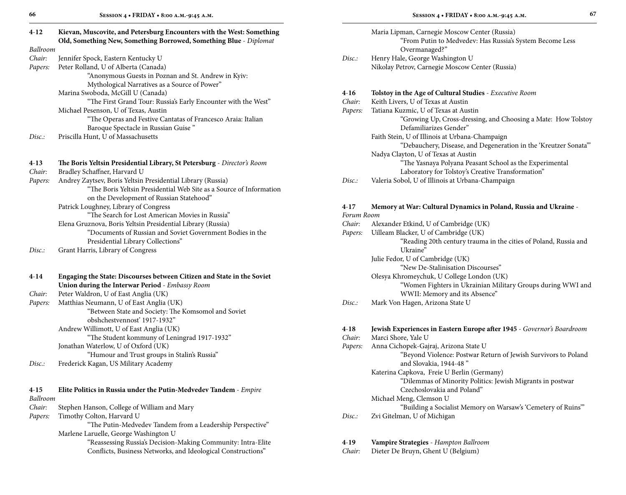| 4-12     | Kievan, Muscovite, and Petersburg Encounters with the West: Something<br>Old, Something New, Something Borrowed, Something Blue - Diplomat                                     |
|----------|--------------------------------------------------------------------------------------------------------------------------------------------------------------------------------|
| Ballroom |                                                                                                                                                                                |
| Chair:   | Jennifer Spock, Eastern Kentucky U                                                                                                                                             |
| Papers:  | Peter Rolland, U of Alberta (Canada)<br>"Anonymous Guests in Poznan and St. Andrew in Kyiv:<br>Mythological Narratives as a Source of Power"                                   |
|          | Marina Swoboda, McGill U (Canada)                                                                                                                                              |
|          | "The First Grand Tour: Russia's Early Encounter with the West"                                                                                                                 |
|          | Michael Pesenson, U of Texas, Austin                                                                                                                                           |
|          | "The Operas and Festive Cantatas of Francesco Araia: Italian<br>Baroque Spectacle in Russian Guise"                                                                            |
| Disc:    | Priscilla Hunt, U of Massachusetts                                                                                                                                             |
| $4-13$   | The Boris Yeltsin Presidential Library, St Petersburg - Director's Room                                                                                                        |
| Chair:   | Bradley Schaffner, Harvard U                                                                                                                                                   |
| Papers:  | Andrey Zaytsev, Boris Yeltsin Presidential Library (Russia)<br>"The Boris Yeltsin Presidential Web Site as a Source of Information<br>on the Development of Russian Statehood" |
|          | Patrick Loughney, Library of Congress                                                                                                                                          |
|          | "The Search for Lost American Movies in Russia"                                                                                                                                |
|          | Elena Gruznova, Boris Yeltsin Presidential Library (Russia)                                                                                                                    |
|          | "Documents of Russian and Soviet Government Bodies in the                                                                                                                      |
|          | Presidential Library Collections"                                                                                                                                              |
| Disc:    | Grant Harris, Library of Congress                                                                                                                                              |
| 4-14     | Engaging the State: Discourses between Citizen and State in the Soviet                                                                                                         |
|          | Union during the Interwar Period - Embassy Room                                                                                                                                |
| Chair:   | Peter Waldron, U of East Anglia (UK)                                                                                                                                           |
| Papers:  | Matthias Neumann, U of East Anglia (UK)                                                                                                                                        |
|          | "Between State and Society: The Komsomol and Soviet<br>obshchestvennosť 1917-1932"                                                                                             |
|          | Andrew Willimott, U of East Anglia (UK)<br>"The Student kommuny of Leningrad 1917-1932"                                                                                        |
|          | Jonathan Waterlow, U of Oxford (UK)                                                                                                                                            |
|          | "Humour and Trust groups in Stalin's Russia"                                                                                                                                   |
| Disc:    | Frederick Kagan, US Military Academy                                                                                                                                           |

# **4**-**15 Elite Politics in Russia under the Putin-Medvedev Tandem** - *Empire Ballroom*

| Chair: | Stephen Hanson, College of William and Mary |  |
|--------|---------------------------------------------|--|
|--------|---------------------------------------------|--|

*Papers:* Timothy Colton, Harvard U

 "The Putin-Medvedev Tandem from a Leadership Perspective" Marlene Laruelle, George Washington U

> "Reassessing Russia's Decision-Making Community: Intra-Elite Conflicts, Business Networks, and Ideological Constructions"

|        | Maria Lipman, Carnegie Moscow Center (Russia)            |
|--------|----------------------------------------------------------|
|        | "From Putin to Medvedev: Has Russia's System Become Less |
|        | Overmanaged?"                                            |
| Disc.: | Henry Hale, George Washington U                          |
|        | Nikolay Petrov, Carnegie Moscow Center (Russia)          |

#### **4**-**16 Tolstoy in the Age of Cultural Studies** - *Executive Room*

| Chair: | Keith Livers, U of Texas at Austin |  |  |
|--------|------------------------------------|--|--|
|--------|------------------------------------|--|--|

- *Papers:* Tatiana Kuzmic, U of Texas at Austin "Growing Up, Cross-dressing, and Choosing a Mate: How Tolstoy Defamiliarizes Gender" Faith Stein, U of Illinois at Urbana-Champaign "Debauchery, Disease, and Degeneration in the 'Kreutzer Sonata'" Nadya Clayton, U of Texas at Austin "The Yasnaya Polyana Peasant School as the Experimental Laboratory for Tolstoy's Creative Transformation"
- *Disc.:* Valeria Sobol, U of Illinois at Urbana-Champaign

# **4**-**17 Memory at War: Cultural Dynamics in Poland, Russia and Ukraine** -

# *Forum Room*

- *Chair:* Alexander Etkind, U of Cambridge (UK)
- *Papers:* Uilleam Blacker, U of Cambridge (UK) "Reading 20th century trauma in the cities of Poland, Russia and Ukraine" Julie Fedor, U of Cambridge (UK) "New De-Stalinisation Discourses" Olesya Khromeychuk, U College London (UK) "Women Fighters in Ukrainian Military Groups during WWI and WWII: Memory and its Absence"
- *Disc.:* Mark Von Hagen, Arizona State U

#### **4**-**18 Jewish Experiences in Eastern Europe after 1945** - *Governor's Boardroom*

| Chair:  | Marci Shore, Yale U                                            |
|---------|----------------------------------------------------------------|
| Papers: | Anna Cichopek-Gajraj, Arizona State U                          |
|         | "Beyond Violence: Postwar Return of Jewish Survivors to Poland |
|         | and Slovakia, 1944-48"                                         |
|         | Katerina Capkova, Freie U Berlin (Germany)                     |
|         | "Dilemmas of Minority Politics: Jewish Migrants in postwar     |
|         | Czechoslovakia and Poland"                                     |
|         | Michael Meng, Clemson U                                        |
|         | "Building a Socialist Memory on Warsaw's 'Cemetery of Ruins'"  |
| Disc.:  | Zvi Gitelman, U of Michigan                                    |
|         |                                                                |

## **4**-**19 Vampire Strategies** - *Hampton Ballroom*

*Chair:* Dieter De Bruyn, Ghent U (Belgium)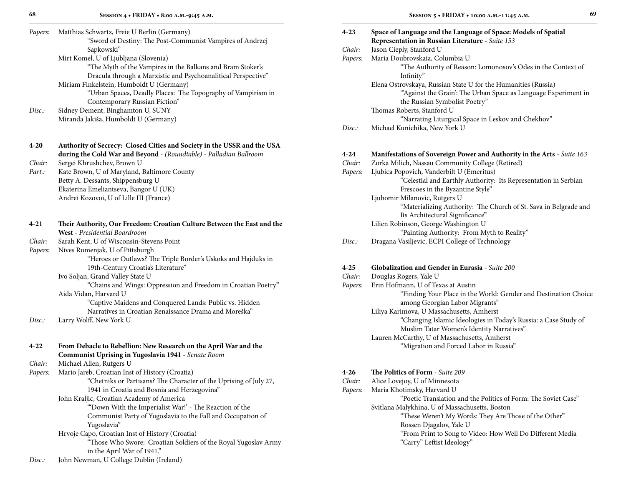| Papers:  | Matthias Schwartz, Freie U Berlin (Germany)<br>"Sword of Destiny: The Post-Communist Vampires of Andrzej |
|----------|----------------------------------------------------------------------------------------------------------|
|          | Sapkowski"                                                                                               |
|          | Mirt Komel, U of Ljubljana (Slovenia)                                                                    |
|          | "The Myth of the Vampires in the Balkans and Bram Stoker's                                               |
|          | Dracula through a Marxistic and Psychoanalitical Perspective"                                            |
|          | Miriam Finkelstein, Humboldt U (Germany)                                                                 |
|          | "Urban Spaces, Deadly Places: The Topography of Vampirism in                                             |
|          | Contemporary Russian Fiction"                                                                            |
| Disc.    | Sidney Dement, Binghamton U, SUNY                                                                        |
|          | Miranda Jakiša, Humboldt U (Germany)                                                                     |
| $4 - 20$ | Authority of Secrecy: Closed Cities and Society in the USSR and the USA                                  |
|          | during the Cold War and Beyond - (Roundtable) - Palladian Ballroom                                       |
| Chair:   | Sergei Khrushchev, Brown U                                                                               |
| Part.:   | Kate Brown, U of Maryland, Baltimore County                                                              |
|          | Betty A. Dessants, Shippensburg U                                                                        |
|          | Ekaterina Emeliantseva, Bangor U (UK)                                                                    |
|          | Andrei Kozovoi, U of Lille III (France)                                                                  |
| $4 - 21$ | Their Authority, Our Freedom: Croatian Culture Between the East and the                                  |
|          | West - Presidential Boardroom                                                                            |
| Chair:   | Sarah Kent, U of Wisconsin-Stevens Point                                                                 |
| Papers:  | Nives Rumenjak, U of Pittsburgh                                                                          |
|          | "Heroes or Outlaws? The Triple Border's Uskoks and Hajduks in                                            |
|          | 19th-Century Croatia's Literature"                                                                       |
|          | Ivo Soljan, Grand Valley State U                                                                         |
|          | "Chains and Wings: Oppression and Freedom in Croatian Poetry"                                            |
|          | Aida Vidan, Harvard U                                                                                    |
|          | "Captive Maidens and Conquered Lands: Public vs. Hidden                                                  |
|          | Narratives in Croatian Renaissance Drama and Moreška"                                                    |
| Disc:    | Larry Wolff, New York U                                                                                  |
|          |                                                                                                          |
| $4 - 22$ | From Debacle to Rebellion: New Research on the April War and the                                         |
|          | Communist Uprising in Yugoslavia 1941 - Senate Room                                                      |
| Chair:   | Michael Allen, Rutgers U                                                                                 |
| Papers:  | Mario Jareb, Croatian Inst of History (Croatia)                                                          |
|          | "Chetniks or Partisans? The Character of the Uprising of July 27,                                        |
|          | 1941 in Croatia and Bosnia and Herzegovina"                                                              |
|          | John Kraljic, Croatian Academy of America                                                                |
|          | "Down With the Imperialist War!' - The Reaction of the                                                   |
|          | Communist Party of Yugoslavia to the Fall and Occupation of                                              |
|          | Yugoslavia"                                                                                              |
|          | Hrvoje Capo, Croatian Inst of History (Croatia)                                                          |
|          | "Those Who Swore: Croatian Soldiers of the Royal Yugoslav Army                                           |
|          | in the April War of 1941."                                                                               |

*Disc.:* John Newman, U College Dublin (Ireland)

|        | ٠.           |
|--------|--------------|
|        |              |
|        | i            |
|        |              |
| I<br>٧ | ۰.<br>٠<br>٠ |
|        |              |

| $4 - 23$ | Space of Language and the Language of Space: Models of Spatial<br>Representation in Russian Literature - Suite 153                                                |
|----------|-------------------------------------------------------------------------------------------------------------------------------------------------------------------|
| Chair:   | Jason Cieply, Stanford U                                                                                                                                          |
| Papers:  | Maria Doubrovskaia, Columbia U                                                                                                                                    |
|          | "The Authority of Reason: Lomonosov's Odes in the Context of<br>Infinity"                                                                                         |
|          | Elena Ostrovskaya, Russian State U for the Humanities (Russia)<br>"Against the Grain': The Urban Space as Language Experiment in<br>the Russian Symbolist Poetry" |
|          | Thomas Roberts, Stanford U                                                                                                                                        |
|          | "Narrating Liturgical Space in Leskov and Chekhov"                                                                                                                |
| Disc.    | Michael Kunichika, New York U                                                                                                                                     |
|          |                                                                                                                                                                   |
| $4 - 24$ | Manifestations of Sovereign Power and Authority in the Arts - Suite 163                                                                                           |
| Chair:   | Zorka Milich, Nassau Community College (Retired)                                                                                                                  |
| Papers:  | Ljubica Popovich, Vanderbilt U (Emeritus)                                                                                                                         |
|          | "Celestial and Earthly Authority: Its Representation in Serbian<br>Frescoes in the Byzantine Style"                                                               |
|          | Ljubomir Milanovic, Rutgers U                                                                                                                                     |
|          | "Materializing Authority: The Church of St. Sava in Belgrade and<br>Its Architectural Significance"                                                               |
|          | Lilien Robinson, George Washington U                                                                                                                              |
|          | "Painting Authority: From Myth to Reality"                                                                                                                        |
| Disc.    | Dragana Vasiljevic, ECPI College of Technology                                                                                                                    |
|          |                                                                                                                                                                   |
| $4 - 25$ | Globalization and Gender in Eurasia - Suite 200                                                                                                                   |
| Chair:   | Douglas Rogers, Yale U                                                                                                                                            |
| Papers:  | Erin Hofmann, U of Texas at Austin                                                                                                                                |
|          | "Finding Your Place in the World: Gender and Destination Choice<br>among Georgian Labor Migrants"                                                                 |
|          | Liliya Karimova, U Massachusetts, Amherst                                                                                                                         |
|          | "Changing Islamic Ideologies in Today's Russia: a Case Study of                                                                                                   |

Muslim Tatar Women's Identity Narratives"

"Poetic Translation and the Politics of Form: The Soviet Case"

"From Print to Song to Video: How Well Do Different Media

"These Weren't My Words: They Are Those of the Other"

"Migration and Forced Labor in Russia"

Lauren McCarthy, U of Massachusetts, Amherst

Svitlana Malykhina, U of Massachusetts, Boston

Rossen Djagalov, Yale U

"Carry" Leftist Ideology"

**4**-**26 The Politics of Form** - *Suite 209 Chair:* Alice Lovejoy, U of Minnesota *Papers:* Maria Khotimsky, Harvard U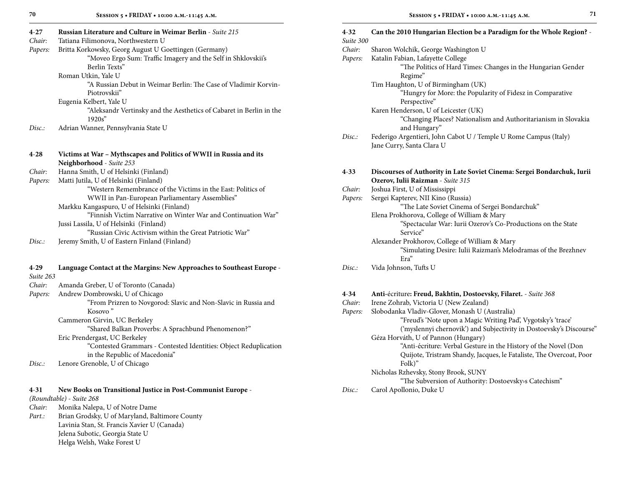| $4 - 27$  | Russian Literature and Culture in Weimar Berlin - Suite 215                                       | $4 - 32$  | Can the 2010 Hungarian Election be a Paradigm for the Whole Region? -                                                    |
|-----------|---------------------------------------------------------------------------------------------------|-----------|--------------------------------------------------------------------------------------------------------------------------|
| Chair:    | Tatiana Filimonova, Northwestern U                                                                | Suite 300 |                                                                                                                          |
| Papers:   | Britta Korkowsky, Georg August U Goettingen (Germany)                                             | Chair:    | Sharon Wolchik, George Washington U                                                                                      |
|           | "Moveo Ergo Sum: Traffic Imagery and the Self in Shklovskii's<br>Berlin Texts"                    | Papers:   | Katalin Fabian, Lafayette College                                                                                        |
|           | Roman Utkin, Yale U                                                                               |           | "The Politics of Hard Times: Changes in the Hungarian Gender<br>Regime"                                                  |
|           | "A Russian Debut in Weimar Berlin: The Case of Vladimir Korvin-                                   |           | Tim Haughton, U of Birmingham (UK)                                                                                       |
|           | Piotrovskii"                                                                                      |           | "Hungry for More: the Popularity of Fidesz in Comparative                                                                |
|           | Eugenia Kelbert, Yale U                                                                           |           | Perspective"                                                                                                             |
|           | "Aleksandr Vertinsky and the Aesthetics of Cabaret in Berlin in the                               |           | Karen Henderson, U of Leicester (UK)                                                                                     |
| Disc.     | 1920s''<br>Adrian Wanner, Pennsylvania State U                                                    |           | "Changing Places? Nationalism and Authoritarianism in Slovakia<br>and Hungary"                                           |
|           |                                                                                                   | Disc:     | Federigo Argentieri, John Cabot U / Temple U Rome Campus (Italy)<br>Jane Curry, Santa Clara U                            |
| $4 - 28$  | Victims at War - Mythscapes and Politics of WWII in Russia and its                                |           |                                                                                                                          |
|           | Neighborhood - Suite 253                                                                          |           |                                                                                                                          |
| Chair:    | Hanna Smith, U of Helsinki (Finland)                                                              | $4 - 33$  | Discourses of Authority in Late Soviet Cinema: Sergei Bondarchuk, Iurii                                                  |
| Papers:   | Matti Jutila, U of Helsinki (Finland)                                                             |           | Ozerov, Iulii Raizman - Suite 315                                                                                        |
|           | "Western Remembrance of the Victims in the East: Politics of                                      | Chair:    | Joshua First, U of Mississippi                                                                                           |
|           | WWII in Pan-European Parliamentary Assemblies"                                                    | Papers:   | Sergei Kapterev, NII Kino (Russia)                                                                                       |
|           | Markku Kangaspuro, U of Helsinki (Finland)                                                        |           | "The Late Soviet Cinema of Sergei Bondarchuk"                                                                            |
|           | "Finnish Victim Narrative on Winter War and Continuation War"                                     |           | Elena Prokhorova, College of William & Mary                                                                              |
|           | Jussi Lassila, U of Helsinki (Finland)                                                            |           | "Spectacular War: Iurii Ozerov's Co-Productions on the State                                                             |
|           | "Russian Civic Activism within the Great Patriotic War"                                           |           | Service"                                                                                                                 |
| Disc.     | Jeremy Smith, U of Eastern Finland (Finland)                                                      |           | Alexander Prokhorov, College of William & Mary<br>"Simulating Desire: Iulii Raizman's Melodramas of the Brezhnev<br>Era" |
| $4 - 29$  | Language Contact at the Margins: New Approaches to Southeast Europe -                             | Disc:     | Vida Johnson, Tufts U                                                                                                    |
| Suite 263 |                                                                                                   |           |                                                                                                                          |
| Chair:    | Amanda Greber, U of Toronto (Canada)                                                              |           |                                                                                                                          |
| Papers:   | Andrew Dombrowski, U of Chicago                                                                   | $4 - 34$  | Anti-écriture: Freud, Bakhtin, Dostoevsky, Filaret. - Suite 368                                                          |
|           | "From Prizren to Novgorod: Slavic and Non-Slavic in Russia and                                    | Chair:    | Irene Zohrab, Victoria U (New Zealand)                                                                                   |
|           | Kosovo"                                                                                           | Papers:   | Slobodanka Vladiv-Glover, Monash U (Australia)                                                                           |
|           | Cammeron Girvin, UC Berkeley                                                                      |           | "Freud's 'Note upon a Magic Writing Pad', Vygotsky's 'trace'                                                             |
|           | "Shared Balkan Proverbs: A Sprachbund Phenomenon?"                                                |           | ('myslennyi chernovik') and Subjectivity in Dostoevsky's Discourse                                                       |
|           | Eric Prendergast, UC Berkeley<br>"Contested Grammars - Contested Identities: Object Reduplication |           | Géza Horváth, U of Pannon (Hungary)<br>"Anti-écriture: Verbal Gesture in the History of the Novel (Don                   |
|           | in the Republic of Macedonia"                                                                     |           | Quijote, Tristram Shandy, Jacques, le Fataliste, The Overcoat, Poor                                                      |
| Disc.     | Lenore Grenoble, U of Chicago                                                                     |           | Folk)"                                                                                                                   |
|           |                                                                                                   |           | Nicholas Rzhevsky, Stony Brook, SUNY                                                                                     |
|           |                                                                                                   |           | "The Subversion of Authority: Dostoevsky>s Catechism"                                                                    |
| $4 - 31$  | New Books on Transitional Justice in Post-Communist Europe -                                      | Disc.     | Carol Apollonio, Duke U                                                                                                  |
|           | (Roundtable) - Suite 268                                                                          |           |                                                                                                                          |

*Chair:* Monika Nalepa, U of Notre Dame *Part.:* Brian Grodsky, U of Maryland, Bal

Jelena Subotic, Georgia State U Helga Welsh, Wake Forest U

Brian Grodsky, U of Maryland, Baltimore County Lavinia Stan, St. Francis Xavier U (Canada)

| Chair:   | Sharon Wolchik, George Washington U                                                                                      |  |  |  |
|----------|--------------------------------------------------------------------------------------------------------------------------|--|--|--|
| Papers:  | Katalin Fabian, Lafayette College                                                                                        |  |  |  |
|          | "The Politics of Hard Times: Changes in the Hungarian Gender                                                             |  |  |  |
|          | Regime"                                                                                                                  |  |  |  |
|          | Tim Haughton, U of Birmingham (UK)                                                                                       |  |  |  |
|          | "Hungry for More: the Popularity of Fidesz in Comparative<br>Perspective"                                                |  |  |  |
|          |                                                                                                                          |  |  |  |
|          | Karen Henderson, U of Leicester (UK)<br>"Changing Places? Nationalism and Authoritarianism in Slovakia                   |  |  |  |
|          | and Hungary"                                                                                                             |  |  |  |
| Disc.    | Federigo Argentieri, John Cabot U / Temple U Rome Campus (Italy)                                                         |  |  |  |
|          | Jane Curry, Santa Clara U                                                                                                |  |  |  |
|          |                                                                                                                          |  |  |  |
|          | $4 - 33$<br>Discourses of Authority in Late Soviet Cinema: Sergei Bondarchuk, Iurii<br>Ozerov, Iulii Raizman - Suite 315 |  |  |  |
| Chair:   | Joshua First, U of Mississippi                                                                                           |  |  |  |
| Papers:  | Sergei Kapterev, NII Kino (Russia)                                                                                       |  |  |  |
|          | "The Late Soviet Cinema of Sergei Bondarchuk"                                                                            |  |  |  |
|          | Elena Prokhorova, College of William & Mary                                                                              |  |  |  |
|          | "Spectacular War: Iurii Ozerov's Co-Productions on the State                                                             |  |  |  |
|          | Service"                                                                                                                 |  |  |  |
|          | Alexander Prokhorov, College of William & Mary                                                                           |  |  |  |
|          | "Simulating Desire: Iulii Raizman's Melodramas of the Brezhnev                                                           |  |  |  |
|          | Era"                                                                                                                     |  |  |  |
| Disc.    | Vida Johnson, Tufts U                                                                                                    |  |  |  |
| $4 - 34$ | Anti-écriture: Freud, Bakhtin, Dostoevsky, Filaret. - Suite 368                                                          |  |  |  |
| Chair:   | Irene Zohrab, Victoria U (New Zealand)                                                                                   |  |  |  |
| Papers:  | Slobodanka Vladiv-Glover, Monash U (Australia)                                                                           |  |  |  |
|          | "Freud's 'Note upon a Magic Writing Pad', Vygotsky's 'trace'                                                             |  |  |  |
|          | ('myslennyi chernovik') and Subjectivity in Dostoevsky's Discourse"                                                      |  |  |  |
|          | Géza Horváth, U of Pannon (Hungary)                                                                                      |  |  |  |
|          | "Anti-écriture: Verbal Gesture in the History of the Novel (Don                                                          |  |  |  |
|          | Quijote, Tristram Shandy, Jacques, le Fataliste, The Overcoat, Poor                                                      |  |  |  |
|          | Folk)"                                                                                                                   |  |  |  |
|          | Nicholas Rzhevsky, Stony Brook, SUNY                                                                                     |  |  |  |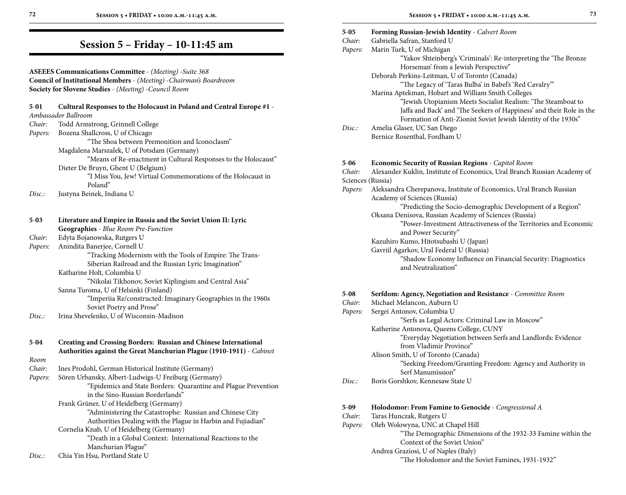## **Session 5 – Friday – 10-11:45 am**

#### **ASEEES Communications Committee** - *(Meeting)* -*Suite 368* **Council of Institutional Members** - *(Meeting)* -*Chairman's Boardroom* **Society for Slovene Studies** - *(Meeting)* -*Council Room*

| $5-01$  | Cultural Responses to the Holocaust in Poland and Central Europe #1 -<br>Ambassador Ballroom |
|---------|----------------------------------------------------------------------------------------------|
| Chair:  | Todd Armstrong, Grinnell College                                                             |
| Papers: | Bozena Shallcross, U of Chicago                                                              |
|         | "The Shoa between Premonition and Iconoclasm"                                                |
|         | Magdalena Marszalek, U of Potsdam (Germany)                                                  |
|         | "Means of Re-enactment in Cultural Responses to the Holocaust"                               |
|         | Dieter De Bruyn, Ghent U (Belgium)                                                           |
|         | "I Miss You, Jew! Virtual Commemorations of the Holocaust in                                 |
|         | Poland"                                                                                      |
| Disc.   | Justyna Beinek, Indiana U                                                                    |
|         |                                                                                              |
|         |                                                                                              |
| $5-03$  | Literature and Empire in Russia and the Soviet Union II: Lyric                               |
|         | Geographies - Blue Room Pre-Function                                                         |
| Chair:  | Edyta Bojanowska, Rutgers U                                                                  |
| Papers: | Anindita Banerjee, Cornell U                                                                 |
|         | "Tracking Modernism with the Tools of Empire: The Trans-                                     |
|         | Siberian Railroad and the Russian Lyric Imagination"                                         |
|         | Katharine Holt, Columbia U                                                                   |
|         | "Nikolai Tikhonov, Soviet Kiplingism and Central Asia"                                       |
|         | Sanna Turoma, U of Helsinki (Finland)                                                        |
|         | "Imperiia Re/constructed: Imaginary Geographies in the 1960s                                 |
|         | Soviet Poetry and Prose"                                                                     |
| Disc:   | Irina Shevelenko, U of Wisconsin-Madison                                                     |
|         |                                                                                              |
| 5-04    | Creating and Crossing Borders: Russian and Chinese International                             |
|         | Authorities against the Great Manchurian Plague (1910-1911) - Cabinet                        |
| Room    |                                                                                              |
| Chair:  | Ines Prodohl, German Historical Institute (Germany)                                          |
| Papers: | Sören Urbansky, Albert-Ludwigs-U Freiburg (Germany)                                          |
|         | "Epidemics and State Borders: Quarantine and Plague Prevention                               |
|         | in the Sino-Russian Borderlands"                                                             |
|         | Frank Grüner, U of Heidelberg (Germany)                                                      |
|         | "Administering the Catastrophe: Russian and Chinese City                                     |
|         | Authorities Dealing with the Plague in Harbin and Fujiadian"                                 |
|         | Cornelia Knab, U of Heidelberg (Germany)                                                     |
|         | "Death in a Global Context: International Reactions to the                                   |
|         | Manchurian Plague"                                                                           |

| Chia Yin Hsu, Portland State U<br>Disc. |  |
|-----------------------------------------|--|
|-----------------------------------------|--|

| 72                                                                  | SESSION 5 . FRIDAY . 10:00 A.M .- 11:45 A.M.                                                 |                    | SESSION 5 . FRIDAY . 10:00 A.M.-11:45 A.M.                                                                                            | 73 |
|---------------------------------------------------------------------|----------------------------------------------------------------------------------------------|--------------------|---------------------------------------------------------------------------------------------------------------------------------------|----|
|                                                                     | Session 5 - Friday - 10-11:45 am                                                             | $5 - 05$<br>Chair: | <b>Forming Russian-Jewish Identity - Calvert Room</b><br>Gabriella Safran, Stanford U                                                 |    |
|                                                                     |                                                                                              | Papers:            | Marin Turk, U of Michigan<br>"Yakov Shteinberg's 'Criminals': Re-interpreting the 'The Bronze<br>Horseman' from a Jewish Perspective" |    |
|                                                                     | <b>ASEEES Communications Committee - (Meeting) -Suite 368</b>                                |                    | Deborah Perkins-Leitman, U of Toronto (Canada)                                                                                        |    |
| Council of Institutional Members - (Meeting) - Chairman's Boardroom |                                                                                              |                    | "The Legacy of 'Taras Bulba' in Babel's 'Red Cavalry""                                                                                |    |
| Society for Slovene Studies - (Meeting) - Council Room              |                                                                                              |                    | Marina Aptekman, Hobart and William Smith Colleges                                                                                    |    |
| 5-01                                                                | Cultural Responses to the Holocaust in Poland and Central Europe #1 -<br>Ambassador Ballroom |                    | "Jewish Utopianism Meets Socialist Realism: 'The Steamboat to<br>Jaffa and Back' and 'The Seekers of Happiness' and their Role in the |    |
| Chair:                                                              | Todd Armstrong, Grinnell College                                                             |                    | Formation of Anti-Zionist Soviet Jewish Identity of the 1930s"                                                                        |    |
| Papers:                                                             | Bozena Shallcross, U of Chicago                                                              | Disc.:             | Amelia Glaser, UC San Diego                                                                                                           |    |
|                                                                     | "The Shoa between Premonition and Iconoclasm"                                                |                    | Bernice Rosenthal, Fordham U                                                                                                          |    |
|                                                                     | Magdalena Marszalek, U of Potsdam (Germany)                                                  |                    |                                                                                                                                       |    |
|                                                                     | "Means of Re-enactment in Cultural Responses to the Holocaust"                               |                    |                                                                                                                                       |    |
|                                                                     | Dieter De Bruyn, Ghent U (Belgium)                                                           | $5 - 06$           | Economic Security of Russian Regions - Capitol Room                                                                                   |    |
|                                                                     | "I Miss You, Jew! Virtual Commemorations of the Holocaust in                                 | Chair:             | Alexander Kuklin, Institute of Economics, Ural Branch Russian Academy of                                                              |    |
|                                                                     | Poland"                                                                                      |                    | Sciences (Russia)                                                                                                                     |    |
|                                                                     |                                                                                              | Papers:            | Aleksandra Cherepanova, Institute of Economics, Ural Branch Russian                                                                   |    |
| Disc.:                                                              | Justyna Beinek, Indiana U                                                                    |                    | Academy of Sciences (Russia)                                                                                                          |    |
|                                                                     |                                                                                              |                    | "Predicting the Socio-demographic Development of a Region"                                                                            |    |
|                                                                     |                                                                                              |                    | Oksana Denisova, Russian Academy of Sciences (Russia)                                                                                 |    |
| $5-03$                                                              | Literature and Empire in Russia and the Soviet Union II: Lyric                               |                    | "Power-Investment Attractiveness of the Territories and Economic                                                                      |    |
|                                                                     | Geographies - Blue Room Pre-Function                                                         |                    | and Power Security"                                                                                                                   |    |
| Chair:                                                              | Edyta Bojanowska, Rutgers U                                                                  |                    | Kazuhiro Kumo, Hitotsubashi U (Japan)                                                                                                 |    |
| Papers:                                                             | Anindita Banerjee, Cornell U                                                                 |                    | Gavriil Agarkov, Ural Federal U (Russia)                                                                                              |    |
|                                                                     | "Tracking Modernism with the Tools of Empire: The Trans-                                     |                    | "Shadow Economy Influence on Financial Security: Diagnostics                                                                          |    |
|                                                                     | Siberian Railroad and the Russian Lyric Imagination"                                         |                    | and Neutralization"                                                                                                                   |    |
|                                                                     | Katharine Holt, Columbia U                                                                   |                    |                                                                                                                                       |    |
|                                                                     | "Nikolai Tikhonov, Soviet Kiplingism and Central Asia"                                       |                    |                                                                                                                                       |    |
|                                                                     | Sanna Turoma, U of Helsinki (Finland)                                                        | $5 - 08$           | Serfdom: Agency, Negotiation and Resistance - Committee Room                                                                          |    |
|                                                                     | "Imperiia Re/constructed: Imaginary Geographies in the 1960s                                 | Chair:             | Michael Melancon, Auburn U                                                                                                            |    |
|                                                                     | Soviet Poetry and Prose"                                                                     | Papers:            | Sergei Antonov, Columbia U                                                                                                            |    |
| Disc.:                                                              | Irina Shevelenko, U of Wisconsin-Madison                                                     |                    | "Serfs as Legal Actors: Criminal Law in Moscow"                                                                                       |    |
|                                                                     |                                                                                              |                    | Katherine Antonova, Queens College, CUNY                                                                                              |    |
|                                                                     |                                                                                              |                    | "Everyday Negotiation between Serfs and Landlords: Evidence                                                                           |    |
| 5-04                                                                | Creating and Crossing Borders: Russian and Chinese International                             |                    | from Vladimir Province"                                                                                                               |    |
|                                                                     | Authorities against the Great Manchurian Plague (1910-1911) - Cabinet                        |                    | Alison Smith, U of Toronto (Canada)                                                                                                   |    |
| Room                                                                |                                                                                              |                    |                                                                                                                                       |    |
| Chair:                                                              | Ines Prodohl, German Historical Institute (Germany)                                          |                    | "Seeking Freedom/Granting Freedom: Agency and Authority in                                                                            |    |
| Papers:                                                             | Sören Urbansky, Albert-Ludwigs-U Freiburg (Germany)                                          |                    | Serf Manumission"                                                                                                                     |    |
|                                                                     | "Epidemics and State Borders: Quarantine and Plague Prevention                               | Disc.              | Boris Gorshkov, Kennesaw State U                                                                                                      |    |
|                                                                     | in the Sino-Russian Borderlands"                                                             |                    |                                                                                                                                       |    |
|                                                                     | Frank Grüner, U of Heidelberg (Germany)                                                      |                    |                                                                                                                                       |    |
|                                                                     | "A districtoring the Categorian Discover and Chinese City                                    | $5-09$             | <b>Holodomor: From Famine to Genocide</b> - Congressional A                                                                           |    |

*Chair:* Taras Hunczak, Rutgers U<br>*Papers:* Oleh Wolowyna, UNC at C *Papers:* Oleh Wolowyna, UNC at Chapel Hill "The Demographic Dimensions of the 1932-33 Famine within the Context of the Soviet Union" Andrea Graziosi, U of Naples (Italy) "The Holodomor and the Soviet Famines, 1931-1932"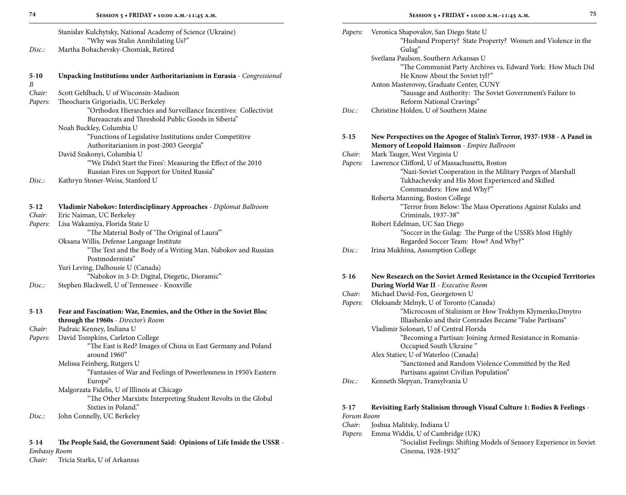| <b>SESSION</b> |
|----------------|
|                |

| Stanislav Kulchytsky, National Academy of Science (Ukraine) |  |
|-------------------------------------------------------------|--|
| "Why was Stalin Annihilating Us?"                           |  |

| Disc. | Martha Bohachevsky-Chomiak, Retired |
|-------|-------------------------------------|
|-------|-------------------------------------|

| $5-10$ | Unpacking Institutions under Authoritarianism in Eurasia - Congressional |
|--------|--------------------------------------------------------------------------|
| - B    |                                                                          |
| Chair: | Scott Gehlbach, U of Wisconsin-Madison                                   |
|        | <i>Papers:</i> Theocharis Grigoriadis, UC Berkeley                       |
|        |                                                                          |

 "Orthodox Hierarchies and Surveillance Incentives: Collectivist Bureaucrats and Threshold Public Goods in Siberia" Noah Buckley, Columbia U

 "Functions of Legislative Institutions under Competitive Authoritarianism in post-2003 Georgia"

### David Szakonyi, Columbia U

- "'We Didn't Start the Fires': Measuring the Effect of the 2010 Russian Fires on Support for United Russia"
- *Disc.:* Kathryn Stoner-Weiss, Stanford U

| $5-12$ | Vladimir Nabokov: Interdisciplinary Approaches - Diplomat Ballroom |
|--------|--------------------------------------------------------------------|
| Chair: | Eric Naiman, UC Berkeley                                           |
|        | <i>Papers:</i> Lisa Wakamiya, Florida State U                      |

| "The Material Body of 'The Original of Laura"                |
|--------------------------------------------------------------|
| Oksana Willis, Defense Language Institute                    |
| "The Text and the Body of a Writing Man. Nabokov and Russian |
| Postmodernists"                                              |
| Yuri Leving, Dalhousie U (Canada)                            |
| "Nabokov in 3-D: Digital, Diegetic, Dioramic"                |
|                                                              |

| Stephen Blackwell, U of Tennessee - Knoxville |
|-----------------------------------------------|
|                                               |

| $5 - 13$ | Fear and Fascination: War, Enemies, and the Other in the Soviet Bloc<br>through the 1960s - Director's Room |
|----------|-------------------------------------------------------------------------------------------------------------|
| Chair:   | Padraic Kenney, Indiana U                                                                                   |
| Papers:  | David Tompkins, Carleton College                                                                            |
|          | "The East is Red? Images of China in East Germany and Poland<br>around 1960"                                |
|          | Melissa Feinberg, Rutgers U                                                                                 |
|          | "Fantasies of War and Feelings of Powerlessness in 1950's Eastern<br>Europe"                                |
|          | Malgorzata Fidelis, U of Illinois at Chicago                                                                |
|          | "The Other Marxists: Interpreting Student Revolts in the Global                                             |
|          | Sixties in Poland."                                                                                         |
| Disc:    | John Connelly, UC Berkeley                                                                                  |

**5**-**14 The People Said, the Government Said: Opinions of Life Inside the USSR** - *Embassy Room Chair:* Tricia Starks, U of Arkansas

| ٦ |    |        |    |
|---|----|--------|----|
|   | ۰. | $\sim$ | ۰, |
|   |    |        |    |

| Papers: | Veronica Shapovalov, San Diego State U<br>"Husband Property? State Property? Women and Violence in the |
|---------|--------------------------------------------------------------------------------------------------------|
|         | Gulag"<br>Svetlana Paulson, Southern Arkansas U                                                        |
|         | "The Communist Party Archives vs. Edward York: How Much Did                                            |
|         | He Know About the Soviet tyl?"                                                                         |
|         | Anton Masterovoy, Graduate Center, CUNY                                                                |
|         | "Sausage and Authority: The Soviet Government's Failure to                                             |
|         | Reform National Cravings"                                                                              |
| Disc:   | Christine Holden, U of Southern Maine                                                                  |
| 5-15    | New Perspectives on the Apogee of Stalin's Terror, 1937-1938 - A Panel in                              |
|         | Memory of Leopold Haimson - Empire Ballroom                                                            |
| Chair:  | Mark Tauger, West Virginia U                                                                           |
| Papers: | Lawrence Clifford, U of Massachusetts, Boston                                                          |
|         | "Nazi-Soviet Cooperation in the Military Purges of Marshall                                            |
|         | Tukhachevsky and His Most Experienced and Skilled                                                      |
|         | Commanders: How and Why?"                                                                              |
|         | Roberta Manning, Boston College                                                                        |
|         | "Terror from Below: The Mass Operations Against Kulaks and                                             |
|         | Criminals, 1937-38"                                                                                    |
|         | Robert Edelman, UC San Diego<br>"Soccer in the Gulag: The Purge of the USSR's Most Highly              |
|         | Regarded Soccer Team: How? And Why?"                                                                   |
| Disc:   | Irina Mukhina, Assumption College                                                                      |
|         |                                                                                                        |
| $5-16$  | New Research on the Soviet Armed Resistance in the Occupied Territories                                |
|         | During World War II - Executive Room                                                                   |
| Chair:  | Michael David-Fox, Georgetown U                                                                        |
| Papers: | Oleksandr Melnyk, U of Toronto (Canada)<br>"Microcosm of Stalinism or How Trokhym Klymenko, Dmytro     |
|         | Illiashenko and their Comrades Became "False Partisans"                                                |
|         | Vladimir Solonari, U of Central Florida                                                                |
|         | "Becoming a Partisan: Joining Armed Resistance in Romania-                                             |
|         | Occupied South Ukraine"                                                                                |
|         | Alex Statiev, U of Waterloo (Canada)                                                                   |
|         | "Sanctioned and Random Violence Committed by the Red                                                   |
|         | Partisans against Civilian Population"                                                                 |
| Disc.:  | Kenneth Slepyan, Transylvania U                                                                        |
|         |                                                                                                        |

#### **5**-**17 Revisiting Early Stalinism through Visual Culture 1: Bodies & Feelings** - *Forum Room*

- *Chair:* Joshua Malitsky, Indiana U
- *Papers:* Emma Widdis, U of Cambridge (UK)
	- "Socialist Feelings: Shifting Models of Sensory Experience in Soviet Cinema, 1928-1932"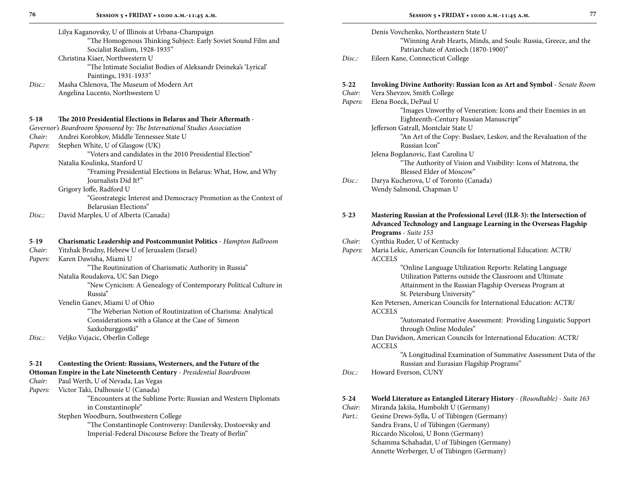|                   | Lilya Kaganovsky, U of Illinois at Urbana-Champaign<br>"The Homogenous Thinking Subject: Early Soviet Sound Film and<br>Socialist Realism, 1928-1935"       |                               | Denis Vovchenko, Northeastern State U<br>"Winning Arab Hearts, Minds, and Souls: Russia, Greece, and the<br>Patriarchate of Antioch (1870-1900)"                                                                                                                                                                               |
|-------------------|-------------------------------------------------------------------------------------------------------------------------------------------------------------|-------------------------------|--------------------------------------------------------------------------------------------------------------------------------------------------------------------------------------------------------------------------------------------------------------------------------------------------------------------------------|
|                   | Christina Kiaer, Northwestern U<br>"The Intimate Socialist Bodies of Aleksandr Deineka's 'Lyrical'<br>Paintings, 1931-1933"                                 | Disc.:                        | Eileen Kane, Connecticut College                                                                                                                                                                                                                                                                                               |
| Disc.:            | Masha Chlenova, The Museum of Modern Art<br>Angelina Lucento, Northwestern U                                                                                | $5 - 22$<br>Chair:<br>Papers: | Invoking Divine Authority: Russian Icon as Art and Symbol - Senate Room<br>Vera Shevzov, Smith College<br>Elena Boeck, DePaul U<br>"Images Unworthy of Veneration: Icons and their Enemies in an                                                                                                                               |
| $5 - 18$          | The 2010 Presidential Elections in Belarus and Their Aftermath -                                                                                            |                               | Eighteenth-Century Russian Manuscript"                                                                                                                                                                                                                                                                                         |
|                   | Governor's Boardroom Sponsored by: The International Studies Association                                                                                    |                               | Jefferson Gatrall, Montclair State U                                                                                                                                                                                                                                                                                           |
| Chair:<br>Papers: | Andrei Korobkov, Middle Tennessee State U<br>Stephen White, U of Glasgow (UK)                                                                               |                               | "An Art of the Copy: Buslaev, Leskov, and the Revaluation of the<br>Russian Icon"                                                                                                                                                                                                                                              |
|                   | "Voters and candidates in the 2010 Presidential Election"<br>Natalia Koulinka, Stanford U<br>"Framing Presidential Elections in Belarus: What, How, and Why |                               | Jelena Bogdanovic, East Carolina U<br>"The Authority of Vision and Visibility: Icons of Matrona, the<br>Blessed Elder of Moscow"                                                                                                                                                                                               |
|                   | Journalists Did It?"                                                                                                                                        | Disc.:                        | Darya Kucherova, U of Toronto (Canada)                                                                                                                                                                                                                                                                                         |
|                   | Grigory Ioffe, Radford U<br>"Geostrategic Interest and Democracy Promotion as the Context of<br>Belarusian Elections"                                       |                               | Wendy Salmond, Chapman U                                                                                                                                                                                                                                                                                                       |
| Disc.             | David Marples, U of Alberta (Canada)                                                                                                                        | $5 - 23$                      | Mastering Russian at the Professional Level (ILR-3): the Intersection of<br>Advanced Technology and Language Learning in the Overseas Flagship<br>Programs - Suite 153                                                                                                                                                         |
| $5-19$            | Charismatic Leadership and Postcommunist Politics - Hampton Ballroom                                                                                        | Chair:                        | Cynthia Ruder, U of Kentucky                                                                                                                                                                                                                                                                                                   |
| Chair:<br>Papers: | Yitzhak Brudny, Hebrew U of Jerusalem (Israel)<br>Karen Dawisha, Miami U                                                                                    | Papers:                       | Maria Lekic, American Councils for International Education: ACTR/<br><b>ACCELS</b>                                                                                                                                                                                                                                             |
|                   | "The Routinization of Charismatic Authority in Russia"                                                                                                      |                               | "Online Language Utilization Reports: Relating Language                                                                                                                                                                                                                                                                        |
|                   | Natalia Roudakova, UC San Diego<br>"New Cynicism: A Genealogy of Contemporary Political Culture in<br>Russia"                                               |                               | Utilization Patterns outside the Classroom and Ultimate<br>Attainment in the Russian Flagship Overseas Program at<br>St. Petersburg University"                                                                                                                                                                                |
|                   | Venelin Ganev, Miami U of Ohio<br>"The Weberian Notion of Routinization of Charisma: Analytical                                                             |                               | Ken Petersen, American Councils for International Education: ACTR/<br><b>ACCELS</b>                                                                                                                                                                                                                                            |
|                   | Considerations with a Glance at the Case of Simeon<br>Saxkoburggostki"                                                                                      |                               | "Automated Formative Assessment: Providing Linguistic Support<br>through Online Modules"                                                                                                                                                                                                                                       |
| Disc.             | Veljko Vujacic, Oberlin College                                                                                                                             |                               | Dan Davidson, American Councils for International Education: ACTR/<br><b>ACCELS</b>                                                                                                                                                                                                                                            |
| $5 - 21$          | Contesting the Orient: Russians, Westerners, and the Future of the                                                                                          |                               | "A Longitudinal Examination of Summative Assessment Data of the<br>Russian and Eurasian Flagship Programs"                                                                                                                                                                                                                     |
|                   | Ottoman Empire in the Late Nineteenth Century - Presidential Boardroom                                                                                      | Disc.:                        | Howard Everson, CUNY                                                                                                                                                                                                                                                                                                           |
| Chair:<br>Papers: | Paul Werth, U of Nevada, Las Vegas<br>Victor Taki, Dalhousie U (Canada)                                                                                     |                               |                                                                                                                                                                                                                                                                                                                                |
|                   | $\kappa_{\rm P}$ (della $\kappa_{\rm P}$ and $\kappa_{\rm P}$ and $\kappa_{\rm P}$ and $\kappa_{\rm P}$ and $\kappa_{\rm P}$ and $\kappa_{\rm P}$           |                               | $\mathbf{W}$ 11 $\mathbf{V}$ $\mathbf{V}$ $\mathbf{V}$ $\mathbf{V}$ $\mathbf{V}$ $\mathbf{V}$ $\mathbf{V}$ $\mathbf{V}$ $\mathbf{V}$ $\mathbf{V}$ $\mathbf{V}$ $\mathbf{V}$ $\mathbf{V}$ $\mathbf{V}$ $\mathbf{V}$ $\mathbf{V}$ $\mathbf{V}$ $\mathbf{V}$ $\mathbf{V}$ $\mathbf{V}$ $\mathbf{V}$ $\mathbf{V}$ $\mathbf{V}$ $\$ |

### **5**-**24 World Literature as Entangled Literary History** - *(Roundtable)* - *Suite 163*

**Session 5 • FRIDAY • 10:00 a.m.-11:45 a.m.**

| Chair: | Miranda Jakiša, Humboldt U (Germany)        |
|--------|---------------------------------------------|
| Part.: | Gesine Drews-Sylla, U of Tübingen (Germany) |
|        | Sandra Evans, U of Tübingen (Germany)       |
|        | Riccardo Nicolosi, U Bonn (Germany)         |
|        | Schamma Schahadat, U of Tübingen (Germany)  |
|        | Annette Werberger, U of Tübingen (Germany)  |
|        |                                             |

| ŗη<br>y Soviet Sound Film and |  |
|-------------------------------|--|
|                               |  |

 "Encounters at the Sublime Porte: Russian and Western Diplomats in Constantinople"

Stephen Woodburn, Southwestern College

 "The Constantinople Controversy: Danilevsky, Dostoevsky and Imperial-Federal Discourse Before the Treaty of Berlin"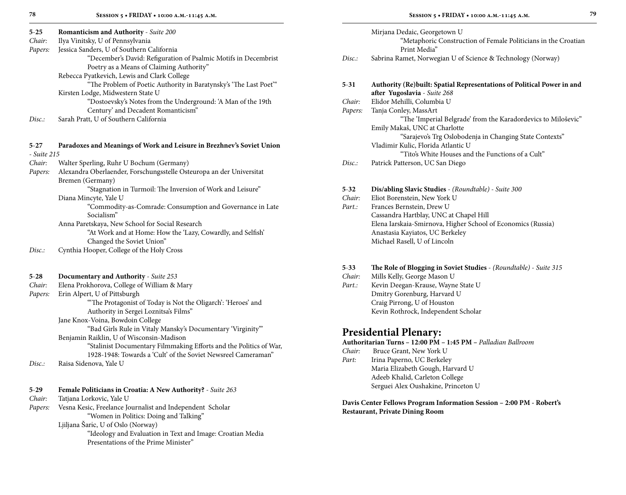*Chair:* Ilya Vinitsky, U of Pennsylvania

*Papers:* Jessica Sanders, U of Southern California

| "December's David: Refiguration of Psalmic Motifs in Decembrist |
|-----------------------------------------------------------------|
| Poetry as a Means of Claiming Authority"                        |

Rebecca Pyatkevich, Lewis and Clark College

"The Problem of Poetic Authority in Baratynsky's 'The Last Poet'"

Kirsten Lodge, Midwestern State U

 "Dostoevsky's Notes from the Underground: 'A Man of the 19th Century' and Decadent Romanticism"

*Disc.:* Sarah Pratt, U of Southern California

#### **5**-**27 Paradoxes and Meanings of Work and Leisure in Brezhnev's Soviet Union** - *Suite 215*

- *Chair:* Walter Sperling, Ruhr U Bochum (Germany)
- *Papers:* Alexandra Oberlaender, Forschungsstelle Osteuropa an der Universitat Bremen (Germany)

"Stagnation in Turmoil: The Inversion of Work and Leisure"

Diana Mincyte, Yale U

 "Commodity-as-Comrade: Consumption and Governance in Late Socialism"

Anna Paretskaya, New School for Social Research

 "At Work and at Home: How the 'Lazy, Cowardly, and Selfish' Changed the Soviet Union"

- *Disc.:* Cynthia Hooper, College of the Holy Cross
- **5**-**28 Documentary and Authority** *Suite 253*
- *Chair:* Elena Prokhorova, College of William & Mary

*Papers:* Erin Alpert, U of Pittsburgh

"'The Protagonist of Today is Not the Oligarch': 'Heroes' and

Authority in Sergei Loznitsa's Films"

Jane Knox-Voina, Bowdoin College

"Bad Girls Rule in Vitaly Mansky's Documentary 'Virginity'"

Benjamin Raiklin, U of Wisconsin-Madison

"Stalinist Documentary Filmmaking Efforts and the Politics of War,

1928-1948: Towards a 'Cult' of the Soviet Newsreel Cameraman"

*Disc.:* Raisa Sidenova, Yale U

- **5**-**29 Female Politicians in Croatia: A New Authority?** *Suite 263*
- *Chair:* Tatjana Lorkovic, Yale U
- *Papers:* Vesna Kesic, Freelance Journalist and Independent Scholar "Women in Politics: Doing and Talking"

Ljiljana Šaric, U of Oslo (Norway)

 "Ideology and Evaluation in Text and Image: Croatian Media Presentations of the Prime Minister"

| ٦<br>I | ٠. |
|--------|----|
|        |    |
|        |    |
| ť,     | ۰. |
|        | ٠  |
| ۰      | ٠  |
|        |    |

|          | Mirjana Dedaic, Georgetown U<br>"Metaphoric Construction of Female Politicians in the Croatian<br>Print Media" |
|----------|----------------------------------------------------------------------------------------------------------------|
| Disc:    | Sabrina Ramet, Norwegian U of Science & Technology (Norway)                                                    |
|          |                                                                                                                |
| $5 - 31$ | Authority (Re) built: Spatial Representations of Political Power in and                                        |
|          | after Yugoslavia - Suite 268                                                                                   |
| Chair:   | Elidor Mehilli, Columbia U                                                                                     |
| Papers:  | Tanja Conley, MassArt                                                                                          |
|          | "The 'Imperial Belgrade' from the Karadordevics to Miloševic"                                                  |
|          | Emily Makaš, UNC at Charlotte                                                                                  |
|          | "Sarajevo's Trg Oslobodenja in Changing State Contexts"                                                        |
|          | Vladimir Kulic, Florida Atlantic U                                                                             |
|          | "Tito's White Houses and the Functions of a Cult"                                                              |
| Disc.    | Patrick Patterson, UC San Diego                                                                                |

## **5**-**32 Dis/abling Slavic Studies** - *(Roundtable)* - *Suite 300*

- *Chair:* Eliot Borenstein, New York U
- Part.: Frances Bernstein, Drew U Cassandra Hartblay, UNC at Chapel Hill Elena Iarskaia-Smirnova, Higher School of Economics (Russia) Anastasia Kayiatos, UC Berkeley Michael Rasell, U of Lincoln

### **5**-**33 The Role of Blogging in Soviet Studies** - *(Roundtable)* - *Suite 315*

- *Chair:* Mills Kelly, George Mason U
- Part.: Kevin Deegan-Krause, Wayne State U Dmitry Gorenburg, Harvard U Craig Pirrong, U of Houston Kevin Rothrock, Independent Scholar

### **Presidential Plenary:**

### **Authoritarian Turns – 12:00 PM – 1:45 PM –** *Palladian Ballroom*

- *Chair:* Bruce Grant, New York U
- *Part:* Irina Paperno, UC Berkeley Maria Elizabeth Gough, Harvard U Adeeb Khalid, Carleton College Serguei Alex Oushakine, Princeton U

**Davis Center Fellows Program Information Session – 2:00 PM - Robert's Restaurant, Private Dining Room**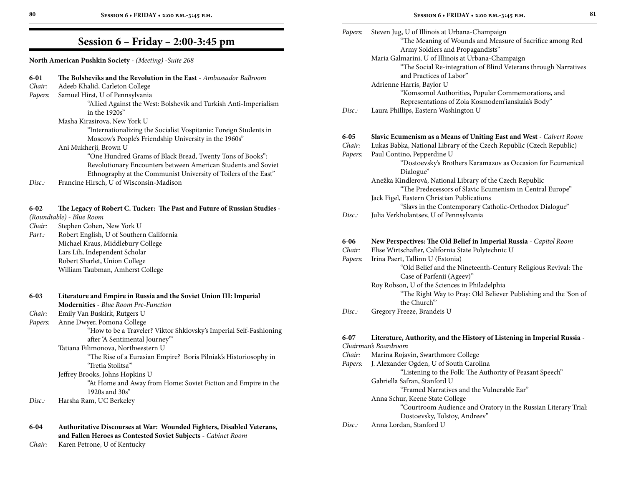### **Session 6 – Friday – 2:00-3:45 pm**

**North American Pushkin Society** - *(Meeting)* -*Suite 268*

| $6 - 01$ | The Bolsheviks and the Revolution in the East - Ambassador Ballroom                                                        |                         |
|----------|----------------------------------------------------------------------------------------------------------------------------|-------------------------|
| Chair:   | Adeeb Khalid, Carleton College                                                                                             |                         |
| Papers:  | Samuel Hirst, U of Pennsylvania                                                                                            |                         |
|          | "Allied Against the West: Bolshevik and Turkish Anti-Imperialism                                                           | I                       |
|          | in the 1920s"                                                                                                              |                         |
|          | Masha Kirasirova, New York U                                                                                               |                         |
|          | "Internationalizing the Socialist Vospitanie: Foreign Students in<br>Moscow's People's Friendship University in the 1960s" | 6                       |
|          | Ani Mukherji, Brown U                                                                                                      | C                       |
|          | "One Hundred Grams of Black Bread, Twenty Tons of Books":                                                                  | F                       |
|          | Revolutionary Encounters between American Students and Soviet                                                              |                         |
|          | Ethnography at the Communist University of Toilers of the East"                                                            |                         |
| Disc.:   | Francine Hirsch, U of Wisconsin-Madison                                                                                    |                         |
| $6 - 02$ | The Legacy of Robert C. Tucker: The Past and Future of Russian Studies -                                                   |                         |
|          | (Roundtable) - Blue Room                                                                                                   | I                       |
| Chair:   | Stephen Cohen, New York U                                                                                                  |                         |
| Part.:   | Robert English, U of Southern California                                                                                   |                         |
|          | Michael Kraus, Middlebury College                                                                                          | 6                       |
|          | Lars Lih, Independent Scholar                                                                                              | C                       |
|          | Robert Sharlet, Union College                                                                                              | F                       |
|          | William Taubman, Amherst College                                                                                           |                         |
| $6 - 03$ | Literature and Empire in Russia and the Soviet Union III: Imperial                                                         |                         |
|          | Modernities - Blue Room Pre-Function                                                                                       |                         |
| Chair:   | Emily Van Buskirk, Rutgers U                                                                                               | I                       |
| Papers:  | Anne Dwyer, Pomona College                                                                                                 |                         |
|          | "How to be a Traveler? Viktor Shklovsky's Imperial Self-Fashioning                                                         | 6                       |
|          | after 'A Sentimental Journey"                                                                                              | $\mathcal{C}_{0}^{(n)}$ |
|          | Tatiana Filimonova, Northwestern U<br>"The Rise of a Eurasian Empire? Boris Pilniak's Historiosophy in                     | $\mathcal{C}_{0}^{(n)}$ |
|          | "Tretia Stolitsa"                                                                                                          | F                       |
|          | Jeffrey Brooks, Johns Hopkins U                                                                                            |                         |
|          | "At Home and Away from Home: Soviet Fiction and Empire in the                                                              |                         |
|          | 1920s and 30s"                                                                                                             |                         |
| Disc.:   | Harsha Ram, UC Berkeley                                                                                                    |                         |
|          |                                                                                                                            |                         |

#### **6**-**04 Authoritative Discourses at War: Wounded Fighters, Disabled Veterans, and Fallen Heroes as Contested Soviet Subjects** - *Cabinet Room*

*Chair:* Karen Petrone, U of Kentucky

| Papers:           | Steven Jug, U of Illinois at Urbana-Champaign<br>"The Meaning of Wounds and Measure of Sacrifice among Red |
|-------------------|------------------------------------------------------------------------------------------------------------|
|                   | Army Soldiers and Propagandists"                                                                           |
|                   | Maria Galmarini, U of Illinois at Urbana-Champaign                                                         |
|                   | "The Social Re-integration of Blind Veterans through Narratives                                            |
|                   | and Practices of Labor"                                                                                    |
|                   |                                                                                                            |
|                   | Adrienne Harris, Baylor U                                                                                  |
|                   | "Komsomol Authorities, Popular Commemorations, and                                                         |
|                   | Representations of Zoia Kosmodem'ianskaia's Body"                                                          |
| Disc.:            | Laura Phillips, Eastern Washington U                                                                       |
| $6 - 05$          | Slavic Ecumenism as a Means of Uniting East and West - Calvert Room                                        |
| Chair:<br>Papers: | Lukas Babka, National Library of the Czech Republic (Czech Republic)<br>Paul Contino, Pepperdine U         |
|                   | "Dostoevsky's Brothers Karamazov as Occasion for Ecumenical                                                |
|                   | Dialogue"<br>Anežka Kindlerová, National Library of the Czech Republic                                     |
|                   | "The Predecessors of Slavic Ecumenism in Central Europe"                                                   |
|                   | Jack Figel, Eastern Christian Publications                                                                 |
|                   | "Slavs in the Contemporary Catholic-Orthodox Dialogue"                                                     |
| Disc.:            | Julia Verkholantsev, U of Pennsylvania                                                                     |
| 6-06              | New Perspectives: The Old Belief in Imperial Russia - Capitol Room                                         |
| Chair:            | Elise Wirtschafter, California State Polytechnic U                                                         |
| Papers:           | Irina Paert, Tallinn U (Estonia)                                                                           |
|                   | "Old Belief and the Nineteenth-Century Religious Revival: The                                              |
|                   | Case of Parfenii (Ageev)"                                                                                  |
|                   | Roy Robson, U of the Sciences in Philadelphia                                                              |
|                   | "The Right Way to Pray: Old Believer Publishing and the 'Son of<br>the Church"                             |
| Disc.:            | Gregory Freeze, Brandeis U                                                                                 |
|                   |                                                                                                            |
| $6 - 07$          | Literature, Authority, and the History of Listening in Imperial Russia -                                   |
|                   | Chairman's Boardroom                                                                                       |
| Chair:            | Marina Rojavin, Swarthmore College                                                                         |
| Papers:           | J. Alexander Ogden, U of South Carolina                                                                    |
|                   | "Listening to the Folk: The Authority of Peasant Speech"                                                   |
|                   | Gabriella Safran, Stanford U                                                                               |
|                   | "Framed Narratives and the Vulnerable Ear"                                                                 |
|                   | Anna Schur, Keene State College                                                                            |
|                   | "Courtroom Audience and Oratory in the Russian Literary Trial:<br>Dostoevsky, Tolstoy, Andreev"            |
| Disc:             | Anna Lordan, Stanford U                                                                                    |
|                   |                                                                                                            |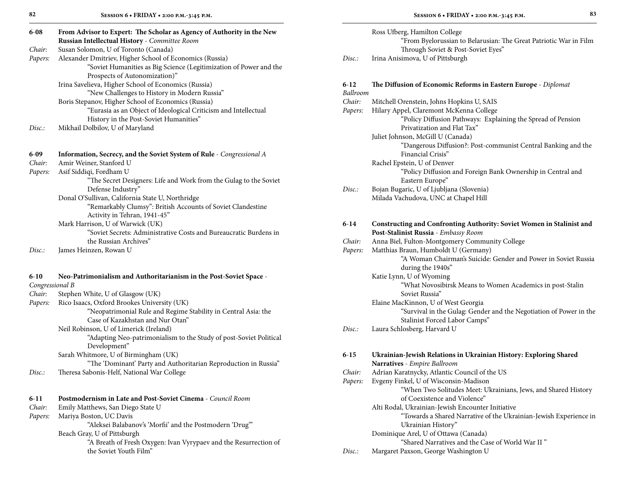| $6 - 08$        | From Advisor to Expert: The Scholar as Agency of Authority in the New<br>Russian Intellectual History - Committee Room |
|-----------------|------------------------------------------------------------------------------------------------------------------------|
| Chair:          | Susan Solomon, U of Toronto (Canada)                                                                                   |
| Papers:         | Alexander Dmitriev, Higher School of Economics (Russia)                                                                |
|                 | "Soviet Humanities as Big Science (Legitimization of Power and the                                                     |
|                 | Prospects of Autonomization)"                                                                                          |
|                 | Irina Savelieva, Higher School of Economics (Russia)                                                                   |
|                 | "New Challenges to History in Modern Russia"                                                                           |
|                 | Boris Stepanov, Higher School of Economics (Russia)                                                                    |
|                 | "Eurasia as an Object of Ideological Criticism and Intellectual                                                        |
|                 | History in the Post-Soviet Humanities"                                                                                 |
| Disc.:          | Mikhail Dolbilov, U of Maryland                                                                                        |
| $6-09$          | Information, Secrecy, and the Soviet System of Rule - Congressional A                                                  |
| Chair:          | Amir Weiner, Stanford U                                                                                                |
| Papers:         | Asif Siddiqi, Fordham U                                                                                                |
|                 | "The Secret Designers: Life and Work from the Gulag to the Soviet                                                      |
|                 | Defense Industry"                                                                                                      |
|                 | Donal O'Sullivan, California State U, Northridge                                                                       |
|                 | "Remarkably Clumsy": British Accounts of Soviet Clandestine                                                            |
|                 | Activity in Tehran, 1941-45"                                                                                           |
|                 | Mark Harrison, U of Warwick (UK)                                                                                       |
|                 | "Soviet Secrets: Administrative Costs and Bureaucratic Burdens in                                                      |
|                 | the Russian Archives"                                                                                                  |
| Disc.:          | James Heinzen, Rowan U                                                                                                 |
| $6 - 10$        | Neo-Patrimonialism and Authoritarianism in the Post-Soviet Space -                                                     |
| Congressional B |                                                                                                                        |
| Chair:          | Stephen White, U of Glasgow (UK)                                                                                       |
| Papers:         | Rico Isaacs, Oxford Brookes University (UK)                                                                            |
|                 | "Neopatrimonial Rule and Regime Stability in Central Asia: the                                                         |
|                 | Case of Kazakhstan and Nur Otan"                                                                                       |
|                 | Neil Robinson, U of Limerick (Ireland)                                                                                 |
|                 | "Adapting Neo-patrimonialism to the Study of post-Soviet Political                                                     |
|                 | Development"                                                                                                           |
|                 | Sarah Whitmore, U of Birmingham (UK)                                                                                   |
|                 | "The 'Dominant' Party and Authoritarian Reproduction in Russia"                                                        |
| Disc.:          | Theresa Sabonis-Helf, National War College                                                                             |
| $6-11$          | Postmodernism in Late and Post-Soviet Cinema - Council Room                                                            |
| Chair:          | Emily Matthews, San Diego State U                                                                                      |

|         | Development"                                                     |          |                                                                   |
|---------|------------------------------------------------------------------|----------|-------------------------------------------------------------------|
|         | Sarah Whitmore, U of Birmingham (UK)                             | $6 - 15$ | Ukrainian-Jewish Relations in Ukrainian History: Exploring Shared |
|         | "The 'Dominant' Party and Authoritarian Reproduction in Russia"  |          | Narratives - Empire Ballroom                                      |
| Disc.   | Theresa Sabonis-Helf, National War College                       | Chair:   | Adrian Karatnycky, Atlantic Council of the US                     |
|         |                                                                  | Papers:  | Evgeny Finkel, U of Wisconsin-Madison                             |
|         |                                                                  |          | "When Two Solitudes Meet: Ukrainians, Jews, and Shared History    |
| $6-11$  | Postmodernism in Late and Post-Soviet Cinema - Council Room      |          | of Coexistence and Violence"                                      |
| Chair:  | Emily Matthews, San Diego State U                                |          | Alti Rodal, Ukrainian-Jewish Encounter Initiative                 |
| Papers: | Mariya Boston, UC Davis                                          |          | "Towards a Shared Narrative of the Ukrainian-Jewish Experience in |
|         | "Aleksei Balabanov's 'Morfii' and the Postmodern 'Drug'"         |          | Ukrainian History"                                                |
|         | Beach Gray, U of Pittsburgh                                      |          | Dominique Arel, U of Ottawa (Canada)                              |
|         | "A Breath of Fresh Oxygen: Ivan Vyrypaev and the Resurrection of |          | "Shared Narratives and the Case of World War II"                  |
|         | the Soviet Youth Film"                                           | Disc.:   | Margaret Paxson, George Washington U                              |

| ٦             |        |
|---------------|--------|
| I             |        |
| I<br>.,<br>۰. | ×<br>٦ |

|        | Ross Ufberg, Hamilton College                                     |
|--------|-------------------------------------------------------------------|
|        | "From Byelorussian to Belarusian: The Great Patriotic War in Film |
|        | Through Soviet & Post-Soviet Eyes"                                |
| Disc.: | Irina Anisimova, U of Pittsburgh                                  |

#### **6**-**12 The Diffusion of Economic Reforms in Eastern Europe** - *Diplomat Ballroom*

| Ballroom |                                                                                                                      |
|----------|----------------------------------------------------------------------------------------------------------------------|
| Chair:   | Mitchell Orenstein, Johns Hopkins U, SAIS                                                                            |
| Papers:  | Hilary Appel, Claremont McKenna College                                                                              |
|          | "Policy Diffusion Pathways: Explaining the Spread of Pension                                                         |
|          | Privatization and Flat Tax"                                                                                          |
|          | Juliet Johnson, McGill U (Canada)                                                                                    |
|          | "Dangerous Diffusion?: Post-communist Central Banking and the                                                        |
|          | Financial Crisis"                                                                                                    |
|          | Rachel Epstein, U of Denver                                                                                          |
|          | "Policy Diffusion and Foreign Bank Ownership in Central and                                                          |
|          | Eastern Europe"                                                                                                      |
| Disc.:   | Bojan Bugaric, U of Ljubljana (Slovenia)                                                                             |
|          | Milada Vachudova, UNC at Chapel Hill                                                                                 |
| 6-14     |                                                                                                                      |
|          | <b>Constructing and Confronting Authority: Soviet Women in Stalinist and</b><br>Post-Stalinist Russia - Embassy Room |
| Chair:   | Anna Biel, Fulton-Montgomery Community College                                                                       |
| Papers:  | Matthias Braun, Humboldt U (Germany)                                                                                 |
|          | "A Woman Chairman's Suicide: Gender and Power in Soviet Russia                                                       |
|          | during the 1940s"                                                                                                    |
|          | Katie Lynn, U of Wyoming                                                                                             |
|          | "What Novosibirsk Means to Women Academics in post-Stalin                                                            |
|          | Soviet Russia"                                                                                                       |
|          | Elaine MacKinnon, U of West Georgia                                                                                  |
|          | "Survival in the Gulag: Gender and the Negotiation of Power in the                                                   |

Stalinist Forced Labor Camps"

*Disc.:* Laura Schlosberg, Harvard U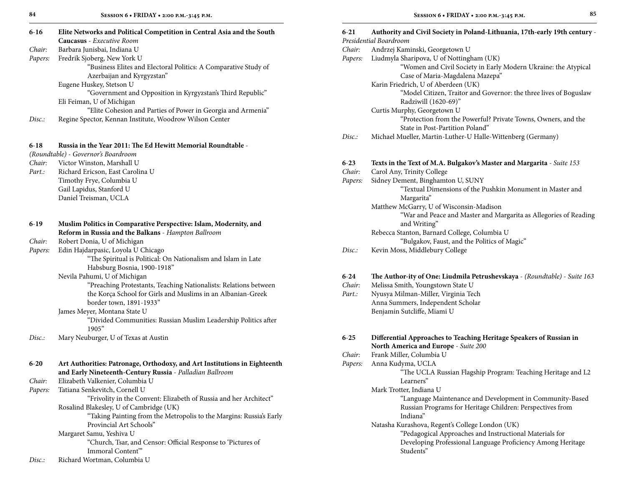| $6-16$   | Elite Networks and Political Competition in Central Asia and the South           |
|----------|----------------------------------------------------------------------------------|
|          | Caucasus - Executive Room                                                        |
| Chair:   | Barbara Junisbai, Indiana U                                                      |
| Papers:  | Fredrik Sjoberg, New York U                                                      |
|          | "Business Elites and Electoral Politics: A Comparative Study of                  |
|          | Azerbaijan and Kyrgyzstan"<br>Eugene Huskey, Stetson U                           |
|          | "Government and Opposition in Kyrgyzstan's Third Republic"                       |
|          | Eli Feiman, U of Michigan                                                        |
|          | "Elite Cohesion and Parties of Power in Georgia and Armenia"                     |
| Disc:    | Regine Spector, Kennan Institute, Woodrow Wilson Center                          |
| $6-18$   | Russia in the Year 2011: The Ed Hewitt Memorial Roundtable -                     |
|          | (Roundtable) - Governor's Boardroom                                              |
| Chair:   | Victor Winston, Marshall U                                                       |
| Part.:   | Richard Ericson, East Carolina U                                                 |
|          | Timothy Frye, Columbia U                                                         |
|          | Gail Lapidus, Stanford U                                                         |
|          | Daniel Treisman, UCLA                                                            |
| 6-19     | Muslim Politics in Comparative Perspective: Islam, Modernity, and                |
|          | Reform in Russia and the Balkans - Hampton Ballroom                              |
| Chair:   | Robert Donia, U of Michigan                                                      |
| Papers:  | Edin Hajdarpasic, Loyola U Chicago                                               |
|          | "The Spiritual is Political: On Nationalism and Islam in Late                    |
|          | Habsburg Bosnia, 1900-1918"                                                      |
|          | Nevila Pahumi, U of Michigan                                                     |
|          | "Preaching Protestants, Teaching Nationalists: Relations between                 |
|          | the Korça School for Girls and Muslims in an Albanian-Greek                      |
|          | border town, 1891-1933"                                                          |
|          | James Meyer, Montana State U                                                     |
|          | "Divided Communities: Russian Muslim Leadership Politics after                   |
|          | 1905"                                                                            |
| Disc.:   | Mary Neuburger, U of Texas at Austin                                             |
| $6 - 20$ | Art Authorities: Patronage, Orthodoxy, and Art Institutions in Eighteenth        |
|          | and Early Nineteenth-Century Russia - Palladian Ballroom                         |
| Chair:   | Elizabeth Valkenier, Columbia U                                                  |
| Papers:  | Tatiana Senkevitch, Cornell U                                                    |
|          | "Frivolity in the Convent: Elizabeth of Russia and her Architect"                |
|          | Rosalind Blakesley, U of Cambridge (UK)                                          |
|          | "Taking Painting from the Metropolis to the Margins: Russia's Early              |
|          | Provincial Art Schools"                                                          |
|          | Margaret Samu, Yeshiva U                                                         |
|          | "Church, Tsar, and Censor: Official Response to 'Pictures of<br>Immoral Content" |
|          |                                                                                  |

| Disc. | Richard Wortman, Columbia U |
|-------|-----------------------------|
|-------|-----------------------------|

| 84       | SESSION 6 . FRIDAY . 2:00 P.M.-3:45 P.M.                                                      |          | 85<br>SESSION 6 . FRIDAY . 2:00 P.M.-3:45 P.M.                                                    |
|----------|-----------------------------------------------------------------------------------------------|----------|---------------------------------------------------------------------------------------------------|
| 6-16     | Elite Networks and Political Competition in Central Asia and the South                        | $6 - 21$ | Authority and Civil Society in Poland-Lithuania, 17th-early 19th century -                        |
|          | Caucasus - Executive Room                                                                     |          | Presidential Boardroom                                                                            |
| Chair:   | Barbara Junisbai, Indiana U                                                                   | Chair:   | Andrzej Kaminski, Georgetown U                                                                    |
| Papers:  | Fredrik Sjoberg, New York U                                                                   | Papers:  | Liudmyla Sharipova, U of Nottingham (UK)                                                          |
|          | "Business Elites and Electoral Politics: A Comparative Study of<br>Azerbaijan and Kyrgyzstan" |          | "Women and Civil Society in Early Modern Ukraine: the Atypical<br>Case of Maria-Magdalena Mazepa" |
|          | Eugene Huskey, Stetson U                                                                      |          | Karin Friedrich, U of Aberdeen (UK)                                                               |
|          | "Government and Opposition in Kyrgyzstan's Third Republic"                                    |          | "Model Citizen, Traitor and Governor: the three lives of Boguslaw                                 |
|          | Eli Feiman, U of Michigan                                                                     |          | Radziwill (1620-69)"                                                                              |
|          | "Elite Cohesion and Parties of Power in Georgia and Armenia"                                  |          | Curtis Murphy, Georgetown U                                                                       |
| Disc.:   | Regine Spector, Kennan Institute, Woodrow Wilson Center                                       |          | "Protection from the Powerful? Private Towns, Owners, and the<br>State in Post-Partition Poland"  |
|          |                                                                                               | Disc.    | Michael Mueller, Martin-Luther-U Halle-Wittenberg (Germany)                                       |
| 6-18     | Russia in the Year 2011: The Ed Hewitt Memorial Roundtable -                                  |          |                                                                                                   |
|          | (Roundtable) - Governor's Boardroom                                                           |          |                                                                                                   |
| Chair:   | Victor Winston, Marshall U                                                                    | $6 - 23$ | Texts in the Text of M.A. Bulgakov's Master and Margarita - Suite 153                             |
| Part.:   | Richard Ericson, East Carolina U                                                              | Chair:   | Carol Any, Trinity College                                                                        |
|          | Timothy Frye, Columbia U                                                                      | Papers:  | Sidney Dement, Binghamton U, SUNY                                                                 |
|          | Gail Lapidus, Stanford U                                                                      |          | "Textual Dimensions of the Pushkin Monument in Master and                                         |
|          | Daniel Treisman, UCLA                                                                         |          | Margarita"                                                                                        |
|          |                                                                                               |          | Matthew McGarry, U of Wisconsin-Madison                                                           |
| 6-19     | Muslim Politics in Comparative Perspective: Islam, Modernity, and                             |          | "War and Peace and Master and Margarita as Allegories of Reading<br>and Writing"                  |
|          | Reform in Russia and the Balkans - Hampton Ballroom                                           |          | Rebecca Stanton, Barnard College, Columbia U                                                      |
| Chair:   | Robert Donia, U of Michigan                                                                   |          | "Bulgakov, Faust, and the Politics of Magic"                                                      |
| Papers:  | Edin Hajdarpasic, Loyola U Chicago                                                            | Disc.:   | Kevin Moss, Middlebury College                                                                    |
|          | "The Spiritual is Political: On Nationalism and Islam in Late                                 |          |                                                                                                   |
|          | Habsburg Bosnia, 1900-1918"                                                                   |          |                                                                                                   |
|          | Nevila Pahumi, U of Michigan                                                                  | $6 - 24$ | The Author-ity of One: Liudmila Petrushevskaya - (Roundtable) - Suite 163                         |
|          | "Preaching Protestants, Teaching Nationalists: Relations between                              | Chair:   | Melissa Smith, Youngstown State U                                                                 |
|          | the Korça School for Girls and Muslims in an Albanian-Greek                                   | Part.:   | Nyusya Milman-Miller, Virginia Tech                                                               |
|          | border town, 1891-1933"                                                                       |          | Anna Summers, Independent Scholar                                                                 |
|          |                                                                                               |          | Benjamin Sutcliffe, Miami U                                                                       |
|          | James Meyer, Montana State U                                                                  |          |                                                                                                   |
|          | "Divided Communities: Russian Muslim Leadership Politics after<br>1905"                       |          |                                                                                                   |
| Disc.:   | Mary Neuburger, U of Texas at Austin                                                          | $6 - 25$ | Differential Approaches to Teaching Heritage Speakers of Russian in                               |
|          |                                                                                               |          | <b>North America and Europe</b> - Suite 200                                                       |
|          |                                                                                               | Chair:   | Frank Miller, Columbia U                                                                          |
| $6 - 20$ | Art Authorities: Patronage, Orthodoxy, and Art Institutions in Eighteenth                     | Papers:  | Anna Kudyma, UCLA                                                                                 |
|          | and Early Nineteenth-Century Russia - Palladian Ballroom                                      |          | "The UCLA Russian Flagship Program: Teaching Heritage and L2                                      |
| Chair:   | Elizabeth Valkenier, Columbia U                                                               |          | Learners"                                                                                         |
| Papers:  | Tatiana Senkevitch, Cornell U                                                                 |          | Mark Trotter, Indiana U                                                                           |
|          | "Frivolity in the Convent: Elizabeth of Russia and her Architect"                             |          | "Language Maintenance and Development in Community-Based                                          |
|          | Rosalind Blakesley, U of Cambridge (UK)                                                       |          | Russian Programs for Heritage Children: Perspectives from                                         |
|          | "Taking Painting from the Metropolis to the Margins: Russia's Early                           |          | Indiana"                                                                                          |
|          | Provincial Art Schools"                                                                       |          | Natasha Kurashova, Regent's College London (UK)                                                   |
|          |                                                                                               |          | $\cdots$                                                                                          |

 "Pedagogical Approaches and Instructional Materials for Developing Professional Language Proficiency Among Heritage Students"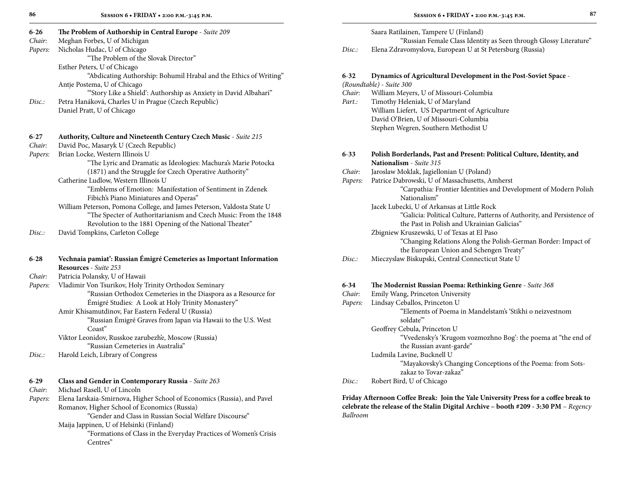| $6 - 26$ | The Problem of Authorship in Central Europe - Suite 209                 |          |
|----------|-------------------------------------------------------------------------|----------|
| Chair:   | Meghan Forbes, U of Michigan                                            |          |
| Papers:  | Nicholas Hudac, U of Chicago                                            | Disc.    |
|          | "The Problem of the Slovak Director"                                    |          |
|          | Esther Peters, U of Chicago                                             |          |
|          | "Abdicating Authorship: Bohumil Hrabal and the Ethics of Writing"       | $6 - 32$ |
|          | Antje Postema, U of Chicago                                             | (Rou     |
|          | "Story Like a Shield': Authorship as Anxiety in David Albahari"         | Chai     |
| Disc.    | Petra Hanáková, Charles U in Prague (Czech Republic)                    | Part.    |
|          | Daniel Pratt, U of Chicago                                              |          |
| $6 - 27$ | Authority, Culture and Nineteenth Century Czech Music - Suite 215       |          |
| Chair:   | David Poc, Masaryk U (Czech Republic)                                   |          |
| Papers:  | Brian Locke, Western Illinois U                                         | $6 - 33$ |
|          | "The Lyric and Dramatic as Ideologies: Machura's Marie Potocka          |          |
|          | (1871) and the Struggle for Czech Operative Authority"                  | Chai     |
|          | Catherine Ludlow, Western Illinois U                                    | Pape     |
|          | "Emblems of Emotion: Manifestation of Sentiment in Zdenek               |          |
|          | Fibich's Piano Miniatures and Operas"                                   |          |
|          | William Peterson, Pomona College, and James Peterson, Valdosta State U  |          |
|          | "The Specter of Authoritarianism and Czech Music: From the 1848         |          |
|          | Revolution to the 1881 Opening of the National Theater"                 |          |
| Disc.:   | David Tompkins, Carleton College                                        |          |
| $6 - 28$ | Vechnaia pamiať: Russian Émigré Cemeteries as Important Information     | Disc.    |
|          | Resources - Suite 253                                                   |          |
| Chair:   | Patricia Polansky, U of Hawaii                                          |          |
| Papers:  | Vladimir Von Tsurikov, Holy Trinity Orthodox Seminary                   | $6 - 34$ |
|          | "Russian Orthodox Cemeteries in the Diaspora as a Resource for          | Chai     |
|          | Émigré Studies: A Look at Holy Trinity Monastery"                       | Pape     |
|          | Amir Khisamutdinov, Far Eastern Federal U (Russia)                      |          |
|          | "Russian Émigré Graves from Japan via Hawaii to the U.S. West<br>Coast" |          |
|          | Viktor Leonidov, Russkoe zarubezh'e, Moscow (Russia)                    |          |
|          | "Russian Cemeteries in Australia"                                       |          |

*Disc.:* Harold Leich, Library of Congress

*Chair:* Michael Rasell, U of Lincoln

*Papers:* Elena Iarskaia-Smirnova, Higher School of Economics (Russia), and Pavel Romanov, Higher School of Economics (Russia)

"Gender and Class in Russian Social Welfare Discourse"

Maija Jappinen, U of Helsinki (Finland)

 "Formations of Class in the Everyday Practices of Women's Crisis Centres"

|  |  | I |
|--|--|---|
|  |  |   |

|        | Saara Ratilainen, Tampere U (Finland)                             |
|--------|-------------------------------------------------------------------|
|        | "Russian Female Class Identity as Seen through Glossy Literature" |
| Disc.: | Elena Zdravomyslova, European U at St Petersburg (Russia)         |
|        |                                                                   |
| 6-32   | Dynamics of Agricultural Development in the Post-Soviet Space -   |
|        | (Roundtable) - Suite 300                                          |
| Chair: | William Meyers, U of Missouri-Columbia                            |
| Part.: | Timothy Heleniak, U of Maryland                                   |
|        | William Liefert, US Department of Agriculture                     |
|        | David O'Brien, U of Missouri-Columbia                             |
|        | Stephen Wegren, Southern Methodist U                              |
|        |                                                                   |

| $6 - 33$ | Polish Borderlands, Past and Present: Political Culture, Identity, and |  |  |
|----------|------------------------------------------------------------------------|--|--|
|          | <b>Nationalism</b> - Suite 315                                         |  |  |
| Chair:   | Jaroslaw Moklak, Jagiellonian U (Poland)                               |  |  |
| Papers:  | Patrice Dabrowski, U of Massachusetts, Amherst                         |  |  |
|          | "Carpathia: Frontier Identities and Development of Modern Polish       |  |  |
|          | Nationalism"                                                           |  |  |
|          | Jacek Lubecki, U of Arkansas at Little Rock                            |  |  |
|          | "Galicia: Political Culture, Patterns of Authority, and Persistence of |  |  |
|          | the Past in Polish and Ukrainian Galicias"                             |  |  |
|          | Zbigniew Kruszewski, U of Texas at El Paso                             |  |  |
|          | "Changing Relations Along the Polish-German Border: Impact of          |  |  |
|          | the European Union and Schengen Treaty"                                |  |  |
| Disc.    | Mieczyslaw Biskupski, Central Connecticut State U                      |  |  |

#### **6-34 The Modernist Russian Poema: Rethinking Genre** - *Suite 368*

- *Chair:* Emily Wang, Princeton University
- *Papers:* Lindsay Ceballos, Princeton U "Elements of Poema in Mandelstam's 'Stikhi o neizvestnom
	- soldate'"
	- Geoffrey Cebula, Princeton U

 "Vvedensky's 'Krugom vozmozhno Bog': the poema at "the end of the Russian avant-garde"

Ludmila Lavine, Bucknell U

 "Mayakovsky's Changing Conceptions of the Poema: from Sots zakaz to Tovar-zakaz"

*Disc.:* Robert Bird, U of Chicago

**Friday Afternoon Coffee Break: Join the Yale University Press for a coffee break to celebrate the release of the Stalin Digital Archive – booth #209 - 3:30 PM** – *Regency Ballroom*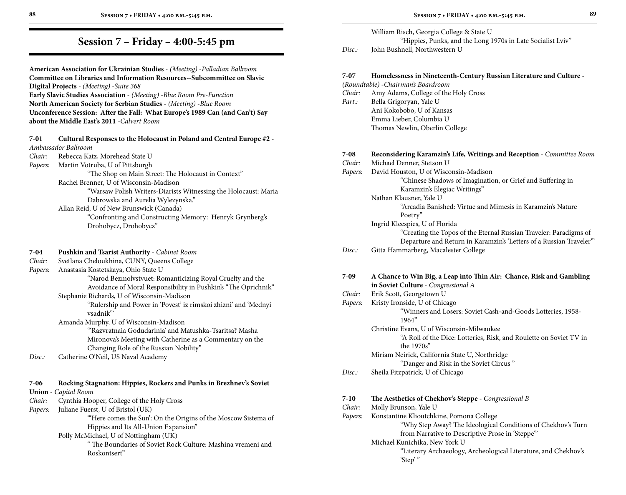#### **American Association for Ukrainian Studies** - *(Meeting)* -*Palladian Ballroom* **Committee on Libraries and Information Resources--Subcommittee on Slavic Digital Projects** - *(Meeting)* -*Suite 368* **Early Slavic Studies Association** - *(Meeting)* -*Blue Room Pre-Function* **North American Society for Serbian Studies** - *(Meeting)* -*Blue Room* **Unconference Session: After the Fall: What Europe's 1989 Can (and Can't) Say about the Middle East's 2011** -*Calvert Room*

### **7**-**01 Cultural Responses to the Holocaust in Poland and Central Europe #2** - *Ambassador Ballroom*

- *Chair:* Rebecca Katz, Morehead State U
- *Papers:* Martin Votruba, U of Pittsburgh

 "The Shop on Main Street: The Holocaust in Context" Rachel Brenner, U of Wisconsin-Madison "Warsaw Polish Writers-Diarists Witnessing the Holocaust: Maria

 Dabrowska and Aurelia Wylezynska." Allan Reid, U of New Brunswick (Canada) "Confronting and Constructing Memory: Henryk Grynberg's

Drohobycz, Drohobycz"

#### **7**-**04 Pushkin and Tsarist Authority** - *Cabinet Room*

*Chair:* Svetlana Cheloukhina, CUNY, Queens College

*Papers:* Anastasia Kostetskaya, Ohio State U

 "Narod Bezmolvstvuet: Romanticizing Royal Cruelty and the Avoidance of Moral Responsibility in Pushkin's "The Oprichnik"

Stephanie Richards, U of Wisconsin-Madison

 "Rulership and Power in 'Povest' iz rimskoi zhizni' and 'Mednyi vsadnik'"

Amanda Murphy, U of Wisconsin-Madison

 "'Razvratnaia Godudarinia' and Matushka-Tsaritsa? Masha Mironova's Meeting with Catherine as a Commentary on the Changing Role of the Russian Nobility"

*Disc.:* Catherine O'Neil, US Naval Academy

### **7**-**06 Rocking Stagnation: Hippies, Rockers and Punks in Brezhnev's Soviet**

#### **Union** - *Capitol Room*

- *Chair:* Cynthia Hooper, College of the Holy Cross
- *Papers:* Juliane Fuerst, U of Bristol (UK)

"Here comes the Sun': On the Origins of the Moscow Sistema of Hippies and Its All-Union Expansion"

Polly McMichael, U of Nottingham (UK)

 " The Boundaries of Soviet Rock Culture: Mashina vremeni and Roskontsert"

### William Risch, Georgia College & State U "Hippies, Punks, and the Long 1970s in Late Socialist Lviv"

*Disc.:* John Bushnell, Northwestern U

### **7**-**07 Homelessness in Nineteenth-Century Russian Literature and Culture** -

| 7-V7     | Homelessiless in inheteenth-Century Russian Literature and Culture -   |
|----------|------------------------------------------------------------------------|
|          | (Roundtable) - Chairman's Boardroom                                    |
| Chair:   | Amy Adams, College of the Holy Cross                                   |
| Part.:   | Bella Grigoryan, Yale U                                                |
|          | Ani Kokobobo, U of Kansas                                              |
|          | Emma Lieber, Columbia U                                                |
|          | Thomas Newlin, Oberlin College                                         |
| $7 - 08$ | Reconsidering Karamzin's Life, Writings and Reception - Committee Room |
| Chair:   | Michael Denner, Stetson U                                              |
| Papers:  | David Houston, U of Wisconsin-Madison                                  |
|          | "Chinese Shadows of Imagination, or Grief and Suffering in             |
|          | Karamzin's Elegiac Writings"                                           |
|          | Nathan Klausner, Yale U                                                |
|          | "Arcadia Banished: Virtue and Mimesis in Karamzin's Nature             |
|          | Poetry"                                                                |
|          | Ingrid Kleespies, U of Florida                                         |
|          | "Creating the Topos of the Eternal Russian Traveler: Paradigms of      |
|          | Departure and Return in Karamzin's 'Letters of a Russian Traveler"     |
| Disc:    | Gitta Hammarberg, Macalester College                                   |
|          |                                                                        |
| $7-09$   | A Chance to Win Big, a Leap into Thin Air: Chance, Risk and Gambling   |
|          | in Soviet Culture - Congressional A                                    |
| Chair:   | Erik Scott, Georgetown U                                               |
| Papers:  | Kristy Ironside, U of Chicago                                          |
|          | "Winners and Losers: Soviet Cash-and-Goods Lotteries, 1958-            |
|          | 1964"                                                                  |
|          | Christine Evans, U of Wisconsin-Milwaukee                              |

 "A Roll of the Dice: Lotteries, Risk, and Roulette on Soviet TV in the 1970s"

Miriam Neirick, California State U, Northridge

### "Danger and Risk in the Soviet Circus "

*Disc.:* Sheila Fitzpatrick, U of Chicago

### **7**-**10 The Aesthetics of Chekhov's Steppe** - *Congressional B*

- *Chair:* Molly Brunson, Yale U
- *Papers:* Konstantine Klioutchkine, Pomona College "Why Step Away? The Ideological Conditions of Chekhov's Turn from Narrative to Descriptive Prose in 'Steppe'"
	- Michael Kunichika, New York U
		- "Literary Archaeology, Archeological Literature, and Chekhov's 'Step' "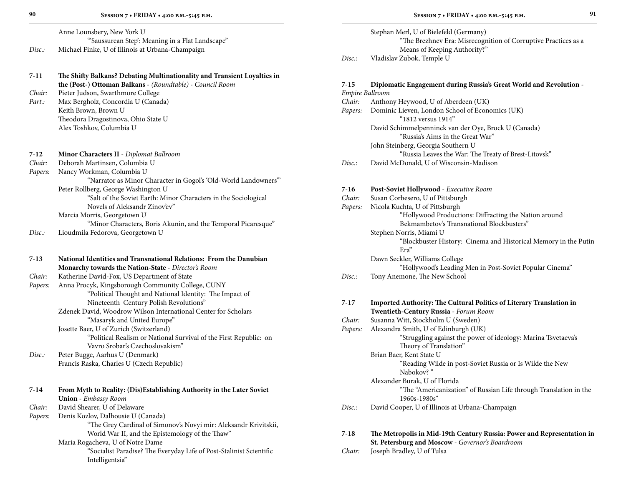**7**-**11 The Shifty Balkans? Debating Multinationality and Transient Loyalties in** 

|       | Anne Lounsbery, New York U                       |
|-------|--------------------------------------------------|
|       | "Saussurean Step': Meaning in a Flat Landscape"  |
| Disc. | Michael Finke, U of Illinois at Urbana-Champaign |

|         | the (Post-) Ottoman Balkans - (Roundtable) - Council Room          |
|---------|--------------------------------------------------------------------|
| Chair:  | Pieter Judson, Swarthmore College                                  |
| Part.:  | Max Bergholz, Concordia U (Canada)                                 |
|         | Keith Brown, Brown U                                               |
|         | Theodora Dragostinova, Ohio State U                                |
|         | Alex Toshkov, Columbia U                                           |
|         |                                                                    |
| $7-12$  | <b>Minor Characters II</b> - Diplomat Ballroom                     |
| Chair:  | Deborah Martinsen, Columbia U                                      |
| Papers: | Nancy Workman, Columbia U                                          |
|         | "Narrator as Minor Character in Gogol's 'Old-World Landowners"     |
|         | Peter Rollberg, George Washington U                                |
|         | "Salt of the Soviet Earth: Minor Characters in the Sociological    |
|         | Novels of Aleksandr Zinov'ev"                                      |
|         | Marcia Morris, Georgetown U                                        |
|         | "Minor Characters, Boris Akunin, and the Temporal Picaresque"      |
| Disc.   | Lioudmila Fedorova, Georgetown U                                   |
|         |                                                                    |
| $7-13$  | National Identities and Transnational Relations: From the Danubian |
|         | <b>Monarchy towards the Nation-State - Director's Room</b>         |
| Chair:  | Katherine David-Fox, US Department of State                        |

| Papers: | Anna Procyk, Kingsborough Community College, CUNY              |
|---------|----------------------------------------------------------------|
|         | "Political Thought and National Identity: The Impact of        |
|         | Nineteenth Century Polish Revolutions"                         |
|         | Zdenek David, Woodrow Wilson International Center for Scholars |
|         | "Masaryk and United Europe"                                    |
|         | Josette Baer, U of Zurich (Switzerland)                        |

 "Political Realism or National Survival of the First Republic: on Vavro Srobar's Czechoslovakism"

*Disc.:* Peter Bugge, Aarhus U (Denmark) Francis Raska, Charles U (Czech Republic)

| $7 - 14$ | From Myth to Reality: (Dis) Establishing Authority in the Later Soviet |  |  |
|----------|------------------------------------------------------------------------|--|--|
|          | <b>Union</b> - <i>Embassy Room</i>                                     |  |  |
| Chair:   | David Shearer, U of Delaware                                           |  |  |
| Papers:  | Denis Kozlov, Dalhousie U (Canada)                                     |  |  |
|          | "The Grey Cardinal of Simonov's Novyi mir: Aleksandr Krivitskii,       |  |  |
|          | World War II, and the Epistemology of the Thaw"                        |  |  |
|          | Maria Rogacheva, U of Notre Dame                                       |  |  |
|          | "Socialist Paradise? The Everyday Life of Post-Stalinist Scientific    |  |  |
|          | Intelligentsia"                                                        |  |  |

|        | Stephan Merl, U of Bielefeld (Germany)                         |
|--------|----------------------------------------------------------------|
|        | "The Brezhnev Era: Misrecognition of Corruptive Practices as a |
|        | Means of Keeping Authority?"                                   |
| Disc.: | Vladislav Zubok, Temple U                                      |

### **7**-**15 Diplomatic Engagement during Russia's Great World and Revolution** -

| 7-15            | Diplomatic Engagement during Russia's Great World and Revolution -                |
|-----------------|-----------------------------------------------------------------------------------|
| Empire Ballroom |                                                                                   |
| Chair:          | Anthony Heywood, U of Aberdeen (UK)                                               |
| Papers:         | Dominic Lieven, London School of Economics (UK)                                   |
|                 | "1812 versus 1914"                                                                |
|                 | David Schimmelpenninck van der Oye, Brock U (Canada)                              |
|                 | "Russia's Aims in the Great War"                                                  |
|                 | John Steinberg, Georgia Southern U                                                |
|                 | "Russia Leaves the War: The Treaty of Brest-Litovsk"                              |
| Disc.:          | David McDonald, U of Wisconsin-Madison                                            |
| $7 - 16$        | Post-Soviet Hollywood - Executive Room                                            |
| Chair:          | Susan Corbesero, U of Pittsburgh                                                  |
| Papers:         | Nicola Kuchta, U of Pittsburgh                                                    |
|                 | "Hollywood Productions: Diffracting the Nation around                             |
|                 | Bekmambetov's Transnational Blockbusters"                                         |
|                 | Stephen Norris, Miami U                                                           |
|                 | "Blockbuster History: Cinema and Historical Memory in the Putin                   |
|                 | Era"                                                                              |
|                 | Dawn Seckler, Williams College                                                    |
|                 | "Hollywood's Leading Men in Post-Soviet Popular Cinema"                           |
| Disc:           | Tony Anemone, The New School                                                      |
| $7 - 17$        | Imported Authority: The Cultural Politics of Literary Translation in              |
|                 | Twentieth-Century Russia - Forum Room                                             |
| Chair:          | Susanna Witt, Stockholm U (Sweden)                                                |
| Papers:         | Alexandra Smith, U of Edinburgh (UK)                                              |
|                 | "Struggling against the power of ideology: Marina Tsvetaeva's                     |
|                 | Theory of Translation"                                                            |
|                 | Brian Baer, Kent State U                                                          |
|                 | "Reading Wilde in post-Soviet Russia or Is Wilde the New                          |
|                 | Nabokov?"                                                                         |
|                 | Alexander Burak, U of Florida                                                     |
|                 | "The "Americanization" of Russian Life through Translation in the<br>1960s-1980s" |
| Disc.:          | David Cooper, U of Illinois at Urbana-Champaign                                   |
|                 |                                                                                   |

**7**-**18 The Metropolis in Mid-19th Century Russia: Power and Representation in St. Petersburg and Moscow** - *Governor's Boardroom Chair:* Joseph Bradley, U of Tulsa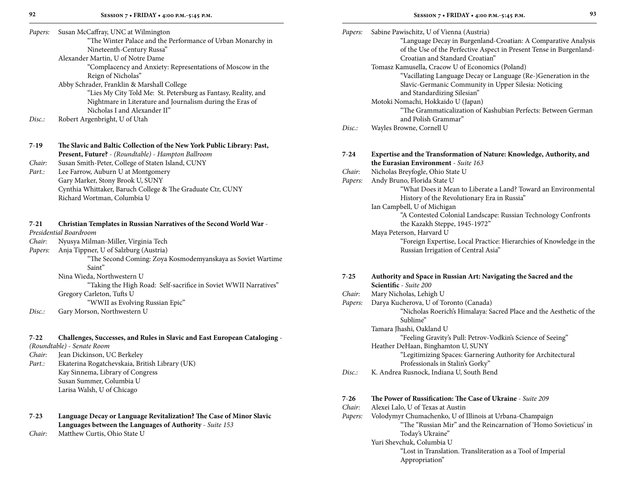| Papers: | Susan McCaffray, UNC at Wilmington                             |
|---------|----------------------------------------------------------------|
|         | "The Winter Palace and the Performance of Urban Monarchy in    |
|         | Nineteenth-Century Russa"                                      |
|         | Alexander Martin, U of Notre Dame                              |
|         | "Complacency and Anxiety: Representations of Moscow in the     |
|         | Reign of Nicholas"                                             |
|         | Abby Schrader, Franklin & Marshall College                     |
|         | "Lies My City Told Me: St. Petersburg as Fantasy, Reality, and |
|         | $\mathbf{v}$                                                   |

 Nightmare in Literature and Journalism during the Eras of Nicholas I and Alexander II"

*Disc.:* Robert Argenbright, U of Utah

#### **7**-**19 The Slavic and Baltic Collection of the New York Public Library: Past, Present, Future?** - *(Roundtable)* - *Hampton Ballroom Chair:* Susan Smith-Peter, College of Staten Island, CUNY *Part.:* Lee Farrow, Auburn U at Montgomery Gary Marker, Stony Brook U, SUNY

Cynthia Whittaker, Baruch College & The Graduate Ctr, CUNY Richard Wortman, Columbia U

#### **7**-**21 Christian Templates in Russian Narratives of the Second World War** -

*Presidential Boardroom*

- *Chair:* Nyusya Milman-Miller, Virginia Tech
- *Papers:* Anja Tippner, U of Salzburg (Austria)

 "The Second Coming: Zoya Kosmodemyanskaya as Soviet Wartime Saint"

Nina Wieda, Northwestern U

 "Taking the High Road: Self-sacrifice in Soviet WWII Narratives" Gregory Carleton, Tufts U

"WWII as Evolving Russian Epic"

*Disc.:* Gary Morson, Northwestern U

### **7**-**22 Challenges, Successes, and Rules in Slavic and East European Cataloging** -

*(Roundtable)* - *Senate Room*

- *Chair:* Jean Dickinson, UC Berkeley
- *Part.:* Ekaterina Rogatchevskaia, British Library (UK) Kay Sinnema, Library of Congress Susan Summer, Columbia U Larisa Walsh, U of Chicago

### **7**-**23 Language Decay or Language Revitalization? The Case of Minor Slavic Languages between the Languages of Authority** - *Suite 153*

*Chair:* Matthew Curtis, Ohio State U

|         | ĉ             |
|---------|---------------|
| I<br>I  |               |
| ۰,<br>v | ۰,<br>۰.<br>× |

| Papers:  | Sabine Pawischitz, U of Vienna (Austria)<br>"Language Decay in Burgenland-Croatian: A Comparative Analysis<br>of the Use of the Perfective Aspect in Present Tense in Burgenland-<br>Croatian and Standard Croatian"<br>Tomasz Kamusella, Cracow U of Economics (Poland) |
|----------|--------------------------------------------------------------------------------------------------------------------------------------------------------------------------------------------------------------------------------------------------------------------------|
|          | "Vacillating Language Decay or Language (Re-)Generation in the<br>Slavic-Germanic Community in Upper Silesia: Noticing<br>and Standardizing Silesian"                                                                                                                    |
|          | Motoki Nomachi, Hokkaido U (Japan)<br>"The Grammaticalization of Kashubian Perfects: Between German<br>and Polish Grammar"                                                                                                                                               |
| Disc:    | Wayles Browne, Cornell U                                                                                                                                                                                                                                                 |
| $7 - 24$ | Expertise and the Transformation of Nature: Knowledge, Authority, and<br>the Eurasian Environment - Suite 163                                                                                                                                                            |
| Chair:   | Nicholas Breyfogle, Ohio State U                                                                                                                                                                                                                                         |
| Papers:  | Andy Bruno, Florida State U<br>"What Does it Mean to Liberate a Land? Toward an Environmental<br>History of the Revolutionary Era in Russia"                                                                                                                             |
|          | Ian Campbell, U of Michigan<br>"A Contested Colonial Landscape: Russian Technology Confronts<br>the Kazakh Steppe, 1945-1972"                                                                                                                                            |
|          | Maya Peterson, Harvard U<br>"Foreign Expertise, Local Practice: Hierarchies of Knowledge in the<br>Russian Irrigation of Central Asia"                                                                                                                                   |
| $7 - 25$ | Authority and Space in Russian Art: Navigating the Sacred and the<br>Scientific - Suite 200                                                                                                                                                                              |
| Chair:   | Mary Nicholas, Lehigh U                                                                                                                                                                                                                                                  |
| Papers:  | Darya Kucherova, U of Toronto (Canada)<br>"Nicholas Roerich's Himalaya: Sacred Place and the Aesthetic of the<br>Sublime"                                                                                                                                                |
|          | Tamara Jhashi, Oakland U                                                                                                                                                                                                                                                 |
|          | "Feeling Gravity's Pull: Petrov-Vodkin's Science of Seeing"<br>Heather DeHaan, Binghamton U, SUNY                                                                                                                                                                        |
|          | "Legitimizing Spaces: Garnering Authority for Architectural<br>Professionals in Stalin's Gorky"                                                                                                                                                                          |
| Disc.    | K. Andrea Rusnock, Indiana U, South Bend                                                                                                                                                                                                                                 |
| $7 - 26$ | The Power of Russification: The Case of Ukraine - Suite 209                                                                                                                                                                                                              |
| Chair:   | Alexei Lalo, U of Texas at Austin                                                                                                                                                                                                                                        |
| Papers:  | Volodymyr Chumachenko, U of Illinois at Urbana-Champaign<br>"The "Russian Mir" and the Reincarnation of 'Homo Sovieticus' in<br>Today's Ukraine"                                                                                                                         |
|          | Yuri Shevchuk, Columbia U                                                                                                                                                                                                                                                |

 "Lost in Translation. Transliteration as a Tool of Imperial Appropriation"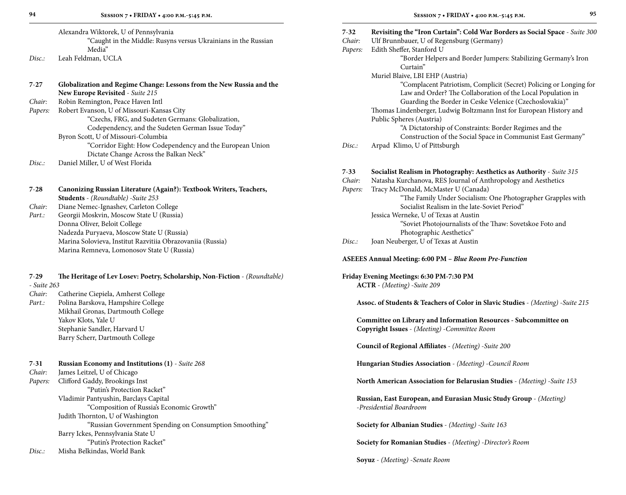| 7-27        | Globalization and Regime Change: Lessons from the New Russia and the                                   |  |  |  |  |
|-------------|--------------------------------------------------------------------------------------------------------|--|--|--|--|
|             | New Europe Revisited - Suite 215                                                                       |  |  |  |  |
| Chair:      | Robin Remington, Peace Haven Intl                                                                      |  |  |  |  |
| Papers:     | Robert Evanson, U of Missouri-Kansas City                                                              |  |  |  |  |
|             | "Czechs, FRG, and Sudeten Germans: Globalization,<br>Codependency, and the Sudeten German Issue Today" |  |  |  |  |
|             | Byron Scott, U of Missouri-Columbia                                                                    |  |  |  |  |
|             | "Corridor Eight: How Codependency and the European Union                                               |  |  |  |  |
|             | Dictate Change Across the Balkan Neck"                                                                 |  |  |  |  |
| Disc.:      | Daniel Miller, U of West Florida                                                                       |  |  |  |  |
|             |                                                                                                        |  |  |  |  |
| 7-28        | Canonizing Russian Literature (Again?): Textbook Writers, Teachers,                                    |  |  |  |  |
|             | <b>Students</b> - (Roundtable) - Suite 253                                                             |  |  |  |  |
| Chair:      | Diane Nemec-Ignashev, Carleton College                                                                 |  |  |  |  |
| Part.:      | Georgii Moskvin, Moscow State U (Russia)                                                               |  |  |  |  |
|             | Donna Oliver, Beloit College                                                                           |  |  |  |  |
|             | Nadezda Puryaeva, Moscow State U (Russia)                                                              |  |  |  |  |
|             | Marina Solovieva, Institut Razvitiia Obrazovaniia (Russia)                                             |  |  |  |  |
|             | Marina Remneva, Lomonosov State U (Russia)                                                             |  |  |  |  |
| $7-29$      | The Heritage of Lev Losev: Poetry, Scholarship, Non-Fiction - (Roundtable)                             |  |  |  |  |
| - Suite 263 |                                                                                                        |  |  |  |  |
| Chair:      | Catherine Ciepiela, Amherst College                                                                    |  |  |  |  |
| Part.:      | Polina Barskova, Hampshire College                                                                     |  |  |  |  |
|             | Mikhail Gronas, Dartmouth College                                                                      |  |  |  |  |
|             | Yakov Klots, Yale U                                                                                    |  |  |  |  |
|             | Stephanie Sandler, Harvard U                                                                           |  |  |  |  |
|             | Barry Scherr, Dartmouth College                                                                        |  |  |  |  |
| 7-31        | <b>Russian Economy and Institutions (1)</b> - Suite 268                                                |  |  |  |  |
| Chair:      | James Leitzel, U of Chicago                                                                            |  |  |  |  |
| Papers:     | Clifford Gaddy, Brookings Inst.                                                                        |  |  |  |  |

| 94                            | SESSION 7 . FRIDAY . 4:00 P.M.-5:45 P.M.                                                                                                                                                 |                    | SESSION 7 . FRIDAY . 4:00 P.M. -5:45 P.M.                                                                                                                                                                            | 95 |
|-------------------------------|------------------------------------------------------------------------------------------------------------------------------------------------------------------------------------------|--------------------|----------------------------------------------------------------------------------------------------------------------------------------------------------------------------------------------------------------------|----|
|                               | Alexandra Wiktorek, U of Pennsylvania<br>"Caught in the Middle: Rusyns versus Ukrainians in the Russian<br>Media"                                                                        | $7 - 32$<br>Chair: | Revisiting the "Iron Curtain": Cold War Borders as Social Space - Suite 300<br>Ulf Brunnbauer, U of Regensburg (Germany)<br>Edith Sheffer, Stanford U                                                                |    |
| Disc.:                        | Leah Feldman, UCLA                                                                                                                                                                       | Papers:            | "Border Helpers and Border Jumpers: Stabilizing Germany's Iron<br>Curtain"                                                                                                                                           |    |
| 7-27                          | Globalization and Regime Change: Lessons from the New Russia and the<br>New Europe Revisited - Suite 215                                                                                 |                    | Muriel Blaive, LBI EHP (Austria)<br>"Complacent Patriotism, Complicit (Secret) Policing or Longing for<br>Law and Order? The Collaboration of the Local Population in                                                |    |
| Chair:<br>Papers:             | Robin Remington, Peace Haven Intl<br>Robert Evanson, U of Missouri-Kansas City<br>"Czechs, FRG, and Sudeten Germans: Globalization,<br>Codependency, and the Sudeten German Issue Today" |                    | Guarding the Border in Ceske Velenice (Czechoslovakia)"<br>Thomas Lindenberger, Ludwig Boltzmann Inst for European History and<br>Public Spheres (Austria)<br>"A Dictatorship of Constraints: Border Regimes and the |    |
|                               | Byron Scott, U of Missouri-Columbia<br>"Corridor Eight: How Codependency and the European Union<br>Dictate Change Across the Balkan Neck"                                                | Disc:              | Construction of the Social Space in Communist East Germany"<br>Arpad Klimo, U of Pittsburgh                                                                                                                          |    |
| Disc.:                        | Daniel Miller, U of West Florida                                                                                                                                                         | $7 - 33$           | Socialist Realism in Photography: Aesthetics as Authority - Suite 315                                                                                                                                                |    |
| $7 - 28$                      | Canonizing Russian Literature (Again?): Textbook Writers, Teachers,<br>Students - (Roundtable) - Suite 253                                                                               | Chair:<br>Papers:  | Natasha Kurchanova, RES Journal of Anthropology and Aesthetics<br>Tracy McDonald, McMaster U (Canada)<br>"The Family Under Socialism: One Photographer Grapples with                                                 |    |
| Chair:<br>Part.:              | Diane Nemec-Ignashev, Carleton College<br>Georgii Moskvin, Moscow State U (Russia)<br>Donna Oliver, Beloit College                                                                       |                    | Socialist Realism in the late-Soviet Period"<br>Jessica Werneke, U of Texas at Austin<br>"Soviet Photojournalists of the Thaw: Sovetskoe Foto and                                                                    |    |
|                               | Nadezda Puryaeva, Moscow State U (Russia)<br>Marina Solovieva, Institut Razvitiia Obrazovaniia (Russia)<br>Marina Remneva, Lomonosov State U (Russia)                                    | Disc:              | Photographic Aesthetics"<br>Joan Neuberger, U of Texas at Austin                                                                                                                                                     |    |
|                               |                                                                                                                                                                                          |                    | <b>ASEEES Annual Meeting: 6:00 PM - Blue Room Pre-Function</b>                                                                                                                                                       |    |
| 7-29<br>- Suite 263<br>Chair: | The Heritage of Lev Losev: Poetry, Scholarship, Non-Fiction - (Roundtable)<br>Catherine Ciepiela, Amherst College                                                                        |                    | Friday Evening Meetings: 6:30 PM-7:30 PM<br>ACTR - (Meeting) -Suite 209                                                                                                                                              |    |
| Part.:                        | Polina Barskova, Hampshire College<br>Mikhail Gronas, Dartmouth College                                                                                                                  |                    | Assoc. of Students & Teachers of Color in Slavic Studies - (Meeting) -Suite 215                                                                                                                                      |    |
|                               | Yakov Klots, Yale U<br>Stephanie Sandler, Harvard U<br>Barry Scherr, Dartmouth College                                                                                                   |                    | Committee on Library and Information Resources - Subcommittee on<br>Copyright Issues - (Meeting) - Committee Room                                                                                                    |    |
|                               |                                                                                                                                                                                          |                    | Council of Regional Affiliates - (Meeting) - Suite 200                                                                                                                                                               |    |
| 7-31<br>Chair:                | Russian Economy and Institutions (1) - Suite 268<br>James Leitzel, U of Chicago                                                                                                          |                    | Hungarian Studies Association - (Meeting) - Council Room                                                                                                                                                             |    |
| Papers:                       | Clifford Gaddy, Brookings Inst<br>"Putin's Protection Racket"                                                                                                                            |                    | North American Association for Belarusian Studies - (Meeting) - Suite 153                                                                                                                                            |    |
|                               | Vladimir Pantyushin, Barclays Capital<br>"Composition of Russia's Economic Growth"<br>Judith Thornton, U of Washington                                                                   |                    | Russian, East European, and Eurasian Music Study Group - (Meeting)<br>-Presidential Boardroom                                                                                                                        |    |
|                               | "Russian Government Spending on Consumption Smoothing"<br>Barry Ickes, Pennsylvania State U                                                                                              |                    | Society for Albanian Studies - (Meeting) - Suite 163                                                                                                                                                                 |    |
| Disc.:                        | "Putin's Protection Racket"<br>Misha Belkindas, World Bank                                                                                                                               |                    | Society for Romanian Studies - (Meeting) - Director's Room                                                                                                                                                           |    |
|                               |                                                                                                                                                                                          |                    | Soyuz - (Meeting) -Senate Room                                                                                                                                                                                       |    |
|                               |                                                                                                                                                                                          |                    |                                                                                                                                                                                                                      |    |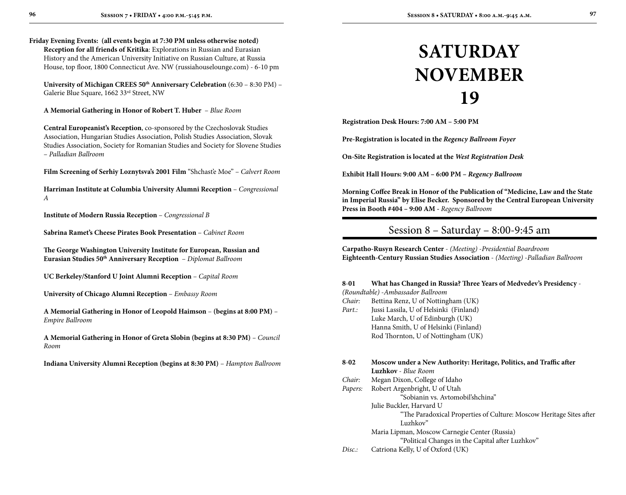**Friday Evening Events: (all events begin at 7:30 PM unless otherwise noted) Reception for all friends of Kritika**: Explorations in Russian and Eurasian History and the American University Initiative on Russian Culture, at Russia House, top floor, 1800 Connecticut Ave. NW (russiahouselounge.com) - 6-10 pm

**University of Michigan CREES 50th Anniversary Celebration** (6:30 – 8:30 PM) – Galerie Blue Square, 1662 33rd Street, NW

**A Memorial Gathering in Honor of Robert T. Huber** – *Blue Room*

**Central Europeanist's Reception**, co-sponsored by the Czechoslovak Studies Association, Hungarian Studies Association, Polish Studies Association, Slovak Studies Association, Society for Romanian Studies and Society for Slovene Studies – *Palladian Ballroom*

**Film Screening of Serhiy Loznytsva's 2001 Film** "Shchast'e Moe" – *Calvert Room*

**Harriman Institute at Columbia University Alumni Reception** – *Congressional A*

**Institute of Modern Russia Reception** – *Congressional B*

**Sabrina Ramet's Cheese Pirates Book Presentation** – *Cabinet Room*

**The George Washington University Institute for European, Russian and Eurasian Studies 50th Anniversary Reception** – *Diplomat Ballroom*

**UC Berkeley/Stanford U Joint Alumni Reception** – *Capital Room*

**University of Chicago Alumni Reception** – *Embassy Room*

**A Memorial Gathering in Honor of Leopold Haimson** – **(begins at 8:00 PM)** *– Empire Ballroom*

**A Memorial Gathering in Honor of Greta Slobin (begins at 8:30 PM)** *– Council Room*

**Indiana University Alumni Reception (begins at 8:30 PM)** – *Hampton Ballroom*

# **SATURDAY November 19**

**Registration Desk Hours: 7:00 AM – 5:00 PM**

**Pre-Registration is located in the** *Regency Ballroom Foyer*

**On-Site Registration is located at the** *West Registration Desk*

**Exhibit Hall Hours: 9:00 AM – 6:00 PM –** *Regency Ballroom*

**Morning Coffee Break in Honor of the Publication of "Medicine, Law and the State in Imperial Russia" by Elise Becker. Sponsored by the Central European University Press in Booth #404 – 9:00 AM -** *Regency Ballroom*

### Session 8 – Saturday – 8:00-9:45 am

**Carpatho-Rusyn Research Center** - *(Meeting)* -*Presidential Boardroom* **Eighteenth-Century Russian Studies Association** - *(Meeting)* -*Palladian Ballroom*

#### **8**-**01 What has Changed in Russia? Three Years of Medvedev's Presidency** -

*(Roundtable)* -*Ambassador Ballroom*

- *Chair:* Bettina Renz, U of Nottingham (UK)
- *Part.:* Jussi Lassila, U of Helsinki (Finland) Luke March, U of Edinburgh (UK) Hanna Smith, U of Helsinki (Finland) Rod Thornton, U of Nottingham (UK)

#### **8**-**02 Moscow under a New Authority: Heritage, Politics, and Traffic after Luzhkov** - *Blue Room*

- *Chair:* Megan Dixon, College of Idaho
- *Papers:* Robert Argenbright, U of Utah
	- "Sobianin vs. Avtomobil'shchina"

Julie Buckler, Harvard U

 "The Paradoxical Properties of Culture: Moscow Heritage Sites after Luzhkov"

Maria Lipman, Moscow Carnegie Center (Russia)

"Political Changes in the Capital after Luzhkov"

*Disc.:* Catriona Kelly, U of Oxford (UK)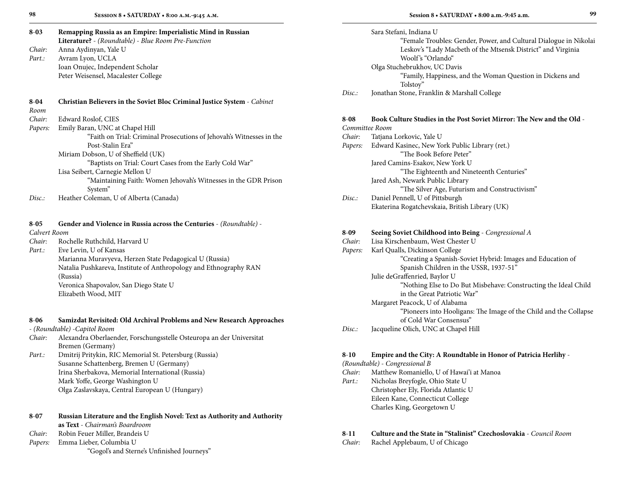| $8 - 03$     | Remapping Russia as an Empire: Imperialistic Mind in Russian             |          | Sara Stefani, Indiana U                                               |
|--------------|--------------------------------------------------------------------------|----------|-----------------------------------------------------------------------|
|              | Literature? - (Roundtable) - Blue Room Pre-Function                      |          | "Female Troubles: Gender, Power, and Cultural Dialogue in Nikolai     |
| Chair:       | Anna Aydinyan, Yale U                                                    |          | Leskov's "Lady Macbeth of the Mtsensk District" and Virginia          |
| Part.:       | Avram Lyon, UCLA                                                         |          | Woolf's "Orlando"                                                     |
|              | Ioan Onujec, Independent Scholar                                         |          | Olga Stuchebrukhov, UC Davis                                          |
|              | Peter Weisensel, Macalester College                                      |          | "Family, Happiness, and the Woman Question in Dickens and<br>Tolstoy" |
|              |                                                                          | Disc.:   | Jonathan Stone, Franklin & Marshall College                           |
| $8 - 04$     | Christian Believers in the Soviet Bloc Criminal Justice System - Cabinet |          |                                                                       |
| Room         |                                                                          |          |                                                                       |
| Chair:       | Edward Roslof, CIES                                                      | $8 - 08$ | Book Culture Studies in the Post Soviet Mirror: The New and the Old - |
| Papers:      | Emily Baran, UNC at Chapel Hill                                          |          | Committee Room                                                        |
|              | "Faith on Trial: Criminal Prosecutions of Jehovah's Witnesses in the     | Chair:   | Tatjana Lorkovic, Yale U                                              |
|              | Post-Stalin Era"                                                         | Papers:  | Edward Kasinec, New York Public Library (ret.)                        |
|              | Miriam Dobson, U of Sheffield (UK)                                       |          | "The Book Before Peter"                                               |
|              | "Baptists on Trial: Court Cases from the Early Cold War"                 |          | Jared Camins-Esakov, New York U                                       |
|              | Lisa Seibert, Carnegie Mellon U                                          |          | "The Eighteenth and Nineteenth Centuries"                             |
|              | "Maintaining Faith: Women Jehovah's Witnesses in the GDR Prison          |          | Jared Ash, Newark Public Library                                      |
|              | System"                                                                  |          | "The Silver Age, Futurism and Constructivism"                         |
| Disc:        | Heather Coleman, U of Alberta (Canada)                                   | Disc:    | Daniel Pennell, U of Pittsburgh                                       |
|              |                                                                          |          | Ekaterina Rogatchevskaia, British Library (UK)                        |
| $8 - 05$     | Gender and Violence in Russia across the Centuries - (Roundtable) -      |          |                                                                       |
| Calvert Room |                                                                          | $8 - 09$ | Seeing Soviet Childhood into Being - Congressional A                  |
| Chair:       | Rochelle Ruthchild, Harvard U                                            | Chair:   | Lisa Kirschenbaum, West Chester U                                     |
| Part.:       | Eve Levin, U of Kansas                                                   | Papers:  | Karl Qualls, Dickinson College                                        |
|              | Marianna Muravyeva, Herzen State Pedagogical U (Russia)                  |          | "Creating a Spanish-Soviet Hybrid: Images and Education of            |
|              | Natalia Pushkareva, Institute of Anthropology and Ethnography RAN        |          | Spanish Children in the USSR, 1937-51"                                |
|              | (Russia)                                                                 |          | Julie deGraffenried, Baylor U                                         |
|              | Veronica Shapovalov, San Diego State U                                   |          | "Nothing Else to Do But Misbehave: Constructing the Ideal Child       |
|              | Elizabeth Wood, MIT                                                      |          | in the Great Patriotic War"                                           |
|              |                                                                          |          | Margaret Peacock, U of Alabama                                        |

#### **8**-**06 Samizdat Revisited: Old Archival Problems and New Research Approaches**

- *(Roundtable)* -*Capitol Room*

- *Chair:* Alexandra Oberlaender, Forschungsstelle Osteuropa an der Universitat Bremen (Germany)
- *Part.:* Dmitrij Pritykin, RIC Memorial St. Petersburg (Russia) Susanne Schattenberg, Bremen U (Germany) Irina Sherbakova, Memorial International (Russia) Mark Yoffe, George Washington U Olga Zaslavskaya, Central European U (Hungary)

| $8 - 07$ | Russian Literature and the English Novel: Text as Authority and Authority |  |  |
|----------|---------------------------------------------------------------------------|--|--|
|          | <b>as Text</b> - Chairman's Boardroom                                     |  |  |
| Chair:   | Robin Feuer Miller, Brandeis U                                            |  |  |
| Papers:  | Emma Lieber, Columbia U                                                   |  |  |
|          | "Gogol's and Sterne's Unfinished Journeys"                                |  |  |

#### **8**-**10 Empire and the City: A Roundtable in Honor of Patricia Herlihy** -

**Session 8 • SATURDAY • 8:00 a.m.-9:45 a.m.**

"Pioneers into Hooligans: The Image of the Child and the Collapse

*(Roundtable)* - *Congressional B*

*Chair:* Matthew Romaniello, U of Hawai'i at Manoa

of Cold War Consensus"

*Part.:* Nicholas Breyfogle, Ohio State U Christopher Ely, Florida Atlantic U Eileen Kane, Connecticut College Charles King, Georgetown U

*Disc.:* Jacqueline Olich, UNC at Chapel Hill

### **8**-**11 Culture and the State in "Stalinist" Czechoslovakia** - *Council Room*

*Chair:* Rachel Applebaum, U of Chicago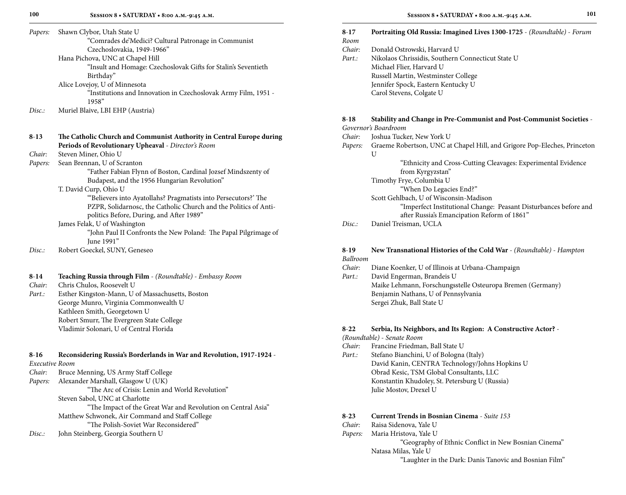|          | "Comrades de'Medici? Cultural Patronage in Communist                                | Room     |
|----------|-------------------------------------------------------------------------------------|----------|
|          | Czechoslovakia, 1949-1966"                                                          | Chair:   |
|          | Hana Pichova, UNC at Chapel Hill                                                    | Part.:   |
|          | "Insult and Homage: Czechoslovak Gifts for Stalin's Seventieth                      |          |
|          | Birthday"                                                                           |          |
|          | Alice Lovejoy, U of Minnesota                                                       |          |
|          | "Institutions and Innovation in Czechoslovak Army Film, 1951 -<br>1958 <sup>"</sup> |          |
| Disc.    | Muriel Blaive, LBI EHP (Austria)                                                    |          |
|          |                                                                                     | $8 - 18$ |
|          |                                                                                     | Govern   |
| $8 - 13$ | The Catholic Church and Communist Authority in Central Europe during                | Chair:   |
|          | Periods of Revolutionary Upheaval - Director's Room                                 | Papers:  |
| Chair:   | Steven Miner, Ohio U                                                                |          |
| Papers:  | Sean Brennan, U of Scranton                                                         |          |
|          | "Father Fabian Flynn of Boston, Cardinal Jozsef Mindszenty of                       |          |
|          | Budapest, and the 1956 Hungarian Revolution"                                        |          |
|          | T. David Curp, Ohio U                                                               |          |
|          | "Believers into Ayatollahs? Pragmatists into Persecutors?' The                      |          |
|          | PZPR, Solidarnosc, the Catholic Church and the Politics of Anti-                    |          |
|          | politics Before, During, and After 1989"                                            |          |
|          | James Felak, U of Washington                                                        | Disc.    |
|          | "John Paul II Confronts the New Poland: The Papal Pilgrimage of                     |          |
|          | June 1991"                                                                          |          |
| Disc.    | Robert Goeckel, SUNY, Geneseo                                                       | $8-19$   |
|          |                                                                                     | Ballroo  |
|          |                                                                                     | Chair:   |
| $8-14$   | Teaching Russia through Film - (Roundtable) - Embassy Room                          | Part.:   |
| Chair:   | Chris Chulos, Roosevelt U                                                           |          |
|          |                                                                                     |          |

*Part.:* Esther Kingston-Mann, U of Massachusetts, Boston George Munro, Virginia Commonwealth U Kathleen Smith, Georgetown U Robert Smurr, The Evergreen State College Vladimir Solonari, U of Central Florida

#### **8**-**16 Reconsidering Russia's Borderlands in War and Revolution, 1917-1924** -

#### *Executive Room*

- *Chair:* Bruce Menning, US Army Staff College
- *Papers:* Alexander Marshall, Glasgow U (UK)

"The Arc of Crisis: Lenin and World Revolution"

#### Steven Sabol, UNC at Charlotte

"The Impact of the Great War and Revolution on Central Asia"

### Matthew Schwonek, Air Command and Staff College

- "The Polish-Soviet War Reconsidered"
- *Disc.:* John Steinberg, Georgia Southern U

### **8**-**17 Portraiting Old Russia: Imagined Lives 1300-1725** - *(Roundtable)* - *Forum*

- *Chair:* Donald Ostrowski, Harvard U *Part.:* Nikolaos Chrissidis, Southern Connecticut State U Michael Flier, Harvard U Russell Martin, Westminster College
	- Jennifer Spock, Eastern Kentucky U Carol Stevens, Colgate U

#### **8**-**18 Stability and Change in Pre-Communist and Post-Communist Societies** - *Governor's Boardroom*

- *Chair:* Joshua Tucker, New York U
- *Papers:* Graeme Robertson, UNC at Chapel Hill, and Grigore Pop-Eleches, Princeton U

 "Ethnicity and Cross-Cutting Cleavages: Experimental Evidence from Kyrgyzstan" Timothy Frye, Columbia U "When Do Legacies End?" Scott Gehlbach, U of Wisconsin-Madison "Imperfect Institutional Change: Peasant Disturbances before and after Russia's Emancipation Reform of 1861"

*Disc.:* Daniel Treisman, UCLA

#### **8**-**19 New Transnational Histories of the Cold War** - *(Roundtable)* - *Hampton Ballroom*

*Chair:* Diane Koenker, U of Illinois at Urbana-Champaign *Part.:* David Engerman, Brandeis U Maike Lehmann, Forschungsstelle Osteuropa Bremen (Germany) Benjamin Nathans, U of Pennsylvania Sergei Zhuk, Ball State U

### **8**-**22 Serbia, Its Neighbors, and Its Region: A Constructive Actor?** -

### *(Roundtable)* - *Senate Room*

- *Chair:* Francine Friedman, Ball State U
- *Part.:* Stefano Bianchini, U of Bologna (Italy) David Kanin, CENTRA Technology/Johns Hopkins U Obrad Kesic, TSM Global Consultants, LLC Konstantin Khudoley, St. Petersburg U (Russia) Julie Mostov, Drexel U

#### **8**-**23 Current Trends in Bosnian Cinema** - *Suite 153*

- *Chair:* Raisa Sidenova, Yale U
- *Papers:* Maria Hristova, Yale U

#### "Geography of Ethnic Conflict in New Bosnian Cinema" Natasa Milas, Yale U

"Laughter in the Dark: Danis Tanovic and Bosnian Film"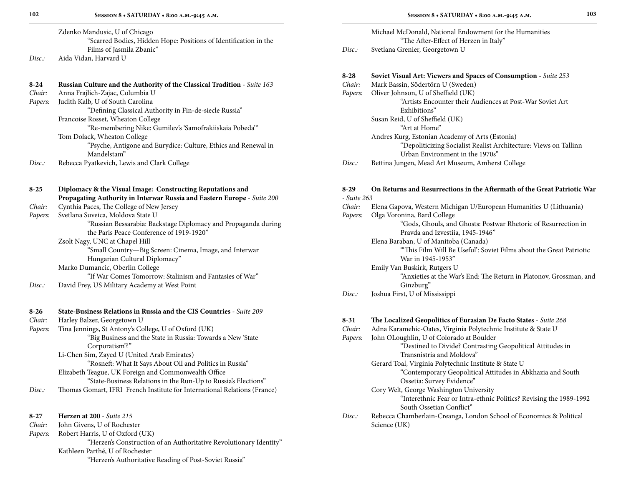|       | Zdenko Mandusic, U of Chicago                                    |
|-------|------------------------------------------------------------------|
|       | "Scarred Bodies, Hidden Hope: Positions of Identification in the |
|       | Films of Jasmila Zbanic"                                         |
| Disc: | Aida Vidan, Harvard U                                            |

|                                                                           | 8-28<br>Chair:                                                                                                                                                                                                                                                                                                                                                                                                                                                                                                                                                                                                                                                                                                                                                                                                                                                                                                                                                                                                                                                                         |
|---------------------------------------------------------------------------|----------------------------------------------------------------------------------------------------------------------------------------------------------------------------------------------------------------------------------------------------------------------------------------------------------------------------------------------------------------------------------------------------------------------------------------------------------------------------------------------------------------------------------------------------------------------------------------------------------------------------------------------------------------------------------------------------------------------------------------------------------------------------------------------------------------------------------------------------------------------------------------------------------------------------------------------------------------------------------------------------------------------------------------------------------------------------------------|
| Anna Frajlich-Zajac, Columbia U                                           | Papers.                                                                                                                                                                                                                                                                                                                                                                                                                                                                                                                                                                                                                                                                                                                                                                                                                                                                                                                                                                                                                                                                                |
| Judith Kalb, U of South Carolina                                          |                                                                                                                                                                                                                                                                                                                                                                                                                                                                                                                                                                                                                                                                                                                                                                                                                                                                                                                                                                                                                                                                                        |
| "Defining Classical Authority in Fin-de-siecle Russia"                    |                                                                                                                                                                                                                                                                                                                                                                                                                                                                                                                                                                                                                                                                                                                                                                                                                                                                                                                                                                                                                                                                                        |
| Francoise Rosset, Wheaton College                                         |                                                                                                                                                                                                                                                                                                                                                                                                                                                                                                                                                                                                                                                                                                                                                                                                                                                                                                                                                                                                                                                                                        |
|                                                                           |                                                                                                                                                                                                                                                                                                                                                                                                                                                                                                                                                                                                                                                                                                                                                                                                                                                                                                                                                                                                                                                                                        |
| Tom Dolack, Wheaton College                                               |                                                                                                                                                                                                                                                                                                                                                                                                                                                                                                                                                                                                                                                                                                                                                                                                                                                                                                                                                                                                                                                                                        |
|                                                                           |                                                                                                                                                                                                                                                                                                                                                                                                                                                                                                                                                                                                                                                                                                                                                                                                                                                                                                                                                                                                                                                                                        |
|                                                                           |                                                                                                                                                                                                                                                                                                                                                                                                                                                                                                                                                                                                                                                                                                                                                                                                                                                                                                                                                                                                                                                                                        |
|                                                                           | Disc.                                                                                                                                                                                                                                                                                                                                                                                                                                                                                                                                                                                                                                                                                                                                                                                                                                                                                                                                                                                                                                                                                  |
|                                                                           | $8-29$                                                                                                                                                                                                                                                                                                                                                                                                                                                                                                                                                                                                                                                                                                                                                                                                                                                                                                                                                                                                                                                                                 |
|                                                                           | - Suite                                                                                                                                                                                                                                                                                                                                                                                                                                                                                                                                                                                                                                                                                                                                                                                                                                                                                                                                                                                                                                                                                |
|                                                                           | Chair:                                                                                                                                                                                                                                                                                                                                                                                                                                                                                                                                                                                                                                                                                                                                                                                                                                                                                                                                                                                                                                                                                 |
|                                                                           | Papers.                                                                                                                                                                                                                                                                                                                                                                                                                                                                                                                                                                                                                                                                                                                                                                                                                                                                                                                                                                                                                                                                                |
| "Russian Bessarabia: Backstage Diplomacy and Propaganda during            |                                                                                                                                                                                                                                                                                                                                                                                                                                                                                                                                                                                                                                                                                                                                                                                                                                                                                                                                                                                                                                                                                        |
| the Paris Peace Conference of 1919-1920"                                  |                                                                                                                                                                                                                                                                                                                                                                                                                                                                                                                                                                                                                                                                                                                                                                                                                                                                                                                                                                                                                                                                                        |
| Zsolt Nagy, UNC at Chapel Hill                                            |                                                                                                                                                                                                                                                                                                                                                                                                                                                                                                                                                                                                                                                                                                                                                                                                                                                                                                                                                                                                                                                                                        |
| "Small Country-Big Screen: Cinema, Image, and Interwar                    |                                                                                                                                                                                                                                                                                                                                                                                                                                                                                                                                                                                                                                                                                                                                                                                                                                                                                                                                                                                                                                                                                        |
| Hungarian Cultural Diplomacy"                                             |                                                                                                                                                                                                                                                                                                                                                                                                                                                                                                                                                                                                                                                                                                                                                                                                                                                                                                                                                                                                                                                                                        |
|                                                                           |                                                                                                                                                                                                                                                                                                                                                                                                                                                                                                                                                                                                                                                                                                                                                                                                                                                                                                                                                                                                                                                                                        |
|                                                                           |                                                                                                                                                                                                                                                                                                                                                                                                                                                                                                                                                                                                                                                                                                                                                                                                                                                                                                                                                                                                                                                                                        |
|                                                                           |                                                                                                                                                                                                                                                                                                                                                                                                                                                                                                                                                                                                                                                                                                                                                                                                                                                                                                                                                                                                                                                                                        |
|                                                                           | Disc:                                                                                                                                                                                                                                                                                                                                                                                                                                                                                                                                                                                                                                                                                                                                                                                                                                                                                                                                                                                                                                                                                  |
| State-Business Relations in Russia and the CIS Countries - Suite 209      |                                                                                                                                                                                                                                                                                                                                                                                                                                                                                                                                                                                                                                                                                                                                                                                                                                                                                                                                                                                                                                                                                        |
|                                                                           | $8 - 31$                                                                                                                                                                                                                                                                                                                                                                                                                                                                                                                                                                                                                                                                                                                                                                                                                                                                                                                                                                                                                                                                               |
|                                                                           | Chair:<br>Papers.                                                                                                                                                                                                                                                                                                                                                                                                                                                                                                                                                                                                                                                                                                                                                                                                                                                                                                                                                                                                                                                                      |
|                                                                           |                                                                                                                                                                                                                                                                                                                                                                                                                                                                                                                                                                                                                                                                                                                                                                                                                                                                                                                                                                                                                                                                                        |
|                                                                           |                                                                                                                                                                                                                                                                                                                                                                                                                                                                                                                                                                                                                                                                                                                                                                                                                                                                                                                                                                                                                                                                                        |
|                                                                           |                                                                                                                                                                                                                                                                                                                                                                                                                                                                                                                                                                                                                                                                                                                                                                                                                                                                                                                                                                                                                                                                                        |
|                                                                           |                                                                                                                                                                                                                                                                                                                                                                                                                                                                                                                                                                                                                                                                                                                                                                                                                                                                                                                                                                                                                                                                                        |
|                                                                           |                                                                                                                                                                                                                                                                                                                                                                                                                                                                                                                                                                                                                                                                                                                                                                                                                                                                                                                                                                                                                                                                                        |
| Thomas Gomart, IFRI French Institute for International Relations (France) |                                                                                                                                                                                                                                                                                                                                                                                                                                                                                                                                                                                                                                                                                                                                                                                                                                                                                                                                                                                                                                                                                        |
|                                                                           | Disc.                                                                                                                                                                                                                                                                                                                                                                                                                                                                                                                                                                                                                                                                                                                                                                                                                                                                                                                                                                                                                                                                                  |
|                                                                           | Russian Culture and the Authority of the Classical Tradition - Suite 163<br>"Re-membering Nike: Gumilev's 'Samofrakiiskaia Pobeda'"<br>"Psyche, Antigone and Eurydice: Culture, Ethics and Renewal in<br>Mandelstam"<br>Rebecca Pyatkevich, Lewis and Clark College<br>Diplomacy & the Visual Image: Constructing Reputations and<br>Propagating Authority in Interwar Russia and Eastern Europe - Suite 200<br>Cynthia Paces, The College of New Jersey<br>Svetlana Suveica, Moldova State U<br>Marko Dumancic, Oberlin College<br>"If War Comes Tomorrow: Stalinism and Fantasies of War"<br>David Frey, US Military Academy at West Point<br>Harley Balzer, Georgetown U<br>Tina Jennings, St Antony's College, U of Oxford (UK)<br>"Big Business and the State in Russia: Towards a New 'State<br>Corporatism'?"<br>Li-Chen Sim, Zayed U (United Arab Emirates)<br>"Rosneft: What It Says About Oil and Politics in Russia"<br>Elizabeth Teague, UK Foreign and Commonwealth Office<br>"State-Business Relations in the Run-Up to Russia's Elections"<br>Herzen at 200 - Suite 215 |

| Session 8 • SATURDAY • 8:00 a.m.-9:45 a.m. |  |
|--------------------------------------------|--|
|--------------------------------------------|--|

| Michael McDonald, National Endowment for the Humanities |
|---------------------------------------------------------|
| "The After-Effect of Herzen in Italy"                   |
|                                                         |

*Disc.:* Svetlana Grenier, Georgetown U

| $8 - 28$ |  |  | <b>Soviet Visual Art: Viewers and Spaces of Consumption</b> - Suite 253 |
|----------|--|--|-------------------------------------------------------------------------|
|----------|--|--|-------------------------------------------------------------------------|

| Chair: | Mark Bassin, Södertörn U (Sweden) |  |  |
|--------|-----------------------------------|--|--|
|        |                                   |  |  |

- *Papers:* Oliver Johnson, U of Sheffield (UK) "Artists Encounter their Audiences at Post-War Soviet Art Exhibitions" Susan Reid, U of Sheffield (UK) "Art at Home" Andres Kurg, Estonian Academy of Arts (Estonia)
	- "Depoliticizing Socialist Realist Architecture: Views on Tallinn Urban Environment in the 1970s"
- *Disc.:* Bettina Jungen, Mead Art Museum, Amherst College

#### **8**-**29 On Returns and Resurrections in the Aftermath of the Great Patriotic War** - *Suite 263*

| Chair: |  | Elena Gapova, Western Michigan U/European Humanities U (Lithuania) |  |  |  |
|--------|--|--------------------------------------------------------------------|--|--|--|
|--------|--|--------------------------------------------------------------------|--|--|--|

*Papers:* Olga Voronina, Bard College

 "Gods, Ghouls, and Ghosts: Postwar Rhetoric of Resurrection in Pravda and Izvestiia, 1945-1946"

Elena Baraban, U of Manitoba (Canada)

 "'This Film Will Be Useful': Soviet Films about the Great Patriotic War in 1945-1953"

- Emily Van Buskirk, Rutgers U "Anxieties at the War's End: The Return in Platonov, Grossman, and Ginzburg"
- *Disc.:* Joshua First, U of Mississippi

#### **8**-**31 The Localized Geopolitics of Eurasian De Facto States** - *Suite 268*

*Chair:* Adna Karamehic-Oates, Virginia Polytechnic Institute & State U John OLoughlin, U of Colorado at Boulder "Destined to Divide? Contrasting Geopolitical Attitudes in Transnistria and Moldova" Gerard Toal, Virginia Polytechnic Institute & State U "Contemporary Geopolitical Attitudes in Abkhazia and South Ossetia: Survey Evidence" Cory Welt, George Washington University "Interethnic Fear or Intra-ethnic Politics? Revising the 1989-1992 South Ossetian Conflict" *Disc.:* Rebecca Chamberlain-Creanga, London School of Economics & Political Science (UK)

*Chair:* John Givens, U of Rochester

*Papers:* Robert Harris, U of Oxford (UK)

 "Herzen's Construction of an Authoritative Revolutionary Identity" Kathleen Parthé, U of Rochester

"Herzen's Authoritative Reading of Post-Soviet Russia"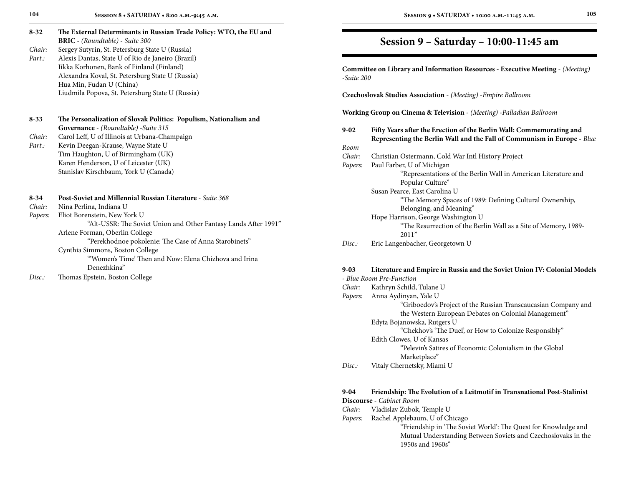| $8 - 32$         | The External Determinants in Russian Trade Policy: WTO, the EU and                       |
|------------------|------------------------------------------------------------------------------------------|
|                  | <b>BRIC</b> - (Roundtable) - Suite 300                                                   |
| Chair:           | Sergey Sutyrin, St. Petersburg State U (Russia)                                          |
| Part.:           | Alexis Dantas, State U of Rio de Janeiro (Brazil)                                        |
|                  | Iikka Korhonen, Bank of Finland (Finland)                                                |
|                  | Alexandra Koval, St. Petersburg State U (Russia)                                         |
|                  | Hua Min, Fudan U (China)                                                                 |
|                  | Liudmila Popova, St. Petersburg State U (Russia)                                         |
|                  |                                                                                          |
| $8 - 33$         | The Personalization of Slovak Politics: Populism, Nationalism and                        |
|                  | Governance - (Roundtable) - Suite 315                                                    |
| Chair:           | Carol Leff, U of Illinois at Urbana-Champaign                                            |
| Part.:           | Kevin Deegan-Krause, Wayne State U                                                       |
|                  | Tim Haughton, U of Birmingham (UK)                                                       |
|                  | Karen Henderson, U of Leicester (UK)                                                     |
|                  | Stanislav Kirschbaum, York U (Canada)                                                    |
| $8 - 34$         | Post-Soviet and Millennial Russian Literature - Suite 368                                |
| Chair:           | Nina Perlina, Indiana U                                                                  |
| Papers:          | Eliot Borenstein, New York U                                                             |
|                  |                                                                                          |
|                  | "Alt-USSR: The Soviet Union and Other Fantasy Lands After 1991"                          |
|                  | Arlene Forman, Oberlin College                                                           |
|                  | "Perekhodnoe pokolenie: The Case of Anna Starobinets"                                    |
|                  | Cynthia Simmons, Boston College<br>"Women's Time' Then and Now: Elena Chizhova and Irina |
|                  | Denezhkina"                                                                              |
| D <sub>ice</sub> | Thomas Enstain Docton Collage                                                            |
|                  |                                                                                          |

*Disc.:* Thomas Epstein, Boston College

### **Session 9 – Saturday – 10:00-11:45 am**

**Committee on Library and Information Resources - Executive Meeting** - *(Meeting)* -*Suite 200*

**Czechoslovak Studies Association** - *(Meeting)* -*Empire Ballroom*

**Working Group on Cinema & Television** - *(Meeting)* -*Palladian Ballroom*

| Fifty Years after the Erection of the Berlin Wall: Commemorating and<br>Representing the Berlin Wall and the Fall of Communism in Europe - Blue |
|-------------------------------------------------------------------------------------------------------------------------------------------------|
|                                                                                                                                                 |
| Christian Ostermann, Cold War Intl History Project                                                                                              |
| Paul Farber, U of Michigan                                                                                                                      |
| "Representations of the Berlin Wall in American Literature and                                                                                  |
| Popular Culture"                                                                                                                                |
| Susan Pearce, East Carolina U                                                                                                                   |
| "The Memory Spaces of 1989: Defining Cultural Ownership,                                                                                        |
| Belonging, and Meaning"                                                                                                                         |
| Hope Harrison, George Washington U                                                                                                              |
| "The Resurrection of the Berlin Wall as a Site of Memory, 1989-                                                                                 |
| 2011"                                                                                                                                           |
| Eric Langenbacher, Georgetown U                                                                                                                 |
|                                                                                                                                                 |

### **9**-**03 Literature and Empire in Russia and the Soviet Union IV: Colonial Models**

- *Blue Room Pre-Function Chair:* Kathryn Schild, Tulane U *Papers:* Anna Aydinyan, Yale U "Griboedov's Project of the Russian Transcaucasian Company and the Western European Debates on Colonial Management" Edyta Bojanowska, Rutgers U "Chekhov's 'The Duel', or How to Colonize Responsibly" Edith Clowes, U of Kansas "Pelevin's Satires of Economic Colonialism in the Global Marketplace" *Disc.:* Vitaly Chernetsky, Miami U

### **9**-**04 Friendship: The Evolution of a Leitmotif in Transnational Post-Stalinist**

**Discourse** - *Cabinet Room*

- *Chair:* Vladislav Zubok, Temple U
- *Papers:* Rachel Applebaum, U of Chicago

 "Friendship in 'The Soviet World': The Quest for Knowledge and Mutual Understanding Between Soviets and Czechoslovaks in the 1950s and 1960s"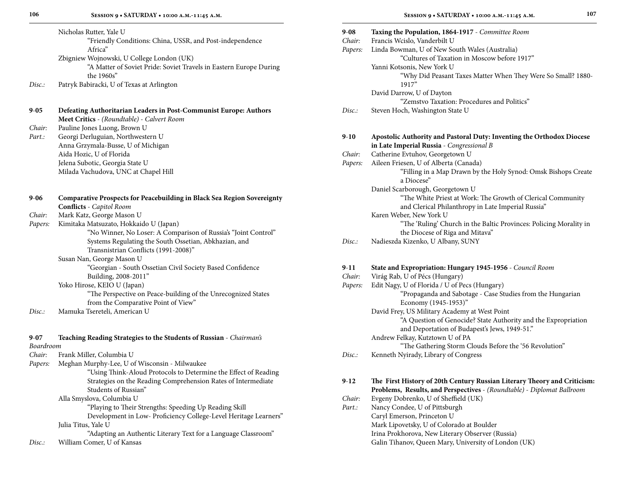|                  | Nicholas Rutter, Yale U<br>"Friendly Conditions: China, USSR, and Post-independence |
|------------------|-------------------------------------------------------------------------------------|
|                  | Africa"                                                                             |
|                  | Zbigniew Wojnowski, U College London (UK)                                           |
|                  | "A Matter of Soviet Pride: Soviet Travels in Eastern Europe During                  |
| Disc:            | the 1960s"                                                                          |
|                  | Patryk Babiracki, U of Texas at Arlington                                           |
| $9 - 05$         | Defeating Authoritarian Leaders in Post-Communist Europe: Authors                   |
|                  | Meet Critics - (Roundtable) - Calvert Room                                          |
| Chair:           | Pauline Jones Luong, Brown U                                                        |
| Part.:           | Georgi Derluguian, Northwestern U                                                   |
|                  | Anna Grzymala-Busse, U of Michigan                                                  |
|                  | Aida Hozic, U of Florida                                                            |
|                  | Jelena Subotic, Georgia State U<br>Milada Vachudova, UNC at Chapel Hill             |
|                  |                                                                                     |
| $9 - 06$         | <b>Comparative Prospects for Peacebuilding in Black Sea Region Sovereignty</b>      |
| Chair:           | <b>Conflicts</b> - Capitol Room<br>Mark Katz, George Mason U                        |
| Papers:          | Kimitaka Matsuzato, Hokkaido U (Japan)                                              |
|                  | "No Winner, No Loser: A Comparison of Russia's "Joint Control"                      |
|                  | Systems Regulating the South Ossetian, Abkhazian, and                               |
|                  | Transnistrian Conflicts (1991-2008)"                                                |
|                  | Susan Nan, George Mason U                                                           |
|                  | "Georgian - South Ossetian Civil Society Based Confidence                           |
|                  | Building, 2008-2011"                                                                |
|                  | Yoko Hirose, KEIO U (Japan)                                                         |
|                  | "The Perspective on Peace-building of the Unrecognized States                       |
|                  | from the Comparative Point of View"                                                 |
| Disc:            | Mamuka Tsereteli, American U                                                        |
| $9 - 07$         | Teaching Reading Strategies to the Students of Russian - Chairman's                 |
| <b>Boardroom</b> |                                                                                     |
| Chair:           | Frank Miller, Columbia U                                                            |
|                  | <i>Dapare.</i> Mogban Murphy Loo II of Wisconsin Milwoulson                         |

*Papers:* Meghan Murphy-Lee, U of Wisconsin - Milwaukee "Using Think-Aloud Protocols to Determine the Effect of Reading Strategies on the Reading Comprehension Rates of Intermediate Students of Russian" Alla Smyslova, Columbia U

 "Playing to Their Strengths: Speeding Up Reading Skill Development in Low- Proficiency College-Level Heritage Learners" Julia Titus, Yale U

"Adapting an Authentic Literary Text for a Language Classroom"

*Disc.:* William Comer, U of Kansas

| $9 - 08$<br>Chair:<br>Papers: | Taxing the Population, 1864-1917 - Committee Room<br>Francis Wcislo, Vanderbilt U<br>Linda Bowman, U of New South Wales (Australia)                   |
|-------------------------------|-------------------------------------------------------------------------------------------------------------------------------------------------------|
|                               | "Cultures of Taxation in Moscow before 1917"<br>Yanni Kotsonis, New York U<br>"Why Did Peasant Taxes Matter When They Were So Small? 1880-<br>1917"   |
|                               | David Darrow, U of Dayton                                                                                                                             |
| Disc.                         | "Zemstvo Taxation: Procedures and Politics"<br>Steven Hoch, Washington State U                                                                        |
| $9-10$                        | Apostolic Authority and Pastoral Duty: Inventing the Orthodox Diocese<br>in Late Imperial Russia - Congressional B                                    |
| Chair:                        | Catherine Evtuhov, Georgetown U                                                                                                                       |
| Papers:                       | Aileen Friesen, U of Alberta (Canada)<br>"Filling in a Map Drawn by the Holy Synod: Omsk Bishops Create<br>a Diocese"                                 |
|                               | Daniel Scarborough, Georgetown U<br>"The White Priest at Work: The Growth of Clerical Community<br>and Clerical Philanthropy in Late Imperial Russia" |
|                               | Karen Weber, New York U<br>"The 'Ruling' Church in the Baltic Provinces: Policing Morality in<br>the Diocese of Riga and Mitava"                      |
| Disc.                         | Nadieszda Kizenko, U Albany, SUNY                                                                                                                     |
| $9-11$                        | State and Expropriation: Hungary 1945-1956 - Council Room                                                                                             |
| Chair:                        | Virág Rab, U of Pécs (Hungary)                                                                                                                        |
| Papers:                       | Edit Nagy, U of Florida / U of Pecs (Hungary)<br>"Propaganda and Sabotage - Case Studies from the Hungarian<br>Economy (1945-1953)"                   |
|                               | David Frey, US Military Academy at West Point                                                                                                         |
|                               | "A Question of Genocide? State Authority and the Expropriation<br>and Deportation of Budapest's Jews, 1949-51."                                       |
|                               | Andrew Felkay, Kutztown U of PA<br>"The Gathering Storm Clouds Before the '56 Revolution"                                                             |
| Disc.                         | Kenneth Nyirady, Library of Congress                                                                                                                  |
| $9-12$                        | The First History of 20th Century Russian Literary Theory and Criticism:                                                                              |
|                               | Problems, Results, and Perspectives - (Roundtable) - Diplomat Ballroom                                                                                |
| Chair:                        | Evgeny Dobrenko, U of Sheffield (UK)                                                                                                                  |
| Part.:                        | Nancy Condee, U of Pittsburgh                                                                                                                         |
|                               | Caryl Emerson, Princeton U                                                                                                                            |
|                               | Mark Lipovetsky, U of Colorado at Boulder                                                                                                             |
|                               | Irina Prokhorova, New Literary Observer (Russia)                                                                                                      |

Galin Tihanov, Queen Mary, University of London (UK)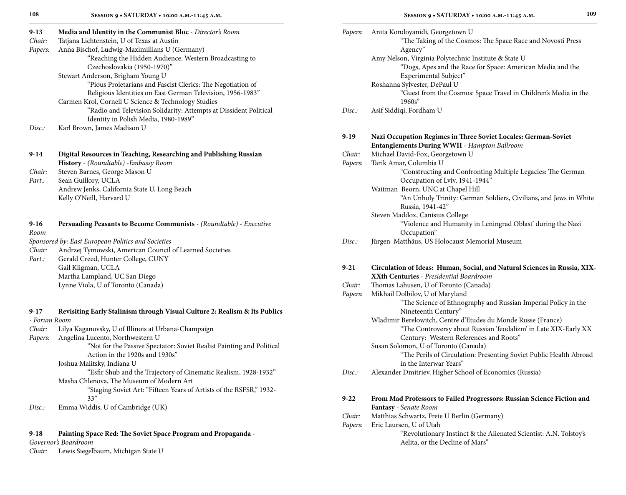| $9-13$  | Media and Identity in the Communist Bloc - Director's Room        |  |  |
|---------|-------------------------------------------------------------------|--|--|
| Chair:  | Tatjana Lichtenstein, U of Texas at Austin                        |  |  |
| Papers: | Anna Bischof, Ludwig-Maximillians U (Germany)                     |  |  |
|         | "Reaching the Hidden Audience. Western Broadcasting to            |  |  |
|         | Czechoslovakia (1950-1970)"                                       |  |  |
|         | Stewart Anderson, Brigham Young U                                 |  |  |
|         | "Pious Proletarians and Fascist Clerics: The Negotiation of       |  |  |
|         | Religious Identities on East German Television, 1956-1983"        |  |  |
|         | Carmen Krol, Cornell U Science & Technology Studies               |  |  |
|         | "Radio and Television Solidarity: Attempts at Dissident Political |  |  |
|         | Identity in Polish Media, 1980-1989"                              |  |  |
| Disc:   | Karl Brown, James Madison U                                       |  |  |
|         |                                                                   |  |  |
| $9-14$  | Digital Resources in Teaching, Researching and Publishing Russian |  |  |
|         | <b>History</b> - (Roundtable) - Embassy Room                      |  |  |
| Chair:  | Steven Barnes, George Mason U                                     |  |  |
| Part.:  | Sean Guillory, UCLA                                               |  |  |
|         | Andrew Jenks, California State U, Long Beach                      |  |  |

| $9-16$ | <b>Persuading Peasants to Become Communists</b> - (Roundtable) - Executive |
|--------|----------------------------------------------------------------------------|
| Room   |                                                                            |

*Sponsored by: East European Politics and Societies*

Kelly O'Neill, Harvard U

- *Chair:* Andrzej Tymowski, American Council of Learned Societies
- Part.: Gerald Creed, Hunter College, CUNY Gail Kligman, UCLA Martha Lampland, UC San Diego Lynne Viola, U of Toronto (Canada)

#### **9**-**17 Revisiting Early Stalinism through Visual Culture 2: Realism & Its Publics**

#### - *Forum Room*

- *Chair:* Lilya Kaganovsky, U of Illinois at Urbana-Champaign
- *Papers:* Angelina Lucento, Northwestern U
	- "Not for the Passive Spectator: Soviet Realist Painting and Political Action in the 1920s and 1930s"

Joshua Malitsky, Indiana U

 "Esfir Shub and the Trajectory of Cinematic Realism, 1928-1932" Masha Chlenova, The Museum of Modern Art

- "Staging Soviet Art: "Fifteen Years of Artists of the RSFSR," 1932-
	- 33"
- *Disc.:* Emma Widdis, U of Cambridge (UK)

#### **9**-**18 Painting Space Red: The Soviet Space Program and Propaganda** -

*Governor's Boardroom*

*Chair:* Lewis Siegelbaum, Michigan State U

| Papers:  | Anita Kondoyanidi, Georgetown U                                           |
|----------|---------------------------------------------------------------------------|
|          | "The Taking of the Cosmos: The Space Race and Novosti Press<br>Agency"    |
|          | Amy Nelson, Virginia Polytechnic Institute & State U                      |
|          | "Dogs, Apes and the Race for Space: American Media and the                |
|          | Experimental Subject"                                                     |
|          | Roshanna Sylvester, DePaul U                                              |
|          | "Guest from the Cosmos: Space Travel in Children's Media in the           |
|          | $1960s$ "                                                                 |
| Disc.:   | Asif Siddiqi, Fordham U                                                   |
| $9-19$   | Nazi Occupation Regimes in Three Soviet Locales: German-Soviet            |
|          | Entanglements During WWII - Hampton Ballroom                              |
| Chair:   | Michael David-Fox, Georgetown U                                           |
| Papers:  | Tarik Amar, Columbia U                                                    |
|          | "Constructing and Confronting Multiple Legacies: The German               |
|          | Occupation of Lviv, 1941-1944"                                            |
|          | Waitman Beorn, UNC at Chapel Hill                                         |
|          | "An Unholy Trinity: German Soldiers, Civilians, and Jews in White         |
|          | Russia, 1941-42"                                                          |
|          | Steven Maddox, Canisius College                                           |
|          | "Violence and Humanity in Leningrad Oblast' during the Nazi               |
| Disc.    | Occupation"                                                               |
|          | Jürgen Matthäus, US Holocaust Memorial Museum                             |
| $9 - 21$ | Circulation of Ideas: Human, Social, and Natural Sciences in Russia, XIX- |
|          | XXth Centuries - Presidential Boardroom                                   |
| Chair:   | Thomas Lahusen, U of Toronto (Canada)                                     |
| Papers:  | Mikhail Dolbilov, U of Maryland                                           |
|          | "The Science of Ethnography and Russian Imperial Policy in the            |
|          | Nineteenth Century"                                                       |
|          | Wladimir Berelowitch, Centre d'Etudes du Monde Russe (France)             |
|          | "The Controversy about Russian 'feodalizm' in Late XIX-Early XX           |
|          | Century: Western References and Roots"                                    |
|          | Susan Solomon, U of Toronto (Canada)                                      |

 "The Perils of Circulation: Presenting Soviet Public Health Abroad in the Interwar Years"

*Disc.:* Alexander Dmitriev, Higher School of Economics (Russia)

### **9**-**22 From Mad Professors to Failed Progressors: Russian Science Fiction and Fantasy** - *Senate Room*

- *Chair:* Matthias Schwartz, Freie U Berlin (Germany)
- *Papers:* Eric Laursen, U of Utah
	- "Revolutionary Instinct & the Alienated Scientist: A.N. Tolstoy's Aelita, or the Decline of Mars"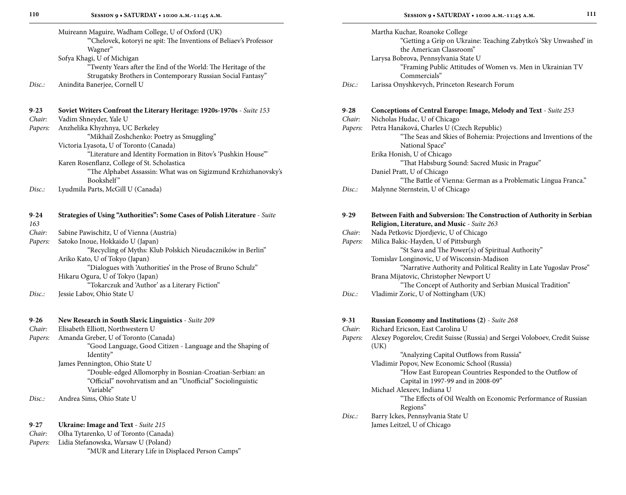| ______ | Thinking Buner jee, Cornell C |  |
|--------|-------------------------------|--|
|        |                               |  |
|        |                               |  |

| $9 - 23$ |  |        |  | Soviet Writers Confront the Literary Heritage: 1920s-1970s - Suite 153 |  |  |
|----------|--|--------|--|------------------------------------------------------------------------|--|--|
| $\sim$   |  | 771 TT |  |                                                                        |  |  |

| Chair: | Vadim Shneyder, Yale U |  |
|--------|------------------------|--|
|        |                        |  |

*Papers:* Anzhelika Khyzhnya, UC Berkeley

 "Mikhail Zoshchenko: Poetry as Smuggling" Victoria Lyasota, U of Toronto (Canada)

 "Literature and Identity Formation in Bitov's 'Pushkin House'" Karen Rosenflanz, College of St. Scholastica

 "The Alphabet Assassin: What was on Sigizmund Krzhizhanovsky's Bookshelf"

*Disc.:* Lyudmila Parts, McGill U (Canada)

| $9 - 24$ | Strategies of Using "Authorities": Some Cases of Polish Literature - Suite |
|----------|----------------------------------------------------------------------------|
| 163      |                                                                            |
| Chair:   | Sabine Pawischitz, U of Vienna (Austria)                                   |
| Papers:  | Satoko Inoue, Hokkaido U (Japan)                                           |
|          | "Recycling of Myths: Klub Polskich Nieudaczników in Berlin"                |
|          | Ariko Kato, U of Tokyo (Japan)                                             |
|          | "Dialogues with 'Authorities' in the Prose of Bruno Schulz"                |
|          | Hikaru Ogura, U of Tokyo (Japan)                                           |
|          | "Tokarczuk and 'Author' as a Literary Fiction"                             |
| Disc.    | Jessie Labov, Ohio State U                                                 |
|          |                                                                            |
|          |                                                                            |

| $9 - 26$ | New Research in South Slavic Linguistics - Suite 209 |
|----------|------------------------------------------------------|
|          | $-1$ 1 1 $-1$ $-1$                                   |

*Chair:* Elisabeth Elliott, Northwestern U *Papers:* Amanda Greber, U of Toronto (Canada) "Good Language, Good Citizen - Language and the Shaping of Identity" James Pennington, Ohio State U "Double-edged Allomorphy in Bosnian-Croatian-Serbian: an "Official" novohrvatism and an "Unofficial" Sociolinguistic Variable" *Disc.:* Andrea Sims, Ohio State U

| $9 - 27$ | <b>Ukraine: Image and Text</b> - Suite 215          |
|----------|-----------------------------------------------------|
| Chair:   | Olha Tytarenko, U of Toronto (Canada)               |
|          | <i>Papers:</i> Lidia Stefanowska, Warsaw U (Poland) |
|          | "MUR and Literary Life in Displaced Person Camps"   |

|                    | Martha Kuchar, Roanoke College<br>"Getting a Grip on Ukraine: Teaching Zabytko's 'Sky Unwashed' in<br>the American Classroom"<br>Larysa Bobrova, Pennsylvania State U |
|--------------------|-----------------------------------------------------------------------------------------------------------------------------------------------------------------------|
|                    | "Framing Public Attitudes of Women vs. Men in Ukrainian TV<br>Commercials"                                                                                            |
| Disc.:             | Larissa Onyshkevych, Princeton Research Forum                                                                                                                         |
| 9-28               | Conceptions of Central Europe: Image, Melody and Text - Suite 253                                                                                                     |
| Chair:             | Nicholas Hudac, U of Chicago                                                                                                                                          |
| Papers:            | Petra Hanáková, Charles U (Czech Republic)                                                                                                                            |
|                    | "The Seas and Skies of Bohemia: Projections and Inventions of the                                                                                                     |
|                    | National Space"                                                                                                                                                       |
|                    | Erika Honish, U of Chicago<br>"That Habsburg Sound: Sacred Music in Prague"                                                                                           |
|                    | Daniel Pratt, U of Chicago                                                                                                                                            |
|                    | "The Battle of Vienna: German as a Problematic Lingua Franca."                                                                                                        |
| Disc.              | Malynne Sternstein, U of Chicago                                                                                                                                      |
|                    |                                                                                                                                                                       |
| $9-29$             | Between Faith and Subversion: The Construction of Authority in Serbian                                                                                                |
|                    | Religion, Literature, and Music - Suite 263                                                                                                                           |
| Chair:             | Nada Petkovic Djordjevic, U of Chicago                                                                                                                                |
| Papers:            | Milica Bakic-Hayden, U of Pittsburgh                                                                                                                                  |
|                    | "St Sava and The Power(s) of Spiritual Authority"<br>Tomislav Longinovic, U of Wisconsin-Madison                                                                      |
|                    | "Narrative Authority and Political Reality in Late Yugoslav Prose"                                                                                                    |
|                    | Brana Mijatovic, Christopher Newport U                                                                                                                                |
|                    | "The Concept of Authority and Serbian Musical Tradition"                                                                                                              |
| Disc.:             | Vladimir Zoric, U of Nottingham (UK)                                                                                                                                  |
|                    |                                                                                                                                                                       |
| $9 - 31$<br>Chair: | Russian Economy and Institutions (2) - Suite 268<br>Richard Ericson, East Carolina U                                                                                  |
| Papers:            | Alexey Pogorelov, Credit Suisse (Russia) and Sergei Voloboev, Credit Suisse                                                                                           |
|                    | (UK)                                                                                                                                                                  |
|                    | "Analyzing Capital Outflows from Russia"                                                                                                                              |
|                    | Vladimir Popov, New Economic School (Russia)                                                                                                                          |
|                    | "How East European Countries Responded to the Outflow of                                                                                                              |

- Capital in 1997-99 and in 2008-09"
- Michael Alexeev, Indiana U
	- "The Effects of Oil Wealth on Economic Performance of Russian Regions"
- *Disc.:* Barry Ickes, Pennsylvania State U James Leitzel, U of Chicago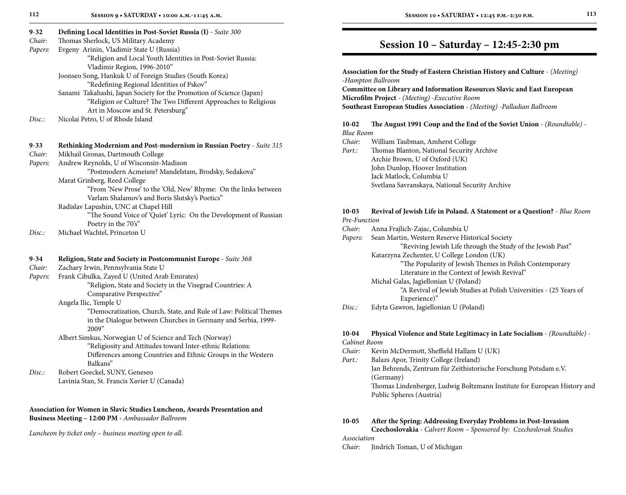|  | I<br>× |
|--|--------|

| 112                                 | SESSION 9 . SATURDAY . 10:00 A.M.-11:45 A.M.                                                                                                                                                                                                                                                                                                                                                                                                     | 113<br>SESSION 10 . SATURDAY . 12:45 P.M.-2:30 P.M.                                                                                                                                                                                                                                                                                                                                                                                                                 |
|-------------------------------------|--------------------------------------------------------------------------------------------------------------------------------------------------------------------------------------------------------------------------------------------------------------------------------------------------------------------------------------------------------------------------------------------------------------------------------------------------|---------------------------------------------------------------------------------------------------------------------------------------------------------------------------------------------------------------------------------------------------------------------------------------------------------------------------------------------------------------------------------------------------------------------------------------------------------------------|
| $9 - 32$<br>Chair:<br>Papers:       | Defining Local Identities in Post-Soviet Russia (I) - Suite 300<br>Thomas Sherlock, US Military Academy<br>Evgeny Arinin, Vladimir State U (Russia)                                                                                                                                                                                                                                                                                              | Session 10 - Saturday - 12:45-2:30 pm                                                                                                                                                                                                                                                                                                                                                                                                                               |
| Disc.:                              | "Religion and Local Youth Identities in Post-Soviet Russia:<br>Vladimir Region, 1996-2010"<br>Joonseo Song, Hankuk U of Foreign Studies (South Korea)<br>"Redefining Regional Identities of Pskov"<br>Sanami Takahashi, Japan Society for the Promotion of Science (Japan)<br>"Religion or Culture? The Two Different Approaches to Religious<br>Art in Moscow and St. Petersburg"<br>Nicolai Petro, U of Rhode Island                           | Association for the Study of Eastern Christian History and Culture - (Meeting)<br>-Hampton Ballroom<br>Committee on Library and Information Resources Slavic and East European<br>Microfilm Project - (Meeting) - Executive Room<br>Southeast European Studies Association - (Meeting) -Palladian Ballroom<br>The August 1991 Coup and the End of the Soviet Union - (Roundtable) -<br>$10-02$                                                                      |
| $9 - 33$<br>Chair:<br>Papers:       | Rethinking Modernism and Post-modernism in Russian Poetry - Suite 315<br>Mikhail Gronas, Dartmouth College<br>Andrew Reynolds, U of Wisconsin-Madison<br>"Postmodern Acmeism? Mandelstam, Brodsky, Sedakova"<br>Marat Grinberg, Reed College<br>"From 'New Prose' to the 'Old, New' Rhyme: On the links between<br>Varlam Shalamov's and Boris Slutsky's Poetics"                                                                                | <b>Blue Room</b><br>William Taubman, Amherst College<br>Chair:<br>Thomas Blanton, National Security Archive<br>Part.:<br>Archie Brown, U of Oxford (UK)<br>John Dunlop, Hoover Institution<br>Jack Matlock, Columbia U<br>Svetlana Savranskaya, National Security Archive                                                                                                                                                                                           |
|                                     | Radislav Lapushin, UNC at Chapel Hill<br>"The Sound Voice of 'Quiet' Lyric: On the Development of Russian<br>Poetry in the 70's"                                                                                                                                                                                                                                                                                                                 | $10-03$<br>Revival of Jewish Life in Poland. A Statement or a Question? - Blue Room<br>Pre-Function<br>Anna Frajlich-Zajac, Columbia U<br>Chair:                                                                                                                                                                                                                                                                                                                    |
| Disc.:<br>9-34<br>Chair:<br>Papers: | Michael Wachtel, Princeton U<br>Religion, State and Society in Postcommunist Europe - Suite 368<br>Zachary Irwin, Pennsylvania State U<br>Frank Cibulka, Zayed U (United Arab Emirates)<br>"Religion, State and Society in the Visegrad Countries: A<br>Comparative Perspective"<br>Angela Ilic, Temple U<br>"Democratization, Church, State, and Rule of Law: Political Themes<br>in the Dialogue between Churches in Germany and Serbia, 1999- | Sean Martin, Western Reserve Historical Society<br>Papers:<br>"Reviving Jewish Life through the Study of the Jewish Past"<br>Katarzyna Zechenter, U College London (UK)<br>"The Popularity of Jewish Themes in Polish Contemporary<br>Literature in the Context of Jewish Revival"<br>Michal Galas, Jagiellonian U (Poland)<br>"A Revival of Jewish Studies at Polish Universities - (25 Years of<br>Experience)"<br>Edyta Gawron, Jagiellonian U (Poland)<br>Disc. |
|                                     | 2009"<br>Albert Simkus, Norwegian U of Science and Tech (Norway)<br>"Religiosity and Attitudes toward Inter-ethnic Relations:<br>Differences among Countries and Ethnic Groups in the Western<br>Balkans"                                                                                                                                                                                                                                        | Physical Violence and State Legitimacy in Late Socialism - (Roundtable) -<br>10-04<br>Cabinet Room<br>Kevin McDermott, Sheffield Hallam U (UK)<br>Chair:<br>Balazs Apor, Trinity College (Ireland)<br>Part.:                                                                                                                                                                                                                                                        |
| Disc.:                              | Robert Goeckel, SUNY, Geneseo                                                                                                                                                                                                                                                                                                                                                                                                                    | Jan Behrends, Zentrum für Zeithistorische Forschung Potsdam e.V.                                                                                                                                                                                                                                                                                                                                                                                                    |

Lavinia Stan, St. Francis Xavier U (Canada)

#### **Association for Women in Slavic Studies Luncheon, Awards Presentation and Business Meeting – 12:00 PM -** *Ambassador Ballroom*

*Luncheon by ticket only – business meeting open to all.*

## **Session 10 – Saturday – 12:45-2:30 pm**

#### **10-02 The August 1991 Coup and the End of the Soviet Union** - *(Roundtable)* - *Blue Room*

- *Chair:* William Taubman, Amherst College
- *Part.:* Thomas Blanton, National Security Archive Archie Brown, U of Oxford (UK) John Dunlop, Hoover Institution Jack Matlock, Columbia U Svetlana Savranskaya, National Security Archive

#### **10-03 Revival of Jewish Life in Poland. A Statement or a Question?** - *Blue Room Pre-Function*

| Chair: |  |  |  |  | Anna Frajlich-Zajac, Columbia U |  |
|--------|--|--|--|--|---------------------------------|--|
|--------|--|--|--|--|---------------------------------|--|

| Papers: | Sean Martin, Western Reserve Historical Society                    |
|---------|--------------------------------------------------------------------|
|         | "Reviving Jewish Life through the Study of the Jewish Past"        |
|         | Katarzyna Zechenter, U College London (UK)                         |
|         | "The Popularity of Jewish Themes in Polish Contemporary            |
|         | Literature in the Context of Jewish Revival"                       |
|         | Michal Galas, Jagiellonian U (Poland)                              |
|         | "A Revival of Jewish Studies at Polish Universities - (25 Years of |
|         | Experience)"                                                       |
| Disc:   | Edyta Gawron, Jagiellonian U (Poland)                              |
|         |                                                                    |

#### **10-04 Physical Violence and State Legitimacy in Late Socialism** - *(Roundtable)* - *Cabinet Room*

- *Chair:* Kevin McDermott, Sheffield Hallam U (UK)
- *Part.:* Balazs Apor, Trinity College (Ireland) Jan Behrends, Zentrum für Zeithistorische Forschung Potsdam e.V. (Germany) Thomas Lindenberger, Ludwig Boltzmann Institute for European History and Public Spheres (Austria)

### **10-05 After the Spring: Addressing Everyday Problems in Post-Invasion**

**Czechoslovakia** - *Calvert Room – Sponsored by: Czechoslovak Studies Association*

#### *Chair:* Jindrich Toman, U of Michigan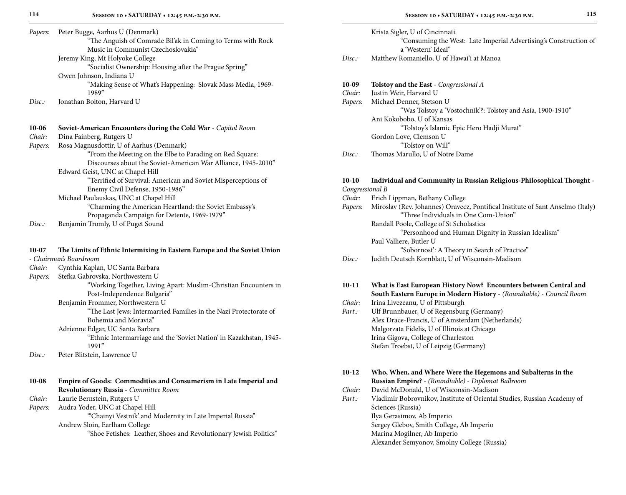| Papers: | Peter Bugge, Aarhus U (Denmark)                                      |  |  |  |  |  |  |
|---------|----------------------------------------------------------------------|--|--|--|--|--|--|
|         | "The Anguish of Comrade Bil'ak in Coming to Terms with Rock          |  |  |  |  |  |  |
|         | Music in Communist Czechoslovakia"                                   |  |  |  |  |  |  |
|         | Jeremy King, Mt Holyoke College                                      |  |  |  |  |  |  |
|         | "Socialist Ownership: Housing after the Prague Spring"               |  |  |  |  |  |  |
|         | Owen Johnson, Indiana U                                              |  |  |  |  |  |  |
|         | "Making Sense of What's Happening: Slovak Mass Media, 1969-<br>1989" |  |  |  |  |  |  |
| Disc.   | Jonathan Bolton, Harvard U                                           |  |  |  |  |  |  |
| $10-06$ | <b>Soviet-American Encounters during the Cold War</b> - Capitol Room |  |  |  |  |  |  |
| Chair:  | Dina Fainberg, Rutgers U                                             |  |  |  |  |  |  |
| Papers: | Rosa Magnusdottir, U of Aarhus (Denmark)                             |  |  |  |  |  |  |
|         | "From the Meeting on the Elbe to Parading on Red Square:             |  |  |  |  |  |  |
|         | Discourses about the Soviet-American War Alliance, 1945-2010"        |  |  |  |  |  |  |
|         | Edward Geist, UNC at Chapel Hill                                     |  |  |  |  |  |  |
|         | "Terrified of Survival: American and Soviet Misperceptions of        |  |  |  |  |  |  |
|         | Enemy Civil Defense, 1950-1986"                                      |  |  |  |  |  |  |
|         | Michael Paulauskas, UNC at Chapel Hill                               |  |  |  |  |  |  |
|         | "Charming the American Heartland: the Soviet Embassy's               |  |  |  |  |  |  |
|         | Propaganda Campaign for Detente, 1969-1979"                          |  |  |  |  |  |  |
| Disc:   | Benjamin Tromly, U of Puget Sound                                    |  |  |  |  |  |  |
|         |                                                                      |  |  |  |  |  |  |
|         |                                                                      |  |  |  |  |  |  |

#### **10-07 The Limits of Ethnic Intermixing in Eastern Europe and the Soviet Union** - *Chairman's Boardroom*

*Chair:* Cynthia Kaplan, UC Santa Barbara *Papers:* Stefka Gabrovska, Northwestern U "Working Together, Living Apart: Muslim-Christian Encounters in Post-Independence Bulgaria" Benjamin Frommer, Northwestern U "The Last Jews: Intermarried Families in the Nazi Protectorate of

Bohemia and Moravia"

#### Adrienne Edgar, UC Santa Barbara

 "Ethnic Intermarriage and the 'Soviet Nation' in Kazakhstan, 1945- 1991"

*Disc.:* Peter Blitstein, Lawrence U

| $10-08$ | <b>Empire of Goods: Commodities and Consumerism in Late Imperial and</b> |  |  |  |
|---------|--------------------------------------------------------------------------|--|--|--|
|         | Revolutionary Russia - Committee Room                                    |  |  |  |
| Chair:  | Laurie Bernstein, Rutgers U                                              |  |  |  |
| Papers: | Audra Yoder, UNC at Chapel Hill                                          |  |  |  |
|         | "Chainyi Vestnik' and Modernity in Late Imperial Russia"                 |  |  |  |
|         | Andrew Sloin, Earlham College                                            |  |  |  |
|         | "Shoe Fetishes: Leather, Shoes and Revolutionary Jewish Politics"        |  |  |  |
|         |                                                                          |  |  |  |

|         | Krista Sigler, U of Cincinnati<br>"Consuming the West: Late Imperial Advertising's Construction of<br>a 'Western' Ideal" |
|---------|--------------------------------------------------------------------------------------------------------------------------|
| Disc.   | Matthew Romaniello, U of Hawai'i at Manoa                                                                                |
| 10-09   | <b>Tolstoy and the East</b> - <i>Congressional A</i>                                                                     |
| Chair:  | Justin Weir, Harvard U                                                                                                   |
| Papers: | Michael Denner, Stetson U                                                                                                |
|         | "Was Tolstoy a 'Vostochnik'?: Tolstoy and Asia, 1900-1910"                                                               |
|         | Ani Kokobobo, U of Kansas                                                                                                |
|         | "Tolstoy's Islamic Epic Hero Hadji Murat"                                                                                |
|         | Gordon Love, Clemson U                                                                                                   |
|         | "Tolstov on Will"                                                                                                        |

*Disc.:* Thomas Marullo, U of Notre Dame

| $10-10$         |  |  | Individual and Community in Russian Religious-Philosophical Thought - |  |
|-----------------|--|--|-----------------------------------------------------------------------|--|
| Congressional B |  |  |                                                                       |  |
| ___             |  |  |                                                                       |  |

*Chair:* Erich Lippman, Bethany College

| <i>Papers:</i> Miroslav (Rev. Johannes) Oravecz, Pontifical Institute of Sant Anselmo (Italy) |
|-----------------------------------------------------------------------------------------------|
| "Three Individuals in One Com-Union"                                                          |
| Randall Poole, College of St Scholastica                                                      |

 "Personhood and Human Dignity in Russian Idealism" Paul Valliere, Butler U "Sobornost': A Theory in Search of Practice"

- *Disc.:* Judith Deutsch Kornblatt, U of Wisconsin-Madison
- **10-11 What is East European History Now? Encounters between Central and South Eastern Europe in Modern History** - *(Roundtable)* - *Council Room*
- *Chair:* Irina Livezeanu, U of Pittsburgh
- Part.: Ulf Brunnbauer, U of Regensburg (Germany) Alex Drace-Francis, U of Amsterdam (Netherlands) Malgorzata Fidelis, U of Illinois at Chicago Irina Gigova, College of Charleston Stefan Troebst, U of Leipzig (Germany)

| $10-12$ | Who, When, and Where Were the Hegemons and Subalterns in the |
|---------|--------------------------------------------------------------|
|         | <b>Russian Empire?</b> - (Roundtable) - Diplomat Ballroom    |

- *Chair:* David McDonald, U of Wisconsin-Madison
- *Part.:* Vladimir Bobrovnikov, Institute of Oriental Studies, Russian Academy of Sciences (Russia) Ilya Gerasimov, Ab Imperio Sergey Glebov, Smith College, Ab Imperio Marina Mogilner, Ab Imperio Alexander Semyonov, Smolny College (Russia)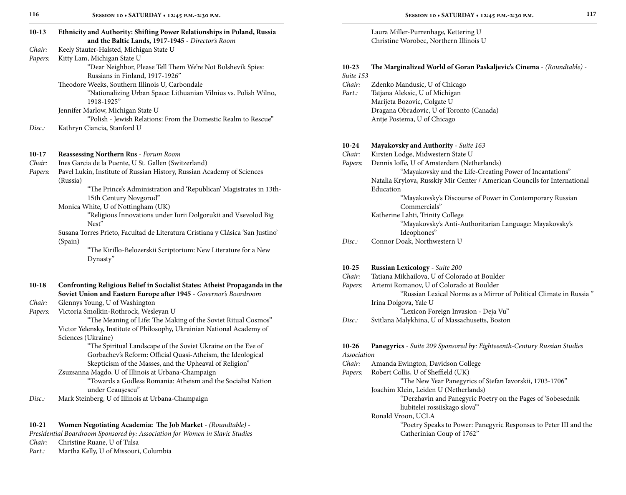| $10-13$ | Ethnicity and Authority: Shifting Power Relationships in Poland, Russia<br>and the Baltic Lands, 1917-1945 - Director's Room |
|---------|------------------------------------------------------------------------------------------------------------------------------|
| Chair:  | Keely Stauter-Halsted, Michigan State U                                                                                      |
| Papers: | Kitty Lam, Michigan State U                                                                                                  |
|         | "Dear Neighbor, Please Tell Them We're Not Bolshevik Spies:                                                                  |
|         | Russians in Finland, 1917-1926"                                                                                              |
|         | Theodore Weeks, Southern Illinois U, Carbondale                                                                              |
|         | "Nationalizing Urban Space: Lithuanian Vilnius vs. Polish Wilno,<br>1918-1925"                                               |
|         | Jennifer Marlow, Michigan State U                                                                                            |
|         | "Polish - Jewish Relations: From the Domestic Realm to Rescue"                                                               |
| Disc.   | Kathryn Ciancia, Stanford U                                                                                                  |
| $10-17$ | Reassessing Northern Rus - Forum Room                                                                                        |
| Chair:  | Ines Garcia de la Puente, U St. Gallen (Switzerland)                                                                         |
| Papers: | Pavel Lukin, Institute of Russian History, Russian Academy of Sciences<br>(Russia)                                           |
|         | "The Prince's Administration and 'Republican' Magistrates in 13th-                                                           |
|         | 15th Century Novgorod"                                                                                                       |
|         | Monica White, U of Nottingham (UK)                                                                                           |
|         | "Religious Innovations under Iurii Dolgorukii and Vsevolod Big<br>Nest"                                                      |
|         | Susana Torres Prieto, Facultad de Literatura Cristiana y Clásica 'San Justino'                                               |
|         | (Spain)                                                                                                                      |
|         | "The Kirillo-Belozerskii Scriptorium: New Literature for a New<br>Dynasty"                                                   |
| $10-18$ | Confronting Religious Belief in Socialist States: Atheist Propaganda in the                                                  |
|         | Soviet Union and Eastern Europe after 1945 - Governor's Boardroom                                                            |
| Chair:  | Glennys Young, U of Washington                                                                                               |
| Papers: | Victoria Smolkin-Rothrock, Wesleyan U                                                                                        |
|         | "The Meaning of Life: The Making of the Soviet Ritual Cosmos"                                                                |
|         | Victor Yelensky, Institute of Philosophy, Ukrainian National Academy of                                                      |
|         | Sciences (Ukraine)                                                                                                           |
|         | "The Spiritual Landscape of the Soviet Ukraine on the Eve of                                                                 |
|         | Gorbachev's Reform: Official Quasi-Atheism, the Ideological                                                                  |

 Skepticism of the Masses, and the Upheaval of Religion" Zsuzsanna Magdo, U of Illinois at Urbana-Champaign "Towards a Godless Romania: Atheism and the Socialist Nation

under Ceaușescu"

*Disc.:* Mark Steinberg, U of Illinois at Urbana-Champaign

#### **10-21 Women Negotiating Academia: The Job Market** - *(Roundtable)* -

| Presidential Boardroom Sponsored by: Association for Women in Slavic Studies |  |  |  |  |
|------------------------------------------------------------------------------|--|--|--|--|
|------------------------------------------------------------------------------|--|--|--|--|

*Chair:* Christine Ruane, U of Tulsa

*Part.:* Martha Kelly, U of Missouri, Columbia

Laura Miller-Purrenhage, Kettering U Christine Worobec, Northern Illinois U

#### **10-23 The Marginalized World of Goran Paskaljevic's Cinema** - *(Roundtable)* -

*Suite 153*

- *Chair:* Zdenko Mandusic, U of Chicago
- *Part.:* Tatjana Aleksic, U of Michigan Marijeta Bozovic, Colgate U Dragana Obradovic, U of Toronto (Canada) Antje Postema, U of Chicago

#### **10-24 Mayakovsky and Authority** - *Suite 163*

- *Chair:* Kirsten Lodge, Midwestern State U
- *Papers:* Dennis Ioffe, U of Amsterdam (Netherlands)
	- "Mayakovsky and the Life-Creating Power of Incantations" Natalia Krylova, Russkiy Mir Center / American Councils for International Education "Mayakovsky's Discourse of Power in Contemporary Russian Commercials" Katherine Lahti, Trinity College "Mayakovsky's Anti-Authoritarian Language: Mayakovsky's
		- Ideophones"
- *Disc.:* Connor Doak, Northwestern U

#### **10-25 Russian Lexicology** - *Suite 200*

| Chair:  | Tatiana Mikhailova, U of Colorado at Boulder                       |
|---------|--------------------------------------------------------------------|
| Papers: | Artemi Romanov, U of Colorado at Boulder                           |
|         | "Russian Lexical Norms as a Mirror of Political Climate in Russia" |
|         | Irina Dolgova, Yale U                                              |
|         | "Lexicon Foreign Invasion - Deja Vu"                               |
| Disc.   | Svitlana Malykhina, U of Massachusetts, Boston                     |

#### **10-26 Panegyrics** - *Suite 209 Sponsored by: Eighteeenth-Century Russian Studies Association*

- *Chair:* Amanda Ewington, Davidson College
- *Papers:* Robert Collis, U of Sheffield (UK)

 "The New Year Panegyrics of Stefan Iavorskii, 1703-1706" Joachim Klein, Leiden U (Netherlands)

- "Derzhavin and Panegyric Poetry on the Pages of 'Sobesednik liubitelei rossiiskago slova'"
- Ronald Vroon, UCLA

 "Poetry Speaks to Power: Panegyric Responses to Peter III and the Catherinian Coup of 1762"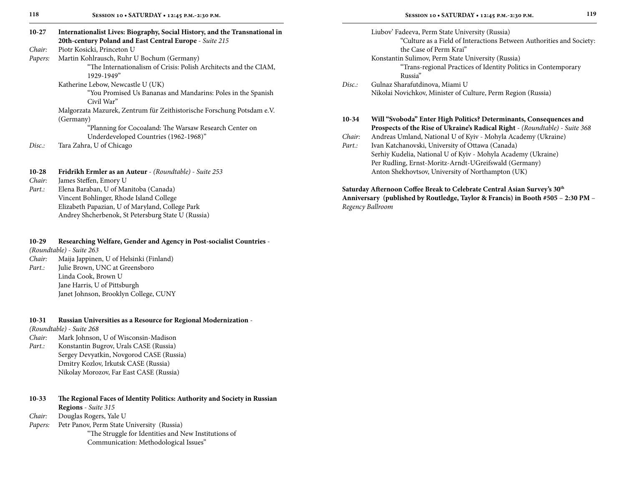| $10 - 27$ | Internationalist Lives: Biography, Social History, and the Transnational in<br>20th-century Poland and East Central Europe - Suite 215 |
|-----------|----------------------------------------------------------------------------------------------------------------------------------------|
| Chair:    | Piotr Kosicki, Princeton U                                                                                                             |
| Papers:   | Martin Kohlrausch, Ruhr U Bochum (Germany)                                                                                             |
|           | "The Internationalism of Crisis: Polish Architects and the CIAM,<br>1929-1949"                                                         |
|           | Katherine Lebow, Newcastle U (UK)                                                                                                      |
|           | "You Promised Us Bananas and Mandarins: Poles in the Spanish<br>Civil War"                                                             |
|           | Malgorzata Mazurek, Zentrum für Zeithistorische Forschung Potsdam e.V.<br>(Germany)                                                    |
|           | "Planning for Cocoaland: The Warsaw Research Center on<br>Underdeveloped Countries (1962-1968)"                                        |
| Disc.:    | Tara Zahra, U of Chicago                                                                                                               |

| $10-28$ | Fridrikh Ermler as an Auteur - (Roundtable) - Suite 253 |
|---------|---------------------------------------------------------|
| Chair:  | James Steffen, Emory U                                  |
| Part.:  | Elena Baraban, U of Manitoba (Canada)                   |
|         | Vincent Bohlinger, Rhode Island College                 |
|         | Elizabeth Papazian, U of Maryland, College Park         |
|         | Andrey Shcherbenok, St Petersburg State U (Russia)      |
|         |                                                         |

#### **10-29 Researching Welfare, Gender and Agency in Post-socialist Countries** -

*(Roundtable)* - *Suite 263*

*Chair:* Maija Jappinen, U of Helsinki (Finland) *Part.:* Julie Brown, UNC at Greensboro Linda Cook, Brown U Jane Harris, U of Pittsburgh Janet Johnson, Brooklyn College, CUNY

#### **10-31 Russian Universities as a Resource for Regional Modernization** -

*(Roundtable)* - *Suite 268*

- *Chair:* Mark Johnson, U of Wisconsin-Madison
- Part.: Konstantin Bugrov, Urals CASE (Russia) Sergey Devyatkin, Novgorod CASE (Russia) Dmitry Kozlov, Irkutsk CASE (Russia) Nikolay Morozov, Far East CASE (Russia)
- **10-33 The Regional Faces of Identity Politics: Authority and Society in Russian Regions** - *Suite 315*
- *Chair:* Douglas Rogers, Yale U

Papers: Petr Panov, Perm State University (Russia) "The Struggle for Identities and New Institutions of Communication: Methodological Issues"

| 10-34 | Will "Svoboda" Enter High Politics? Determinants, Consequences and<br>Prospects of the Rise of Ukraine's Radical Right - (Roundtable) - Suite 368 |
|-------|---------------------------------------------------------------------------------------------------------------------------------------------------|
|       | Nikolai Novichkov, Minister of Culture, Perm Region (Russia)                                                                                      |
| Disc. | Gulnaz Sharafutdinova, Miami U                                                                                                                    |
|       | Russia"                                                                                                                                           |
|       | "Trans-regional Practices of Identity Politics in Contemporary                                                                                    |
|       | Konstantin Sulimov, Perm State University (Russia)                                                                                                |
|       | the Case of Perm Krai"                                                                                                                            |
|       | "Culture as a Field of Interactions Between Authorities and Society:                                                                              |
|       | Liubov' Fadeeva, Perm State University (Russia)                                                                                                   |

*Chair:* Andreas Umland, National U of Kyiv - Mohyla Academy (Ukraine) Part.: Ivan Katchanovski, University of Ottawa (Canada) Serhiy Kudelia, National U of Kyiv - Mohyla Academy (Ukraine) Per Rudling, Ernst-Moritz-Arndt-UGreifswald (Germany) Anton Shekhovtsov, University of Northampton (UK)

#### **Saturday Afternoon Coffee Break to Celebrate Central Asian Survey's 30th Anniversary (published by Routledge, Taylor & Francis) in Booth #505** – **2:30 PM** – *Regency Ballroom*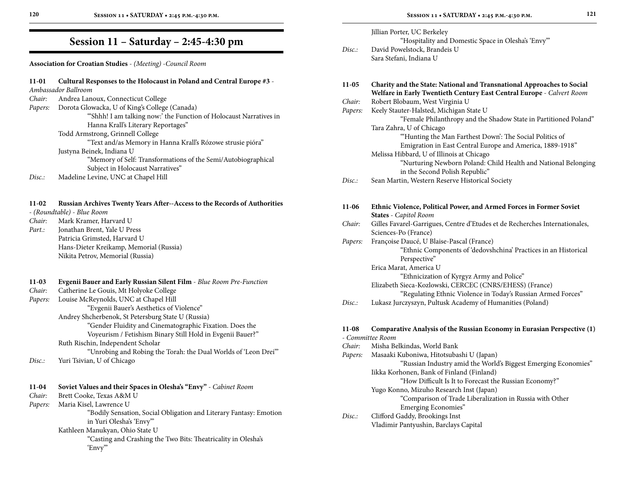**Association for Croatian Studies** - *(Meeting)* -*Council Room*

### **11-01 Cultural Responses to the Holocaust in Poland and Central Europe #3** - *Ambassador Ballroom Chair:* Andrea Lanoux, Connecticut College *Papers:* Dorota Glowacka, U of King's College (Canada) "'Shhh! I am talking now:' the Function of Holocaust Narratives in Hanna Krall's Literary Reportages" Todd Armstrong, Grinnell College "Text and/as Memory in Hanna Krall's Rózowe strusie pióra" Justyna Beinek, Indiana U "Memory of Self: Transformations of the Semi/Autobiographical Subject in Holocaust Narratives" *Disc.:* Madeline Levine, UNC at Chapel Hill

#### **11-02 Russian Archives Twenty Years After--Access to the Records of Authorities**

- *(Roundtable)* - *Blue Room*

*Chair:* Mark Kramer, Harvard U *Part.:* Jonathan Brent, Yale U Press Patricia Grimsted, Harvard U Hans-Dieter Kreikamp, Memorial (Russia) Nikita Petrov, Memorial (Russia)

#### **11-03 Evgenii Bauer and Early Russian Silent Film** - *Blue Room Pre-Function*

| Chair:  | Catherine Le Gouis, Mt Holyoke College                         |
|---------|----------------------------------------------------------------|
| Papers: | Louise McReynolds, UNC at Chapel Hill                          |
|         | "Evgenii Bauer's Aesthetics of Violence"                       |
|         | Andrey Shcherbenok, St Petersburg State U (Russia)             |
|         | "Gender Fluidity and Cinematographic Fixation. Does the        |
|         | Voyeurism / Fetishism Binary Still Hold in Evgenii Bauer?"     |
|         | Ruth Rischin, Independent Scholar                              |
|         | "Unrobing and Robing the Torah: the Dual Worlds of 'Leon Drei" |
| Disc.   | Yuri Tsivian, U of Chicago                                     |
|         |                                                                |
|         |                                                                |

| 11-04   | Soviet Values and their Spaces in Olesha's "Envy" - Cabinet Room   |
|---------|--------------------------------------------------------------------|
| Chair:  | Brett Cooke, Texas A&M U                                           |
| Papers: | Maria Kisel, Lawrence U                                            |
|         | "Bodily Sensation, Social Obligation and Literary Fantasy: Emotion |
|         | in Yuri Olesha's 'Envy'"                                           |
|         | Kathleen Manukyan, Ohio State U                                    |
|         | "Casting and Crashing the Two Bits: Theatricality in Olesha's      |
|         | 'Envy'"                                                            |
|         |                                                                    |

| Disc:             | Jillian Porter, UC Berkeley<br>"Hospitality and Domestic Space in Olesha's 'Envy""<br>David Powelstock, Brandeis U<br>Sara Stefani, Indiana U    |
|-------------------|--------------------------------------------------------------------------------------------------------------------------------------------------|
| 11-05             | Charity and the State: National and Transnational Approaches to Social<br>Welfare in Early Twentieth Century East Central Europe - Calvert Room  |
| Chair:            | Robert Blobaum, West Virginia U                                                                                                                  |
| Papers:           | Keely Stauter-Halsted, Michigan State U<br>"Female Philanthropy and the Shadow State in Partitioned Poland"                                      |
|                   | Tara Zahra, U of Chicago<br>"Hunting the Man Farthest Down': The Social Politics of<br>Emigration in East Central Europe and America, 1889-1918" |
|                   | Melissa Hibbard, U of Illinois at Chicago<br>"Nurturing Newborn Poland: Child Health and National Belonging<br>in the Second Polish Republic"    |
| Disc:             | Sean Martin, Western Reserve Historical Society                                                                                                  |
| 11-06             | Ethnic Violence, Political Power, and Armed Forces in Former Soviet<br><b>States</b> - Capitol Room                                              |
| Chair:            | Gilles Favarel-Garrigues, Centre d'Etudes et de Recherches Internationales,<br>Sciences-Po (France)                                              |
| Papers:           | Françoise Daucé, U Blaise-Pascal (France)<br>"Ethnic Components of 'dedovshchina' Practices in an Historical<br>Perspective"                     |
|                   | Erica Marat, America U                                                                                                                           |
|                   | "Ethnicization of Kyrgyz Army and Police"                                                                                                        |
|                   | Elizabeth Sieca-Kozlowski, CERCEC (CNRS/EHESS) (France)<br>"Regulating Ethnic Violence in Today's Russian Armed Forces"                          |
| Disc:             | Lukasz Jurczyszyn, Pultusk Academy of Humanities (Poland)                                                                                        |
| 11-08             | Comparative Analysis of the Russian Economy in Eurasian Perspective (1)                                                                          |
|                   | - Committee Room                                                                                                                                 |
| Chair:<br>Papers: | Misha Belkindas, World Bank<br>Masaaki Kuboniwa, Hitotsubashi U (Japan)                                                                          |
|                   | "Russian Industry amid the World's Biggest Emerging Economies"                                                                                   |
|                   | Iikka Korhonen, Bank of Finland (Finland)                                                                                                        |

"How Difficult Is It to Forecast the Russian Economy?"

```
Yugo Konno, Mizuho Research Inst (Japan)
```
 "Comparison of Trade Liberalization in Russia with Other Emerging Economies"

| Disc.: | Clifford Gaddy, Brookings Inst        |
|--------|---------------------------------------|
|        | Vladimir Pantyushin, Barclays Capital |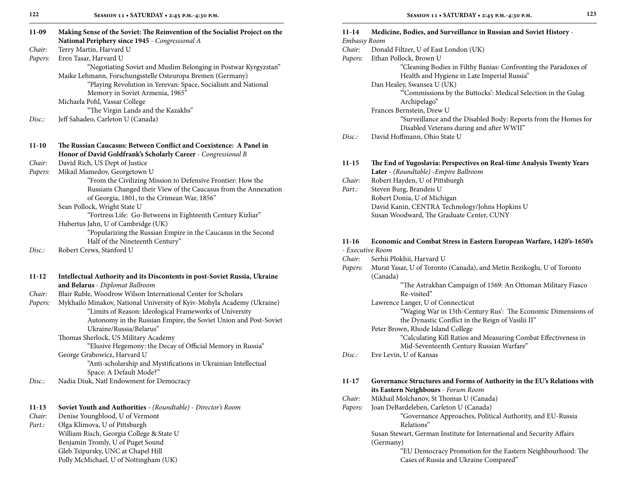| $11-09$   | Making Sense of the Soviet: The Reinvention of the Socialist Project on the<br>National Periphery since 1945 - Congressional A |
|-----------|--------------------------------------------------------------------------------------------------------------------------------|
| Chair:    | Terry Martin, Harvard U                                                                                                        |
| Papers:   | Eren Tasar, Harvard U                                                                                                          |
|           | "Negotiating Soviet and Muslim Belonging in Postwar Kyrgyzstan"                                                                |
|           | Maike Lehmann, Forschungsstelle Osteuropa Bremen (Germany)                                                                     |
|           | "Playing Revolution in Yerevan: Space, Socialism and National                                                                  |
|           | Memory in Soviet Armenia, 1965"                                                                                                |
|           | Michaela Pohl, Vassar College                                                                                                  |
|           | "The Virgin Lands and the Kazakhs"                                                                                             |
| Disc.:    | Jeff Sahadeo, Carleton U (Canada)                                                                                              |
| $11-10$   | The Russian Caucasus: Between Conflict and Coexistence: A Panel in                                                             |
|           | Honor of David Goldfrank's Scholarly Career - Congressional B                                                                  |
| Chair:    | David Rich, US Dept of Justice                                                                                                 |
| Papers:   | Mikail Mamedov, Georgetown U                                                                                                   |
|           | "From the Civilizing Mission to Defensive Frontier: How the                                                                    |
|           | Russians Changed their View of the Caucasus from the Annexation                                                                |
|           | of Georgia, 1801, to the Crimean War, 1856"                                                                                    |
|           | Sean Pollock, Wright State U                                                                                                   |
|           | "Fortress Life: Go-Betweens in Eighteenth Century Kizliar"                                                                     |
|           | Hubertus Jahn, U of Cambridge (UK)                                                                                             |
|           | "Popularizing the Russian Empire in the Caucasus in the Second                                                                 |
|           | Half of the Nineteenth Century"                                                                                                |
| Disc.     | Robert Crews, Stanford U                                                                                                       |
| $11 - 12$ | Intellectual Authority and its Discontents in post-Soviet Russia, Ukraine                                                      |
|           | and Belarus - Diplomat Ballroom                                                                                                |
| Chair:    | Blair Ruble, Woodrow Wilson International Center for Scholars                                                                  |
| Papers:   | Mykhailo Minakov, National University of Kyiv-Mohyla Academy (Ukraine)                                                         |
|           | "Limits of Reason: Ideological Frameworks of University                                                                        |
|           | Autonomy in the Russian Empire, the Soviet Union and Post-Soviet<br>Ukraine/Russia/Belarus"                                    |
|           | Thomas Sherlock, US Military Academy                                                                                           |
|           | "Elusive Hegemony: the Decay of Official Memory in Russia"                                                                     |
|           | George Grabowicz, Harvard U                                                                                                    |
|           | "Anti-scholarship and Mystifications in Ukrainian Intellectual                                                                 |
|           | Space: A Default Mode?"                                                                                                        |
| Disc.     | Nadia Diuk, Natl Endowment for Democracy                                                                                       |
| $11 - 13$ | <b>Soviet Youth and Authorities</b> - (Roundtable) - Director's Room                                                           |
| Chair:    | Denise Youngblood, U of Vermont                                                                                                |
|           |                                                                                                                                |

*Part.:* Olga Klimova, U of Pittsburgh William Risch, Georgia College & State U Benjamin Tromly, U of Puget Sound Gleb Tsipursky, UNC at Chapel Hill Polly McMichael, U of Nottingham (UK)

| 11-14        | Medicine, Bodies, and Surveillance in Russian and Soviet History -                          |
|--------------|---------------------------------------------------------------------------------------------|
| Embassy Room |                                                                                             |
| Chair:       | Donald Filtzer, U of East London (UK)                                                       |
| Papers:      | Ethan Pollock, Brown U<br>"Cleaning Bodies in Filthy Banias: Confronting the Paradoxes of   |
|              | Health and Hygiene in Late Imperial Russia"                                                 |
|              | Dan Healey, Swansea U (UK)                                                                  |
|              | "Commissions by the Buttocks': Medical Selection in the Gulag                               |
|              | Archipelago"                                                                                |
|              | Frances Bernstein, Drew U                                                                   |
|              | "Surveillance and the Disabled Body: Reports from the Homes for                             |
|              | Disabled Veterans during and after WWII"                                                    |
| Disc.:       | David Hoffmann, Ohio State U                                                                |
| $11 - 15$    | The End of Yugoslavia: Perspectives on Real-time Analysis Twenty Years                      |
|              | Later - (Roundtable) - Empire Ballroom                                                      |
| Chair:       | Robert Hayden, U of Pittsburgh                                                              |
| Part.:       | Steven Burg, Brandeis U                                                                     |
|              | Robert Donia, U of Michigan                                                                 |
|              | David Kanin, CENTRA Technology/Johns Hopkins U<br>Susan Woodward, The Graduate Center, CUNY |
|              |                                                                                             |
| $11-16$      | Economic and Combat Stress in Eastern European Warfare, 1420's-1650's<br>- Executive Room   |
| Chair:       | Serhii Plokhii, Harvard U                                                                   |
| Papers:      | Murat Yasar, U of Toronto (Canada), and Metin Bezikoglu, U of Toronto                       |
|              | (Canada)                                                                                    |
|              | "The Astrakhan Campaign of 1569: An Ottoman Military Fiasco                                 |
|              | Re-visited"                                                                                 |
|              | Lawrence Langer, U of Connecticut                                                           |
|              | "Waging War in 15th-Century Rus': The Economic Dimensions of                                |
|              | the Dynastic Conflict in the Reign of Vasilii II"                                           |
|              | Peter Brown, Rhode Island College                                                           |
|              | "Calculating Kill Ratios and Measuring Combat Effectiveness in                              |
|              | Mid-Seventeenth Century Russian Warfare"                                                    |
| Disc.:       | Eve Levin, U of Kansas                                                                      |
| 11-17        | Governance Structures and Forms of Authority in the EU's Relations with                     |
|              | its Eastern Neighbours - Forum Room                                                         |
| Chair:       | Mikhail Molchanov, St Thomas U (Canada)                                                     |
| Papers:      | Joan DeBardeleben, Carleton U (Canada)                                                      |
|              | "Governance Approaches, Political Authority, and EU-Russia<br>Relations"                    |
|              | Susan Stewart, German Institute for International and Security Affairs                      |
|              | (Germany)                                                                                   |
|              | "EU Democracy Promotion for the Eastern Neighbourhood: The                                  |

Cases of Russia and Ukraine Compared"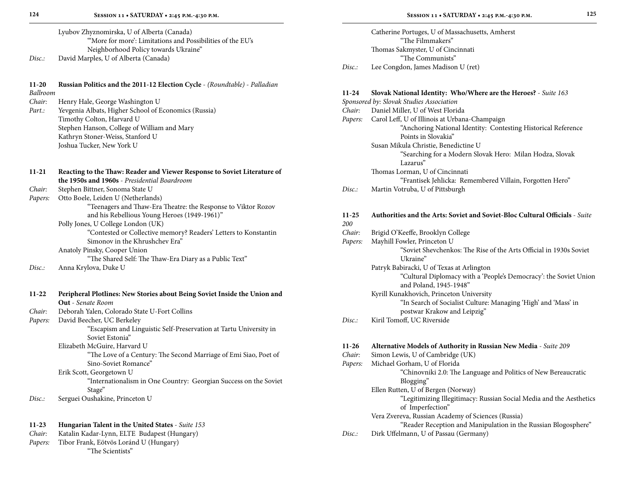Lyubov Zhyznomirska, U of Alberta (Canada) "'More for more': Limitations and Possibilities of the EU's Neighborhood Policy towards Ukraine" *Disc.:* David Marples, U of Alberta (Canada)

**11-20 Russian Politics and the 2011-12 Election Cycle** - *(Roundtable)* - *Palladian* 

*Ballroom*

*Chair:* Henry Hale, George Washington U

*Part.:* Yevgenia Albats, Higher School of Economics (Russia) Timothy Colton, Harvard U Stephen Hanson, College of William and Mary Kathryn Stoner-Weiss, Stanford U Joshua Tucker, New York U

#### **11-21 Reacting to the Thaw: Reader and Viewer Response to Soviet Literature of the 1950s and 1960s** - *Presidential Boardroom Chair:* Stephen Bittner, Sonoma State U *Papers:* Otto Boele, Leiden U (Netherlands) "Teenagers and Thaw-Era Theatre: the Response to Viktor Rozov and his Rebellious Young Heroes (1949-1961)" Polly Jones, U College London (UK) "Contested or Collective memory? Readers' Letters to Konstantin Simonov in the Khrushchev Era" Anatoly Pinsky, Cooper Union "The Shared Self: The Thaw-Era Diary as a Public Text" *Disc.:* Anna Krylova, Duke U

| $11 - 22$ | Peripheral Plotlines: New Stories about Being Soviet Inside the Union and |
|-----------|---------------------------------------------------------------------------|
|           | <b>Out</b> - Senate Room                                                  |
| Chair:    | Deborah Yalen, Colorado State U-Fort Collins                              |
| Papers:   | David Beecher, UC Berkeley                                                |
|           | "Escapism and Linguistic Self-Preservation at Tartu University in         |
|           | Soviet Estonia"                                                           |
|           | Elizabeth McGuire, Harvard U                                              |
|           | "The Love of a Century: The Second Marriage of Emi Siao, Poet of          |
|           | Sino-Soviet Romance"                                                      |
|           | Erik Scott, Georgetown U                                                  |
|           | "Internationalism in One Country: Georgian Success on the Soviet          |
|           | Stage"                                                                    |
| Disc.:    | Serguei Oushakine, Princeton U                                            |
|           |                                                                           |
|           |                                                                           |

#### **11-23 Hungarian Talent in the United States** - *Suite 153*

| Chair: | Katalin Kadar-Lynn, ELTE Budapest (Hungary) |  |  |
|--------|---------------------------------------------|--|--|
|--------|---------------------------------------------|--|--|

*Papers:* Tibor Frank, Eötvös Loránd U (Hungary)

"The Scientists"

Catherine Portuges, U of Massachusetts, Amherst "The Filmmakers" Thomas Sakmyster, U of Cincinnati "The Communists" *Disc.:* Lee Congdon, James Madison U (ret)

### **11-24 Slovak National Identity: Who/Where are the Heroes?** - *Suite 163*

| ----                    | $\frac{1}{2}$ of $\frac{1}{2}$ and $\frac{1}{2}$ and $\frac{1}{2}$ and $\frac{1}{2}$ and $\frac{1}{2}$ and $\frac{1}{2}$ and $\frac{1}{2}$ |
|-------------------------|--------------------------------------------------------------------------------------------------------------------------------------------|
|                         | Sponsored by: Slovak Studies Association                                                                                                   |
| Chair:                  | Daniel Miller, U of West Florida                                                                                                           |
| Papers:                 | Carol Leff, U of Illinois at Urbana-Champaign                                                                                              |
|                         | "Anchoring National Identity: Contesting Historical Reference                                                                              |
|                         | Points in Slovakia"                                                                                                                        |
|                         | Susan Mikula Christie, Benedictine U                                                                                                       |
|                         | "Searching for a Modern Slovak Hero: Milan Hodza, Slovak                                                                                   |
|                         | Lazarus"                                                                                                                                   |
|                         | Thomas Lorman, U of Cincinnati                                                                                                             |
|                         | "Frantisek Jehlicka: Remembered Villain, Forgotten Hero"                                                                                   |
| Disc:                   | Martin Votruba, U of Pittsburgh                                                                                                            |
| $11 - 25$<br><i>200</i> | Authorities and the Arts: Soviet and Soviet-Bloc Cultural Officials - Suite                                                                |
| Chair:                  | Brigid O'Keeffe, Brooklyn College                                                                                                          |
| Papers:                 | Mayhill Fowler, Princeton U                                                                                                                |
|                         | "Soviet Shevchenkos: The Rise of the Arts Official in 1930s Soviet                                                                         |

 Ukraine" Patryk Babiracki, U of Texas at Arlington "Cultural Diplomacy with a 'People's Democracy': the Soviet Union and Poland, 1945-1948" Kyrill Kunakhovich, Princeton University

 "In Search of Socialist Culture: Managing 'High' and 'Mass' in postwar Krakow and Leipzig"

### *Disc.:* Kiril Tomoff, UC Riverside

#### **11-26 Alternative Models of Authority in Russian New Media** - *Suite 209*

*Chair:* Simon Lewis, U of Cambridge (UK) *Papers:* Michael Gorham, U of Florida "Chinovniki 2.0: The Language and Politics of New Bereaucratic Blogging" Ellen Rutten, U of Bergen (Norway) "Legitimizing Illegitimacy: Russian Social Media and the Aesthetics of Imperfection" Vera Zvereva, Russian Academy of Sciences (Russia) "Reader Reception and Manipulation in the Russian Blogosphere" *Disc.:* Dirk Uffelmann, U of Passau (Germany)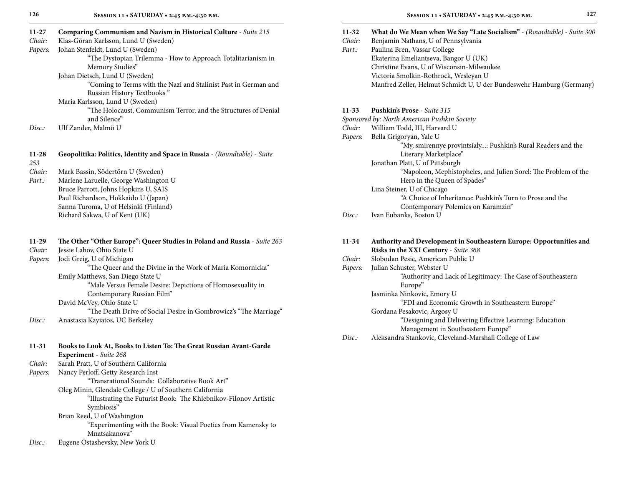| 11-27     | Comparing Communism and Nazism in Historical Culture - Suite 215           |
|-----------|----------------------------------------------------------------------------|
| Chair:    | Klas-Göran Karlsson, Lund U (Sweden)                                       |
| Papers:   | Johan Stenfeldt, Lund U (Sweden)                                           |
|           | "The Dystopian Trilemma - How to Approach Totalitarianism in               |
|           | Memory Studies"                                                            |
|           | Johan Dietsch, Lund U (Sweden)                                             |
|           | "Coming to Terms with the Nazi and Stalinist Past in German and            |
|           | Russian History Textbooks"                                                 |
|           | Maria Karlsson, Lund U (Sweden)                                            |
|           | "The Holocaust, Communism Terror, and the Structures of Denial             |
|           | and Silence"                                                               |
| Disc.     | Ulf Zander, Malmö U                                                        |
| 11-28     | Geopolitika: Politics, Identity and Space in Russia - (Roundtable) - Suite |
| 253       |                                                                            |
| Chair:    | Mark Bassin, Södertörn U (Sweden)                                          |
| $Part.$ : | Marlene Laruelle, George Washington U                                      |
|           | Bruce Parrott, Johns Hopkins U, SAIS                                       |
|           | Paul Richardson, Hokkaido U (Japan)                                        |
|           | Sanna Turoma, U of Helsinki (Finland)                                      |
|           | Richard Sakwa, U of Kent (UK)                                              |
| $11-29$   | The Other "Other Europe": Queer Studies in Poland and Russia - Suite 263   |
| Chair:    | Jessie Labov, Ohio State U                                                 |
| Papers:   | Jodi Greig, U of Michigan                                                  |
|           | "The Queer and the Divine in the Work of Maria Komornicka"                 |
|           | Emily Matthews, San Diego State U                                          |
|           | "Male Versus Female Desire: Depictions of Homosexuality in                 |
|           | Contemporary Russian Film"                                                 |
|           | David McVey, Ohio State U                                                  |
|           | "The Death Drive of Social Desire in Gombrowicz's "The Marriage"           |
| Disc.:    | Anastasia Kayiatos, UC Berkeley                                            |
| 11-31     | Books to Look At, Books to Listen To: The Great Russian Avant-Garde        |
|           | Experiment - Suite 268                                                     |
| Chair:    | Sarah Pratt, U of Southern California                                      |
| Papers:   | Nancy Perloff, Getty Research Inst                                         |
|           | "Transrational Sounds: Collaborative Book Art"                             |
|           | Oleg Minin, Glendale College / U of Southern California                    |
|           | "Illustrating the Futurist Book: The Khlebnikov-Filonov Artistic           |
|           | Symbiosis"                                                                 |

Brian Reed, U of Washington "Experimenting with the Book: Visual Poetics from Kamensky to Mnatsakanova"

*Disc.:* Eugene Ostashevsky, New York U

| 11-32 | <b>What do We Mean when We Say "Late Socialism"</b> - (Roundtable) - Suite 300 |  |  |  |  |  |
|-------|--------------------------------------------------------------------------------|--|--|--|--|--|
|-------|--------------------------------------------------------------------------------|--|--|--|--|--|

- *Chair:* Benjamin Nathans, U of Pennsylvania
- *Part.:* Paulina Bren, Vassar College Ekaterina Emeliantseva, Bangor U (UK) Christine Evans, U of Wisconsin-Milwaukee Victoria Smolkin-Rothrock, Wesleyan U Manfred Zeller, Helmut Schmidt U, U der Bundeswehr Hamburg (Germany)

#### **11-33 Pushkin's Prose** - *Suite 315*

|         | Sponsored by: North American Pushkin Society                    |
|---------|-----------------------------------------------------------------|
| Chair:  | William Todd, III, Harvard U                                    |
| Papers: | Bella Grigoryan, Yale U                                         |
|         | "My, smirennye provintsialy: Pushkin's Rural Readers and the    |
|         | Literary Marketplace"                                           |
|         | Jonathan Platt, U of Pittsburgh                                 |
|         | "Napoleon, Mephistopheles, and Julien Sorel: The Problem of the |
|         | Hero in the Queen of Spades"                                    |
|         | Lina Steiner, U of Chicago                                      |
|         | "A Choice of Inheritance: Pushkin's Turn to Prose and the       |
|         | Contemporary Polemics on Karamzin"                              |
| Disc.:  | Ivan Eubanks, Boston U                                          |
|         |                                                                 |

| $11 - 34$ | Authority and Development in Southeastern Europe: Opportunities and |
|-----------|---------------------------------------------------------------------|
|           | Risks in the XXI Century - Suite 368                                |
| Chair:    | Slobodan Pesic, American Public U                                   |
| Papers:   | Julian Schuster, Webster U                                          |
|           | "Authority and Lack of Legitimacy: The Case of Southeastern         |
|           | Europe"                                                             |
|           | Jasminka Ninkovic, Emory U                                          |
|           | "FDI and Economic Growth in Southeastern Europe"                    |
|           | Gordana Pesakovic, Argosy U                                         |
|           | "Designing and Delivering Effective Learning: Education             |
|           | Management in Southeastern Europe"                                  |
| Disc.:    | Aleksandra Stankovic, Cleveland-Marshall College of Law             |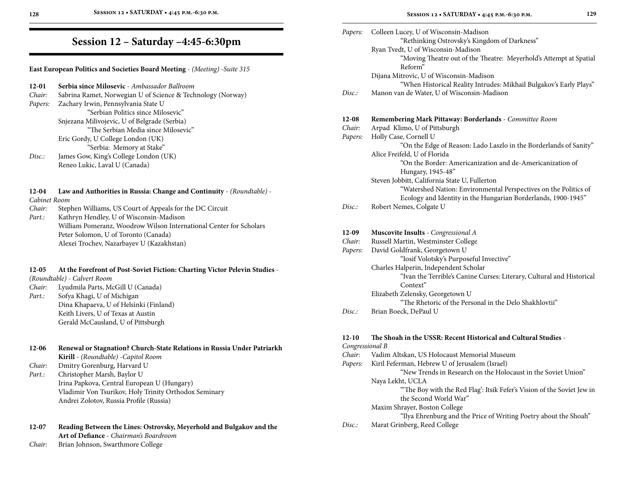| Papers:                    | Colleen Lucey, U of Wisconsin-Madison<br>"Rethinking Ostrovsky's Kingdom of Darkness"<br>Ryan Tvedt, U of Wisconsin-Madison<br>"Moving Theatre out of the Theatre: Meyerhold's Attempt at Spatial<br>Reform"<br>Dijana Mitrovic, U of Wisconsin-Madison                                     |
|----------------------------|---------------------------------------------------------------------------------------------------------------------------------------------------------------------------------------------------------------------------------------------------------------------------------------------|
| Disc.                      | "When Historical Reality Intrudes: Mikhail Bulgakov's Early Plays"<br>Manon van de Water, U of Wisconsin-Madison                                                                                                                                                                            |
| 12-08<br>Chair:<br>Papers: | <b>Remembering Mark Pittaway: Borderlands</b> - Committee Room<br>Arpad Klimo, U of Pittsburgh<br>Holly Case, Cornell U<br>"On the Edge of Reason: Lado Laszlo in the Borderlands of Sanity"<br>Alice Freifeld, U of Florida<br>"On the Border: Americanization and de-Americanization of   |
|                            | Hungary, 1945-48"<br>Steven Jobbitt, California State U, Fullerton<br>"Watershed Nation: Environmental Perspectives on the Politics of<br>Ecology and Identity in the Hungarian Borderlands, 1900-1945"                                                                                     |
| Disc.:                     | Robert Nemes, Colgate U                                                                                                                                                                                                                                                                     |
| 12-09<br>Chair:<br>Papers: | <b>Muscovite Insults</b> - Congressional A<br>Russell Martin, Westminster College<br>David Goldfrank, Georgetown U<br>"Iosif Volotsky's Purposeful Invective"<br>Charles Halperin, Independent Scholar<br>"Ivan the Terrible's Canine Curses: Literary, Cultural and Historical<br>Context" |
| Disc.                      | Elizabeth Zelensky, Georgetown U<br>"The Rhetoric of the Personal in the Delo Shakhlovtii"<br>Brian Boeck, DePaul U                                                                                                                                                                         |
|                            |                                                                                                                                                                                                                                                                                             |
| $12 - 10$                  | The Shoah in the USSR: Recent Historical and Cultural Studies -                                                                                                                                                                                                                             |
| Congressional B            |                                                                                                                                                                                                                                                                                             |
| Chair:                     | Vadim Altskan, US Holocaust Memorial Museum                                                                                                                                                                                                                                                 |
| Papers:                    | Kiril Feferman, Hebrew U of Jerusalem (Israel)<br>"New Trends in Research on the Holocaust in the Soviet Union"<br>Naya Lekht, UCLA<br>"The Boy with the Red Flag': Itsik Fefer's Vision of the Soviet Jew in<br>the Second World War"                                                      |
|                            | Maxim Shrayer, Boston College<br>"Ilya Ehrenburg and the Price of Writing Poetry about the Shoah"                                                                                                                                                                                           |
| Disc:                      | Marat Grinberg, Reed College                                                                                                                                                                                                                                                                |
|                            |                                                                                                                                                                                                                                                                                             |

## **Session 12 – Saturday –4:45-6:30pm**

**East European Politics and Societies Board Meeting** - *(Meeting)* -*Suite 315*

| Sabrina Ramet, Norwegian U of Science & Technology (Norway) |
|-------------------------------------------------------------|
|                                                             |
|                                                             |
|                                                             |
|                                                             |
|                                                             |
|                                                             |
|                                                             |
|                                                             |
|                                                             |

**12-04 Law and Authorities in Russia: Change and Continuity** - *(Roundtable)* -

- *Cabinet Room*
- *Chair:* Stephen Williams, US Court of Appeals for the DC Circuit
- *Part.:* Kathryn Hendley, U of Wisconsin-Madison William Pomeranz, Woodrow Wilson International Center for Scholars Peter Solomon, U of Toronto (Canada) Alexei Trochev, Nazarbayev U (Kazakhstan)

#### **12-05 At the Forefront of Post-Soviet Fiction: Charting Victor Pelevin Studies** -

*(Roundtable)* - *Calvert Room*

*Chair:* Lyudmila Parts, McGill U (Canada) *Part.:* Sofya Khagi, U of Michigan Dina Khapaeva, U of Helsinki (Finland) Keith Livers, U of Texas at Austin Gerald McCausland, U of Pittsburgh

| 12-06 | Renewal or Stagnation? Church-State Relations in Russia Under Patriarkh |
|-------|-------------------------------------------------------------------------|
|       | <b>Kirill</b> - (Roundtable) -Capitol Room                              |

*Chair:* Dmitry Gorenburg, Harvard U

*Part.:* Christopher Marsh, Baylor U Irina Papkova, Central European U (Hungary) Vladimir Von Tsurikov, Holy Trinity Orthodox Seminary Andrei Zolotov, Russia Profile (Russia)

**12-07 Reading Between the Lines: Ostrovsky, Meyerhold and Bulgakov and the Art of Defiance** - *Chairman's Boardroom*

*Chair:* Brian Johnson, Swarthmore College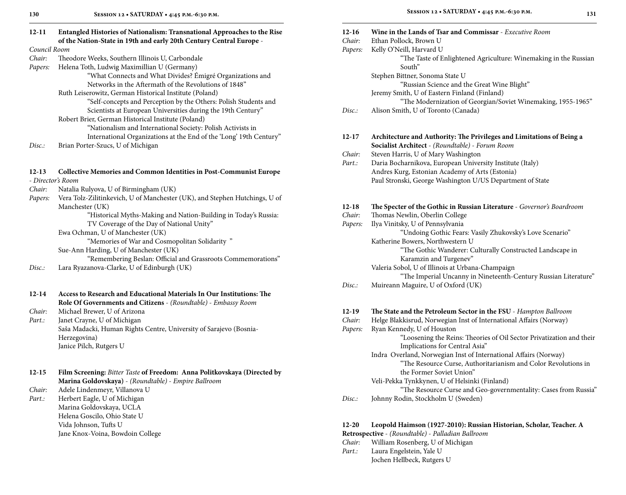*Council Room*

- *Chair:* Theodore Weeks, Southern Illinois U, Carbondale
- *Papers:* Helena Toth, Ludwig Maximillian U (Germany)

 "What Connects and What Divides? Émigré Organizations and Networks in the Aftermath of the Revolutions of 1848"

Ruth Leiserowitz, German Historical Institute (Poland) "Self-concepts and Perception by the Others: Polish Students and Scientists at European Universities during the 19th Century"

Robert Brier, German Historical Institute (Poland)

"Nationalism and International Society: Polish Activists in

- International Organizations at the End of the 'Long' 19th Century"
- *Disc.:* Brian Porter-Szucs, U of Michigan

#### **12-13 Collective Memories and Common Identities in Post-Communist Europe**

- *Director's Room*

- *Chair:* Natalia Rulyova, U of Birmingham (UK)
- *Papers:* Vera Tolz-Zilitinkevich, U of Manchester (UK), and Stephen Hutchings, U of Manchester (UK)

 "Historical Myths-Making and Nation-Building in Today's Russia: TV Coverage of the Day of National Unity"

Ewa Ochman, U of Manchester (UK)

"Memories of War and Cosmopolitan Solidarity "

Sue-Ann Harding, U of Manchester (UK)

"Remembering Beslan: Official and Grassroots Commemorations"

*Disc.:* Lara Ryazanova-Clarke, U of Edinburgh (UK)

**12-14 Access to Research and Educational Materials In Our Institutions: The Role Of Governments and Citizens** - *(Roundtable)* - *Embassy Room Chair:* Michael Brewer, U of Arizona

*Part.:* Janet Crayne, U of Michigan Saša Madacki, Human Rights Centre, University of Sarajevo (Bosnia-Herzegovina) Janice Pilch, Rutgers U

**12-15 Film Screening:** *Bitter Taste* **of Freedom: Anna Politkovskaya (Directed by Marina Goldovskaya)** - *(Roundtable)* - *Empire Ballroom*

*Chair:* Adele Lindenmeyr, Villanova U

*Part.:* Herbert Eagle, U of Michigan Marina Goldovskaya, UCLA Helena Goscilo, Ohio State U Vida Johnson, Tufts U Jane Knox-Voina, Bowdoin College

| $12 - 16$<br>Chair:<br>Papers: | Wine in the Lands of Tsar and Commissar - Executive Room<br>Ethan Pollock, Brown U<br>Kelly O'Neill, Harvard U |
|--------------------------------|----------------------------------------------------------------------------------------------------------------|
|                                | "The Taste of Enlightened Agriculture: Winemaking in the Russian<br>South"                                     |
|                                | Stephen Bittner, Sonoma State U                                                                                |
|                                | "Russian Science and the Great Wine Blight"                                                                    |
|                                | Jeremy Smith, U of Eastern Finland (Finland)                                                                   |
| Disc.                          | "The Modernization of Georgian/Soviet Winemaking, 1955-1965"                                                   |
|                                | Alison Smith, U of Toronto (Canada)                                                                            |
| $12 - 17$                      | Architecture and Authority: The Privileges and Limitations of Being a                                          |
|                                | Socialist Architect - (Roundtable) - Forum Room                                                                |
| Chair:                         | Steven Harris, U of Mary Washington                                                                            |
| Part.:                         | Daria Bocharnikova, European University Institute (Italy)                                                      |
|                                | Andres Kurg, Estonian Academy of Arts (Estonia)                                                                |
|                                | Paul Stronski, George Washington U/US Department of State                                                      |
| 12-18                          | The Specter of the Gothic in Russian Literature - Governor's Boardroom                                         |
| Chair:                         | Thomas Newlin, Oberlin College                                                                                 |
| Papers:                        | Ilya Vinitsky, U of Pennsylvania                                                                               |
|                                | "Undoing Gothic Fears: Vasily Zhukovsky's Love Scenario"                                                       |
|                                | Katherine Bowers, Northwestern U                                                                               |
|                                | "The Gothic Wanderer: Culturally Constructed Landscape in                                                      |
|                                | Karamzin and Turgenev"                                                                                         |
|                                | Valeria Sobol, U of Illinois at Urbana-Champaign                                                               |
|                                | "The Imperial Uncanny in Nineteenth-Century Russian Literature"                                                |
| Disc.                          | Muireann Maguire, U of Oxford (UK)                                                                             |
| $12-19$                        | The State and the Petroleum Sector in the FSU - Hampton Ballroom                                               |
| Chair:                         | Helge Blakkisrud, Norwegian Inst of International Affairs (Norway)                                             |
| Papers:                        | Ryan Kennedy, U of Houston                                                                                     |
|                                | "Loosening the Reins: Theories of Oil Sector Privatization and their                                           |
|                                | Implications for Central Asia"                                                                                 |
|                                | Indra Overland, Norwegian Inst of International Affairs (Norway)                                               |
|                                | "The Resource Curse, Authoritarianism and Color Revolutions in                                                 |

*Chair:* William Rosenberg, U of Michigan

*Disc.:* Johnny Rodin, Stockholm U (Sweden)

**Retrospective** - *(Roundtable)* - *Palladian Ballroom*

 the Former Soviet Union" Veli-Pekka Tynkkynen, U of Helsinki (Finland)

**12-20 Leopold Haimson (1927-2010): Russian Historian, Scholar, Teacher. A** 

"The Resource Curse and Geo-governmentality: Cases from Russia"

*Part.:* Laura Engelstein, Yale U Jochen Hellbeck, Rutgers U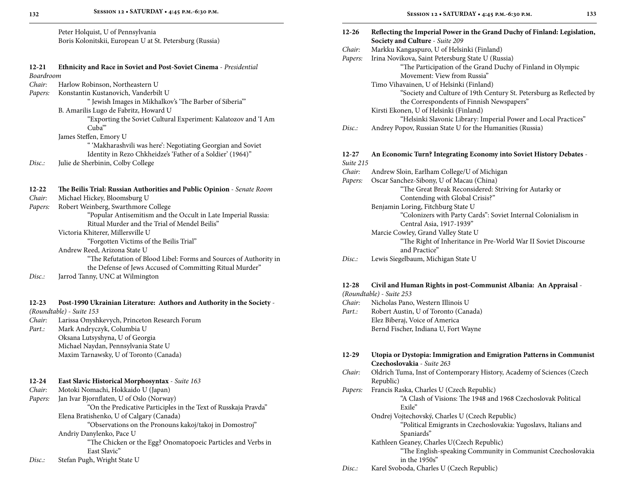#### **12-21 Ethnicity and Race in Soviet and Post-Soviet Cinema** - *Presidential Boardroom Chair:* Harlow Robinson, Northeastern U

| Guau.   | Traffow Robillson, Twitthcastern O   |
|---------|--------------------------------------|
| Papers: | Konstantin Kustanovich, Vanderbilt U |

" Jewish Images in Mikhalkov's 'The Barber of Siberia'"

B. Amarilis Lugo de Fabritz, Howard U

 "Exporting the Soviet Cultural Experiment: Kalatozov and 'I Am Cuba'"

James Steffen, Emory U

- " 'Makharashvili was here': Negotiating Georgian and Soviet Identity in Rezo Chkheidze's 'Father of a Soldier' (1964)"
- *Disc.:* Julie de Sherbinin, Colby College

#### **12-22 The Beilis Trial: Russian Authorities and Public Opinion** - *Senate Room*

- *Chair:* Michael Hickey, Bloomsburg U
- *Papers:* Robert Weinberg, Swarthmore College "Popular Antisemitism and the Occult in Late Imperial Russia: Ritual Murder and the Trial of Mendel Beilis" Victoria Khiterer, Millersville U

"Forgotten Victims of the Beilis Trial"

Andrew Reed, Arizona State U

"The Refutation of Blood Libel: Forms and Sources of Authority in

the Defense of Jews Accused of Committing Ritual Murder"

*Disc.:* Jarrod Tanny, UNC at Wilmington

#### **12-23 Post-1990 Ukrainian Literature: Authors and Authority in the Society** -

*(Roundtable)* - *Suite 153*

*Chair:* Larissa Onyshkevych, Princeton Research Forum

*Part.:* Mark Andryczyk, Columbia U Oksana Lutsyshyna, U of Georgia Michael Naydan, Pennsylvania State U Maxim Tarnawsky, U of Toronto (Canada)

| $12 - 24$ | <b>East Slavic Historical Morphosyntax</b> - Suite 163          |
|-----------|-----------------------------------------------------------------|
| Chair:    | Motoki Nomachi, Hokkaido U (Japan)                              |
| Papers:   | Jan Ivar Bjornflaten, U of Oslo (Norway)                        |
|           | "On the Predicative Participles in the Text of Russkaja Pravda" |

Elena Bratishenko, U of Calgary (Canada) "Observations on the Pronouns kakoj/takoj in Domostroj"

Andriy Danylenko, Pace U

 "The Chicken or the Egg? Onomatopoeic Particles and Verbs in East Slavic"

*Disc.:* Stefan Pugh, Wright State U

| $12 - 26$ | Reflecting the Imperial Power in the Grand Duchy of Finland: Legislation, |
|-----------|---------------------------------------------------------------------------|
|           | Society and Culture - Suite 209                                           |
| Chair:    | Markku Kangaspuro, U of Helsinki (Finland)                                |
| Papers:   | Irina Novikova, Saint Petersburg State U (Russia)                         |
|           | "The Participation of the Grand Duchy of Finland in Olympic               |
|           | Movement: View from Russia"                                               |
|           | Timo Vihavainen, U of Helsinki (Finland)                                  |
|           | "Society and Culture of 19th Century St. Petersburg as Reflected by       |
|           | the Correspondents of Finnish Newspapers"                                 |
|           | Kirsti Ekonen, U of Helsinki (Finland)                                    |
|           | "Helsinki Slavonic Library: Imperial Power and Local Practices"           |
| Disc.     | Andrey Popov, Russian State U for the Humanities (Russia)                 |
| 12-27     | An Economic Turn? Integrating Economy into Soviet History Debates -       |
| Suite 215 |                                                                           |
| Chair:    | Andrew Sloin, Earlham College/U of Michigan                               |
| Papers:   | Oscar Sanchez-Sibony, U of Macau (China)                                  |
|           | "The Great Break Reconsidered: Striving for Autarky or                    |
|           | Contending with Global Crisis?"                                           |
|           | Benjamin Loring, Fitchburg State U                                        |
|           | "Colonizers with Party Cards": Soviet Internal Colonialism in             |
|           | Central Asia, 1917-1939"                                                  |
|           | Marcie Cowley, Grand Valley State U                                       |
|           | "The Right of Inheritance in Pre-World War II Soviet Discourse            |
|           | and Practice"                                                             |
| Disc.     | Lewis Siegelbaum, Michigan State U                                        |
| $12 - 28$ | Civil and Human Rights in post-Communist Albania: An Appraisal -          |
|           | (Roundtable) - Suite 253                                                  |
| Chair:    | Nicholas Pano, Western Illinois U                                         |
| Part.:    | Robert Austin, U of Toronto (Canada)                                      |
|           | Elez Biberaj, Voice of America                                            |
|           | Bernd Fischer, Indiana U, Fort Wayne                                      |
| 12-29     | Utopia or Dystopia: Immigration and Emigration Patterns in Communist      |
|           | Czechoslovakia - Suite 263                                                |
| Chair:    | Oldrich Tuma, Inst of Contemporary History, Academy of Sciences (Czech    |
|           | Republic)                                                                 |
|           |                                                                           |

- *Papers:* Francis Raska, Charles U (Czech Republic) "A Clash of Visions: The 1948 and 1968 Czechoslovak Political Exile"
	- Ondrej Vojtechovský, Charles U (Czech Republic)

 "Political Emigrants in Czechoslovakia: Yugoslavs, Italians and Spaniards"

- Kathleen Geaney, Charles U(Czech Republic) "The English-speaking Community in Communist Czechoslovakia in the 1950s"
- *Disc.:* Karel Svoboda, Charles U (Czech Republic)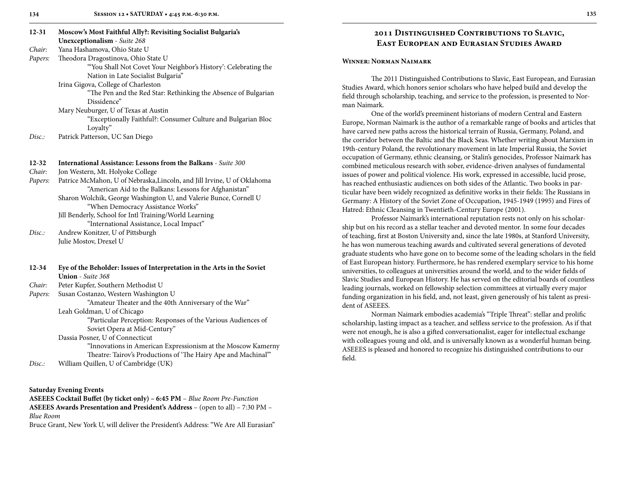| 12-31     | <b>Moscow's Most Faithful Ally?: Revisiting Socialist Bulgaria's</b>    |
|-----------|-------------------------------------------------------------------------|
|           | <b>Unexceptionalism</b> - Suite 268                                     |
| Chair:    | Yana Hashamova, Ohio State U                                            |
| Papers:   | Theodora Dragostinova, Ohio State U                                     |
|           | "You Shall Not Covet Your Neighbor's History': Celebrating the          |
|           | Nation in Late Socialist Bulgaria"                                      |
|           | Irina Gigova, College of Charleston                                     |
|           | "The Pen and the Red Star: Rethinking the Absence of Bulgarian          |
|           | Dissidence"                                                             |
|           | Mary Neuburger, U of Texas at Austin                                    |
|           | "Exceptionally Faithful?: Consumer Culture and Bulgarian Bloc           |
|           | Loyalty"                                                                |
| Disc:     | Patrick Patterson, UC San Diego                                         |
|           |                                                                         |
| $12 - 32$ | <b>International Assistance: Lessons from the Balkans</b> - Suite 300   |
| Chair:    | Jon Western, Mt. Holyoke College                                        |
| Papers:   | Patrice McMahon, U of Nebraska, Lincoln, and Jill Irvine, U of Oklahoma |
|           | "American Aid to the Balkans: Lessons for Afghanistan"                  |
|           | Sharon Wolchik, George Washington U, and Valerie Bunce, Cornell U       |
|           | "When Democracy Assistance Works"                                       |

Jill Benderly, School for Intl Training/World Learning "International Assistance, Local Impact"

*Disc.:* Andrew Konitzer, U of Pittsburgh Julie Mostov, Drexel U

| $12 - 34$ | Eye of the Beholder: Issues of Interpretation in the Arts in the Soviet |
|-----------|-------------------------------------------------------------------------|
|           | <b>Union</b> - Suite 368                                                |
| Chair:    | Peter Kupfer, Southern Methodist U                                      |
| Papers:   | Susan Costanzo, Western Washington U                                    |
|           | "Amateur Theater and the 40th Anniversary of the War"                   |
|           | Leah Goldman, U of Chicago                                              |
|           | "Particular Perception: Responses of the Various Audiences of           |
|           | Soviet Opera at Mid-Century"                                            |
|           | Dassia Posner, U of Connecticut                                         |
|           | "Innovations in American Expressionism at the Moscow Kamerny            |
|           | Theatre: Tairov's Productions of 'The Hairy Ape and Machinal'"          |
| Disc.     | William Quillen, U of Cambridge (UK)                                    |
|           |                                                                         |
|           |                                                                         |

#### **Saturday Evening Events**

**ASEEES Cocktail Buffet (by ticket only) – 6:45 PM** – *Blue Room Pre-Function* **ASEEES Awards Presentation and President's Address** – (open to all) – 7:30 PM – *Blue Room*

Bruce Grant, New York U, will deliver the President's Address: "We Are All Eurasian"

### **2011 Distinguished Contributions to Slavic, East European and Eurasian Studies Award**

#### **Winner: Norman Naimark**

The 2011 Distinguished Contributions to Slavic, East European, and Eurasian Studies Award, which honors senior scholars who have helped build and develop the field through scholarship, teaching, and service to the profession, is presented to Norman Naimark.

One of the world's preeminent historians of modern Central and Eastern Europe, Norman Naimark is the author of a remarkable range of books and articles that have carved new paths across the historical terrain of Russia, Germany, Poland, and the corridor between the Baltic and the Black Seas. Whether writing about Marxism in 19th-century Poland, the revolutionary movement in late Imperial Russia, the Soviet occupation of Germany, ethnic cleansing, or Stalin's genocides, Professor Naimark has combined meticulous research with sober, evidence-driven analyses of fundamental issues of power and political violence. His work, expressed in accessible, lucid prose, has reached enthusiastic audiences on both sides of the Atlantic. Two books in particular have been widely recognized as definitive works in their fields: The Russians in Germany: A History of the Soviet Zone of Occupation, 1945-1949 (1995) and Fires of Hatred: Ethnic Cleansing in Twentieth-Century Europe (2001).

Professor Naimark's international reputation rests not only on his scholarship but on his record as a stellar teacher and devoted mentor. In some four decades of teaching, first at Boston University and, since the late 1980s, at Stanford University, he has won numerous teaching awards and cultivated several generations of devoted graduate students who have gone on to become some of the leading scholars in the field of East European history. Furthermore, he has rendered exemplary service to his home universities, to colleagues at universities around the world, and to the wider fields of Slavic Studies and European History. He has served on the editorial boards of countless leading journals, worked on fellowship selection committees at virtually every major funding organization in his field, and, not least, given generously of his talent as president of ASEEES.

Norman Naimark embodies academia's "Triple Threat": stellar and prolific scholarship, lasting impact as a teacher, and selfless service to the profession. As if that were not enough, he is also a gifted conversationalist, eager for intellectual exchange with colleagues young and old, and is universally known as a wonderful human being. ASEEES is pleased and honored to recognize his distinguished contributions to our field.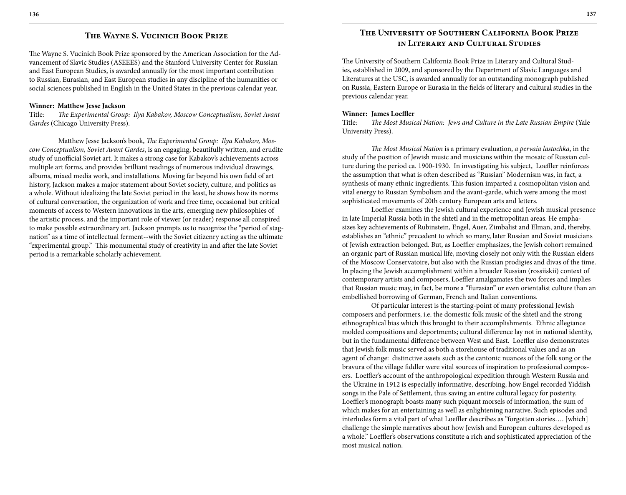### **The Wayne S. Vucinich Book Prize**

The Wayne S. Vucinich Book Prize sponsored by the American Association for the Advancement of Slavic Studies (ASEEES) and the Stanford University Center for Russian and East European Studies, is awarded annually for the most important contribution to Russian, Eurasian, and East European studies in any discipline of the humanities or social sciences published in English in the United States in the previous calendar year.

#### **Winner: Matthew Jesse Jackson**

Title: *The Experimental Group: Ilya Kabakov, Moscow Conceptualism, Soviet Avant Gardes* (Chicago University Press).

Matthew Jesse Jackson's book, *The Experimental Group: Ilya Kabakov, Moscow Conceptualism, Soviet Avant Gardes*, is an engaging, beautifully written, and erudite study of unofficial Soviet art. It makes a strong case for Kabakov's achievements across multiple art forms, and provides brilliant readings of numerous individual drawings, albums, mixed media work, and installations. Moving far beyond his own field of art history, Jackson makes a major statement about Soviet society, culture, and politics as a whole. Without idealizing the late Soviet period in the least, he shows how its norms of cultural conversation, the organization of work and free time, occasional but critical moments of access to Western innovations in the arts, emerging new philosophies of the artistic process, and the important role of viewer (or reader) response all conspired to make possible extraordinary art. Jackson prompts us to recognize the "period of stagnation" as a time of intellectual ferment--with the Soviet citizenry acting as the ultimate "experimental group." This monumental study of creativity in and after the late Soviet period is a remarkable scholarly achievement.

### **The University of Southern California Book Prize in Literary and Cultural Studies**

The University of Southern California Book Prize in Literary and Cultural Studies, established in 2009, and sponsored by the Department of Slavic Languages and Literatures at the USC, is awarded annually for an outstanding monograph published on Russia, Eastern Europe or Eurasia in the fields of literary and cultural studies in the previous calendar year.

#### **Winner: James Loeffler**

Title: *The Most Musical Nation: Jews and Culture in the Late Russian Empire* (Yale University Press).

*The Most Musical Nation* is a primary evaluation, *a pervaia lastochka*, in the study of the position of Jewish music and musicians within the mosaic of Russian culture during the period ca. 1900-1930. In investigating his subject, Loeffler reinforces the assumption that what is often described as "Russian" Modernism was, in fact, a synthesis of many ethnic ingredients. This fusion imparted a cosmopolitan vision and vital energy to Russian Symbolism and the avant-garde, which were among the most sophisticated movements of 20th century European arts and letters.

Loeffler examines the Jewish cultural experience and Jewish musical presence in late Imperial Russia both in the shtetl and in the metropolitan areas. He emphasizes key achievements of Rubinstein, Engel, Auer, Zimbalist and Elman, and, thereby, establishes an "ethnic" precedent to which so many, later Russian and Soviet musicians of Jewish extraction belonged. But, as Loeffler emphasizes, the Jewish cohort remained an organic part of Russian musical life, moving closely not only with the Russian elders of the Moscow Conservatoire, but also with the Russian prodigies and divas of the time. In placing the Jewish accomplishment within a broader Russian (rossiiskii) context of contemporary artists and composers, Loeffler amalgamates the two forces and implies that Russian music may, in fact, be more a "Eurasian" or even orientalist culture than an embellished borrowing of German, French and Italian conventions.

Of particular interest is the starting-point of many professional Jewish composers and performers, i.e. the domestic folk music of the shtetl and the strong ethnographical bias which this brought to their accomplishments. Ethnic allegiance molded compositions and deportments; cultural difference lay not in national identity, but in the fundamental difference between West and East. Loeffler also demonstrates that Jewish folk music served as both a storehouse of traditional values and as an agent of change: distinctive assets such as the cantonic nuances of the folk song or the bravura of the village fiddler were vital sources of inspiration to professional composers. Loeffler's account of the anthropological expedition through Western Russia and the Ukraine in 1912 is especially informative, describing, how Engel recorded Yiddish songs in the Pale of Settlement, thus saving an entire cultural legacy for posterity. Loeffler's monograph boasts many such piquant morsels of information, the sum of which makes for an entertaining as well as enlightening narrative. Such episodes and interludes form a vital part of what Loeffler describes as "forgotten stories…. [which] challenge the simple narratives about how Jewish and European cultures developed as a whole." Loeffler's observations constitute a rich and sophisticated appreciation of the most musical nation.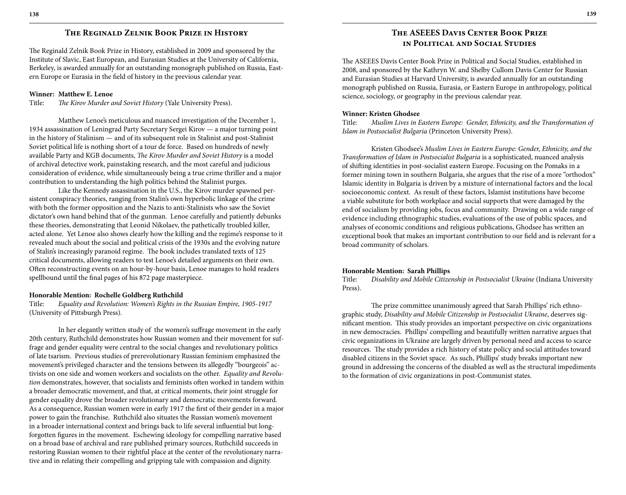### **The Reginald Zelnik Book Prize in History**

The Reginald Zelnik Book Prize in History, established in 2009 and sponsored by the Institute of Slavic, East European, and Eurasian Studies at the University of California, Berkeley, is awarded annually for an outstanding monograph published on Russia, Eastern Europe or Eurasia in the field of history in the previous calendar year.

#### **Winner: Matthew E. Lenoe**

Title: *The Kirov Murder and Soviet History* (Yale University Press).

Matthew Lenoe's meticulous and nuanced investigation of the December 1, 1934 assassination of Leningrad Party Secretary Sergei Kirov — a major turning point in the history of Stalinism — and of its subsequent role in Stalinist and post-Stalinist Soviet political life is nothing short of a tour de force. Based on hundreds of newly available Party and KGB documents, *The Kirov Murder and Soviet History* is a model of archival detective work, painstaking research, and the most careful and judicious consideration of evidence, while simultaneously being a true crime thriller and a major contribution to understanding the high politics behind the Stalinist purges.

Like the Kennedy assassination in the U.S., the Kirov murder spawned persistent conspiracy theories, ranging from Stalin's own hyperbolic linkage of the crime with both the former opposition and the Nazis to anti-Stalinists who saw the Soviet dictator's own hand behind that of the gunman. Lenoe carefully and patiently debunks these theories, demonstrating that Leonid Nikolaev, the pathetically troubled killer, acted alone. Yet Lenoe also shows clearly how the killing and the regime's response to it revealed much about the social and political crisis of the 1930s and the evolving nature of Stalin's increasingly paranoid regime. The book includes translated texts of 125 critical documents, allowing readers to test Lenoe's detailed arguments on their own. Often reconstructing events on an hour-by-hour basis, Lenoe manages to hold readers spellbound until the final pages of his 872 page masterpiece.

#### **Honorable Mention: Rochelle Goldberg Ruthchild**

Title: *Equality and Revolution: Women's Rights in the Russian Empire, 1905-1917*  (University of Pittsburgh Press).

In her elegantly written study of the women's suffrage movement in the early 20th century, Ruthchild demonstrates how Russian women and their movement for suffrage and gender equality were central to the social changes and revolutionary politics of late tsarism. Previous studies of prerevolutionary Russian feminism emphasized the movement's privileged character and the tensions between its allegedly "bourgeois" activists on one side and women workers and socialists on the other. *Equality and Revolution* demonstrates, however, that socialists and feminists often worked in tandem within a broader democratic movement, and that, at critical moments, their joint struggle for gender equality drove the broader revolutionary and democratic movements forward. As a consequence, Russian women were in early 1917 the first of their gender in a major power to gain the franchise. Ruthchild also situates the Russian women's movement in a broader international context and brings back to life several influential but longforgotten figures in the movement. Eschewing ideology for compelling narrative based on a broad base of archival and rare published primary sources, Ruthchild succeeds in restoring Russian women to their rightful place at the center of the revolutionary narrative and in relating their compelling and gripping tale with compassion and dignity.

### **The ASEEES Davis Center Book Prize in Political and Social Studies**

The ASEEES Davis Center Book Prize in Political and Social Studies, established in 2008, and sponsored by the Kathryn W. and Shelby Cullom Davis Center for Russian and Eurasian Studies at Harvard University, is awarded annually for an outstanding monograph published on Russia, Eurasia, or Eastern Europe in anthropology, political science, sociology, or geography in the previous calendar year.

#### **Winner: Kristen Ghodsee**

Title: *Muslim Lives in Eastern Europe: Gender, Ethnicity, and the Transformation of Islam in Postsocialist Bulgaria* (Princeton University Press).

Kristen Ghodsee's *Muslim Lives in Eastern Europe: Gender, Ethnicity, and the Transformation of Islam in Postsocialist Bulgaria* is a sophisticated, nuanced analysis of shifting identities in post-socialist eastern Europe. Focusing on the Pomaks in a former mining town in southern Bulgaria, she argues that the rise of a more "orthodox" Islamic identity in Bulgaria is driven by a mixture of international factors and the local socioeconomic context. As result of these factors, Islamist institutions have become a viable substitute for both workplace and social supports that were damaged by the end of socialism by providing jobs, focus and community. Drawing on a wide range of evidence including ethnographic studies, evaluations of the use of public spaces, and analyses of economic conditions and religious publications, Ghodsee has written an exceptional book that makes an important contribution to our field and is relevant for a broad community of scholars.

#### **Honorable Mention: Sarah Phillips**

Title: *Disability and Mobile Citizenship in Postsocialist Ukraine* (Indiana University Press).

The prize committee unanimously agreed that Sarah Phillips' rich ethnographic study, *Disability and Mobile Citizenship in Postsocialist Ukraine*, deserves significant mention. This study provides an important perspective on civic organizations in new democracies. Phillips' compelling and beautifully written narrative argues that civic organizations in Ukraine are largely driven by personal need and access to scarce resources. The study provides a rich history of state policy and social attitudes toward disabled citizens in the Soviet space. As such, Phillips' study breaks important new ground in addressing the concerns of the disabled as well as the structural impediments to the formation of civic organizations in post-Communist states.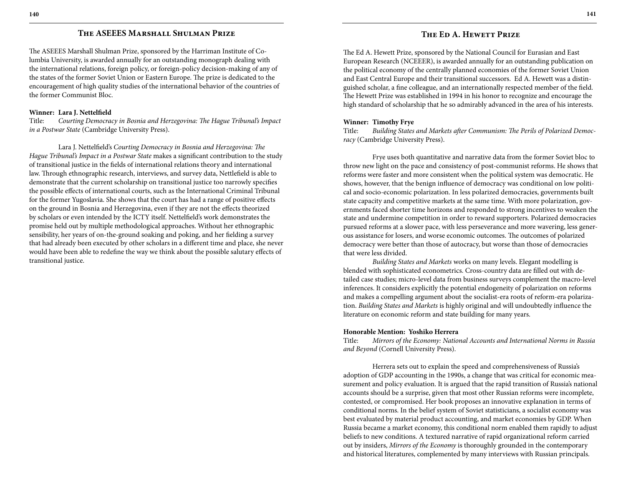### **The ASEEES Marshall Shulman Prize**

The ASEEES Marshall Shulman Prize, sponsored by the Harriman Institute of Columbia University, is awarded annually for an outstanding monograph dealing with the international relations, foreign policy, or foreign-policy decision-making of any of the states of the former Soviet Union or Eastern Europe. The prize is dedicated to the encouragement of high quality studies of the international behavior of the countries of the former Communist Bloc.

#### **Winner: Lara J. Nettelfield**

Title: *Courting Democracy in Bosnia and Herzegovina: The Hague Tribunal's Impact in a Postwar State* (Cambridge University Press).

Lara J. Nettelfield's *Courting Democracy in Bosnia and Herzegovina: The Hague Tribunal's Impact in a Postwar State* makes a significant contribution to the study of transitional justice in the fields of international relations theory and international law. Through ethnographic research, interviews, and survey data, Nettlefield is able to demonstrate that the current scholarship on transitional justice too narrowly specifies the possible effects of international courts, such as the International Criminal Tribunal for the former Yugoslavia. She shows that the court has had a range of positive effects on the ground in Bosnia and Herzegovina, even if they are not the effects theorized by scholars or even intended by the ICTY itself. Nettelfield's work demonstrates the promise held out by multiple methodological approaches. Without her ethnographic sensibility, her years of on-the-ground soaking and poking, and her fielding a survey that had already been executed by other scholars in a different time and place, she never would have been able to redefine the way we think about the possible salutary effects of transitional justice.

### **The Ed A. Hewett Prize**

The Ed A. Hewett Prize, sponsored by the National Council for Eurasian and East European Research (NCEEER), is awarded annually for an outstanding publication on the political economy of the centrally planned economies of the former Soviet Union and East Central Europe and their transitional successors. Ed A. Hewett was a distinguished scholar, a fine colleague, and an internationally respected member of the field. The Hewett Prize was established in 1994 in his honor to recognize and encourage the high standard of scholarship that he so admirably advanced in the area of his interests.

#### **Winner: Timothy Frye**

Title: *Building States and Markets after Communism: The Perils of Polarized Democracy* (Cambridge University Press).

Frye uses both quantitative and narrative data from the former Soviet bloc to throw new light on the pace and consistency of post-communist reforms. He shows that reforms were faster and more consistent when the political system was democratic. He shows, however, that the benign influence of democracy was conditional on low political and socio-economic polarization. In less polarized democracies, governments built state capacity and competitive markets at the same time. With more polarization, governments faced shorter time horizons and responded to strong incentives to weaken the state and undermine competition in order to reward supporters. Polarized democracies pursued reforms at a slower pace, with less perseverance and more wavering, less generous assistance for losers, and worse economic outcomes. The outcomes of polarized democracy were better than those of autocracy, but worse than those of democracies that were less divided.

*Building States and Markets* works on many levels. Elegant modelling is blended with sophisticated econometrics. Cross-country data are filled out with detailed case studies; micro-level data from business surveys complement the macro-level inferences. It considers explicitly the potential endogeneity of polarization on reforms and makes a compelling argument about the socialist-era roots of reform-era polarization. *Building States and Markets* is highly original and will undoubtedly influence the literature on economic reform and state building for many years.

#### **Honorable Mention: Yoshiko Herrera**

Title: *Mirrors of the Economy: National Accounts and International Norms in Russia and Beyond* (Cornell University Press).

Herrera sets out to explain the speed and comprehensiveness of Russia's adoption of GDP accounting in the 1990s, a change that was critical for economic measurement and policy evaluation. It is argued that the rapid transition of Russia's national accounts should be a surprise, given that most other Russian reforms were incomplete, contested, or compromised. Her book proposes an innovative explanation in terms of conditional norms. In the belief system of Soviet statisticians, a socialist economy was best evaluated by material product accounting, and market economies by GDP. When Russia became a market economy, this conditional norm enabled them rapidly to adjust beliefs to new conditions. A textured narrative of rapid organizational reform carried out by insiders, *Mirrors of the Economy* is thoroughly grounded in the contemporary and historical literatures, complemented by many interviews with Russian principals.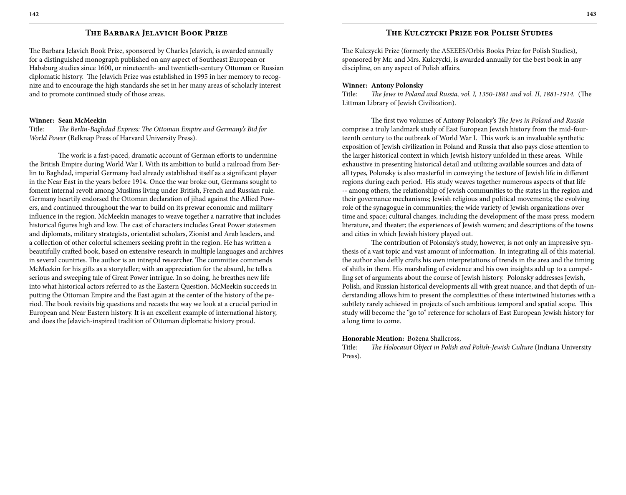### **The Barbara Jelavich Book Prize**

The Barbara Jelavich Book Prize, sponsored by Charles Jelavich, is awarded annually for a distinguished monograph published on any aspect of Southeast European or Habsburg studies since 1600, or nineteenth- and twentieth-century Ottoman or Russian diplomatic history. The Jelavich Prize was established in 1995 in her memory to recognize and to encourage the high standards she set in her many areas of scholarly interest and to promote continued study of those areas.

#### **Winner: Sean McMeekin**

Title: *The Berlin-Baghdad Express: The Ottoman Empire and Germany's Bid for World Power* (Belknap Press of Harvard University Press).

The work is a fast-paced, dramatic account of German efforts to undermine the British Empire during World War I. With its ambition to build a railroad from Berlin to Baghdad, imperial Germany had already established itself as a significant player in the Near East in the years before 1914. Once the war broke out, Germans sought to foment internal revolt among Muslims living under British, French and Russian rule. Germany heartily endorsed the Ottoman declaration of jihad against the Allied Powers, and continued throughout the war to build on its prewar economic and military influence in the region. McMeekin manages to weave together a narrative that includes historical figures high and low. The cast of characters includes Great Power statesmen and diplomats, military strategists, orientalist scholars, Zionist and Arab leaders, and a collection of other colorful schemers seeking profit in the region. He has written a beautifully crafted book, based on extensive research in multiple languages and archives in several countries. The author is an intrepid researcher. The committee commends McMeekin for his gifts as a storyteller; with an appreciation for the absurd, he tells a serious and sweeping tale of Great Power intrigue. In so doing, he breathes new life into what historical actors referred to as the Eastern Question. McMeekin succeeds in putting the Ottoman Empire and the East again at the center of the history of the period. The book revisits big questions and recasts the way we look at a crucial period in European and Near Eastern history. It is an excellent example of international history, and does the Jelavich-inspired tradition of Ottoman diplomatic history proud.

### **The Kulczycki Prize for Polish Studies**

The Kulczycki Prize (formerly the ASEEES/Orbis Books Prize for Polish Studies), sponsored by Mr. and Mrs. Kulczycki, is awarded annually for the best book in any discipline, on any aspect of Polish affairs.

#### **Winner: Antony Polonsky**

Title: *The Jews in Poland and Russia, vol. I, 1350-1881 and vol. II, 1881-1914.* (The Littman Library of Jewish Civilization).

The first two volumes of Antony Polonsky's *The Jews in Poland and Russia*  comprise a truly landmark study of East European Jewish history from the mid-fourteenth century to the outbreak of World War I. This work is an invaluable synthetic exposition of Jewish civilization in Poland and Russia that also pays close attention to the larger historical context in which Jewish history unfolded in these areas. While exhaustive in presenting historical detail and utilizing available sources and data of all types, Polonsky is also masterful in conveying the texture of Jewish life in different regions during each period. His study weaves together numerous aspects of that life -- among others, the relationship of Jewish communities to the states in the region and their governance mechanisms; Jewish religious and political movements; the evolving role of the synagogue in communities; the wide variety of Jewish organizations over time and space; cultural changes, including the development of the mass press, modern literature, and theater; the experiences of Jewish women; and descriptions of the towns and cities in which Jewish history played out.

The contribution of Polonsky's study, however, is not only an impressive synthesis of a vast topic and vast amount of information. In integrating all of this material, the author also deftly crafts his own interpretations of trends in the area and the timing of shifts in them. His marshaling of evidence and his own insights add up to a compelling set of arguments about the course of Jewish history. Polonsky addresses Jewish, Polish, and Russian historical developments all with great nuance, and that depth of understanding allows him to present the complexities of these intertwined histories with a subtlety rarely achieved in projects of such ambitious temporal and spatial scope. This study will become the "go to" reference for scholars of East European Jewish history for a long time to come.

#### **Honorable Mention:** Bożena Shallcross,

Title: *The Holocaust Object in Polish and Polish-Jewish Culture* (Indiana University Press).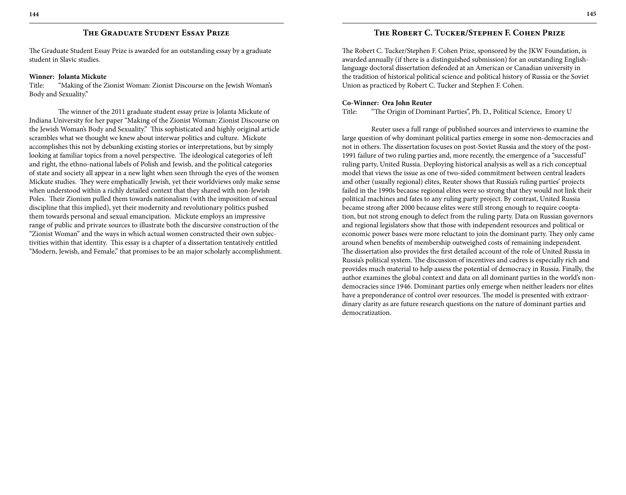## **The Graduate Student Essay Prize**

The Graduate Student Essay Prize is awarded for an outstanding essay by a graduate student in Slavic studies.

## **Winner: Jolanta Mickute**

Title: "Making of the Zionist Woman: Zionist Discourse on the Jewish Woman's Body and Sexuality."

The winner of the 2011 graduate student essay prize is Jolanta Mickute of Indiana University for her paper "Making of the Zionist Woman: Zionist Discourse on the Jewish Woman's Body and Sexuality." This sophisticated and highly original article scrambles what we thought we knew about interwar politics and culture. Mickute accomplishes this not by debunking existing stories or interpretations, but by simply looking at familiar topics from a novel perspective. The ideological categories of left and right, the ethno-national labels of Polish and Jewish, and the political categories of state and society all appear in a new light when seen through the eyes of the women Mickute studies. They were emphatically Jewish, yet their worldviews only make sense when understood within a richly detailed context that they shared with non-Jewish Poles. Their Zionism pulled them towards nationalism (with the imposition of sexual discipline that this implied), yet their modernity and revolutionary politics pushed them towards personal and sexual emancipation. Mickute employs an impressive range of public and private sources to illustrate both the discursive construction of the "Zionist Woman" and the ways in which actual women constructed their own subjectivities within that identity. This essay is a chapter of a dissertation tentatively entitled "Modern, Jewish, and Female," that promises to be an major scholarly accomplishment.

The Robert C. Tucker/Stephen F. Cohen Prize, sponsored by the JKW Foundation, is awarded annually (if there is a distinguished submission) for an outstanding Englishlanguage doctoral dissertation defended at an American or Canadian university in the tradition of historical political science and political history of Russia or the Soviet Union as practiced by Robert C. Tucker and Stephen F. Cohen.

## **Co-Winner: Ora John Reuter**

Title: "The Origin of Dominant Parties", Ph. D., Political Science, Emory U

Reuter uses a full range of published sources and interviews to examine the large question of why dominant political parties emerge in some non-democracies and not in others. The dissertation focuses on post-Soviet Russia and the story of the post-1991 failure of two ruling parties and, more recently, the emergence of a "successful" ruling party, United Russia. Deploying historical analysis as well as a rich conceptual model that views the issue as one of two-sided commitment between central leaders and other (usually regional) elites, Reuter shows that Russia's ruling parties' projects failed in the 1990s because regional elites were so strong that they would not link their political machines and fates to any ruling party project. By contrast, United Russia became strong after 2000 because elites were still strong enough to require cooptation, but not strong enough to defect from the ruling party. Data on Russian governors and regional legislators show that those with independent resources and political or economic power bases were more reluctant to join the dominant party. They only came around when benefits of membership outweighed costs of remaining independent. The dissertation also provides the first detailed account of the role of United Russia in Russia's political system. The discussion of incentives and cadres is especially rich and provides much material to help assess the potential of democracy in Russia. Finally, the author examines the global context and data on all dominant parties in the world's nondemocracies since 1946. Dominant parties only emerge when neither leaders nor elites have a preponderance of control over resources. The model is presented with extraordinary clarity as are future research questions on the nature of dominant parties and democratization.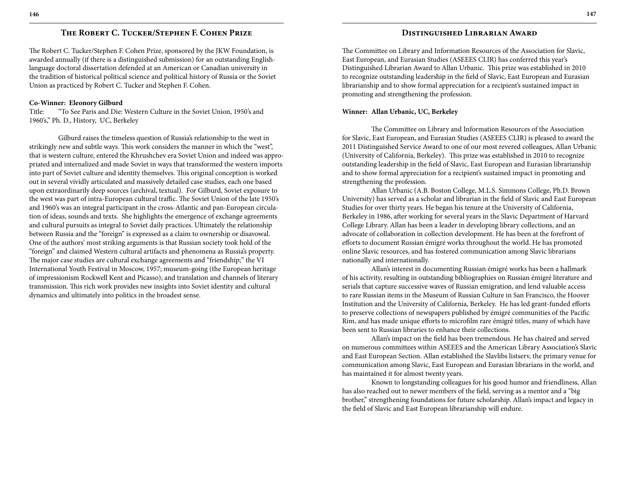## **The Robert C. Tucker/Stephen F. Cohen Prize**

The Robert C. Tucker/Stephen F. Cohen Prize, sponsored by the JKW Foundation, is awarded annually (if there is a distinguished submission) for an outstanding Englishlanguage doctoral dissertation defended at an American or Canadian university in the tradition of historical political science and political history of Russia or the Soviet Union as practiced by Robert C. Tucker and Stephen F. Cohen.

### **Co-Winner: Eleonory Gilburd**

Title: "To See Paris and Die: Western Culture in the Soviet Union, 1950's and 1960's," Ph. D., History, UC, Berkeley

Gilburd raises the timeless question of Russia's relationship to the west in strikingly new and subtle ways. This work considers the manner in which the "west", that is western culture, entered the Khrushchev era Soviet Union and indeed was appropriated and internalized and made Soviet in ways that transformed the western imports into part of Soviet culture and identity themselves. This original conception is worked out in several vividly articulated and massively detailed case studies, each one based upon extraordinarily deep sources (archival, textual). For Gilburd, Soviet exposure to the west was part of intra-European cultural traffic. The Soviet Union of the late 1950's and 1960's was an integral participant in the cross-Atlantic and pan-European circulation of ideas, sounds and texts. She highlights the emergence of exchange agreements and cultural pursuits as integral to Soviet daily practices. Ultimately the relationship between Russia and the "foreign" is expressed as a claim to ownership or disavowal. One of the authors' most striking arguments is that Russian society took hold of the "foreign" and claimed Western cultural artifacts and phenomena as Russia's property. The major case studies are cultural exchange agreements and "friendship;" the VI International Youth Festival in Moscow, 1957; museum-going (the European heritage of impressionism Rockwell Kent and Picasso); and translation and channels of literary transmission. This rich work provides new insights into Soviet identity and cultural dynamics and ultimately into politics in the broadest sense.

## **Distinguished Librarian Award**

The Committee on Library and Information Resources of the Association for Slavic, East European, and Eurasian Studies (ASEEES CLIR) has conferred this year's Distinguished Librarian Award to Allan Urbanic. This prize was established in 2010 to recognize outstanding leadership in the field of Slavic, East European and Eurasian librarianship and to show formal appreciation for a recipient's sustained impact in promoting and strengthening the profession.

#### **Winner: Allan Urbanic, UC, Berkeley**

The Committee on Library and Information Resources of the Association for Slavic, East European, and Eurasian Studies (ASEEES CLIR) is pleased to award the 2011 Distinguished Service Award to one of our most revered colleagues, Allan Urbanic (University of California, Berkeley). This prize was established in 2010 to recognize outstanding leadership in the field of Slavic, East European and Eurasian librarianship and to show formal appreciation for a recipient's sustained impact in promoting and strengthening the profession.

Allan Urbanic (A.B. Boston College, M.L.S. Simmons College, Ph.D. Brown University) has served as a scholar and librarian in the field of Slavic and East European Studies for over thirty years. He began his tenure at the University of California, Berkeley in 1986, after working for several years in the Slavic Department of Harvard College Library. Allan has been a leader in developing library collections, and an advocate of collaboration in collection development. He has been at the forefront of efforts to document Russian émigré works throughout the world. He has promoted online Slavic resources, and has fostered communication among Slavic librarians nationally and internationally.

Allan's interest in documenting Russian émigré works has been a hallmark of his activity, resulting in outstanding bibliographies on Russian émigré literature and serials that capture successive waves of Russian emigration, and lend valuable access to rare Russian items in the Museum of Russian Culture in San Francisco, the Hoover Institution and the University of California, Berkeley. He has led grant-funded efforts to preserve collections of newspapers published by émigré communities of the Pacific Rim, and has made unique efforts to microfilm rare émigré titles, many of which have been sent to Russian libraries to enhance their collections.

Allan's impact on the field has been tremendous. He has chaired and served on numerous committees within ASEEES and the American Library Association's Slavic and East European Section. Allan established the Slavlibs listserv, the primary venue for communication among Slavic, East European and Eurasian librarians in the world, and has maintained it for almost twenty years.

Known to longstanding colleagues for his good humor and friendliness, Allan has also reached out to newer members of the field, serving as a mentor and a "big brother," strengthening foundations for future scholarship. Allan's impact and legacy in the field of Slavic and East European librarianship will endure.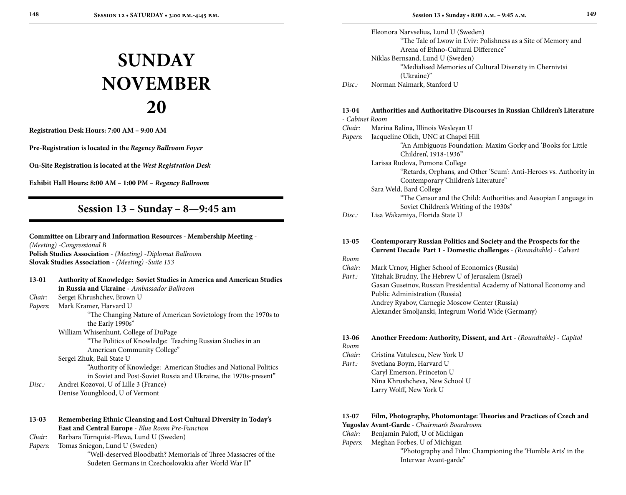# **SUNDAY November 20**

**Registration Desk Hours: 7:00 AM – 9:00 AM**

**Pre-Registration is located in the** *Regency Ballroom Foyer*

**On-Site Registration is located at the** *West Registration Desk*

**Exhibit Hall Hours: 8:00 AM – 1:00 PM –** *Regency Ballroom*

# **Session 13 – Sunday – 8—9:45 am**

## **Committee on Library and Information Resources - Membership Meeting** - *(Meeting)* -*Congressional B* **Polish Studies Association** - *(Meeting)* -*Diplomat Ballroom* **Slovak Studies Association** - *(Meeting)* -*Suite 153*

| $13-01$ | <b>Authority of Knowledge: Soviet Studies in America and American Studies</b><br>in Russia and Ukraine - Ambassador Ballroom        |
|---------|-------------------------------------------------------------------------------------------------------------------------------------|
| Chair:  | Sergei Khrushchev, Brown U                                                                                                          |
| Papers: | Mark Kramer, Harvard U                                                                                                              |
|         | "The Changing Nature of American Sovietology from the 1970s to                                                                      |
|         | the Early 1990s"                                                                                                                    |
|         | William Whisenhunt, College of DuPage                                                                                               |
|         | "The Politics of Knowledge: Teaching Russian Studies in an                                                                          |
|         | American Community College"                                                                                                         |
|         | Sergei Zhuk, Ball State U                                                                                                           |
|         | "Authority of Knowledge: American Studies and National Politics<br>in Soviet and Post-Soviet Russia and Ukraine, the 1970s-present" |
| Disc:   | Andrei Kozovoi, U of Lille 3 (France)                                                                                               |
|         | Denise Youngblood, U of Vermont                                                                                                     |
|         |                                                                                                                                     |
| $13-03$ | Remembering Ethnic Cleansing and Lost Cultural Diversity in Today's                                                                 |
|         | East and Central Europe - Blue Room Pre-Function                                                                                    |
| Chair:  | Barbara Törnquist-Plewa, Lund U (Sweden)                                                                                            |
| Papers: | Tomas Sniegon, Lund U (Sweden)                                                                                                      |
|         | "Well-deserved Bloodbath? Memorials of Three Massacres of the                                                                       |
|         | Sudeten Germans in Czechoslovakia after World War II"                                                                               |

Eleonora Narvselius, Lund U (Sweden) "The Tale of Lwow in L'viv: Polishness as a Site of Memory and Arena of Ethno-Cultural Difference" Niklas Bernsand, Lund U (Sweden) "Medialised Memories of Cultural Diversity in Chernivtsi (Ukraine)" *Disc.:* Norman Naimark, Stanford U

#### **13-04 Authorities and Authoritative Discourses in Russian Children's Literature**  $C_1$ .

| - Cabinet Room |                                                                   |
|----------------|-------------------------------------------------------------------|
| Chair:         | Marina Balina, Illinois Wesleyan U                                |
| Papers:        | Jacqueline Olich, UNC at Chapel Hill                              |
|                | "An Ambiguous Foundation: Maxim Gorky and 'Books for Little       |
|                | Children', 1918-1936"                                             |
|                | Larissa Rudova, Pomona College                                    |
|                | "Retards, Orphans, and Other 'Scum': Anti-Heroes vs. Authority in |
|                | Contemporary Children's Literature"                               |
|                | Sara Weld, Bard College                                           |
|                | "The Censor and the Child: Authorities and Aesopian Language in   |
|                | Soviet Children's Writing of the 1930s"                           |
| Disc.:         | Lisa Wakamiya, Florida State U                                    |
|                |                                                                   |
|                |                                                                   |

#### **13-05 Contemporary Russian Politics and Society and the Prospects for the Current Decade Part 1 - Domestic challenges** - *(Roundtable)* - *Calvert Room*

- *Chair:* Mark Urnov, Higher School of Economics (Russia)
- *Part.:* Yitzhak Brudny, The Hebrew U of Jerusalem (Israel) Gasan Guseinov, Russian Presidential Academy of National Economy and Public Administration (Russia) Andrey Ryabov, Carnegie Moscow Center (Russia) Alexander Smoljanski, Integrum World Wide (Germany)

## **13-06 Another Freedom: Authority, Dissent, and Art** - *(Roundtable)* - *Capitol Room*

- *Chair:* Cristina Vatulescu, New York U
- Part.: Svetlana Boym, Harvard U Caryl Emerson, Princeton U Nina Khrushcheva, New School U Larry Wolff, New York U

## **13-07 Film, Photography, Photomontage: Theories and Practices of Czech and**

- **Yugoslav Avant-Garde** *Chairman's Boardroom*
- *Chair:* Benjamin Paloff, U of Michigan
- *Papers:* Meghan Forbes, U of Michigan
	- "Photography and Film: Championing the 'Humble Arts' in the Interwar Avant-garde"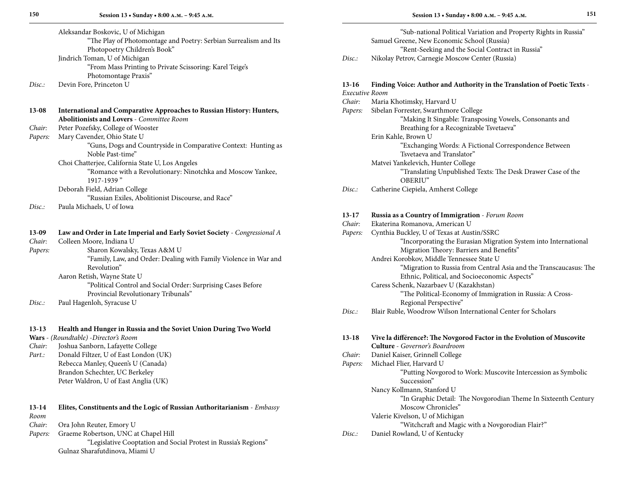| Aleksandar Boskovic, U of Michigan                               |  |
|------------------------------------------------------------------|--|
| "The Play of Photomontage and Poetry: Serbian Surrealism and Its |  |
| Photopoetry Children's Book"                                     |  |
| Jindrich Toman, U of Michigan                                    |  |
| "From Mass Printing to Private Scissoring: Karel Teige's         |  |
| Photomontage Praxis"                                             |  |

*Disc.:* Devin Fore, Princeton U

| $13-08$ | International and Comparative Approaches to Russian History: Hunters,<br><b>Abolitionists and Lovers - Committee Room</b> |
|---------|---------------------------------------------------------------------------------------------------------------------------|
| Chair:  | Peter Pozefsky, College of Wooster                                                                                        |
| Papers: | Mary Cavender, Ohio State U                                                                                               |
|         | "Guns, Dogs and Countryside in Comparative Context: Hunting as<br>Noble Past-time"                                        |
|         | Choi Chatterjee, California State U, Los Angeles                                                                          |
|         | "Romance with a Revolutionary: Ninotchka and Moscow Yankee,<br>1917-1939"                                                 |
|         | Deborah Field, Adrian College                                                                                             |
|         | "Russian Exiles, Abolitionist Discourse, and Race"                                                                        |
| Disc.   | Paula Michaels, U of Iowa                                                                                                 |
| 13-09   | Law and Order in Late Imperial and Early Soviet Society - Congressional A                                                 |
| Chair:  | Colleen Moore, Indiana U                                                                                                  |

| $\sim$  | OONGGH 191001 GC 111010110 G                                     |
|---------|------------------------------------------------------------------|
| Papers: | Sharon Kowalsky, Texas A&M U                                     |
|         | "Family, Law, and Order: Dealing with Family Violence in War and |
|         | Revolution"                                                      |
|         | Aaron Retish, Wayne State U                                      |
|         | "Political Control and Social Order: Surprising Cases Before     |
|         | Provincial Revolutionary Tribunals"                              |
|         |                                                                  |

*Disc.:* Paul Hagenloh, Syracuse U

#### **13-13 Health and Hunger in Russia and the Soviet Union During Two World**

- **Wars** *(Roundtable)* -*Director's Room*
- *Chair:* Joshua Sanborn, Lafayette College *Part.:* Donald Filtzer, U of East London (UK) Rebecca Manley, Queen's U (Canada) Brandon Schechter, UC Berkeley
	- Peter Waldron, U of East Anglia (UK)

## **13-14 Elites, Constituents and the Logic of Russian Authoritarianism** - *Embassy Room*

- *Chair:* Ora John Reuter, Emory U
- *Papers:* Graeme Robertson, UNC at Chapel Hill
	- "Legislative Cooptation and Social Protest in Russia's Regions" Gulnaz Sharafutdinova, Miami U

|        | "Sub-national Political Variation and Property Rights in Russia" |
|--------|------------------------------------------------------------------|
|        | Samuel Greene, New Economic School (Russia)                      |
|        | "Rent-Seeking and the Social Contract in Russia"                 |
| Disc.: | Nikolay Petrov, Carnegie Moscow Center (Russia)                  |

# **13-16 Finding Voice: Author and Authority in the Translation of Poetic Texts** -

| Maria Khotimsky, Harvard U<br>Sibelan Forrester, Swarthmore College<br>"Making It Singable: Transposing Vowels, Consonants and<br>Breathing for a Recognizable Tsvetaeva"<br>Erin Kahle, Brown U<br>"Exchanging Words: A Fictional Correspondence Between<br>Tsvetaeva and Translator"<br>Matvei Yankelevich, Hunter College<br>"Translating Unpublished Texts: The Desk Drawer Case of the |
|---------------------------------------------------------------------------------------------------------------------------------------------------------------------------------------------------------------------------------------------------------------------------------------------------------------------------------------------------------------------------------------------|
|                                                                                                                                                                                                                                                                                                                                                                                             |
|                                                                                                                                                                                                                                                                                                                                                                                             |
|                                                                                                                                                                                                                                                                                                                                                                                             |
|                                                                                                                                                                                                                                                                                                                                                                                             |
|                                                                                                                                                                                                                                                                                                                                                                                             |
|                                                                                                                                                                                                                                                                                                                                                                                             |
|                                                                                                                                                                                                                                                                                                                                                                                             |
|                                                                                                                                                                                                                                                                                                                                                                                             |
|                                                                                                                                                                                                                                                                                                                                                                                             |
| OBERIU"                                                                                                                                                                                                                                                                                                                                                                                     |
| Catherine Ciepiela, Amherst College                                                                                                                                                                                                                                                                                                                                                         |
|                                                                                                                                                                                                                                                                                                                                                                                             |
| Russia as a Country of Immigration - Forum Room                                                                                                                                                                                                                                                                                                                                             |
| Ekaterina Romanova, American U                                                                                                                                                                                                                                                                                                                                                              |
| Cynthia Buckley, U of Texas at Austin/SSRC                                                                                                                                                                                                                                                                                                                                                  |
| "Incorporating the Eurasian Migration System into International                                                                                                                                                                                                                                                                                                                             |
| Migration Theory: Barriers and Benefits"                                                                                                                                                                                                                                                                                                                                                    |
| Andrei Korobkov, Middle Tennessee State U                                                                                                                                                                                                                                                                                                                                                   |
| "Migration to Russia from Central Asia and the Transcaucasus: The                                                                                                                                                                                                                                                                                                                           |
| Ethnic, Political, and Socioeconomic Aspects"                                                                                                                                                                                                                                                                                                                                               |
| Caress Schenk, Nazarbaev U (Kazakhstan)                                                                                                                                                                                                                                                                                                                                                     |
| "The Political-Economy of Immigration in Russia: A Cross-                                                                                                                                                                                                                                                                                                                                   |
| Regional Perspective"                                                                                                                                                                                                                                                                                                                                                                       |
| Blair Ruble, Woodrow Wilson International Center for Scholars                                                                                                                                                                                                                                                                                                                               |
|                                                                                                                                                                                                                                                                                                                                                                                             |

| $13-18$ | Vive la différence?: The Novgorod Factor in the Evolution of Muscovite |
|---------|------------------------------------------------------------------------|
|         | <b>Culture</b> - Governor's Boardroom                                  |
| Chair:  | Daniel Kaiser, Grinnell College                                        |
| Papers: | Michael Flier, Harvard U                                               |
|         | "Putting Novgorod to Work: Muscovite Intercession as Symbolic          |
|         | Succession"                                                            |
|         | Nancy Kollmann, Stanford U                                             |
|         | "In Graphic Detail: The Novgorodian Theme In Sixteenth Century         |
|         | Moscow Chronicles"                                                     |
|         | Valerie Kivelson, U of Michigan                                        |
|         | "Witchcraft and Magic with a Novgorodian Flair?"                       |
| Disc.   | Daniel Rowland, U of Kentucky                                          |

*Disc.:* Daniel Rowland, U of Kentucky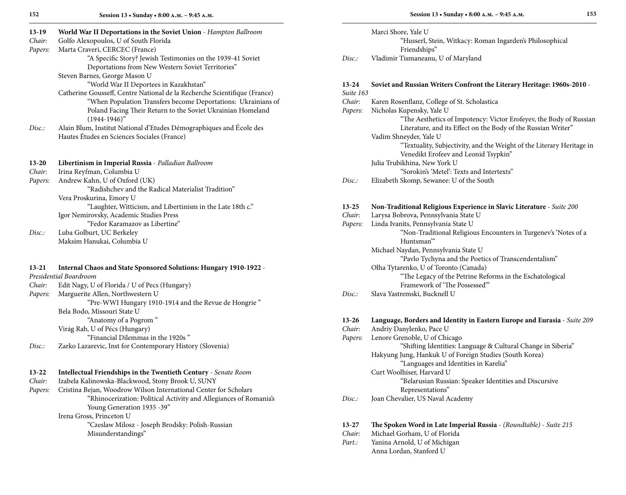**Session 13 • Sunday • 8:00 a.m. – 9:45 a.m.**

| Marci Shore, Yale U<br>World War II Deportations in the Soviet Union - Hampton Ballroom<br>$13-19$                                               |  |
|--------------------------------------------------------------------------------------------------------------------------------------------------|--|
| Chair:<br>Golfo Alexopoulos, U of South Florida<br>"Husserl, Stein, Witkacy: Roman Ingarden's Philosophical                                      |  |
| Marta Craveri, CERCEC (France)<br>Friendships"<br>Papers:                                                                                        |  |
| "A Specific Story? Jewish Testimonies on the 1939-41 Soviet<br>Vladimir Tismaneanu, U of Maryland<br>Disc.:                                      |  |
| Deportations from New Western Soviet Territories"                                                                                                |  |
| Steven Barnes, George Mason U                                                                                                                    |  |
| "World War II Deportees in Kazakhstan"<br>13-24<br>Soviet and Russian Writers Confront the Literary Heritage: 1960s-2010 -                       |  |
| Catherine Gousseff, Centre National de la Recherche Scientifique (France)<br>Suite 163                                                           |  |
| "When Population Transfers become Deportations: Ukrainians of<br>Karen Rosenflanz, College of St. Scholastica<br>Chair:                          |  |
| Nicholas Kupensky, Yale U<br>Poland Facing Their Return to the Soviet Ukrainian Homeland<br>Papers:                                              |  |
| $(1944-1946)$ "<br>"The Aesthetics of Impotency: Victor Erofeyev, the Body of Russian                                                            |  |
| Alain Blum, Institut National d'Etudes Démographiques and École des<br>Literature, and its Effect on the Body of the Russian Writer"<br>Disc.    |  |
| Hautes Études en Sciences Sociales (France)<br>Vadim Shneyder, Yale U                                                                            |  |
| "Textuality, Subjectivity, and the Weight of the Literary Heritage in                                                                            |  |
| Venedikt Erofeev and Leonid Tsypkin"                                                                                                             |  |
| Libertinism in Imperial Russia - Palladian Ballroom<br>Julia Trubikhina, New York U<br>$13 - 20$                                                 |  |
| "Sorokin's 'Metel': Texts and Intertexts"<br>Chair:<br>Irina Reyfman, Columbia U                                                                 |  |
| Andrew Kahn, U of Oxford (UK)<br>Elizabeth Skomp, Sewanee: U of the South<br>Papers:<br>Disc.                                                    |  |
| "Radishchev and the Radical Materialist Tradition"                                                                                               |  |
| Vera Proskurina, Emory U                                                                                                                         |  |
| "Laughter, Witticism, and Libertinism in the Late 18th c."<br>Non-Traditional Religious Experience in Slavic Literature - Suite 200<br>$13 - 25$ |  |
| Igor Nemirovsky, Academic Studies Press<br>Chair:<br>Larysa Bobrova, Pennsylvania State U                                                        |  |
| "Fedor Karamazov as Libertine"<br>Linda Ivanits, Pennsylvania State U<br>Papers:                                                                 |  |
| Luba Golburt, UC Berkeley<br>"Non-Traditional Religious Encounters in Turgenev's 'Notes of a<br>Disc.                                            |  |
| Maksim Hanukai, Columbia U<br>Huntsman <sup>"</sup>                                                                                              |  |
| Michael Naydan, Pennsylvania State U                                                                                                             |  |
| "Pavlo Tychyna and the Poetics of Transcendentalism"                                                                                             |  |
| Olha Tytarenko, U of Toronto (Canada)<br>Internal Chaos and State Sponsored Solutions: Hungary 1910-1922 -<br>$13 - 21$                          |  |
| Presidential Boardroom<br>"The Legacy of the Petrine Reforms in the Eschatological                                                               |  |
| Edit Nagy, U of Florida / U of Pecs (Hungary)<br>Framework of 'The Possessed"<br>Chair:                                                          |  |
| Slava Yastremski, Bucknell U<br>Marguerite Allen, Northwestern U<br>Disc.:<br>Papers:                                                            |  |
| "Pre-WWI Hungary 1910-1914 and the Revue de Hongrie"                                                                                             |  |
| Bela Bodo, Missouri State U                                                                                                                      |  |
| "Anatomy of a Pogrom"<br>$13 - 26$<br>Language, Borders and Identity in Eastern Europe and Eurasia - Suite 209                                   |  |
| Andriy Danylenko, Pace U<br>Virág Rab, U of Pécs (Hungary)<br>Chair:                                                                             |  |
| "Financial Dilemmas in the 1920s"<br>Lenore Grenoble, U of Chicago<br>Papers:                                                                    |  |
| "Shifting Identities: Language & Cultural Change in Siberia"<br>Zarko Lazarevic, Inst for Contemporary History (Slovenia)<br>Disc.:              |  |
| Hakyung Jung, Hankuk U of Foreign Studies (South Korea)                                                                                          |  |
| "Languages and Identities in Karelia"                                                                                                            |  |
| Curt Woolhiser, Harvard U<br>Intellectual Friendships in the Twentieth Century - Senate Room<br>$13-22$                                          |  |
| Chair:<br>Izabela Kalinowska-Blackwood, Stony Brook U, SUNY<br>"Belarusian Russian: Speaker Identities and Discursive                            |  |
| Cristina Bejan, Woodrow Wilson International Center for Scholars<br>Representations"<br>Papers:                                                  |  |
| "Rhinocerization: Political Activity and Allegiances of Romania's<br>Disc.<br>Joan Chevalier, US Naval Academy                                   |  |
| Young Generation 1935 - 39"                                                                                                                      |  |
| Irena Gross, Princeton U                                                                                                                         |  |
| "Czeslaw Milosz - Joseph Brodsky: Polish-Russian<br>13-27<br>The Spoken Word in Late Imperial Russia - (Roundtable) - Suite 215                  |  |
| Chair:<br>Michael Gorham, U of Florida<br>Misunderstandings"                                                                                     |  |

Part.: Yanina Arnold, U of Michigan Anna Lordan, Stanford U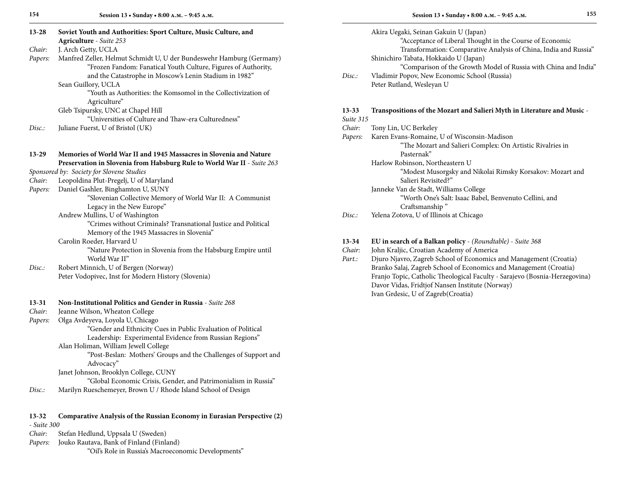| $13 - 28$<br>Chair: | Soviet Youth and Authorities: Sport Culture, Music Culture, and<br>Agriculture - Suite 253<br>J. Arch Getty, UCLA |           | Akira Uegaki, Seinan Gakuin U (Japan)<br>"Acceptance of Liberal Thought in the Course of Economic<br>Transformation: Comparative Analysis of China, India and Russia" |
|---------------------|-------------------------------------------------------------------------------------------------------------------|-----------|-----------------------------------------------------------------------------------------------------------------------------------------------------------------------|
| Papers:             | Manfred Zeller, Helmut Schmidt U, U der Bundeswehr Hamburg (Germany)                                              |           | Shinichiro Tabata, Hokkaido U (Japan)                                                                                                                                 |
|                     | "Frozen Fandom: Fanatical Youth Culture, Figures of Authority,                                                    |           | "Comparison of the Growth Model of Russia with China and India"                                                                                                       |
|                     | and the Catastrophe in Moscow's Lenin Stadium in 1982"                                                            | Disc.     | Vladimir Popov, New Economic School (Russia)                                                                                                                          |
|                     | Sean Guillory, UCLA                                                                                               |           | Peter Rutland, Wesleyan U                                                                                                                                             |
|                     | "Youth as Authorities: the Komsomol in the Collectivization of<br>Agriculture"                                    |           |                                                                                                                                                                       |
|                     | Gleb Tsipursky, UNC at Chapel Hill                                                                                | $13 - 33$ | Transpositions of the Mozart and Salieri Myth in Literature and Music -                                                                                               |
|                     | "Universities of Culture and Thaw-era Culturedness"                                                               | Suite 315 |                                                                                                                                                                       |
| Disc.:              | Juliane Fuerst, U of Bristol (UK)                                                                                 | Chair:    | Tony Lin, UC Berkeley                                                                                                                                                 |
|                     |                                                                                                                   | Papers:   | Karen Evans-Romaine, U of Wisconsin-Madison                                                                                                                           |
|                     |                                                                                                                   |           | "The Mozart and Salieri Complex: On Artistic Rivalries in                                                                                                             |
| $13 - 29$           | Memories of World War II and 1945 Massacres in Slovenia and Nature                                                |           | Pasternak"                                                                                                                                                            |
|                     | Preservation in Slovenia from Habsburg Rule to World War II - Suite 263                                           |           | Harlow Robinson, Northeastern U                                                                                                                                       |
|                     | Sponsored by: Society for Slovene Studies                                                                         |           | "Modest Musorgsky and Nikolai Rimsky Korsakov: Mozart and                                                                                                             |
| Chair:              | Leopoldina Plut-Pregelj, U of Maryland                                                                            |           | Salieri Revisited?"                                                                                                                                                   |
| Papers:             | Daniel Gashler, Binghamton U, SUNY                                                                                |           | Janneke Van de Stadt, Williams College                                                                                                                                |
|                     | "Slovenian Collective Memory of World War II: A Communist                                                         |           | "Worth One's Salt: Isaac Babel, Benvenuto Cellini, and                                                                                                                |
|                     | Legacy in the New Europe"                                                                                         |           | Craftsmanship"                                                                                                                                                        |
|                     | Andrew Mullins, U of Washington                                                                                   | Disc.     | Yelena Zotova, U of Illinois at Chicago                                                                                                                               |
|                     | "Crimes without Criminals? Transnational Justice and Political                                                    |           |                                                                                                                                                                       |
|                     | Memory of the 1945 Massacres in Slovenia"                                                                         |           |                                                                                                                                                                       |
|                     | Carolin Roeder, Harvard U                                                                                         | $13 - 34$ | EU in search of a Balkan policy - (Roundtable) - Suite 368                                                                                                            |
|                     | "Nature Protection in Slovenia from the Habsburg Empire until                                                     | Chair:    | John Kraljic, Croatian Academy of America                                                                                                                             |
|                     | World War II"                                                                                                     | Part.:    | Djuro Njavro, Zagreb School of Economics and Management (Croatia)                                                                                                     |
| Disc.               | Robert Minnich, U of Bergen (Norway)                                                                              |           | Branko Salaj, Zagreb School of Economics and Management (Croatia)                                                                                                     |
|                     | Peter Vodopivec, Inst for Modern History (Slovenia)                                                               |           | Franjo Topic, Catholic Theological Faculty - Sarajevo (Bosnia-Herzegovina)<br>Davor Vidas, Fridtjof Nansen Institute (Norway)                                         |
|                     |                                                                                                                   |           | Ivan Grdesic, U of Zagreb(Croatia)                                                                                                                                    |
| $13 - 31$           | Non-Institutional Politics and Gender in Russia - Suite 268                                                       |           |                                                                                                                                                                       |
| Chair:              | Jeanne Wilson, Wheaton College                                                                                    |           |                                                                                                                                                                       |
| Papers:             | Olga Avdeyeva, Loyola U, Chicago                                                                                  |           |                                                                                                                                                                       |
|                     | "Gender and Ethnicity Cues in Public Evaluation of Political                                                      |           |                                                                                                                                                                       |
|                     | Leadership: Experimental Evidence from Russian Regions"                                                           |           |                                                                                                                                                                       |
|                     | Alan Holiman, William Jewell College                                                                              |           |                                                                                                                                                                       |
|                     | "Post-Beslan: Mothers' Groups and the Challenges of Support and                                                   |           |                                                                                                                                                                       |
|                     | Advocacy"                                                                                                         |           |                                                                                                                                                                       |
|                     | Janet Johnson, Brooklyn College, CUNY                                                                             |           |                                                                                                                                                                       |
|                     | "Global Economic Crisis, Gender, and Patrimonialism in Russia"                                                    |           |                                                                                                                                                                       |
|                     | Marilyn Rueschemeyer, Brown U / Rhode Island School of Design                                                     |           |                                                                                                                                                                       |

## **13-32 Comparative Analysis of the Russian Economy in Eurasian Perspective (2)** - *Suite 300*

- *Papers:* Jouko Rautava, Bank of Finland (Finland)
	- "Oil's Role in Russia's Macroeconomic Developments"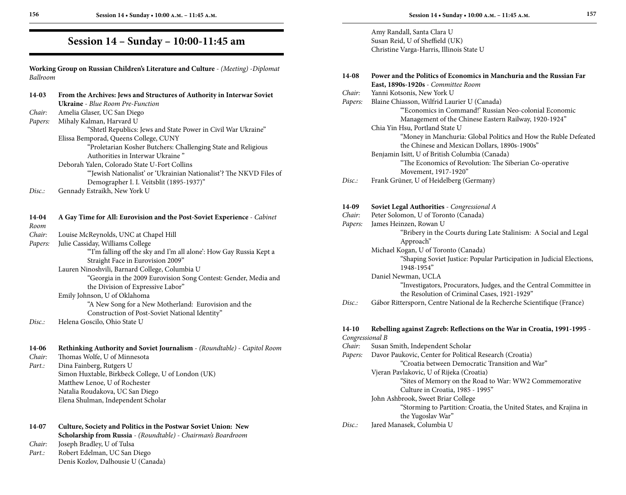# **Session 14 – Sunday – 10:00-11:45 am**

**Working Group on Russian Children's Literature and Culture** - *(Meeting)* -*Diplomat Ballroom*

| 14-03          | From the Archives: Jews and Structures of Authority in Interwar Soviet   |  |  |
|----------------|--------------------------------------------------------------------------|--|--|
|                | <b>Ukraine</b> - Blue Room Pre-Function                                  |  |  |
| Chair:         | Amelia Glaser, UC San Diego                                              |  |  |
| Papers:        | Mihaly Kalman, Harvard U                                                 |  |  |
|                | "Shtetl Republics: Jews and State Power in Civil War Ukraine"            |  |  |
|                | Elissa Bemporad, Queens College, CUNY                                    |  |  |
|                | "Proletarian Kosher Butchers: Challenging State and Religious            |  |  |
|                | Authorities in Interwar Ukraine"                                         |  |  |
|                | Deborah Yalen, Colorado State U-Fort Collins                             |  |  |
|                | "Jewish Nationalist' or 'Ukrainian Nationalist'? The NKVD Files of       |  |  |
|                |                                                                          |  |  |
|                | Demographer I. I. Veitsblit (1895-1937)"                                 |  |  |
| Disc:          | Gennady Estraikh, New York U                                             |  |  |
| 14-04          | A Gay Time for All: Eurovision and the Post-Soviet Experience - Cabinet  |  |  |
| Room           |                                                                          |  |  |
| Chair:         | Louise McReynolds, UNC at Chapel Hill                                    |  |  |
| Papers:        | Julie Cassiday, Williams College                                         |  |  |
|                | "I'm falling off the sky and I'm all alone': How Gay Russia Kept a       |  |  |
|                | Straight Face in Eurovision 2009"                                        |  |  |
|                | Lauren Ninoshvili, Barnard College, Columbia U                           |  |  |
|                | "Georgia in the 2009 Eurovision Song Contest: Gender, Media and          |  |  |
|                | the Division of Expressive Labor"                                        |  |  |
|                | Emily Johnson, U of Oklahoma                                             |  |  |
|                | "A New Song for a New Motherland: Eurovision and the                     |  |  |
|                | Construction of Post-Soviet National Identity"                           |  |  |
| Disc:          | Helena Goscilo, Ohio State U                                             |  |  |
|                |                                                                          |  |  |
| 14-06          | Rethinking Authority and Soviet Journalism - (Roundtable) - Capitol Room |  |  |
| Chair:         | Thomas Wolfe, U of Minnesota                                             |  |  |
| Part.:         | Dina Fainberg, Rutgers U                                                 |  |  |
|                | Simon Huxtable, Birkbeck College, U of London (UK)                       |  |  |
|                | Matthew Lenoe, U of Rochester                                            |  |  |
|                | Natalia Roudakova, UC San Diego                                          |  |  |
|                | Elena Shulman, Independent Scholar                                       |  |  |
| 14-07          | Culture, Society and Politics in the Postwar Soviet Union: New           |  |  |
|                | Scholarship from Russia - (Roundtable) - Chairman's Boardroom            |  |  |
| Chair:         | Joseph Bradley, U of Tulsa                                               |  |  |
| $D_{\alpha+1}$ | Dohart Edalman IIC fan Diago                                             |  |  |

*Part.:* Robert Edelman, UC San Diego Denis Kozlov, Dalhousie U (Canada)

Amy Randall, Santa Clara U Susan Reid, U of Sheffield (UK) Christine Varga-Harris, Illinois State U

| 14-08           | Power and the Politics of Economics in Manchuria and the Russian Far<br>East, 1890s-1920s - Committee Room        |
|-----------------|-------------------------------------------------------------------------------------------------------------------|
| Chair:          | Yanni Kotsonis, New York U                                                                                        |
| Papers:         | Blaine Chiasson, Wilfrid Laurier U (Canada)                                                                       |
|                 | "Economics in Command!' Russian Neo-colonial Economic<br>Management of the Chinese Eastern Railway, 1920-1924"    |
|                 | Chia Yin Hsu, Portland State U                                                                                    |
|                 | "Money in Manchuria: Global Politics and How the Ruble Defeated<br>the Chinese and Mexican Dollars, 1890s-1900s"  |
|                 | Benjamin Isitt, U of British Columbia (Canada)                                                                    |
|                 | "The Economics of Revolution: The Siberian Co-operative                                                           |
|                 | Movement, 1917-1920"                                                                                              |
| Disc.:          | Frank Grüner, U of Heidelberg (Germany)                                                                           |
| 14-09           | Soviet Legal Authorities - Congressional A                                                                        |
| Chair:          | Peter Solomon, U of Toronto (Canada)                                                                              |
| Papers:         | James Heinzen, Rowan U                                                                                            |
|                 | "Bribery in the Courts during Late Stalinism: A Social and Legal                                                  |
|                 | Approach"                                                                                                         |
|                 | Michael Kogan, U of Toronto (Canada)                                                                              |
|                 | "Shaping Soviet Justice: Popular Participation in Judicial Elections,<br>1948-1954"                               |
|                 | Daniel Newman, UCLA                                                                                               |
|                 | "Investigators, Procurators, Judges, and the Central Committee in<br>the Resolution of Criminal Cases, 1921-1929" |
| Disc.:          | Gábor Rittersporn, Centre National de la Recherche Scientifique (France)                                          |
| $14-10$         | Rebelling against Zagreb: Reflections on the War in Croatia, 1991-1995 -                                          |
| Congressional B |                                                                                                                   |
| Chair:          | Susan Smith, Independent Scholar                                                                                  |
| Papers:         | Davor Paukovic, Center for Political Research (Croatia)                                                           |
|                 | "Croatia between Democratic Transition and War"                                                                   |
|                 | Vjeran Pavlakovic, U of Rijeka (Croatia)                                                                          |
|                 | "Sites of Memory on the Road to War: WW2 Commemorative                                                            |
|                 | Culture in Croatia, 1985 - 1995"                                                                                  |
|                 | John Ashbrook, Sweet Briar College                                                                                |
|                 | "Storming to Partition: Croatia, the United States, and Krajina in<br>the Yugoslav War"                           |
| Disc.:          | Jared Manasek, Columbia U                                                                                         |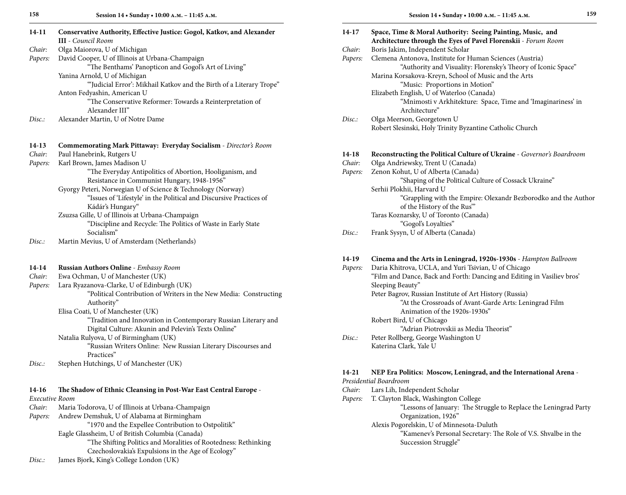| $14-11$ | Conservative Authority, Effective Justice: Gogol, Katkov, and Alexander<br><b>III</b> - Council Room |
|---------|------------------------------------------------------------------------------------------------------|
| Chair:  | Olga Maiorova, U of Michigan                                                                         |
| Papers: | David Cooper, U of Illinois at Urbana-Champaign                                                      |
|         | "The Benthams' Panopticon and Gogol's Art of Living"                                                 |
|         | Yanina Arnold, U of Michigan                                                                         |
|         | "Judicial Error': Mikhail Katkov and the Birth of a Literary Trope"                                  |
|         | Anton Fedyashin, American U                                                                          |
|         | "The Conservative Reformer: Towards a Reinterpretation of<br>Alexander III"                          |
| Disc.   | Alexander Martin, U of Notre Dame                                                                    |
|         |                                                                                                      |
| $14-13$ | Commemorating Mark Pittaway: Everyday Socialism - Director's Room                                    |
| Chair:  | Paul Hanebrink, Rutgers U                                                                            |
| Papers: | Karl Brown, James Madison U                                                                          |
|         | "The Everyday Antipolitics of Abortion, Hooliganism, and                                             |
|         | Resistance in Communist Hungary, 1948-1956"                                                          |
|         | Gyorgy Peteri, Norwegian U of Science & Technology (Norway)                                          |
|         | "Issues of 'Lifestyle' in the Political and Discursive Practices of                                  |
|         | Kádár's Hungary"                                                                                     |
|         | Zsuzsa Gille, U of Illinois at Urbana-Champaign                                                      |
|         | "Discipline and Recycle: The Politics of Waste in Early State<br>Socialism"                          |
| Disc.:  | Martin Mevius, U of Amsterdam (Netherlands)                                                          |
| $14-14$ | Russian Authors Online - Embassy Room                                                                |
| Chair:  | Ewa Ochman, U of Manchester (UK)                                                                     |
| Papers: | Lara Ryazanova-Clarke, U of Edinburgh (UK)                                                           |
|         | "Political Contribution of Writers in the New Media: Constructing<br>Authority"                      |

Elisa Coati, U of Manchester (UK)

 "Tradition and Innovation in Contemporary Russian Literary and Digital Culture: Akunin and Pelevin's Texts Online"

## Natalia Rulyova, U of Birmingham (UK)

 "Russian Writers Online: New Russian Literary Discourses and Practices"

*Disc.:* Stephen Hutchings, U of Manchester (UK)

## **14-16 The Shadow of Ethnic Cleansing in Post-War East Central Europe** -

| Executive Room |               |
|----------------|---------------|
| Chair:         | Maria Todorov |

 $Za$ , U of Illinois at Urbana-Champaign *Papers:* Andrew Demshuk, U of Alabama at Birmingham "1970 and the Expellee Contribution to Ostpolitik" Eagle Glassheim, U of British Columbia (Canada) "The Shifting Politics and Moralities of Rootedness: Rethinking Czechoslovakia's Expulsions in the Age of Ecology" *Disc.:* James Bjork, King's College London (UK)

| 14-17   | Space, Time & Moral Authority: Seeing Painting, Music, and             |
|---------|------------------------------------------------------------------------|
|         | Architecture through the Eyes of Pavel Florenskii - Forum Room         |
| Chair:  | Boris Jakim, Independent Scholar                                       |
| Papers: | Clemena Antonova, Institute for Human Sciences (Austria)               |
|         | "Authority and Visuality: Florensky's Theory of Iconic Space"          |
|         | Marina Korsakova-Kreyn, School of Music and the Arts                   |
|         | "Music: Proportions in Motion"                                         |
|         | Elizabeth English, U of Waterloo (Canada)                              |
|         | "Mnimosti v Arkhitekture: Space, Time and 'Imaginariness' in           |
|         | Architecture"                                                          |
| Disc.   | Olga Meerson, Georgetown U                                             |
|         | Robert Slesinski, Holy Trinity Byzantine Catholic Church               |
|         |                                                                        |
|         |                                                                        |
| $14-18$ | Reconstructing the Political Culture of Ukraine - Governor's Boardroom |
| Chair:  | Olga Andriewsky, Trent U (Canada)                                      |
| Papers: | Zenon Kohut, U of Alberta (Canada)                                     |
|         | "Shaping of the Political Culture of Cossack Ukraine"                  |
|         | Serhii Plokhii, Harvard U                                              |
|         | "Grappling with the Empire: Olexandr Bezborodko and the Author         |
|         | of the History of the Rus"                                             |
|         | Taras Koznarsky, U of Toronto (Canada)                                 |
|         | "Gogol's Loyalties"                                                    |
| Disc:   | Frank Sysyn, U of Alberta (Canada)                                     |
|         |                                                                        |

### **14-19 Cinema and the Arts in Leningrad, 1920s-1930s** - *Hampton Ballroom*

| Papers: | Daria Khitrova, UCLA, and Yuri Tsivian, U of Chicago                   |
|---------|------------------------------------------------------------------------|
|         | "Film and Dance, Back and Forth: Dancing and Editing in Vasiliev bros" |
|         | Sleeping Beauty"                                                       |
|         | Peter Bagrov, Russian Institute of Art History (Russia)                |
|         | "At the Crossroads of Avant-Garde Arts: Leningrad Film                 |
|         | Animation of the 1920s-1930s"                                          |
|         | Robert Bird, U of Chicago                                              |
|         | "Adrian Piotrovskii as Media Theorist"                                 |
| Disc.   | Peter Rollberg, George Washington U                                    |
|         | Katerina Clark, Yale U                                                 |
|         |                                                                        |

#### **14-21 NEP Era Politics: Moscow, Leningrad, and the International Arena** -

## *Presidential Boardroom*

- *Chair:* Lars Lih, Independent Scholar
- *Papers:* T. Clayton Black, Washington College "Lessons of January: The Struggle to Replace the Leningrad Party Organization, 1926"

Alexis Pogorelskin, U of Minnesota-Duluth "Kamenev's Personal Secretary: The Role of V.S. Shvalbe in the Succession Struggle"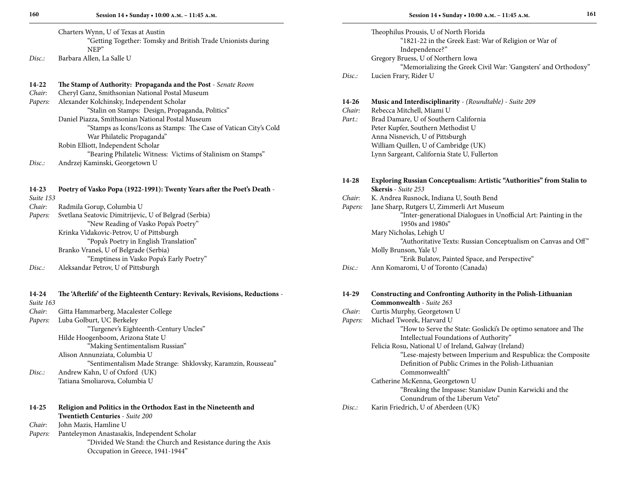|       | Charters Wynn, U of Texas at Austin                          |
|-------|--------------------------------------------------------------|
|       | "Getting Together: Tomsky and British Trade Unionists during |
|       | NFP"                                                         |
| Disc: | Barbara Allen, La Salle U                                    |

| $14-22$ | The Stamp of Authority: Propaganda and the Post - Senate Room     |
|---------|-------------------------------------------------------------------|
| Chair:  | Cheryl Ganz, Smithsonian National Postal Museum                   |
| Papers: | Alexander Kolchinsky, Independent Scholar                         |
|         | "Stalin on Stamps: Design, Propaganda, Politics"                  |
|         | Daniel Piazza, Smithsonian National Postal Museum                 |
|         | "Stamps as Icons/Icons as Stamps: The Case of Vatican City's Cold |
|         | War Philatelic Propaganda"                                        |
|         | Robin Elliott, Independent Scholar                                |
|         | "Bearing Philatelic Witness: Victims of Stalinism on Stamps"      |
| Disc:   | Andrzej Kaminski, Georgetown U                                    |

**14-23 Poetry of Vasko Popa (1922-1991): Twenty Years after the Poet's Death** - *Suite 153 Chair:* Radmila Gorup, Columbia U *Papers:* Svetlana Seatovic Dimitrijevic, U of Belgrad (Serbia) "New Reading of Vasko Popa's Poetry" Krinka Vidakovic-Petrov, U of Pittsburgh "Popa's Poetry in English Translation" Branko Vraneš, U of Belgrade (Serbia)

"Emptiness in Vasko Popa's Early Poetry"

*Disc.:* Aleksandar Petrov, U of Pittsburgh

| 14-24<br>Suite 163                   | The 'Afterlife' of the Eighteenth Century: Revivals, Revisions, Reductions - |
|--------------------------------------|------------------------------------------------------------------------------|
| Chair:                               | Gitta Hammarberg, Macalester College                                         |
| Luba Golburt, UC Berkeley<br>Papers: |                                                                              |
|                                      | "Turgenev's Eighteenth-Century Uncles"                                       |
|                                      | Hilde Hoogenboom, Arizona State U                                            |
|                                      | "Making Sentimentalism Russian"                                              |
|                                      | Alison Annunziata, Columbia U                                                |
|                                      | "Sentimentalism Made Strange: Shklovsky, Karamzin, Rousseau"                 |
| Disc.                                | Andrew Kahn, U of Oxford (UK)                                                |
|                                      | Tatiana Smoliarova, Columbia U                                               |
|                                      |                                                                              |
| 14-25                                | Religion and Politics in the Orthodox East in the Nineteenth and             |
|                                      | <b>Twentieth Centuries - Suite 200</b>                                       |
| $Cl.$ $\sim$                         | Laka Maria Hamiliaa H                                                        |

*Chair:* John Mazis, Hamline U *Papers:* Panteleymon Anastasakis, Independent Scholar "Divided We Stand: the Church and Resistance during the Axis Occupation in Greece, 1941-1944"

Theophilus Prousis, U of North Florida "1821-22 in the Greek East: War of Religion or War of Independence?" Gregory Bruess, U of Northern Iowa "Memorializing the Greek Civil War: 'Gangsters' and Orthodoxy" *Disc.:* Lucien Frary, Rider U

| 14-26  | <b>Music and Interdisciplinarity</b> - (Roundtable) - Suite 209 |
|--------|-----------------------------------------------------------------|
| Chair: | Rebecca Mitchell, Miami U                                       |
| Part.: | Brad Damare, U of Southern California                           |
|        | Peter Kupfer, Southern Methodist U                              |
|        | Anna Nisnevich, U of Pittsburgh                                 |
|        | William Quillen, U of Cambridge (UK)                            |
|        | Lynn Sargeant, California State U, Fullerton                    |

| 14-28  | <b>Exploring Russian Conceptualism: Artistic "Authorities" from Stalin to</b> |
|--------|-------------------------------------------------------------------------------|
|        | <b>Skersis</b> - Suite 253                                                    |
| Chair: | K. Andrea Rusnock, Indiana U, South Bend                                      |

| Papers: | Jane Sharp, Rutgers U, Zimmerli Art Museum                       |
|---------|------------------------------------------------------------------|
|         | "Inter-generational Dialogues in Unofficial Art: Painting in the |
|         | 1950s and 1980s"                                                 |
|         | Mary Nicholas, Lehigh U                                          |

| "Authoritative Texts: Russian Conceptualism on Canvas and Off" |
|----------------------------------------------------------------|
| Molly Brunson, Yale U                                          |
| "Erik Bulatov, Painted Space, and Perspective"                 |

| Disc.: | Ann Komaromi, U of Toronto (Canada) |  |  |
|--------|-------------------------------------|--|--|
|--------|-------------------------------------|--|--|

| 14-29   | Constructing and Confronting Authority in the Polish-Lithuanian<br>Commonwealth - Suite 263 |
|---------|---------------------------------------------------------------------------------------------|
|         |                                                                                             |
| Chair:  | Curtis Murphy, Georgetown U                                                                 |
| Papers: | Michael Tworek, Harvard U                                                                   |
|         | "How to Serve the State: Goslicki's De optimo senatore and The                              |
|         | Intellectual Foundations of Authority"                                                      |
|         | Felicia Rosu, National U of Ireland, Galway (Ireland)                                       |
|         | "Lese-majesty between Imperium and Respublica: the Composite                                |
|         | Definition of Public Crimes in the Polish-Lithuanian                                        |
|         | Commonwealth"                                                                               |
|         | Catherine McKenna, Georgetown U                                                             |
|         | "Breaking the Impasse: Stanislaw Dunin Karwicki and the                                     |
|         | Conundrum of the Liberum Veto"                                                              |
| Disc.   | Karin Friedrich, U of Aberdeen (UK)                                                         |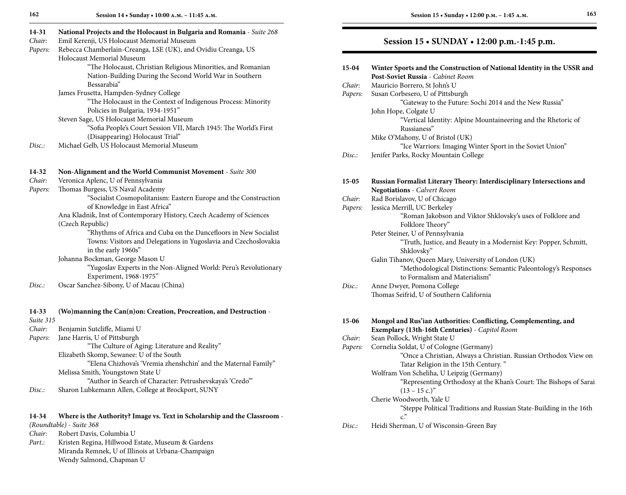| 14-31                  | National Projects and the Holocaust in Bulgaria and Romania - Suite 268 |
|------------------------|-------------------------------------------------------------------------|
| Chair:                 | Emil Kerenji, US Holocaust Memorial Museum                              |
| Papers:                | Rebecca Chamberlain-Creanga, LSE (UK), and Ovidiu Creanga, US           |
|                        | Holocaust Memorial Museum                                               |
|                        | "The Holocaust, Christian Religious Minorities, and Romanian            |
|                        | Nation-Building During the Second World War in Southern                 |
|                        | Bessarabia"                                                             |
|                        | James Frusetta, Hampden-Sydney College                                  |
|                        | "The Holocaust in the Context of Indigenous Process: Minority           |
|                        | Policies in Bulgaria, 1934-1951"                                        |
|                        | Steven Sage, US Holocaust Memorial Museum                               |
|                        | "Sofia People's Court Session VII, March 1945: The World's First        |
|                        | (Disappearing) Holocaust Trial"                                         |
| Disc.:                 | Michael Gelb, US Holocaust Memorial Museum                              |
| 14-32                  | Non-Alignment and the World Communist Movement - Suite 300              |
| Chair:                 | Veronica Aplenc, U of Pennsylvania                                      |
| Papers:                | Thomas Burgess, US Naval Academy                                        |
|                        | "Socialist Cosmopolitanism: Eastern Europe and the Construction         |
|                        | of Knowledge in East Africa"                                            |
|                        | Ana Kladnik, Inst of Contemporary History, Czech Academy of Sciences    |
|                        | (Czech Republic)                                                        |
|                        | "Rhythms of Africa and Cuba on the Dancefloors in New Socialist         |
|                        | Towns: Visitors and Delegations in Yugoslavia and Czechoslovakia        |
|                        | in the early 1960s"                                                     |
|                        | Johanna Bockman, George Mason U                                         |
|                        | "Yugoslav Experts in the Non-Aligned World: Peru's Revolutionary        |
|                        | Experiment, 1968-1975"                                                  |
| Disc.:                 | Oscar Sanchez-Sibony, U of Macau (China)                                |
|                        |                                                                         |
| $14 - 33$<br>Suite 315 | (Wo)manning the Can(n)on: Creation, Procreation, and Destruction -      |
| Chair:                 | Benjamin Sutcliffe, Miami U                                             |

*Papers:* Jane Harris, U of Pittsburgh "The Culture of Aging: Literature and Reality" Elizabeth Skomp, Sewanee: U of the South "Elena Chizhova's 'Vremia zhenshchin' and the Maternal Family" Melissa Smith, Youngstown State U "Author in Search of Character: Petrushevskaya's 'Credo'" *Disc.:* Sharon Lubkemann Allen, College at Brockport, SUNY

#### **14-34 Where is the Authority? Image vs. Text in Scholarship and the Classroom** -

*(Roundtable)* - *Suite 368*

| Chair: | Robert Davis, Columbia U |  |
|--------|--------------------------|--|
|--------|--------------------------|--|

Part.: Kristen Regina, Hillwood Estate, Museum & Gardens Miranda Remnek, U of Illinois at Urbana-Champaign Wendy Salmond, Chapman U

## **Session 15 • SUNDAY • 12:00 p.m.-1:45 p.m.**

| 15-04   | Winter Sports and the Construction of National Identity in the USSR and<br>Post-Soviet Russia - Cabinet Room            |
|---------|-------------------------------------------------------------------------------------------------------------------------|
| Chair:  | Mauricio Borrero, St John's U                                                                                           |
| Papers: | Susan Corbesero, U of Pittsburgh                                                                                        |
|         | "Gateway to the Future: Sochi 2014 and the New Russia"                                                                  |
|         | John Hope, Colgate U                                                                                                    |
|         | "Vertical Identity: Alpine Mountaineering and the Rhetoric of<br>Russianess"                                            |
|         | Mike O'Mahony, U of Bristol (UK)                                                                                        |
|         | "Ice Warriors: Imaging Winter Sport in the Soviet Union"                                                                |
| Disc:   | Jenifer Parks, Rocky Mountain College                                                                                   |
| $15-05$ | Russian Formalist Literary Theory: Interdisciplinary Intersections and                                                  |
|         | <b>Negotiations</b> - Calvert Room                                                                                      |
| Chair:  | Rad Borislavov, U of Chicago                                                                                            |
| Papers: | Jessica Merrill, UC Berkeley                                                                                            |
|         | "Roman Jakobson and Viktor Shklovsky's uses of Folklore and<br>Folklore Theory"                                         |
|         | Peter Steiner, U of Pennsylvania                                                                                        |
|         | "Truth, Justice, and Beauty in a Modernist Key: Popper, Schmitt,                                                        |
|         | Shklovsky"                                                                                                              |
|         | Galin Tihanov, Queen Mary, University of London (UK)<br>"Methodological Distinctions: Semantic Paleontology's Responses |
|         | to Formalism and Materialism"                                                                                           |
| Disc.:  | Anne Dwyer, Pomona College                                                                                              |
|         | Thomas Seifrid. U of Southern California                                                                                |
|         |                                                                                                                         |
| 15-06   | Mongol and Rus'ian Authorities: Conflicting, Complementing, and                                                         |
| Chair:  | Exemplary (13th-16th Centuries) - Capitol Room<br>Sean Pollock, Wright State U                                          |
| Papers: | Cornelia Soldat, U of Cologne (Germany)                                                                                 |
|         | "Once a Christian, Always a Christian. Russian Orthodox View on                                                         |
|         | Tatar Religion in the 15th Century."                                                                                    |
|         | Wolfram Von Scheliha, U Leipzig (Germany)                                                                               |
|         | "Representing Orthodoxy at the Khan's Court: The Bishops of Sarai                                                       |
|         | $(13 - 15$ c.)"                                                                                                         |
|         | Cherie Woodworth, Yale U                                                                                                |
|         | "Steppe Political Traditions and Russian State-Building in the 16th                                                     |
|         | $\mathcal{C}^{\mathcal{D}}$                                                                                             |
| Disc.:  | Heidi Sherman, U of Wisconsin-Green Bay                                                                                 |
|         |                                                                                                                         |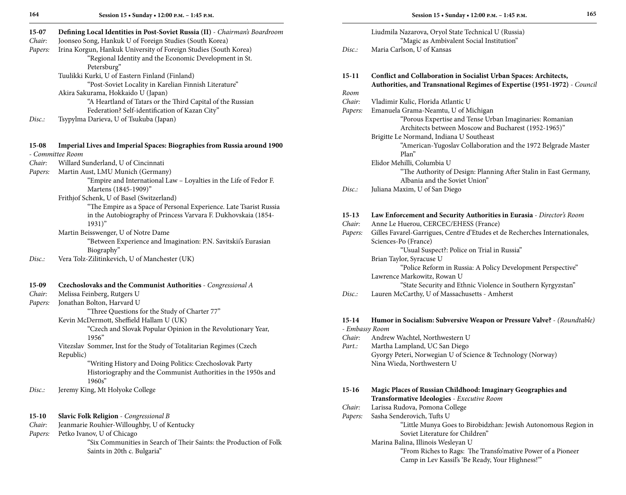**Session 15 • Sunday • 12:00 p.m. – 1:45 p.m.**

| 15-07   | Defining Local Identities in Post-Soviet Russia (II) - Chairman's Boardroom                 |                | Liudmila Nazarova, Oryol State Technical U (Russia)                         |
|---------|---------------------------------------------------------------------------------------------|----------------|-----------------------------------------------------------------------------|
| Chair:  | Joonseo Song, Hankuk U of Foreign Studies (South Korea)                                     |                | "Magic as Ambivalent Social Institution"                                    |
| Papers: | Irina Korgun, Hankuk University of Foreign Studies (South Korea)                            | Disc:          | Maria Carlson, U of Kansas                                                  |
|         | "Regional Identity and the Economic Development in St.                                      |                |                                                                             |
|         | Petersburg"                                                                                 |                |                                                                             |
|         | Tuulikki Kurki, U of Eastern Finland (Finland)                                              | $15-11$        | Conflict and Collaboration in Socialist Urban Spaces: Architects,           |
|         | "Post-Soviet Locality in Karelian Finnish Literature"                                       |                | Authorities, and Transnational Regimes of Expertise (1951-1972) - Council   |
|         | Akira Sakurama, Hokkaido U (Japan)                                                          | Room           |                                                                             |
|         | "A Heartland of Tatars or the Third Capital of the Russian                                  | Chair:         | Vladimir Kulic, Florida Atlantic U                                          |
|         | Federation? Self-identification of Kazan City"                                              | Papers:        | Emanuela Grama-Neamtu, U of Michigan                                        |
| Disc.:  | Tsypylma Darieva, U of Tsukuba (Japan)                                                      |                | "Porous Expertise and Tense Urban Imaginaries: Romanian                     |
|         |                                                                                             |                | Architects between Moscow and Bucharest (1952-1965)"                        |
|         |                                                                                             |                | Brigitte Le Normand, Indiana U Southeast                                    |
| 15-08   | Imperial Lives and Imperial Spaces: Biographies from Russia around 1900<br>- Committee Room |                | "American-Yugoslav Collaboration and the 1972 Belgrade Master<br>Plan"      |
| Chair:  | Willard Sunderland, U of Cincinnati                                                         |                | Elidor Mehilli, Columbia U                                                  |
| Papers: | Martin Aust, LMU Munich (Germany)                                                           |                | "The Authority of Design: Planning After Stalin in East Germany,            |
|         | "Empire and International Law - Loyalties in the Life of Fedor F.                           |                | Albania and the Soviet Union"                                               |
|         | Martens (1845-1909)"                                                                        | Disc.          | Juliana Maxim, U of San Diego                                               |
|         | Frithjof Schenk, U of Basel (Switzerland)                                                   |                |                                                                             |
|         | "The Empire as a Space of Personal Experience. Late Tsarist Russia                          |                |                                                                             |
|         | in the Autobiography of Princess Varvara F. Dukhovskaia (1854-                              | $15-13$        | Law Enforcement and Security Authorities in Eurasia - Director's Room       |
|         | $1931)$ "                                                                                   | Chair:         | Anne Le Huerou, CERCEC/EHESS (France)                                       |
|         | Martin Beisswenger, U of Notre Dame                                                         | Papers:        | Gilles Favarel-Garrigues, Centre d'Etudes et de Recherches Internationales, |
|         | "Between Experience and Imagination: P.N. Savitskii's Eurasian                              |                | Sciences-Po (France)                                                        |
|         | Biography"                                                                                  |                | "Usual Suspect?: Police on Trial in Russia"                                 |
| Disc:   | Vera Tolz-Zilitinkevich, U of Manchester (UK)                                               |                | Brian Taylor, Syracuse U                                                    |
|         |                                                                                             |                | "Police Reform in Russia: A Policy Development Perspective"                 |
|         |                                                                                             |                | Lawrence Markowitz, Rowan U                                                 |
| 15-09   | Czechoslovaks and the Communist Authorities - Congressional A                               |                | "State Security and Ethnic Violence in Southern Kyrgyzstan"                 |
| Chair:  | Melissa Feinberg, Rutgers U                                                                 | Disc.:         | Lauren McCarthy, U of Massachusetts - Amherst                               |
| Papers: | Jonathan Bolton, Harvard U                                                                  |                |                                                                             |
|         | "Three Questions for the Study of Charter 77"                                               |                |                                                                             |
|         | Kevin McDermott, Sheffield Hallam U (UK)                                                    | $15-14$        | Humor in Socialism: Subversive Weapon or Pressure Valve? - (Roundtable)     |
|         | "Czech and Slovak Popular Opinion in the Revolutionary Year,                                | - Embassy Room |                                                                             |
|         | 1956"                                                                                       | Chair:         | Andrew Wachtel, Northwestern U                                              |
|         | Vitezslav Sommer, Inst for the Study of Totalitarian Regimes (Czech                         | Part.:         | Martha Lampland, UC San Diego                                               |
|         | Republic)                                                                                   |                | Gyorgy Peteri, Norwegian U of Science & Technology (Norway)                 |
|         | "Writing History and Doing Politics: Czechoslovak Party                                     |                | Nina Wieda, Northwestern U                                                  |
|         | Historiography and the Communist Authorities in the 1950s and                               |                |                                                                             |
|         | 1960s''                                                                                     |                |                                                                             |
| Disc.:  | Jeremy King, Mt Holyoke College                                                             |                | 15-16 Magic Places of Russian Childhood: Imaginary Geographies and          |
|         |                                                                                             |                | Transformative Ideologies - Executive Room                                  |
|         |                                                                                             | Chair:         | Larissa Rudova, Pomona College                                              |
| $15-10$ | Slavic Folk Religion - Congressional B                                                      | Papers:        | Sasha Senderovich, Tufts U                                                  |
| Chair:  | Jeanmarie Rouhier-Willoughby, U of Kentucky                                                 |                | "Little Munya Goes to Birobidzhan: Jewish Autonomous Region in              |
| Papers: | Petko Ivanov, U of Chicago                                                                  |                | Soviet Literature for Children"                                             |
|         | "Six Communities in Search of Their Saints: the Production of Folk                          |                | Marina Balina, Illinois Wesleyan U                                          |
|         | Saints in 20th c. Bulgaria"                                                                 |                | "From Riches to Rags: The Transfo'mative Power of a Pioneer                 |

Camp in Lev Kassil's 'Be Ready, Your Highness!'"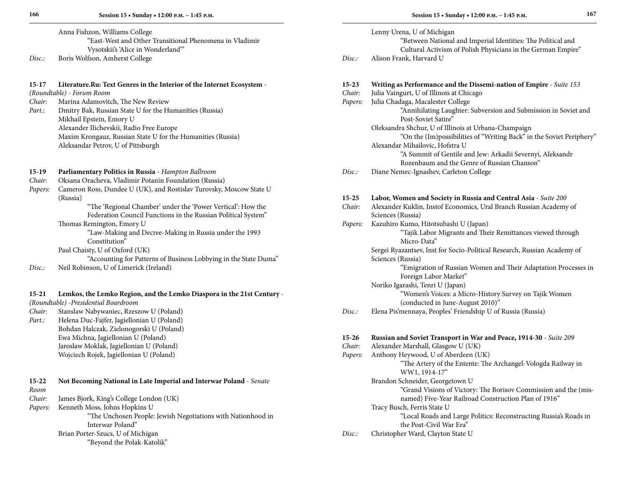Anna Fishzon, Williams College "East-West and Other Transitional Phenomena in Vladimir Vysotskii's 'Alice in Wonderland'" *Disc.:* Boris Wolfson, Amherst College

### **15-17 Literature.Ru: Text Genres in the Interior of the Internet Ecosystem** -

*(Roundtable)* - *Forum Room*

*Chair:* Marina Adamovitch, The New Review<br>*Part.:* Dmitry Bak, Russian State U for the Hi *Part.:* Dmitry Bak, Russian State U for the Humanities (Russia) Mikhail Epstein, Emory U Alexander Ilichevskii, Radio Free Europe Maxim Krongauz, Russian State U for the Humanities (Russia) Aleksandar Petrov, U of Pittsburgh

| $15-19$   | Parliamentary Politics in Russia - Hampton Ballroom                    |
|-----------|------------------------------------------------------------------------|
| Chair:    | Oksana Oracheva, Vladimir Potanin Foundation (Russia)                  |
| Papers:   | Cameron Ross, Dundee U (UK), and Rostislav Turovsky, Moscow State U    |
|           | (Russia)                                                               |
|           | "The 'Regional Chamber' under the 'Power Vertical': How the            |
|           | Federation Council Functions in the Russian Political System"          |
|           | Thomas Remington, Emory U                                              |
|           | "Law-Making and Decree-Making in Russia under the 1993                 |
|           | Constitution"                                                          |
|           | Paul Chaisty, U of Oxford (UK)                                         |
|           | "Accounting for Patterns of Business Lobbying in the State Duma"       |
| Disc.     | Neil Robinson, U of Limerick (Ireland)                                 |
|           |                                                                        |
| $15 - 21$ | Lemkos, the Lemko Region, and the Lemko Diaspora in the 21st Century - |
|           | (Roundtable) -Presidential Boardroom                                   |
| Chair:    | Stanslaw Nabywaniec, Rzeszow U (Poland)                                |
| Part.:    | Helena Duc-Fajfer, Jagiellonian U (Poland)                             |
|           | Bohdan Halczak, Zielonogorski U (Poland)                               |
|           | Ewa Michna, Jagiellonian U (Poland)                                    |
|           | Jaroslaw Moklak, Jagiellonian U (Poland)                               |
|           | Wojciech Rojek, Jagiellonian U (Poland)                                |
|           |                                                                        |
|           |                                                                        |

| $15-22$ | Not Becoming National in Late Imperial and Interwar Poland - Senate |
|---------|---------------------------------------------------------------------|
| Room    |                                                                     |
| Chair:  | James Bjork, King's College London (UK)                             |
| Papers: | Kenneth Moss, Johns Hopkins U                                       |
|         | "The Unchosen People: Jewish Negotiations with Nationhood in        |
|         | Interwar Poland"                                                    |
|         | Brian Porter-Szucs, U of Michigan                                   |
|         | "Beyond the Polak-Katolik"                                          |

|           | Lenny Urena, U of Michigan<br>"Between National and Imperial Identities: The Political and<br>Cultural Activism of Polish Physicians in the German Empire" |
|-----------|------------------------------------------------------------------------------------------------------------------------------------------------------------|
| Disc:     | Alison Frank, Harvard U                                                                                                                                    |
| $15-23$   | Writing as Performance and the Dissemi-nation of Empire - Suite 153                                                                                        |
| Chair:    | Julia Vaingurt, U of Illinois at Chicago                                                                                                                   |
| Papers:   | Julia Chadaga, Macalester College<br>"Annihilating Laughter: Subversion and Submission in Soviet and<br>Post-Soviet Satire"                                |
|           | Oleksandra Shchur, U of Illinois at Urbana-Champaign<br>"On the (Im)possibilities of "Writing Back" in the Soviet Periphery"                               |
|           | Alexandar Mihailovic, Hofstra U<br>"A Summit of Gentile and Jew: Arkadii Severnyi, Aleksandr<br>Rozenbaum and the Genre of Russian Chanson"                |
| Disc.     | Diane Nemec-Ignashev, Carleton College                                                                                                                     |
| $15 - 25$ | Labor, Women and Society in Russia and Central Asia - Suite 200                                                                                            |
| Chair:    | Alexander Kuklin, Instof Economics, Ural Branch Russian Academy of<br>Sciences (Russia)                                                                    |
| Papers:   | Kazuhiro Kumo, Hitotsubashi U (Japan)<br>"Tajik Labor Migrants and Their Remittances viewed through<br>Micro-Data"                                         |
|           | Sergei Ryazantsev, Inst for Socio-Political Research, Russian Academy of<br>Sciences (Russia)                                                              |
|           | "Emigration of Russian Women and Their Adaptation Processes in<br>Foreign Labor Market"                                                                    |
|           | Noriko Igarashi, Tenri U (Japan)<br>"Women's Voices: a Micro-History Survey on Tajik Women                                                                 |
| Disc.     | (conducted in June-August 2010)"<br>Elena Pis'mennaya, Peoples' Friendship U of Russia (Russia)                                                            |
| $15-26$   | Russian and Soviet Transport in War and Peace, 1914-30 - Suite 209                                                                                         |
| Chair:    | Alexander Marshall, Glasgow U (UK)                                                                                                                         |
| Papers:   | Anthony Heywood, U of Aberdeen (UK)<br>"The Artery of the Entente: The Archangel-Vologda Railway in<br>WW1, 1914-17"                                       |
|           | Brandon Schneider, Georgetown U                                                                                                                            |
|           | 'Grand Visions of Victory: The Borisov Commission and the (mis-<br>named) Five-Year Railroad Construction Plan of 1916"                                    |
|           | Tracy Busch, Ferris State U                                                                                                                                |
|           | "Local Roads and Large Politics: Reconstructing Russia's Roads in<br>the Post-Civil War Era"                                                               |